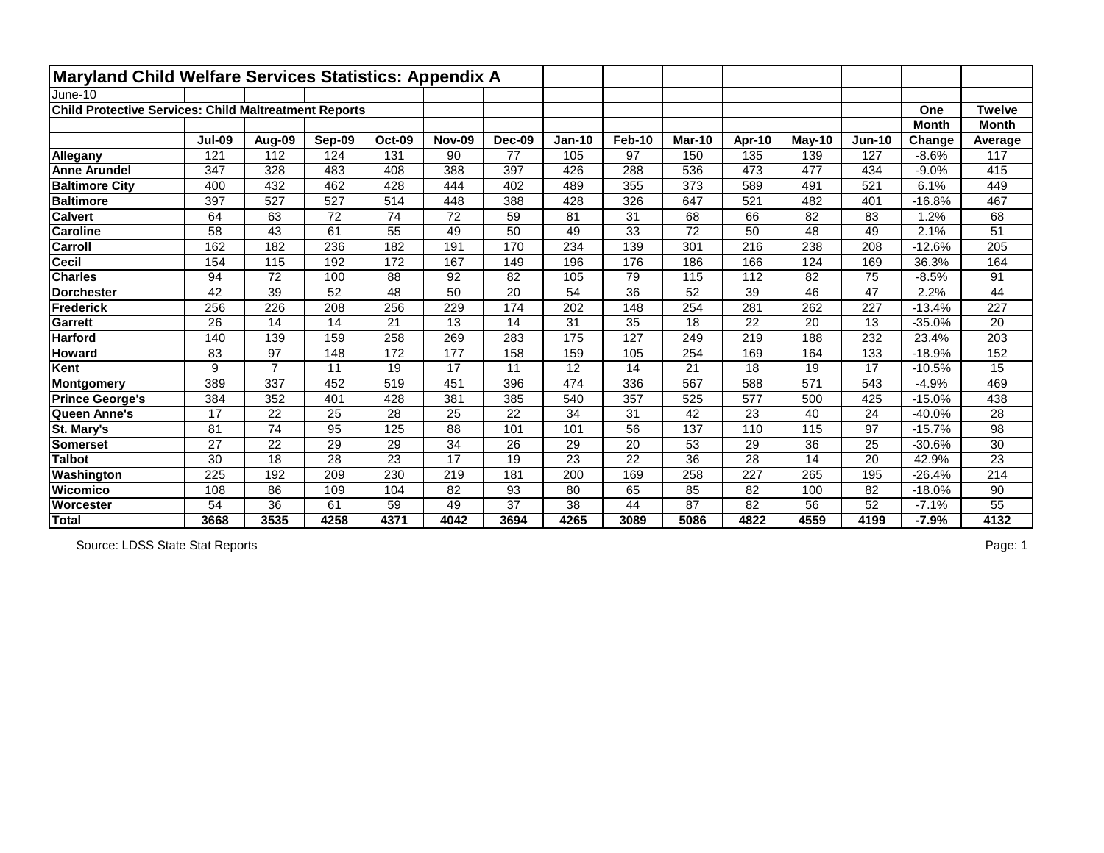| Maryland Child Welfare Services Statistics: Appendix A       |               |                |                 |                 |               |        |                 |                 |                 |                 |               |               |              |                 |
|--------------------------------------------------------------|---------------|----------------|-----------------|-----------------|---------------|--------|-----------------|-----------------|-----------------|-----------------|---------------|---------------|--------------|-----------------|
| June-10                                                      |               |                |                 |                 |               |        |                 |                 |                 |                 |               |               |              |                 |
| <b>Child Protective Services: Child Maltreatment Reports</b> |               |                |                 |                 |               |        |                 |                 |                 |                 |               |               | One          | <b>Twelve</b>   |
|                                                              |               |                |                 |                 |               |        |                 |                 |                 |                 |               |               | <b>Month</b> | <b>Month</b>    |
|                                                              | <b>Jul-09</b> | Aug-09         | Sep-09          | <b>Oct-09</b>   | <b>Nov-09</b> | Dec-09 | <b>Jan-10</b>   | <b>Feb-10</b>   | <b>Mar-10</b>   | Apr-10          | <b>May-10</b> | <b>Jun-10</b> | Change       | Average         |
| Allegany                                                     | 121           | 112            | 124             | 131             | 90            | 77     | 105             | 97              | 150             | 135             | 139           | 127           | $-8.6%$      | 117             |
| <b>Anne Arundel</b>                                          | 347           | 328            | 483             | 408             | 388           | 397    | 426             | 288             | 536             | 473             | 477           | 434           | $-9.0%$      | 415             |
| <b>Baltimore City</b>                                        | 400           | 432            | 462             | 428             | 444           | 402    | 489             | 355             | 373             | 589             | 491           | 521           | 6.1%         | 449             |
| <b>Baltimore</b>                                             | 397           | 527            | 527             | 514             | 448           | 388    | 428             | 326             | 647             | 521             | 482           | 401           | $-16.8%$     | 467             |
| <b>Calvert</b>                                               | 64            | 63             | 72              | 74              | 72            | 59     | 81              | 31              | 68              | 66              | 82            | 83            | 1.2%         | 68              |
| <b>Caroline</b>                                              | 58            | 43             | 61              | 55              | 49            | 50     | 49              | 33              | 72              | 50              | 48            | 49            | 2.1%         | 51              |
| Carroll                                                      | 162           | 182            | 236             | 182             | 191           | 170    | 234             | 139             | 301             | 216             | 238           | 208           | $-12.6%$     | 205             |
| <b>Cecil</b>                                                 | 154           | 115            | 192             | 172             | 167           | 149    | 196             | 176             | 186             | 166             | 124           | 169           | 36.3%        | 164             |
| <b>Charles</b>                                               | 94            | 72             | 100             | 88              | 92            | 82     | 105             | 79              | 115             | 112             | 82            | 75            | $-8.5%$      | 91              |
| <b>Dorchester</b>                                            | 42            | 39             | 52              | 48              | 50            | 20     | 54              | 36              | 52              | 39              | 46            | 47            | 2.2%         | 44              |
| <b>Frederick</b>                                             | 256           | 226            | 208             | 256             | 229           | 174    | 202             | 148             | 254             | 281             | 262           | 227           | $-13.4%$     | 227             |
| <b>Garrett</b>                                               | 26            | 14             | 14              | 21              | 13            | 14     | 31              | 35              | 18              | 22              | 20            | 13            | $-35.0%$     | 20              |
| <b>Harford</b>                                               | 140           | 139            | 159             | 258             | 269           | 283    | 175             | 127             | 249             | 219             | 188           | 232           | 23.4%        | 203             |
| <b>Howard</b>                                                | 83            | 97             | 148             | 172             | 177           | 158    | 159             | 105             | 254             | 169             | 164           | 133           | $-18.9%$     | 152             |
| Kent                                                         | 9             | $\overline{7}$ | 11              | 19              | 17            | 11     | 12              | 14              | 21              | 18              | 19            | 17            | $-10.5%$     | 15              |
| Montgomery                                                   | 389           | 337            | 452             | 519             | 451           | 396    | 474             | 336             | 567             | 588             | 571           | 543           | $-4.9%$      | 469             |
| <b>Prince George's</b>                                       | 384           | 352            | 401             | 428             | 381           | 385    | 540             | 357             | 525             | 577             | 500           | 425           | $-15.0%$     | 438             |
| Queen Anne's                                                 | 17            | 22             | 25              | 28              | 25            | 22     | 34              | 31              | 42              | 23              | 40            | 24            | $-40.0%$     | 28              |
| St. Mary's                                                   | 81            | 74             | 95              | 125             | 88            | 101    | 101             | 56              | 137             | 110             | 115           | 97            | $-15.7%$     | 98              |
| <b>Somerset</b>                                              | 27            | 22             | 29              | 29              | 34            | 26     | 29              | 20              | 53              | 29              | 36            | 25            | $-30.6%$     | 30              |
| <b>Talbot</b>                                                | 30            | 18             | $\overline{28}$ | $\overline{23}$ | 17            | 19     | $\overline{23}$ | $\overline{22}$ | $\overline{36}$ | $\overline{28}$ | 14            | 20            | 42.9%        | $\overline{23}$ |
| Washington                                                   | 225           | 192            | 209             | 230             | 219           | 181    | 200             | 169             | 258             | 227             | 265           | 195           | $-26.4%$     | 214             |
| <b>Wicomico</b>                                              | 108           | 86             | 109             | 104             | 82            | 93     | 80              | 65              | 85              | 82              | 100           | 82            | $-18.0%$     | 90              |
| Worcester                                                    | 54            | 36             | 61              | 59              | 49            | 37     | 38              | 44              | 87              | 82              | 56            | 52            | $-7.1%$      | 55              |
| Total                                                        | 3668          | 3535           | 4258            | 4371            | 4042          | 3694   | 4265            | 3089            | 5086            | 4822            | 4559          | 4199          | $-7.9%$      | 4132            |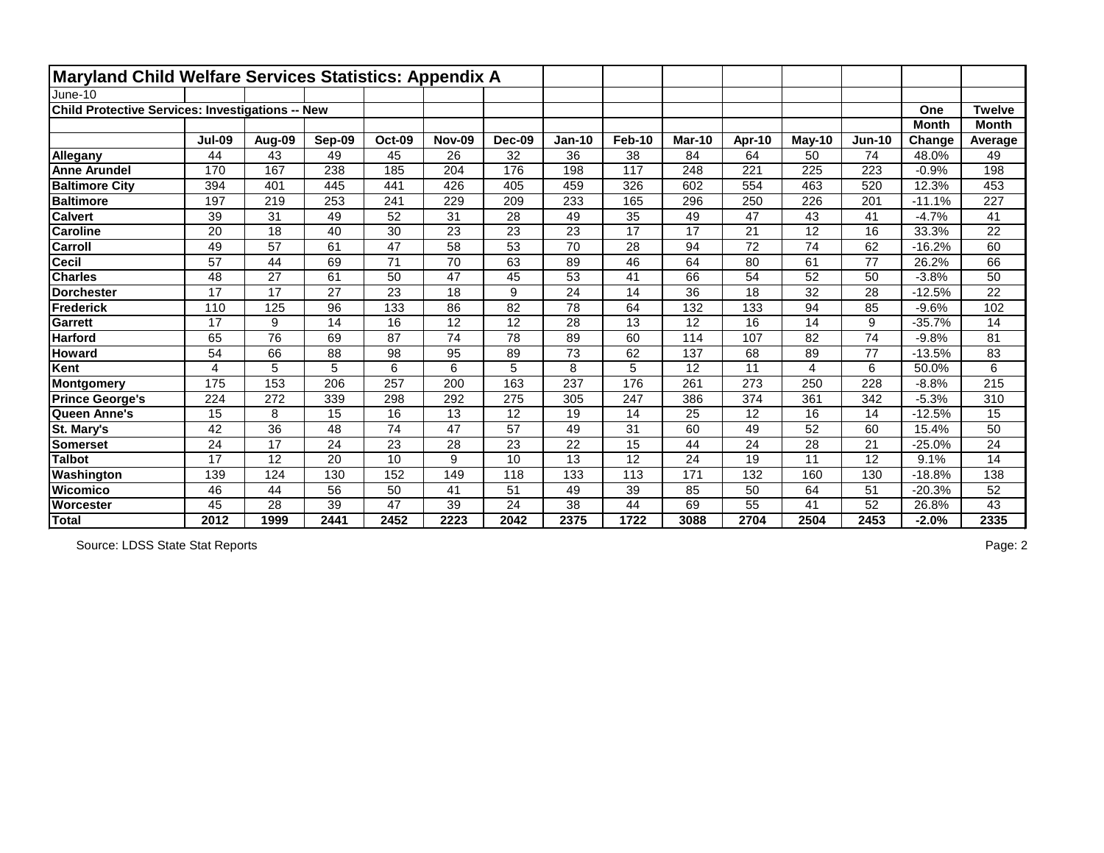| <b>Maryland Child Welfare Services Statistics: Appendix A</b> |               |        |        |                 |               |               |               |               |               |        |          |          |              |                 |
|---------------------------------------------------------------|---------------|--------|--------|-----------------|---------------|---------------|---------------|---------------|---------------|--------|----------|----------|--------------|-----------------|
| June-10                                                       |               |        |        |                 |               |               |               |               |               |        |          |          |              |                 |
| Child Protective Services: Investigations -- New              |               |        |        |                 |               |               |               |               |               |        |          |          | One          | <b>Twelve</b>   |
|                                                               |               |        |        |                 |               |               |               |               |               |        |          |          | <b>Month</b> | <b>Month</b>    |
|                                                               | <b>Jul-09</b> | Aug-09 | Sep-09 | <b>Oct-09</b>   | <b>Nov-09</b> | <b>Dec-09</b> | <b>Jan-10</b> | <b>Feb-10</b> | <b>Mar-10</b> | Apr-10 | $May-10$ | $Jun-10$ | Change       | Average         |
| Allegany                                                      | 44            | 43     | 49     | 45              | 26            | 32            | 36            | 38            | 84            | 64     | 50       | 74       | 48.0%        | 49              |
| <b>Anne Arundel</b>                                           | 170           | 167    | 238    | 185             | 204           | 176           | 198           | 117           | 248           | 221    | 225      | 223      | $-0.9%$      | 198             |
| <b>Baltimore City</b>                                         | 394           | 401    | 445    | 441             | 426           | 405           | 459           | 326           | 602           | 554    | 463      | 520      | 12.3%        | 453             |
| <b>Baltimore</b>                                              | 197           | 219    | 253    | 241             | 229           | 209           | 233           | 165           | 296           | 250    | 226      | 201      | $-11.1%$     | 227             |
| <b>Calvert</b>                                                | 39            | 31     | 49     | 52              | 31            | 28            | 49            | 35            | 49            | 47     | 43       | 41       | $-4.7%$      | 41              |
| <b>Caroline</b>                                               | 20            | 18     | 40     | 30              | 23            | 23            | 23            | 17            | 17            | 21     | 12       | 16       | 33.3%        | 22              |
| <b>Carroll</b>                                                | 49            | 57     | 61     | 47              | 58            | 53            | 70            | 28            | 94            | 72     | 74       | 62       | $-16.2%$     | 60              |
| <b>Cecil</b>                                                  | 57            | 44     | 69     | $\overline{71}$ | 70            | 63            | 89            | 46            | 64            | 80     | 61       | 77       | 26.2%        | 66              |
| <b>Charles</b>                                                | 48            | 27     | 61     | 50              | 47            | 45            | 53            | 41            | 66            | 54     | 52       | 50       | $-3.8%$      | 50              |
| <b>Dorchester</b>                                             | 17            | 17     | 27     | 23              | 18            | 9             | 24            | 14            | 36            | 18     | 32       | 28       | $-12.5%$     | $\overline{22}$ |
| Frederick                                                     | 110           | 125    | 96     | 133             | 86            | 82            | 78            | 64            | 132           | 133    | 94       | 85       | $-9.6%$      | 102             |
| <b>Garrett</b>                                                | 17            | 9      | 14     | 16              | 12            | 12            | 28            | 13            | 12            | 16     | 14       | 9        | $-35.7%$     | 14              |
| <b>Harford</b>                                                | 65            | 76     | 69     | 87              | 74            | 78            | 89            | 60            | 114           | 107    | 82       | 74       | $-9.8%$      | 81              |
| <b>Howard</b>                                                 | 54            | 66     | 88     | 98              | 95            | 89            | 73            | 62            | 137           | 68     | 89       | 77       | $-13.5%$     | 83              |
| Kent                                                          | 4             | 5      | 5      | 6               | 6             | 5             | 8             | 5             | 12            | 11     | 4        | 6        | 50.0%        | 6               |
| Montgomery                                                    | 175           | 153    | 206    | 257             | 200           | 163           | 237           | 176           | 261           | 273    | 250      | 228      | $-8.8%$      | 215             |
| <b>Prince George's</b>                                        | 224           | 272    | 339    | 298             | 292           | 275           | 305           | 247           | 386           | 374    | 361      | 342      | $-5.3%$      | 310             |
| Queen Anne's                                                  | 15            | 8      | 15     | 16              | 13            | 12            | 19            | 14            | 25            | 12     | 16       | 14       | $-12.5%$     | 15              |
| St. Mary's                                                    | 42            | 36     | 48     | 74              | 47            | 57            | 49            | 31            | 60            | 49     | 52       | 60       | 15.4%        | 50              |
| <b>Somerset</b>                                               | 24            | 17     | 24     | 23              | 28            | 23            | 22            | 15            | 44            | 24     | 28       | 21       | $-25.0%$     | 24              |
| <b>Talbot</b>                                                 | 17            | 12     | 20     | 10              | 9             | 10            | 13            | 12            | 24            | 19     | 11       | 12       | 9.1%         | 14              |
| Washington                                                    | 139           | 124    | 130    | 152             | 149           | 118           | 133           | 113           | 171           | 132    | 160      | 130      | $-18.8%$     | 138             |
| <b>Wicomico</b>                                               | 46            | 44     | 56     | 50              | 41            | 51            | 49            | 39            | 85            | 50     | 64       | 51       | $-20.3%$     | 52              |
| Worcester                                                     | 45            | 28     | 39     | 47              | 39            | 24            | 38            | 44            | 69            | 55     | 41       | 52       | 26.8%        | 43              |
| Total                                                         | 2012          | 1999   | 2441   | 2452            | 2223          | 2042          | 2375          | 1722          | 3088          | 2704   | 2504     | 2453     | $-2.0%$      | 2335            |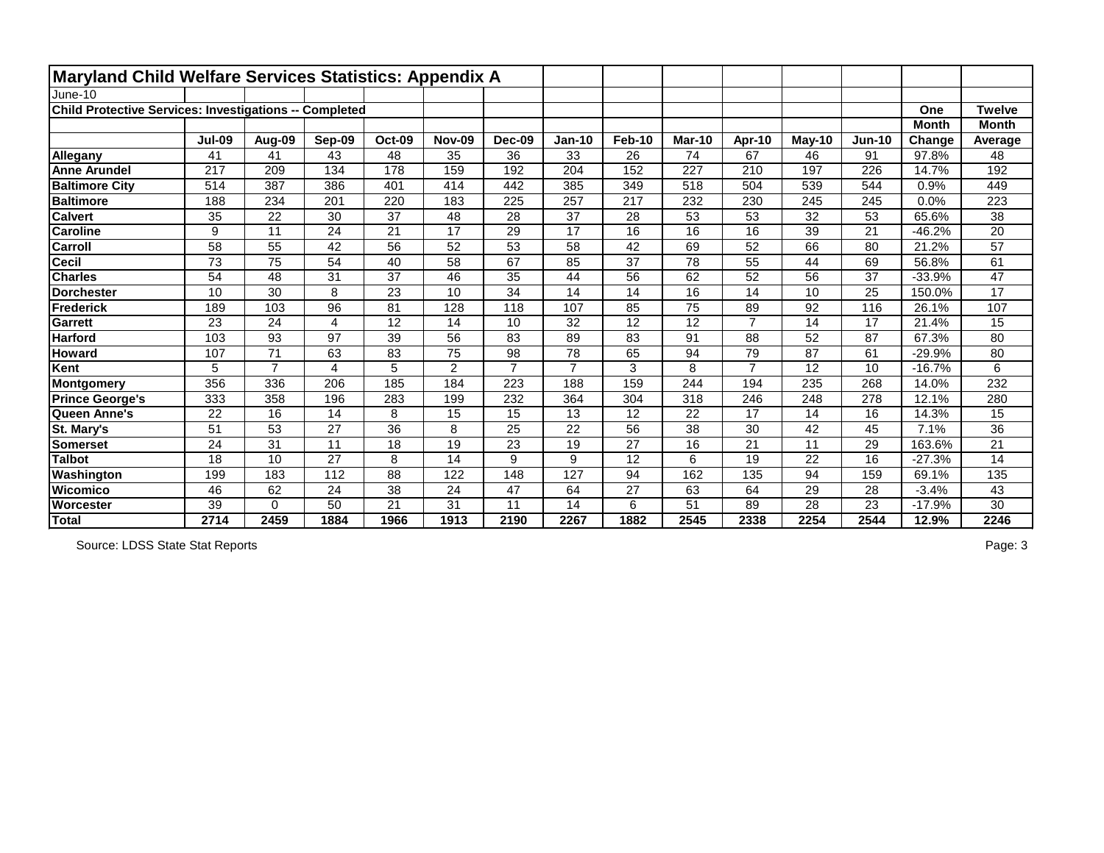| Maryland Child Welfare Services Statistics: Appendix A |               |                |                 |                 |                |                |                |               |               |                 |                 |                 |              |                 |
|--------------------------------------------------------|---------------|----------------|-----------------|-----------------|----------------|----------------|----------------|---------------|---------------|-----------------|-----------------|-----------------|--------------|-----------------|
| June-10                                                |               |                |                 |                 |                |                |                |               |               |                 |                 |                 |              |                 |
| Child Protective Services: Investigations -- Completed |               |                |                 |                 |                |                |                |               |               |                 |                 |                 | One          | <b>Twelve</b>   |
|                                                        |               |                |                 |                 |                |                |                |               |               |                 |                 |                 | <b>Month</b> | <b>Month</b>    |
|                                                        | <b>Jul-09</b> | Aug-09         | Sep-09          | <b>Oct-09</b>   | <b>Nov-09</b>  | Dec-09         | <b>Jan-10</b>  | <b>Feb-10</b> | <b>Mar-10</b> | Apr-10          | $May-10$        | $Jun-10$        | Change       | Average         |
| Allegany                                               | 41            | 41             | 43              | 48              | 35             | 36             | 33             | 26            | 74            | 67              | 46              | 91              | 97.8%        | 48              |
| <b>Anne Arundel</b>                                    | 217           | 209            | 134             | 178             | 159            | 192            | 204            | 152           | 227           | 210             | 197             | 226             | 14.7%        | 192             |
| <b>Baltimore City</b>                                  | 514           | 387            | 386             | 401             | 414            | 442            | 385            | 349           | 518           | 504             | 539             | 544             | 0.9%         | 449             |
| <b>Baltimore</b>                                       | 188           | 234            | 201             | 220             | 183            | 225            | 257            | 217           | 232           | 230             | 245             | 245             | 0.0%         | 223             |
| <b>Calvert</b>                                         | 35            | 22             | 30              | 37              | 48             | 28             | 37             | 28            | 53            | 53              | 32              | 53              | 65.6%        | 38              |
| <b>Caroline</b>                                        | 9             | 11             | 24              | $\overline{21}$ | 17             | 29             | 17             | 16            | 16            | 16              | 39              | 21              | $-46.2%$     | 20              |
| Carroll                                                | 58            | 55             | 42              | 56              | 52             | 53             | 58             | 42            | 69            | 52              | 66              | 80              | 21.2%        | 57              |
| <b>Cecil</b>                                           | 73            | 75             | 54              | 40              | 58             | 67             | 85             | 37            | 78            | 55              | 44              | 69              | 56.8%        | 61              |
| <b>Charles</b>                                         | 54            | 48             | $\overline{31}$ | 37              | 46             | 35             | 44             | 56            | 62            | $\overline{52}$ | 56              | $\overline{37}$ | $-33.9%$     | 47              |
| <b>Dorchester</b>                                      | 10            | 30             | 8               | 23              | 10             | 34             | 14             | 14            | 16            | 14              | 10              | 25              | 150.0%       | $\overline{17}$ |
| <b>Frederick</b>                                       | 189           | 103            | 96              | 81              | 128            | 118            | 107            | 85            | 75            | 89              | 92              | 116             | 26.1%        | 107             |
| <b>Garrett</b>                                         | 23            | 24             | 4               | 12              | 14             | 10             | 32             | 12            | 12            | $\overline{7}$  | 14              | 17              | 21.4%        | 15              |
| <b>Harford</b>                                         | 103           | 93             | 97              | 39              | 56             | 83             | 89             | 83            | 91            | 88              | 52              | 87              | 67.3%        | 80              |
| <b>Howard</b>                                          | 107           | 71             | 63              | 83              | 75             | 98             | 78             | 65            | 94            | 79              | 87              | 61              | $-29.9%$     | 80              |
| Kent                                                   | 5             | $\overline{7}$ | 4               | 5               | $\overline{2}$ | $\overline{7}$ | $\overline{7}$ | 3             | 8             | $\overline{7}$  | 12              | 10              | $-16.7%$     | 6               |
| Montgomery                                             | 356           | 336            | 206             | 185             | 184            | 223            | 188            | 159           | 244           | 194             | 235             | 268             | 14.0%        | 232             |
| <b>Prince George's</b>                                 | 333           | 358            | 196             | 283             | 199            | 232            | 364            | 304           | 318           | 246             | 248             | 278             | 12.1%        | 280             |
| Queen Anne's                                           | 22            | 16             | 14              | 8               | 15             | 15             | 13             | 12            | 22            | 17              | 14              | 16              | 14.3%        | 15              |
| St. Mary's                                             | 51            | 53             | 27              | 36              | 8              | 25             | 22             | 56            | 38            | 30              | 42              | 45              | 7.1%         | 36              |
| <b>Somerset</b>                                        | 24            | 31             | 11              | 18              | 19             | 23             | 19             | 27            | 16            | 21              | 11              | 29              | 163.6%       | 21              |
| <b>Talbot</b>                                          | 18            | 10             | $\overline{27}$ | 8               | 14             | 9              | 9              | 12            | 6             | 19              | $\overline{22}$ | 16              | $-27.3%$     | 14              |
| Washington                                             | 199           | 183            | 112             | 88              | 122            | 148            | 127            | 94            | 162           | 135             | 94              | 159             | 69.1%        | 135             |
| Wicomico                                               | 46            | 62             | 24              | 38              | 24             | 47             | 64             | 27            | 63            | 64              | 29              | 28              | $-3.4%$      | 43              |
| Worcester                                              | 39            | $\mathbf 0$    | 50              | 21              | 31             | 11             | 14             | 6             | 51            | 89              | 28              | 23              | $-17.9%$     | 30              |
| Total                                                  | 2714          | 2459           | 1884            | 1966            | 1913           | 2190           | 2267           | 1882          | 2545          | 2338            | 2254            | 2544            | 12.9%        | 2246            |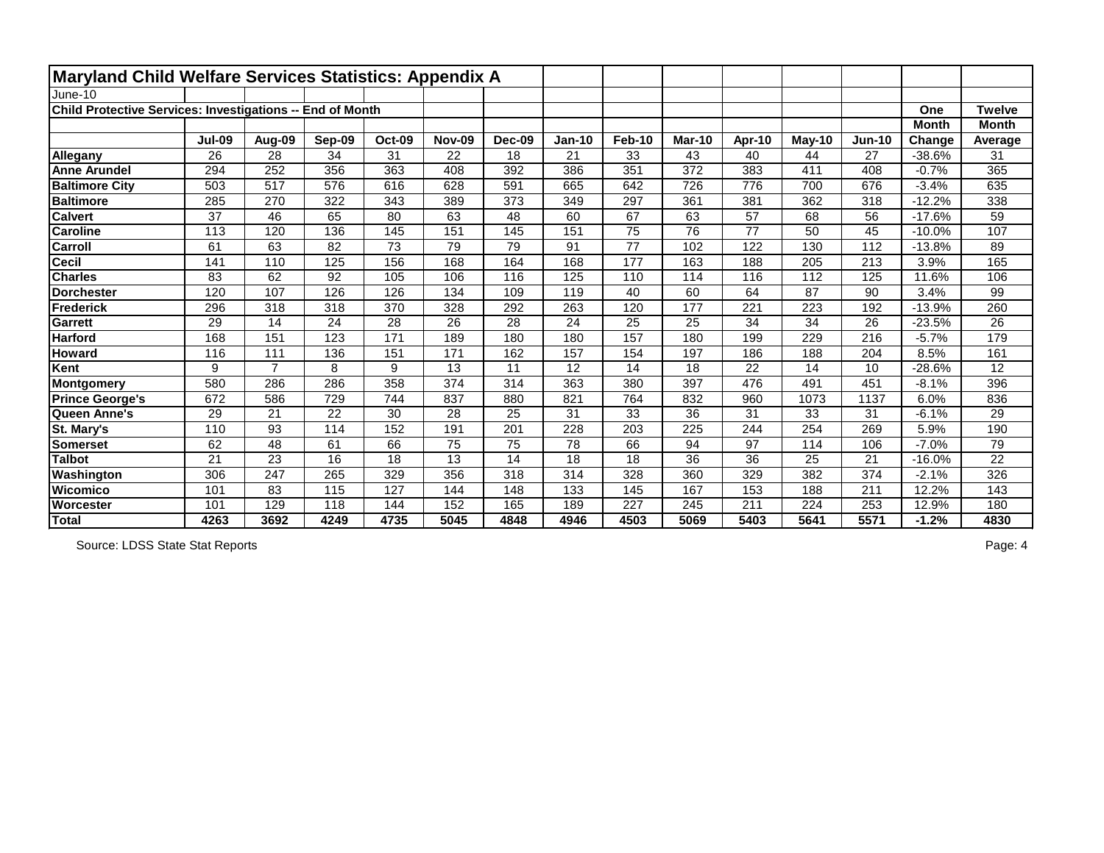| Maryland Child Welfare Services Statistics: Appendix A    |                 |                |        |               |               |        |               |               |                 |                 |          |          |              |                 |
|-----------------------------------------------------------|-----------------|----------------|--------|---------------|---------------|--------|---------------|---------------|-----------------|-----------------|----------|----------|--------------|-----------------|
| June-10                                                   |                 |                |        |               |               |        |               |               |                 |                 |          |          |              |                 |
| Child Protective Services: Investigations -- End of Month |                 |                |        |               |               |        |               |               |                 |                 |          |          | One          | <b>Twelve</b>   |
|                                                           |                 |                |        |               |               |        |               |               |                 |                 |          |          | <b>Month</b> | <b>Month</b>    |
|                                                           | <b>Jul-09</b>   | Aug-09         | Sep-09 | <b>Oct-09</b> | <b>Nov-09</b> | Dec-09 | <b>Jan-10</b> | <b>Feb-10</b> | <b>Mar-10</b>   | Apr-10          | $May-10$ | $Jun-10$ | Change       | Average         |
| Allegany                                                  | 26              | 28             | 34     | 31            | 22            | 18     | 21            | 33            | 43              | 40              | 44       | 27       | $-38.6%$     | 31              |
| <b>Anne Arundel</b>                                       | 294             | 252            | 356    | 363           | 408           | 392    | 386           | 351           | 372             | 383             | 411      | 408      | $-0.7%$      | 365             |
| <b>Baltimore City</b>                                     | 503             | 517            | 576    | 616           | 628           | 591    | 665           | 642           | 726             | 776             | 700      | 676      | $-3.4%$      | 635             |
| <b>Baltimore</b>                                          | 285             | 270            | 322    | 343           | 389           | 373    | 349           | 297           | 361             | 381             | 362      | 318      | $-12.2%$     | 338             |
| <b>Calvert</b>                                            | 37              | 46             | 65     | 80            | 63            | 48     | 60            | 67            | 63              | 57              | 68       | 56       | $-17.6%$     | 59              |
| <b>Caroline</b>                                           | 113             | 120            | 136    | 145           | 151           | 145    | 151           | 75            | 76              | $\overline{77}$ | 50       | 45       | $-10.0%$     | 107             |
| Carroll                                                   | 61              | 63             | 82     | 73            | 79            | 79     | 91            | 77            | 102             | 122             | 130      | 112      | $-13.8%$     | 89              |
| <b>Cecil</b>                                              | 141             | 110            | 125    | 156           | 168           | 164    | 168           | 177           | 163             | 188             | 205      | 213      | 3.9%         | 165             |
| <b>Charles</b>                                            | 83              | 62             | 92     | 105           | 106           | 116    | 125           | 110           | 114             | 116             | 112      | 125      | 11.6%        | 106             |
| <b>Dorchester</b>                                         | 120             | 107            | 126    | 126           | 134           | 109    | 119           | 40            | 60              | 64              | 87       | 90       | 3.4%         | 99              |
| Frederick                                                 | 296             | 318            | 318    | 370           | 328           | 292    | 263           | 120           | 177             | 221             | 223      | 192      | $-13.9%$     | 260             |
| <b>Garrett</b>                                            | 29              | 14             | 24     | 28            | 26            | 28     | 24            | 25            | 25              | 34              | 34       | 26       | $-23.5%$     | 26              |
| <b>Harford</b>                                            | 168             | 151            | 123    | 171           | 189           | 180    | 180           | 157           | 180             | 199             | 229      | 216      | $-5.7%$      | 179             |
| <b>Howard</b>                                             | 116             | 111            | 136    | 151           | 171           | 162    | 157           | 154           | 197             | 186             | 188      | 204      | 8.5%         | 161             |
| Kent                                                      | 9               | $\overline{7}$ | 8      | 9             | 13            | 11     | 12            | 14            | 18              | 22              | 14       | 10       | $-28.6%$     | 12              |
| Montgomery                                                | 580             | 286            | 286    | 358           | 374           | 314    | 363           | 380           | 397             | 476             | 491      | 451      | $-8.1%$      | 396             |
| <b>Prince George's</b>                                    | 672             | 586            | 729    | 744           | 837           | 880    | 821           | 764           | 832             | 960             | 1073     | 1137     | 6.0%         | 836             |
| Queen Anne's                                              | 29              | 21             | 22     | 30            | 28            | 25     | 31            | 33            | 36              | 31              | 33       | 31       | $-6.1%$      | 29              |
| St. Mary's                                                | 110             | 93             | 114    | 152           | 191           | 201    | 228           | 203           | 225             | 244             | 254      | 269      | 5.9%         | 190             |
| <b>Somerset</b>                                           | 62              | 48             | 61     | 66            | 75            | 75     | 78            | 66            | 94              | 97              | 114      | 106      | $-7.0%$      | 79              |
| <b>Talbot</b>                                             | $\overline{21}$ | 23             | 16     | 18            | 13            | 14     | 18            | 18            | $\overline{36}$ | $\overline{36}$ | 25       | 21       | $-16.0%$     | $\overline{22}$ |
| Washington                                                | 306             | 247            | 265    | 329           | 356           | 318    | 314           | 328           | 360             | 329             | 382      | 374      | $-2.1%$      | 326             |
| <b>Wicomico</b>                                           | 101             | 83             | 115    | 127           | 144           | 148    | 133           | 145           | 167             | 153             | 188      | 211      | 12.2%        | 143             |
| Worcester                                                 | 101             | 129            | 118    | 144           | 152           | 165    | 189           | 227           | 245             | 211             | 224      | 253      | 12.9%        | 180             |
| Total                                                     | 4263            | 3692           | 4249   | 4735          | 5045          | 4848   | 4946          | 4503          | 5069            | 5403            | 5641     | 5571     | $-1.2%$      | 4830            |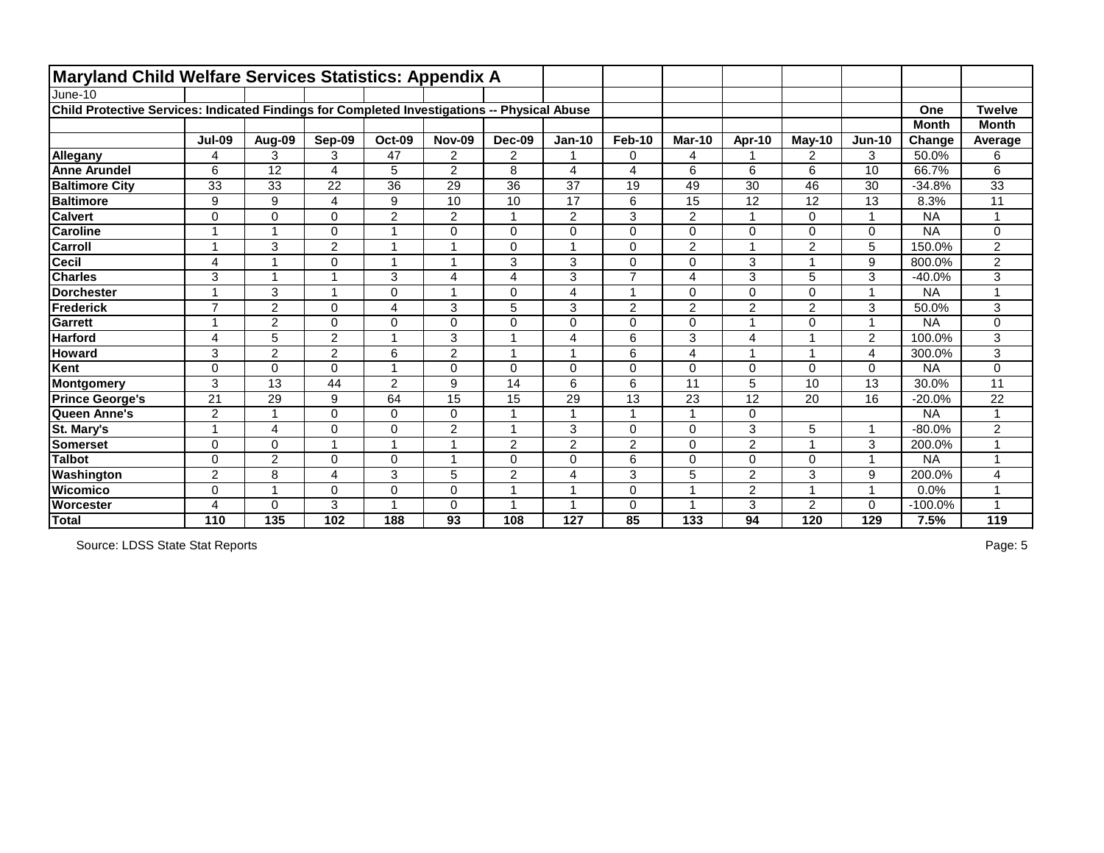| <b>Maryland Child Welfare Services Statistics: Appendix A</b>                                |                          |                         |                         |                         |                |                 |                 |                |                |                          |                |                |              |                 |
|----------------------------------------------------------------------------------------------|--------------------------|-------------------------|-------------------------|-------------------------|----------------|-----------------|-----------------|----------------|----------------|--------------------------|----------------|----------------|--------------|-----------------|
| June-10                                                                                      |                          |                         |                         |                         |                |                 |                 |                |                |                          |                |                |              |                 |
| Child Protective Services: Indicated Findings for Completed Investigations -- Physical Abuse |                          |                         |                         |                         |                |                 |                 |                |                |                          |                |                | One          | <b>Twelve</b>   |
|                                                                                              |                          |                         |                         |                         |                |                 |                 |                |                |                          |                |                | <b>Month</b> | <b>Month</b>    |
|                                                                                              | <b>Jul-09</b>            | Aug-09                  | Sep-09                  | <b>Oct-09</b>           | <b>Nov-09</b>  | Dec-09          | <b>Jan-10</b>   | <b>Feb-10</b>  | <b>Mar-10</b>  | Apr-10                   | May-10         | <b>Jun-10</b>  | Change       | Average         |
| Allegany                                                                                     | 4                        | 3                       | 3                       | 47                      | $\overline{2}$ | $\overline{2}$  |                 | $\mathbf 0$    | 4              |                          | $\overline{2}$ | 3              | 50.0%        | 6               |
| <b>Anne Arundel</b>                                                                          | 6                        | $\overline{12}$         | 4                       | 5                       | $\overline{2}$ | 8               | 4               | 4              | 6              | 6                        | 6              | 10             | 66.7%        | 6               |
| <b>Baltimore City</b>                                                                        | 33                       | 33                      | 22                      | 36                      | 29             | 36              | 37              | 19             | 49             | 30                       | 46             | 30             | $-34.8%$     | 33              |
| <b>Baltimore</b>                                                                             | 9                        | 9                       | $\overline{\mathbf{4}}$ | 9                       | 10             | $\overline{10}$ | $\overline{17}$ | 6              | 15             | $\overline{12}$          | 12             | 13             | 8.3%         | $\overline{11}$ |
| <b>Calvert</b>                                                                               | 0                        | 0                       | 0                       | $\overline{2}$          | 2              | 1               | $\overline{2}$  | 3              | $\overline{2}$ | 1                        | 0              | $\mathbf 1$    | <b>NA</b>    | 1               |
| <b>Caroline</b>                                                                              |                          | $\overline{\mathbf{A}}$ | 0                       |                         | 0              | $\mathbf 0$     | 0               | $\mathbf 0$    | 0              | $\mathbf 0$              | 0              | 0              | <b>NA</b>    | 0               |
| <b>Carroll</b>                                                                               | $\overline{\phantom{a}}$ | 3                       | $\overline{2}$          |                         |                | 0               |                 | $\mathbf 0$    | $\overline{2}$ | $\overline{\phantom{a}}$ | $\overline{2}$ | 5              | 150.0%       | $\overline{2}$  |
| <b>Cecil</b>                                                                                 | 4                        | $\overline{\mathbf{A}}$ | 0                       |                         |                | 3               | 3               | $\mathbf 0$    | 0              | 3                        | 4              | 9              | 800.0%       | $\overline{2}$  |
| <b>Charles</b>                                                                               | 3                        | $\overline{ }$          |                         | 3                       | 4              | $\overline{4}$  | 3               | $\overline{7}$ | 4              | 3                        | 5              | 3              | $-40.0%$     | 3               |
| <b>Dorchester</b>                                                                            | -1                       | 3                       |                         | $\pmb{0}$               |                | $\mathbf 0$     | 4               | $\overline{1}$ | 0              | $\mathbf 0$              | 0              | $\mathbf{1}$   | <b>NA</b>    | 1               |
| <b>Frederick</b>                                                                             | $\overline{ }$           | $\overline{2}$          | $\Omega$                | $\overline{\mathbf{4}}$ | 3              | 5               | 3               | $\overline{2}$ | $\overline{2}$ | $\overline{2}$           | $\overline{2}$ | 3              | 50.0%        | 3               |
| <b>Garrett</b>                                                                               |                          | $\overline{2}$          | $\Omega$                | $\mathbf 0$             | 0              | 0               | 0               | $\mathbf 0$    | $\Omega$       | $\overline{ }$           | 0              | $\mathbf{1}$   | <b>NA</b>    | 0               |
| <b>Harford</b>                                                                               | 4                        | 5                       | $\overline{2}$          | $\overline{A}$          | 3              |                 | 4               | $6\phantom{1}$ | 3              | 4                        | 1              | $\overline{2}$ | 100.0%       | 3               |
| <b>Howard</b>                                                                                | 3                        | $\overline{2}$          | $\overline{2}$          | 6                       | $\overline{2}$ | 1               |                 | $6\phantom{1}$ | 4              | 1                        | 1              | 4              | 300.0%       | 3               |
| Kent                                                                                         | $\Omega$                 | 0                       | 0                       | $\overline{ }$          | 0              | $\mathbf 0$     | $\mathbf 0$     | $\mathbf 0$    | 0              | $\mathbf 0$              | 0              | 0              | <b>NA</b>    | 0               |
| Montgomery                                                                                   | 3                        | 13                      | 44                      | $\overline{2}$          | 9              | 14              | 6               | $6\phantom{1}$ | 11             | 5                        | 10             | 13             | 30.0%        | 11              |
| <b>Prince George's</b>                                                                       | 21                       | 29                      | 9                       | 64                      | 15             | 15              | 29              | 13             | 23             | 12                       | 20             | 16             | $-20.0%$     | 22              |
| Queen Anne's                                                                                 | $\overline{2}$           | $\overline{\mathbf{1}}$ | $\overline{0}$          | $\mathbf 0$             | $\mathbf 0$    |                 |                 | $\overline{1}$ |                | $\mathbf 0$              |                |                | <b>NA</b>    | 1               |
| St. Mary's                                                                                   | -1                       | 4                       | 0                       | $\mathbf 0$             | $\overline{2}$ | 1               | 3               | $\mathbf 0$    | 0              | 3                        | 5              | $\mathbf{1}$   | $-80.0%$     | $\overline{2}$  |
| <b>Somerset</b>                                                                              | $\overline{0}$           | 0                       |                         |                         |                | $\overline{2}$  | $\overline{2}$  | $\overline{2}$ | 0              | $\overline{2}$           | 4              | 3              | 200.0%       | 1               |
| <b>Talbot</b>                                                                                | $\overline{0}$           | $\overline{2}$          | $\overline{0}$          | $\mathbf 0$             |                | $\mathbf 0$     | $\mathbf 0$     | $6\phantom{1}$ | $\Omega$       | $\overline{0}$           | 0              | 1              | <b>NA</b>    | 1               |
| Washington                                                                                   | 2                        | 8                       | 4                       | 3                       | 5              | $\overline{2}$  | 4               | 3              | 5              | $\mathbf 2$              | 3              | 9              | 200.0%       | 4               |
| Wicomico                                                                                     | $\overline{0}$           | $\overline{1}$          | 0                       | $\mathbf 0$             | 0              | $\overline{A}$  |                 | $\mathbf 0$    |                | $\overline{2}$           | 4              | $\overline{1}$ | 0.0%         | 1               |
| Worcester                                                                                    | 4                        | 0                       | 3                       |                         | 0              |                 |                 | 0              |                | 3                        | $\overline{2}$ | 0              | $-100.0%$    |                 |
| Total                                                                                        | 110                      | 135                     | 102                     | 188                     | 93             | 108             | 127             | 85             | 133            | 94                       | 120            | 129            | 7.5%         | 119             |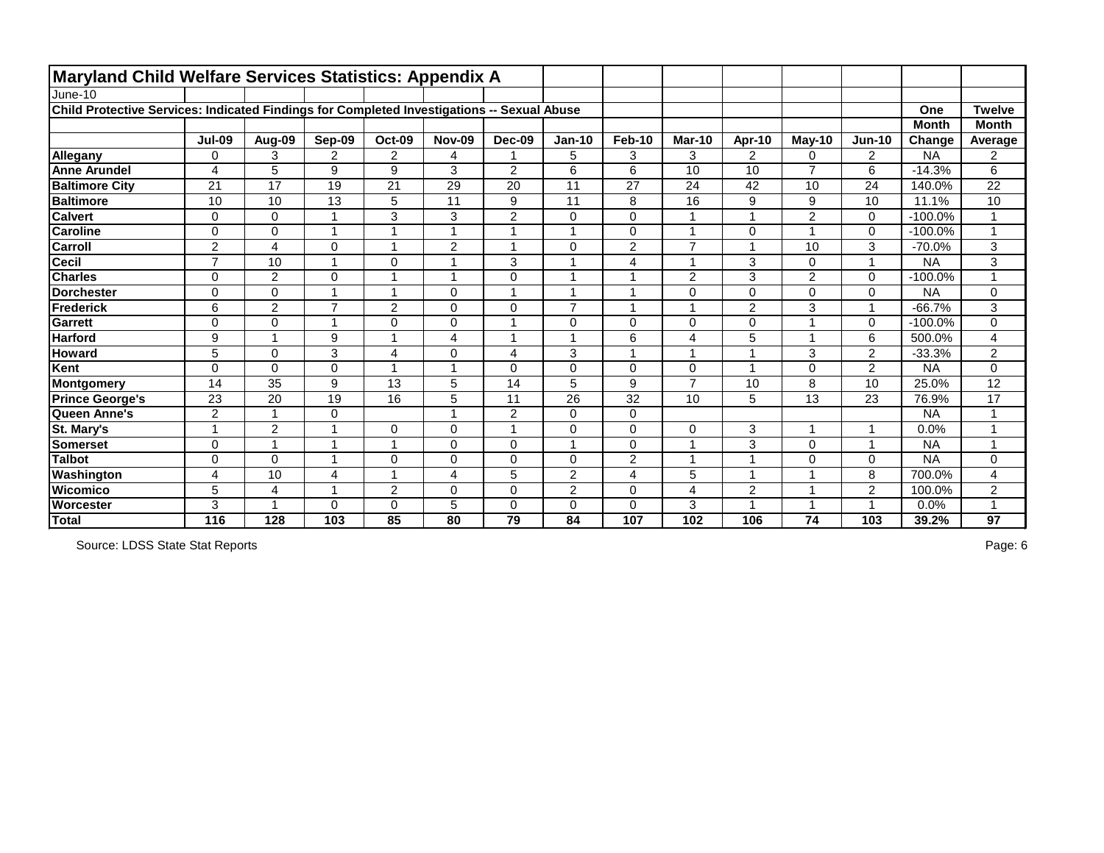| Maryland Child Welfare Services Statistics: Appendix A                                     |                |                         |                |                          |                |                |                |                |                         |                          |                  |                         |              |                      |
|--------------------------------------------------------------------------------------------|----------------|-------------------------|----------------|--------------------------|----------------|----------------|----------------|----------------|-------------------------|--------------------------|------------------|-------------------------|--------------|----------------------|
| June-10                                                                                    |                |                         |                |                          |                |                |                |                |                         |                          |                  |                         |              |                      |
| Child Protective Services: Indicated Findings for Completed Investigations -- Sexual Abuse |                |                         |                |                          |                |                |                |                |                         |                          |                  |                         | One          | <b>Twelve</b>        |
|                                                                                            |                |                         |                |                          |                |                |                |                |                         |                          |                  |                         | <b>Month</b> | <b>Month</b>         |
|                                                                                            | <b>Jul-09</b>  | Aug-09                  | Sep-09         | Oct-09                   | <b>Nov-09</b>  | Dec-09         | <b>Jan-10</b>  | Feb-10         | <b>Mar-10</b>           | Apr-10                   | $M$ ay-10        | $Jun-10$                | Change       | Average              |
| Allegany                                                                                   | 0              | 3                       | 2              | $\overline{2}$           | 4              | 1              | 5              | 3              | 3                       | $\overline{2}$           | 0                | $\overline{2}$          | <b>NA</b>    | $\overline{2}$       |
| <b>Anne Arundel</b>                                                                        | 4              | 5                       | 9              | 9                        | 3              | $\overline{2}$ | 6              | 6              | 10                      | 10                       | $\overline{7}$   | 6                       | $-14.3%$     | 6                    |
| <b>Baltimore City</b>                                                                      | 21             | 17                      | 19             | 21                       | 29             | 20             | 11             | 27             | 24                      | 42                       | 10               | 24                      | 140.0%       | 22                   |
| <b>Baltimore</b>                                                                           | 10             | 10                      | 13             | 5                        | 11             | 9              | 11             | 8              | 16                      | 9                        | $\boldsymbol{9}$ | 10                      | 11.1%        | 10                   |
| <b>Calvert</b>                                                                             | 0              | $\Omega$                |                | 3                        | 3              | $\overline{2}$ | $\mathbf 0$    | $\mathbf 0$    |                         | <b>A</b>                 | $\overline{2}$   | $\Omega$                | $-100.0%$    |                      |
| <b>Caroline</b>                                                                            | $\mathbf 0$    | $\mathbf 0$             |                | $\overline{1}$           | 1              | 1              | $\overline{A}$ | $\mathbf 0$    | 1                       | 0                        | 1                | $\mathbf 0$             | $-100.0%$    | $\blacktriangleleft$ |
| <b>Carroll</b>                                                                             | $\overline{2}$ | $\overline{\mathbf{4}}$ | 0              | $\overline{ }$           | $\overline{2}$ | $\overline{1}$ | $\mathbf 0$    | $\overline{2}$ | $\overline{7}$          |                          | 10               | 3                       | $-70.0%$     | 3                    |
| <b>Cecil</b>                                                                               | $\overline{7}$ | 10                      |                | $\pmb{0}$                | 1              | 3              | $\overline{A}$ | $\overline{4}$ | 1                       | 3                        | 0                | $\blacktriangleleft$    | <b>NA</b>    | 3                    |
| <b>Charles</b>                                                                             | $\Omega$       | 2                       | $\Omega$       | $\overline{\phantom{a}}$ | 1              | $\Omega$       | $\overline{ }$ | -1             | $\overline{2}$          | 3                        | $\overline{2}$   | $\Omega$                | $-100.0%$    | $\overline{ }$       |
| <b>Dorchester</b>                                                                          | $\mathbf 0$    | $\mathbf 0$             |                | $\overline{\mathbf{1}}$  | 0              | $\mathbf 1$    | $\overline{ }$ | $\overline{1}$ | $\mathbf{0}$            | 0                        | 0                | $\mathbf 0$             | <b>NA</b>    | 0                    |
| Frederick                                                                                  | 6              | $\overline{2}$          | $\overline{7}$ | $\overline{2}$           | 0              | $\mathbf 0$    | $\overline{7}$ | -1             | 1                       | $\overline{2}$           | 3                |                         | $-66.7%$     | 3                    |
| Garrett                                                                                    | $\mathbf 0$    | $\mathbf 0$             |                | $\mathbf 0$              | 0              | 1              | $\mathbf 0$    | $\overline{0}$ | $\mathbf 0$             | $\overline{0}$           | 1                | $\mathbf{0}$            | $-100.0%$    | $\mathbf 0$          |
| <b>Harford</b>                                                                             | 9              |                         | 9              | $\overline{1}$           | 4              | $\mathbf 1$    | $\overline{ }$ | 6              | 4                       | 5                        | $\mathbf{1}$     | 6                       | 500.0%       | 4                    |
| <b>Howard</b>                                                                              | 5              | $\mathbf 0$             | 3              | 4                        | 0              | $\overline{4}$ | 3              | 1              | $\overline{1}$          | $\overline{\phantom{a}}$ | 3                | $\overline{2}$          | $-33.3%$     | $\overline{2}$       |
| Kent                                                                                       | $\mathbf 0$    | $\mathbf 0$             | 0              | $\overline{ }$           | 1              | $\mathbf 0$    | $\pmb{0}$      | $\mathbf 0$    | $\mathbf 0$             | $\overline{\phantom{a}}$ | 0                | $\overline{2}$          | <b>NA</b>    | 0                    |
| Montgomery                                                                                 | 14             | 35                      | 9              | 13                       | 5              | 14             | 5              | 9              | $\overline{7}$          | 10                       | 8                | 10                      | 25.0%        | 12                   |
| <b>Prince George's</b>                                                                     | 23             | 20                      | 19             | 16                       | 5              | 11             | 26             | 32             | 10                      | 5                        | 13               | 23                      | 76.9%        | 17                   |
| Queen Anne's                                                                               | $\overline{2}$ |                         | 0              |                          | 1              | $\overline{2}$ | $\mathbf 0$    | $\mathbf 0$    |                         |                          |                  |                         | <b>NA</b>    | $\overline{1}$       |
| St. Mary's                                                                                 |                | $\overline{2}$          |                | $\mathbf 0$              | 0              | 1              | 0              | $\mathbf 0$    | $\mathbf 0$             | 3                        | $\mathbf{1}$     | $\overline{ }$          | 0.0%         | $\overline{A}$       |
| Somerset                                                                                   | $\Omega$       |                         |                | $\overline{ }$           | 0              | $\mathbf 0$    | $\overline{A}$ | $\mathbf 0$    | $\overline{ }$          | 3                        | 0                | $\overline{\mathbf{A}}$ | <b>NA</b>    | $\overline{A}$       |
| <b>Talbot</b>                                                                              | $\mathbf 0$    | $\Omega$                |                | $\mathbf 0$              | 0              | $\overline{0}$ | $\mathbf 0$    | $\overline{2}$ | $\overline{\mathbf{1}}$ |                          | 0                | $\mathbf{0}$            | <b>NA</b>    | 0                    |
| Washington                                                                                 | 4              | 10                      | 4              | -1                       | 4              | 5              | $\overline{c}$ | $\overline{4}$ | 5                       | и                        | 1                | 8                       | 700.0%       | 4                    |
| <b>Wicomico</b>                                                                            | 5              | $\overline{4}$          |                | $\overline{2}$           | 0              | $\overline{0}$ | $\overline{2}$ | $\mathbf 0$    | $\overline{4}$          | $\overline{2}$           | $\mathbf{1}$     | $\overline{2}$          | 100.0%       | $\overline{2}$       |
| Worcester                                                                                  | 3              |                         | 0              | $\mathbf 0$              | 5              | $\Omega$       | $\mathbf 0$    | $\mathbf 0$    | 3                       |                          | 1                |                         | 0.0%         | $\mathbf{1}$         |
| Total                                                                                      | 116            | 128                     | 103            | 85                       | 80             | 79             | 84             | 107            | 102                     | 106                      | 74               | 103                     | 39.2%        | 97                   |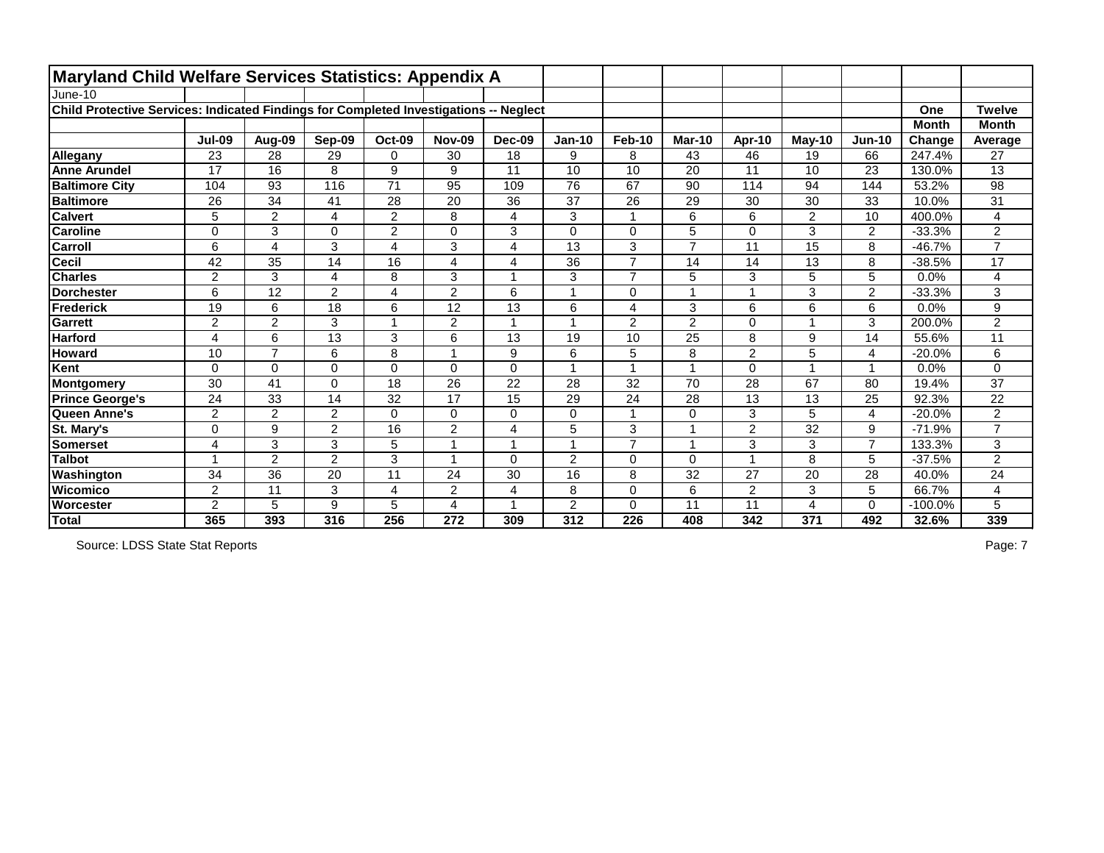| <b>Maryland Child Welfare Services Statistics: Appendix A</b>                         |                 |                 |                |                |                |                      |                 |                 |                |                 |                |                |              |                 |
|---------------------------------------------------------------------------------------|-----------------|-----------------|----------------|----------------|----------------|----------------------|-----------------|-----------------|----------------|-----------------|----------------|----------------|--------------|-----------------|
| June-10                                                                               |                 |                 |                |                |                |                      |                 |                 |                |                 |                |                |              |                 |
| Child Protective Services: Indicated Findings for Completed Investigations -- Neglect |                 |                 |                |                |                |                      |                 |                 |                |                 |                |                | One          | <b>Twelve</b>   |
|                                                                                       |                 |                 |                |                |                |                      |                 |                 |                |                 |                |                | <b>Month</b> | <b>Month</b>    |
|                                                                                       | <b>Jul-09</b>   | Aug-09          | Sep-09         | <b>Oct-09</b>  | <b>Nov-09</b>  | <b>Dec-09</b>        | <b>Jan-10</b>   | <b>Feb-10</b>   | <b>Mar-10</b>  | Apr-10          | $May-10$       | <b>Jun-10</b>  | Change       | Average         |
| Allegany                                                                              | 23              | 28              | 29             | 0              | 30             | 18                   | 9               | 8               | 43             | 46              | 19             | 66             | 247.4%       | 27              |
| <b>Anne Arundel</b>                                                                   | $\overline{17}$ | 16              | 8              | 9              | 9              | 11                   | 10              | 10              | 20             | $\overline{11}$ | 10             | 23             | 130.0%       | $\overline{13}$ |
| <b>Baltimore City</b>                                                                 | 104             | 93              | 116            | 71             | 95             | 109                  | 76              | 67              | 90             | 114             | 94             | 144            | 53.2%        | 98              |
| <b>Baltimore</b>                                                                      | 26              | $\overline{34}$ | 41             | 28             | 20             | 36                   | $\overline{37}$ | $\overline{26}$ | 29             | 30              | 30             | 33             | 10.0%        | $\overline{31}$ |
| <b>Calvert</b>                                                                        | 5               | $\overline{2}$  | 4              | $\overline{2}$ | 8              | 4                    | 3               | $\mathbf{1}$    | 6              | 6               | $\overline{2}$ | 10             | 400.0%       | 4               |
| <b>Caroline</b>                                                                       | $\overline{0}$  | 3               | $\overline{0}$ | $\overline{2}$ | 0              | 3                    | $\overline{0}$  | $\mathbf 0$     | 5              | $\mathbf 0$     | 3              | $\overline{2}$ | $-33.3%$     | 2               |
| <b>Carroll</b>                                                                        | 6               | $\overline{4}$  | 3              | 4              | 3              | $\overline{4}$       | 13              | 3               | $\overline{7}$ | 11              | 15             | 8              | $-46.7%$     | $\overline{7}$  |
| <b>Cecil</b>                                                                          | 42              | 35              | 14             | 16             | 4              | $\overline{4}$       | 36              | $\overline{7}$  | 14             | 14              | 13             | 8              | $-38.5%$     | 17              |
| <b>Charles</b>                                                                        | $\overline{2}$  | 3               | 4              | 8              | 3              |                      | 3               | $\overline{7}$  | 5              | 3               | 5              | 5              | 0.0%         | 4               |
| <b>Dorchester</b>                                                                     | 6               | 12              | $\overline{2}$ | 4              | $\overline{2}$ | 6                    |                 | $\pmb{0}$       |                | $\overline{1}$  | 3              | $\overline{2}$ | $-33.3%$     | 3               |
| Frederick                                                                             | 19              | 6               | 18             | 6              | 12             | 13                   | 6               | $\overline{4}$  | 3              | 6               | 6              | 6              | 0.0%         | 9               |
| <b>Garrett</b>                                                                        | $\overline{2}$  | $\overline{2}$  | 3              | $\overline{1}$ | $\overline{2}$ | $\blacktriangleleft$ |                 | 2               | $\overline{2}$ | $\Omega$        |                | 3              | 200.0%       | $\overline{2}$  |
| <b>Harford</b>                                                                        | $\overline{4}$  | 6               | 13             | 3              | 6              | 13                   | 19              | 10              | 25             | 8               | 9              | 14             | 55.6%        | $\overline{11}$ |
| <b>Howard</b>                                                                         | 10              | $\overline{7}$  | 6              | 8              |                | 9                    | 6               | 5               | 8              | $\overline{2}$  | 5              | 4              | $-20.0%$     | 6               |
| Kent                                                                                  | $\Omega$        | $\mathbf 0$     | $\overline{0}$ | 0              | 0              | $\mathbf 0$          |                 | 1               |                | $\mathbf 0$     |                | $\overline{1}$ | 0.0%         | 0               |
| Montgomery                                                                            | 30              | 41              | $\Omega$       | 18             | 26             | 22                   | 28              | 32              | 70             | 28              | 67             | 80             | 19.4%        | 37              |
| <b>Prince George's</b>                                                                | 24              | 33              | 14             | 32             | 17             | 15                   | 29              | 24              | 28             | 13              | 13             | 25             | 92.3%        | 22              |
| Queen Anne's                                                                          | $\overline{2}$  | $\overline{2}$  | $\overline{2}$ | 0              | 0              | $\mathbf 0$          | 0               | $\mathbf{1}$    | $\mathbf 0$    | 3               | 5              | 4              | $-20.0%$     | $\overline{2}$  |
| St. Mary's                                                                            | 0               | 9               | $\overline{2}$ | 16             | $\overline{2}$ | 4                    | 5               | 3               |                | $\overline{2}$  | 32             | 9              | $-71.9%$     | $\overline{7}$  |
| <b>Somerset</b>                                                                       | 4               | 3               | 3              | 5              |                |                      |                 | $\overline{7}$  |                | 3               | 3              | $\overline{7}$ | 133.3%       | 3               |
| <b>Talbot</b>                                                                         |                 | $\overline{2}$  | $\overline{2}$ | 3              |                | $\Omega$             | $\overline{2}$  | $\mathbf 0$     | $\Omega$       | $\overline{1}$  | 8              | 5              | $-37.5%$     | $\overline{2}$  |
| Washington                                                                            | 34              | 36              | 20             | 11             | 24             | 30                   | 16              | 8               | 32             | 27              | 20             | 28             | 40.0%        | 24              |
| Wicomico                                                                              | $\overline{2}$  | 11              | 3              | $\overline{4}$ | $\overline{2}$ | $\overline{4}$       | 8               | $\overline{0}$  | 6              | 2               | 3              | 5              | 66.7%        | 4               |
| Worcester                                                                             | $\overline{2}$  | 5               | 9              | 5              |                |                      | $\overline{2}$  | $\mathbf 0$     | 11             | 11              | 4              | 0              | $-100.0%$    | 5               |
| Total                                                                                 | 365             | 393             | 316            | 256            | 272            | 309                  | 312             | 226             | 408            | 342             | 371            | 492            | 32.6%        | 339             |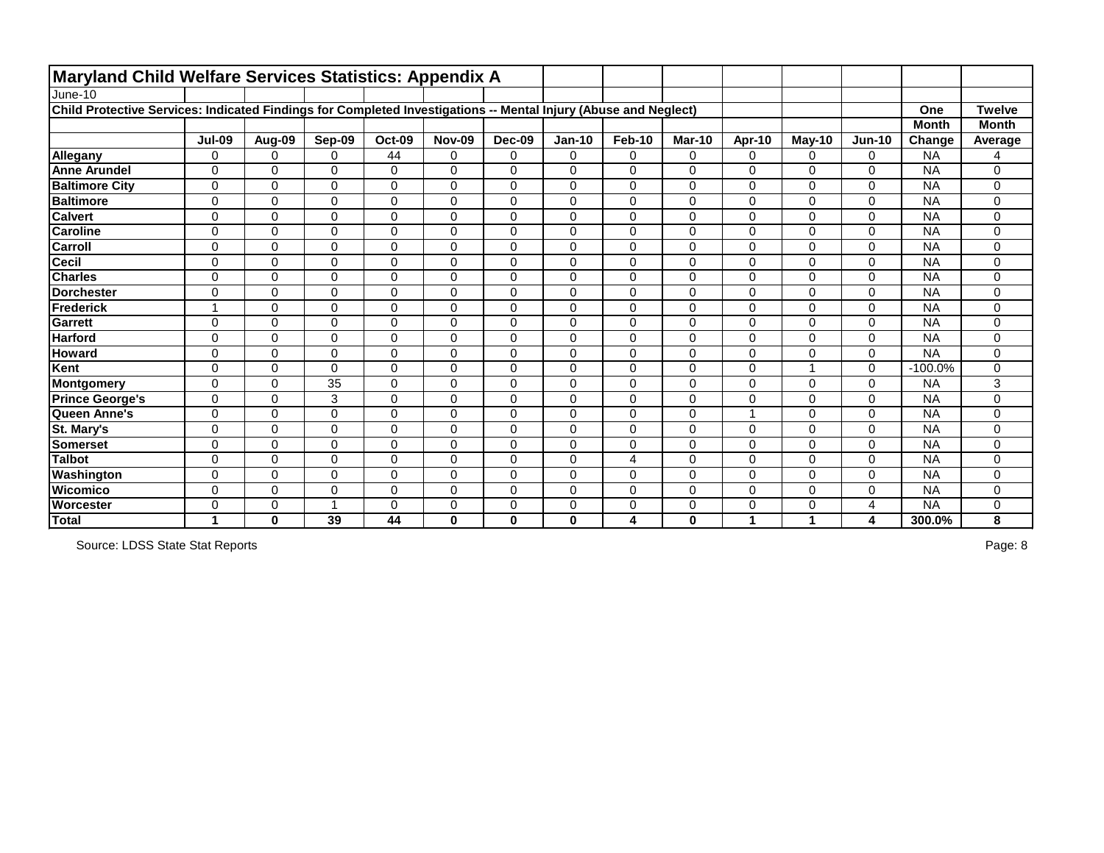| <b>Maryland Child Welfare Services Statistics: Appendix A</b>                                                   |                |                |                |                |               |                |                |                |               |                |               |                |              |               |
|-----------------------------------------------------------------------------------------------------------------|----------------|----------------|----------------|----------------|---------------|----------------|----------------|----------------|---------------|----------------|---------------|----------------|--------------|---------------|
| June-10                                                                                                         |                |                |                |                |               |                |                |                |               |                |               |                |              |               |
| Child Protective Services: Indicated Findings for Completed Investigations -- Mental Injury (Abuse and Neglect) |                |                |                |                |               |                |                |                |               |                |               |                | One          | <b>Twelve</b> |
|                                                                                                                 |                |                |                |                |               |                |                |                |               |                |               |                | <b>Month</b> | <b>Month</b>  |
|                                                                                                                 | <b>Jul-09</b>  | Aug-09         | Sep-09         | <b>Oct-09</b>  | <b>Nov-09</b> | <b>Dec-09</b>  | <b>Jan-10</b>  | <b>Feb-10</b>  | <b>Mar-10</b> | Apr-10         | <b>May-10</b> | <b>Jun-10</b>  | Change       | Average       |
| Allegany                                                                                                        | $\Omega$       | 0              | 0              | 44             | 0             | $\mathbf 0$    | $\overline{0}$ | $\mathbf 0$    | 0             | $\mathbf 0$    | 0             | 0              | <b>NA</b>    | 4             |
| <b>Anne Arundel</b>                                                                                             | $\Omega$       | $\Omega$       | $\Omega$       | $\mathbf 0$    | $\Omega$      | $\Omega$       | $\Omega$       | $\mathbf 0$    | $\Omega$      | $\overline{0}$ | 0             | 0              | <b>NA</b>    | 0             |
| <b>Baltimore City</b>                                                                                           | 0              | 0              | 0              | $\mathbf 0$    | 0             | $\Omega$       | $\Omega$       | $\mathbf 0$    | 0             | $\Omega$       | 0             | $\Omega$       | <b>NA</b>    | 0             |
| <b>Baltimore</b>                                                                                                | $\mathbf 0$    | 0              | 0              | $\pmb{0}$      | $\mathbf 0$   | $\mathbf 0$    | $\mathbf 0$    | $\mathbf 0$    | 0             | $\mathbf 0$    | 0             | $\mathbf 0$    | <b>NA</b>    | 0             |
| <b>Calvert</b>                                                                                                  | 0              | 0              | 0              | 0              | $\mathbf 0$   | 0              | 0              | $\mathbf 0$    | 0             | $\mathbf 0$    | 0             | 0              | <b>NA</b>    | 0             |
| <b>Caroline</b>                                                                                                 | $\overline{0}$ | 0              | 0              | $\pmb{0}$      | 0             | 0              | 0              | $\mathbf 0$    | 0             | $\mathbf 0$    | 0             | 0              | <b>NA</b>    | 0             |
| <b>Carroll</b>                                                                                                  | $\Omega$       | 0              | 0              | 0              | 0             | 0              | $\mathbf 0$    | $\mathbf 0$    | 0             | $\mathbf 0$    | 0             | 0              | <b>NA</b>    | 0             |
| <b>Cecil</b>                                                                                                    | $\mathbf 0$    | 0              | 0              | $\pmb{0}$      | $\mathbf 0$   | $\overline{0}$ | $\mathbf 0$    | $\mathbf 0$    | 0             | $\overline{0}$ | 0             | $\mathbf 0$    | <b>NA</b>    | 0             |
| <b>Charles</b>                                                                                                  | $\mathbf 0$    | 0              | 0              | $\overline{0}$ | $\mathbf 0$   | $\mathbf 0$    | $\mathbf 0$    | $\mathbf 0$    | 0             | $\overline{0}$ | 0             | 0              | <b>NA</b>    | 0             |
| <b>Dorchester</b>                                                                                               | $\Omega$       | 0              | 0              | $\pmb{0}$      | 0             | $\mathbf 0$    | $\mathbf 0$    | $\mathbf 0$    | 0             | $\mathbf 0$    | 0             | 0              | <b>NA</b>    | 0             |
| Frederick                                                                                                       |                | $\Omega$       | $\Omega$       | $\mathbf 0$    | $\Omega$      | $\mathbf 0$    | $\Omega$       | $\mathbf 0$    | 0             | $\overline{0}$ | 0             | 0              | <b>NA</b>    | 0             |
| <b>Garrett</b>                                                                                                  | $\Omega$       | $\Omega$       | $\Omega$       | $\mathbf 0$    | 0             | $\Omega$       | $\mathbf 0$    | $\mathbf 0$    | $\Omega$      | $\overline{0}$ | 0             | 0              | <b>NA</b>    | 0             |
| <b>Harford</b>                                                                                                  | $\overline{0}$ | $\overline{0}$ | 0              | $\mathbf 0$    | $\mathbf 0$   | $\mathbf 0$    | $\mathbf 0$    | $\mathbf 0$    | 0             | $\overline{0}$ | 0             | 0              | <b>NA</b>    | 0             |
| <b>Howard</b>                                                                                                   | $\mathbf 0$    | 0              | 0              | $\mathbf 0$    | $\mathbf 0$   | $\mathbf 0$    | $\mathbf 0$    | $\mathbf 0$    | 0             | $\mathbf 0$    | 0             | 0              | <b>NA</b>    | 0             |
| Kent                                                                                                            | $\overline{0}$ | 0              | 0              | $\pmb{0}$      | 0             | $\mathbf 0$    | $\mathbf 0$    | $\mathbf 0$    | 0             | $\mathbf 0$    | 1             | 0              | $-100.0%$    | 0             |
| Montgomery                                                                                                      | $\overline{0}$ | 0              | 35             | $\mathbf 0$    | 0             | $\overline{0}$ | $\overline{0}$ | $\mathbf 0$    | 0             | $\overline{0}$ | 0             | 0              | <b>NA</b>    | 3             |
| <b>Prince George's</b>                                                                                          | 0              | 0              | 3              | $\mathsf 0$    | 0             | $\mathbf 0$    | 0              | $\mathbf 0$    | 0             | $\mathbf 0$    | 0             | 0              | <b>NA</b>    | 0             |
| Queen Anne's                                                                                                    | $\overline{0}$ | $\overline{0}$ | $\overline{0}$ | $\mathbf 0$    | 0             | $\mathbf 0$    | $\overline{0}$ | $\mathbf 0$    | 0             | $\overline{ }$ | 0             | 0              | <b>NA</b>    | 0             |
| St. Mary's                                                                                                      | $\overline{0}$ | 0              | 0              | $\mathbf 0$    | 0             | $\mathbf 0$    | $\mathbf 0$    | $\mathbf 0$    | 0             | $\mathbf 0$    | 0             | 0              | <b>NA</b>    | 0             |
| <b>Somerset</b>                                                                                                 | $\Omega$       | 0              | 0              | 0              | $\mathbf 0$   | $\mathbf 0$    | $\mathbf 0$    | $\mathbf 0$    | 0             | $\Omega$       | 0             | 0              | <b>NA</b>    | 0             |
| <b>Talbot</b>                                                                                                   | $\overline{0}$ | 0              | $\overline{0}$ | $\mathbf 0$    | $\mathbf{0}$  | $\mathbf 0$    | $\mathbf 0$    | $\overline{4}$ | $\Omega$      | $\overline{0}$ | 0             | $\overline{0}$ | <b>NA</b>    | 0             |
| Washington                                                                                                      | 0              | $\Omega$       | $\Omega$       | $\mathsf 0$    | $\Omega$      | $\Omega$       | $\Omega$       | $\mathbf 0$    | 0             | $\Omega$       | 0             | 0              | <b>NA</b>    | 0             |
| Wicomico                                                                                                        | $\overline{0}$ | $\overline{0}$ | $\overline{0}$ | $\mathbf 0$    | 0             | $\mathbf 0$    | $\mathbf 0$    | $\mathbf 0$    | 0             | $\overline{0}$ | 0             | $\overline{0}$ | <b>NA</b>    | 0             |
| Worcester                                                                                                       | 0              | 0              |                | $\mathbf 0$    | 0             | 0              | 0              | 0              | 0             | 0              | 0             | 4              | <b>NA</b>    | 0             |
| Total                                                                                                           | 1              | $\bf{0}$       | 39             | 44             | 0             | $\mathbf 0$    | $\bf{0}$       | 4              | 0             | 1              | 4             | 4              | 300.0%       | 8             |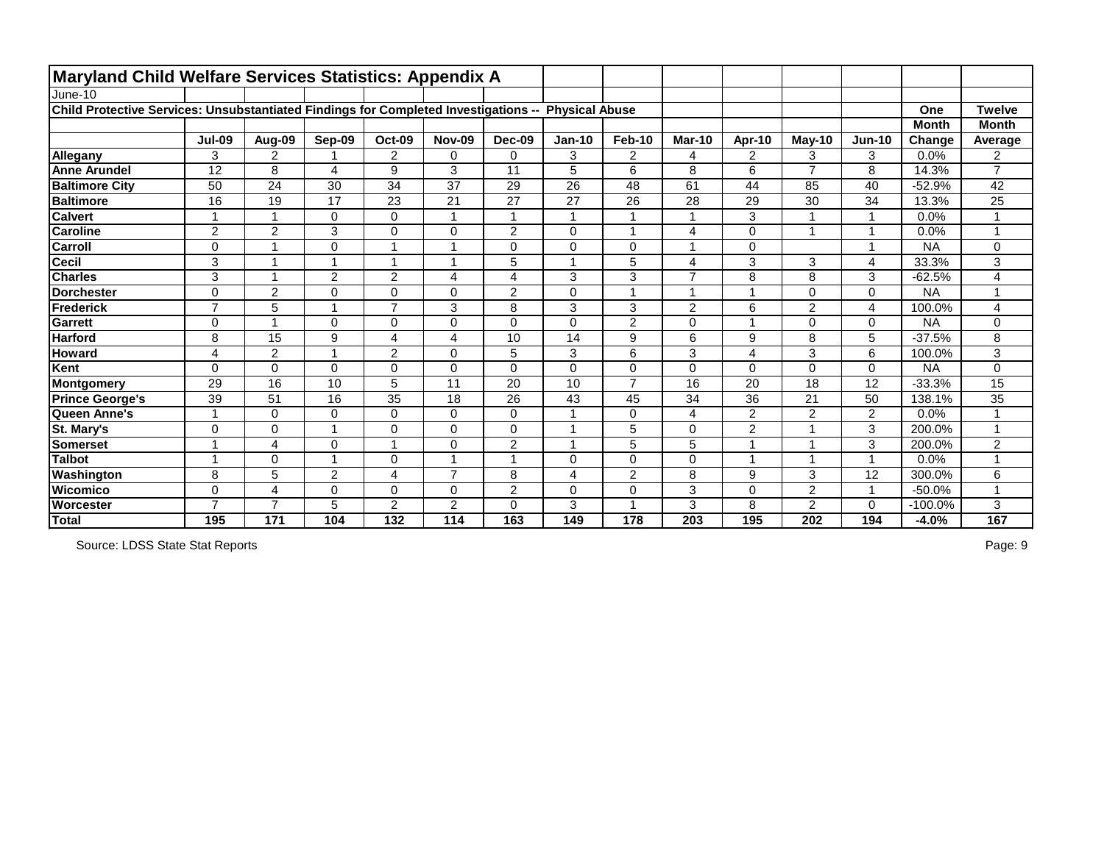| <b>Maryland Child Welfare Services Statistics: Appendix A</b>                       |                 |                      |                 |                         |                 |                 |                       |                  |                |                |                |                |              |                         |
|-------------------------------------------------------------------------------------|-----------------|----------------------|-----------------|-------------------------|-----------------|-----------------|-----------------------|------------------|----------------|----------------|----------------|----------------|--------------|-------------------------|
| June-10                                                                             |                 |                      |                 |                         |                 |                 |                       |                  |                |                |                |                |              |                         |
| Child Protective Services: Unsubstantiated Findings for Completed Investigations -- |                 |                      |                 |                         |                 |                 | <b>Physical Abuse</b> |                  |                |                |                |                | One          | <b>Twelve</b>           |
|                                                                                     |                 |                      |                 |                         |                 |                 |                       |                  |                |                |                |                | <b>Month</b> | <b>Month</b>            |
|                                                                                     | <b>Jul-09</b>   | Aug-09               | Sep-09          | <b>Oct-09</b>           | <b>Nov-09</b>   | <b>Dec-09</b>   | <b>Jan-10</b>         | <b>Feb-10</b>    | <b>Mar-10</b>  | Apr-10         | <b>May-10</b>  | <b>Jun-10</b>  | Change       | Average                 |
| Allegany                                                                            | 3               | $\overline{2}$       |                 | $\overline{2}$          | $\mathbf 0$     | $\mathbf{0}$    | 3                     | $\overline{2}$   | 4              | $\overline{2}$ | 3              | 3              | 0.0%         | $\overline{2}$          |
| <b>Anne Arundel</b>                                                                 | $\overline{12}$ | 8                    | 4               | 9                       | 3               | 11              | 5                     | 6                | 8              | 6              | $\overline{7}$ | 8              | 14.3%        | $\overline{7}$          |
| <b>Baltimore City</b>                                                               | 50              | 24                   | 30              | 34                      | 37              | 29              | 26                    | 48               | 61             | 44             | 85             | 40             | $-52.9%$     | 42                      |
| <b>Baltimore</b>                                                                    | 16              | $\overline{19}$      | $\overline{17}$ | $\overline{23}$         | $\overline{21}$ | $\overline{27}$ | $\overline{27}$       | $\overline{26}$  | 28             | 29             | 30             | 34             | 13.3%        | $\overline{25}$         |
| <b>Calvert</b>                                                                      | -1              | 1                    | 0               | $\mathsf 0$             |                 | $\mathbf 1$     |                       | 1                | 1              | 3              |                | 1              | 0.0%         |                         |
| <b>Caroline</b>                                                                     | $\overline{2}$  | $\overline{2}$       | 3               | $\mathbf 0$             | $\mathbf 0$     | $\overline{2}$  | 0                     | $\overline{1}$   | 4              | 0              |                | 1              | 0.0%         |                         |
| <b>Carroll</b>                                                                      | $\Omega$        |                      | $\Omega$        |                         |                 | $\mathbf 0$     | 0                     | $\mathbf 0$      |                | 0              |                | 4              | <b>NA</b>    | 0                       |
| <b>Cecil</b>                                                                        | 3               | $\overline{ }$       |                 | $\overline{A}$          |                 | $\overline{5}$  |                       | $\sqrt{5}$       | $\overline{4}$ | 3              | 3              | 4              | 33.3%        | 3                       |
| <b>Charles</b>                                                                      | 3               | $\overline{ }$       | $\overline{2}$  | $\overline{2}$          | 4               | $\overline{4}$  | 3                     | 3                | $\overline{7}$ | 8              | 8              | 3              | $-62.5%$     | 4                       |
| <b>Dorchester</b>                                                                   | $\mathbf 0$     | $\overline{2}$       | $\Omega$        | 0                       | $\mathbf 0$     | $\overline{2}$  | 0                     | $\overline{1}$   |                | 1              | 0              | $\mathbf 0$    | <b>NA</b>    | ۸                       |
| <b>Frederick</b>                                                                    | $\overline{ }$  | 5                    |                 | $\overline{7}$          | 3               | 8               | 3                     | 3                | $\overline{2}$ | 6              | $\overline{2}$ | 4              | 100.0%       | 4                       |
| <b>Garrett</b>                                                                      | $\Omega$        | $\blacktriangleleft$ | $\Omega$        | 0                       | $\mathbf 0$     | $\Omega$        | 0                     | $\overline{2}$   | $\Omega$       | 1              | 0              | 0              | <b>NA</b>    | 0                       |
| <b>Harford</b>                                                                      | 8               | 15                   | 9               | $\overline{\mathbf{4}}$ | 4               | 10              | 14                    | $\boldsymbol{9}$ | 6              | 9              | 8              | 5              | $-37.5%$     | 8                       |
| <b>Howard</b>                                                                       | 4               | $\overline{2}$       | -1              | $\overline{2}$          | $\mathbf 0$     | 5               | 3                     | 6                | 3              | 4              | 3              | 6              | 100.0%       | 3                       |
| Kent                                                                                | $\Omega$        | $\mathbf 0$          | 0               | $\mathsf 0$             | $\mathbf 0$     | $\mathbf 0$     | 0                     | $\pmb{0}$        | $\mathbf 0$    | $\mathbf 0$    | 0              | $\mathbf 0$    | <b>NA</b>    | 0                       |
| Montgomery                                                                          | 29              | 16                   | 10              | 5                       | 11              | 20              | 10                    | $\overline{7}$   | 16             | 20             | 18             | 12             | $-33.3%$     | 15                      |
| <b>Prince George's</b>                                                              | 39              | 51                   | 16              | 35                      | 18              | 26              | 43                    | 45               | 34             | 36             | 21             | 50             | 138.1%       | 35                      |
| Queen Anne's                                                                        |                 | $\mathbf 0$          | 0               | $\mathbf 0$             | $\mathbf 0$     | $\overline{0}$  |                       | $\mathbf 0$      | $\overline{4}$ | $\overline{2}$ | $\overline{2}$ | $\overline{2}$ | 0.0%         |                         |
| St. Mary's                                                                          | $\Omega$        | 0                    |                 | 0                       | $\mathbf 0$     | $\mathbf 0$     |                       | 5                | $\mathbf 0$    | $\overline{2}$ |                | 3              | 200.0%       | $\overline{\mathbf{A}}$ |
| <b>Somerset</b>                                                                     |                 | 4                    | $\Omega$        |                         | $\mathbf 0$     | $\overline{2}$  |                       | 5                | 5              |                |                | 3              | 200.0%       | $\overline{2}$          |
| <b>Talbot</b>                                                                       | $\overline{ }$  | 0                    |                 | 0                       |                 | $\overline{ }$  | $\Omega$              | $\mathbf 0$      | $\mathbf{0}$   | 1              |                | 1              | 0.0%         | $\overline{ }$          |
| Washington                                                                          | 8               | 5                    | $\overline{c}$  | 4                       | $\overline{ }$  | 8               | 4                     | $\overline{c}$   | 8              | 9              | 3              | 12             | 300.0%       | 6                       |
| Wicomico                                                                            | $\overline{0}$  | $\overline{4}$       | $\Omega$        | $\overline{0}$          | $\mathbf 0$     | $\overline{2}$  | 0                     | $\mathbf 0$      | 3              | 0              | $\overline{2}$ | 1              | $-50.0%$     | $\overline{A}$          |
| Worcester                                                                           | $\overline{ }$  | $\overline{7}$       | 5               | $\overline{2}$          | $\overline{2}$  | $\mathbf 0$     | 3                     | $\overline{ }$   | 3              | 8              | 2              | 0              | $-100.0%$    | 3                       |
| Total                                                                               | 195             | 171                  | 104             | 132                     | 114             | 163             | 149                   | 178              | 203            | 195            | 202            | 194            | $-4.0%$      | 167                     |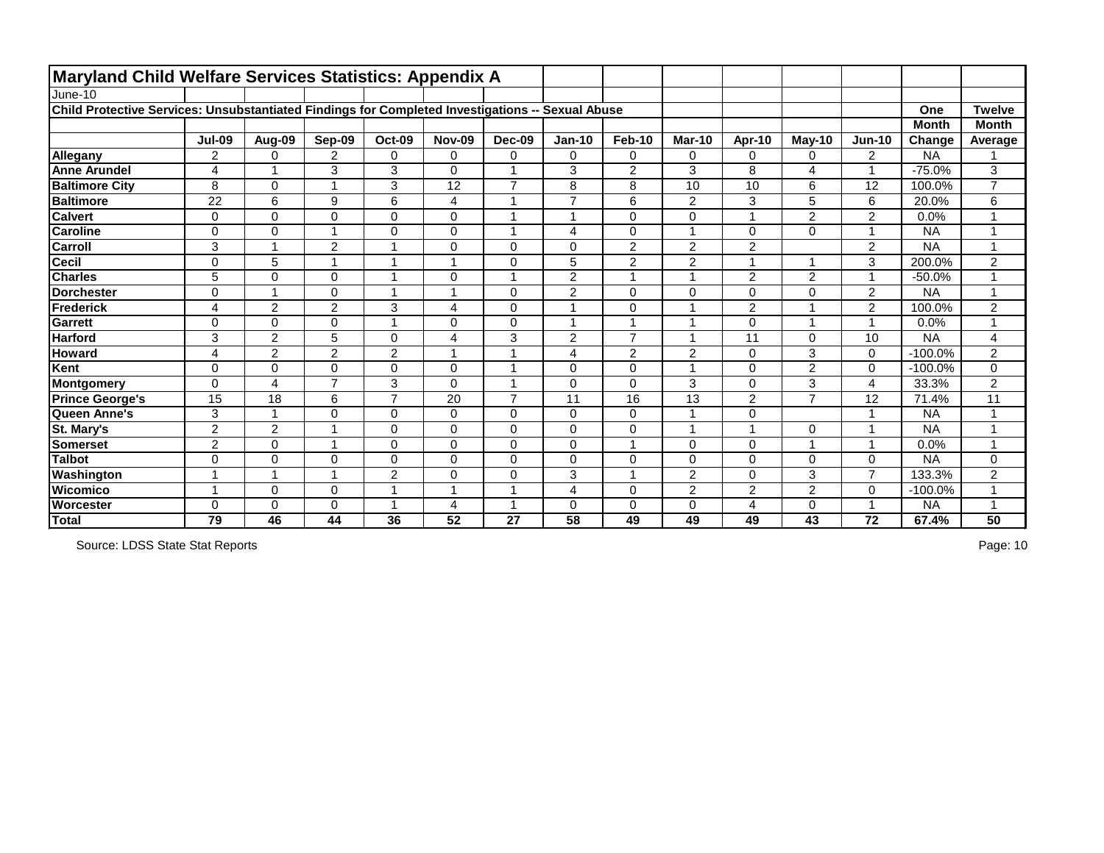|                                                                                                  | <b>Maryland Child Welfare Services Statistics: Appendix A</b> |                 |                |                         |                |                         |                         |                         |                         |                |                |                |              |                      |
|--------------------------------------------------------------------------------------------------|---------------------------------------------------------------|-----------------|----------------|-------------------------|----------------|-------------------------|-------------------------|-------------------------|-------------------------|----------------|----------------|----------------|--------------|----------------------|
| June-10                                                                                          |                                                               |                 |                |                         |                |                         |                         |                         |                         |                |                |                |              |                      |
| Child Protective Services: Unsubstantiated Findings for Completed Investigations -- Sexual Abuse |                                                               |                 |                |                         |                |                         |                         |                         |                         |                |                |                | One          | <b>Twelve</b>        |
|                                                                                                  |                                                               |                 |                |                         |                |                         |                         |                         |                         |                |                |                | <b>Month</b> | <b>Month</b>         |
|                                                                                                  | <b>Jul-09</b>                                                 | Aug-09          | <b>Sep-09</b>  | <b>Oct-09</b>           | <b>Nov-09</b>  | <b>Dec-09</b>           | <b>Jan-10</b>           | <b>Feb-10</b>           | <b>Mar-10</b>           | Apr-10         | $May-10$       | $Jun-10$       | Change       | Average              |
| Allegany                                                                                         | $\overline{2}$                                                | $\Omega$        | $\overline{2}$ | 0                       | 0              | $\mathbf 0$             | $\pmb{0}$               | $\mathbf 0$             | $\mathbf 0$             | 0              | 0              | $\overline{2}$ | <b>NA</b>    |                      |
| <b>Anne Arundel</b>                                                                              | 4                                                             |                 | 3              | 3                       | $\Omega$       | $\overline{1}$          | 3                       | $\overline{2}$          | 3                       | 8              | 4              |                | $-75.0%$     | 3                    |
| <b>Baltimore City</b>                                                                            | 8                                                             | $\mathbf{0}$    |                | 3                       | 12             | $\overline{7}$          | 8                       | 8                       | 10                      | 10             | 6              | 12             | 100.0%       | $\overline{7}$       |
| <b>Baltimore</b>                                                                                 | 22                                                            | $6\phantom{1}6$ | 9              | 6                       | 4              | 1                       | $\overline{7}$          | $6\phantom{1}$          | $\overline{2}$          | 3              | 5              | 6              | 20.0%        | $\,6$                |
| <b>Calvert</b>                                                                                   | $\mathbf 0$                                                   | $\mathbf 0$     | 0              | $\mathbf 0$             | 0              | $\blacktriangleleft$    | $\mathbf{1}$            | $\mathbf 0$             | 0                       | 1              | $\overline{2}$ | $\overline{2}$ | 0.0%         | $\mathbf{1}$         |
| <b>Caroline</b>                                                                                  | 0                                                             | $\mathbf 0$     |                | $\mathbf 0$             | 0              | 1                       | $\overline{\mathbf{4}}$ | $\mathbf 0$             | 1                       | 0              | $\overline{0}$ |                | <b>NA</b>    | $\mathbf{1}$         |
| <b>Carroll</b>                                                                                   | 3                                                             |                 | 2              | 1                       | 0              | $\Omega$                | $\mathbf 0$             | $\overline{2}$          | $\overline{2}$          | $\overline{2}$ |                | 2              | <b>NA</b>    | $\blacktriangleleft$ |
| <b>Cecil</b>                                                                                     | $\overline{0}$                                                | 5               |                | 1                       | $\overline{A}$ | $\overline{0}$          | 5                       | $\overline{2}$          | $\overline{2}$          | 4              | 1              | 3              | 200.0%       | $\overline{2}$       |
| <b>Charles</b>                                                                                   | 5                                                             | $\mathbf 0$     | 0              | $\overline{\mathbf{A}}$ | 0              | $\overline{\mathbf{1}}$ | $\overline{2}$          | $\overline{\mathbf{A}}$ | $\overline{\mathbf{A}}$ | $\overline{2}$ | 2              |                | $-50.0%$     | $\mathbf 1$          |
| <b>Dorchester</b>                                                                                | $\mathbf 0$                                                   |                 | 0              | 1                       | 1              | $\overline{0}$          | $\overline{2}$          | $\overline{0}$          | $\overline{0}$          | 0              | $\mathbf 0$    | $\overline{2}$ | <b>NA</b>    | $\mathbf{1}$         |
| Frederick                                                                                        | 4                                                             | $\overline{2}$  | 2              | 3                       | 4              | $\Omega$                | $\mathbf{1}$            | $\mathbf 0$             |                         | $\overline{2}$ | 1              | $\overline{2}$ | 100.0%       | $\overline{2}$       |
| Garrett                                                                                          | $\mathbf 0$                                                   | $\Omega$        | 0              | 1                       | 0              | $\Omega$                | $\overline{1}$          | $\overline{1}$          | A                       | 0              | 1              |                | 0.0%         | $\mathbf{1}$         |
| <b>Harford</b>                                                                                   | 3                                                             | 2               | 5              | $\mathbf 0$             | 4              | 3                       | $\overline{2}$          | $\overline{7}$          | 1                       | 11             | $\mathbf 0$    | 10             | <b>NA</b>    | $\overline{4}$       |
| <b>Howard</b>                                                                                    | 4                                                             | 2               | $\overline{2}$ | $\overline{2}$          | 1              | 1                       | $\overline{\mathbf{4}}$ | $\overline{2}$          | $\overline{2}$          | 0              | 3              | 0              | $-100.0%$    | $\overline{2}$       |
| Kent                                                                                             | $\mathbf 0$                                                   | $\mathbf 0$     | 0              | 0                       | 0              | 1                       | $\pmb{0}$               | $\mathbf 0$             | 1                       | 0              | $\overline{2}$ | 0              | $-100.0%$    | $\pmb{0}$            |
| Montgomery                                                                                       | $\mathbf 0$                                                   | $\overline{4}$  | $\overline{7}$ | 3                       | $\overline{0}$ | 1                       | $\mathbf 0$             | $\mathbf 0$             | 3                       | 0              | 3              | 4              | 33.3%        | $\overline{2}$       |
| <b>Prince George's</b>                                                                           | 15                                                            | 18              | 6              | $\overline{7}$          | 20             | $\overline{7}$          | 11                      | 16                      | 13                      | $\overline{2}$ | $\overline{7}$ | 12             | 71.4%        | 11                   |
| Queen Anne's                                                                                     | 3                                                             |                 | 0              | $\mathbf 0$             | $\overline{0}$ | $\overline{0}$          | $\mathbf 0$             | $\mathbf 0$             | $\overline{ }$          | 0              |                |                | <b>NA</b>    | $\mathbf{1}$         |
| St. Mary's                                                                                       | $\overline{2}$                                                | 2               |                | $\mathbf 0$             | 0              | $\mathbf 0$             | $\mathbf 0$             | $\mathbf 0$             | 1                       | 4              | 0              |                | <b>NA</b>    | $\mathbf{1}$         |
| <b>Somerset</b>                                                                                  | $\overline{2}$                                                | $\mathbf 0$     |                | $\mathbf 0$             | 0              | $\mathbf 0$             | $\pmb{0}$               | $\overline{\mathbf{A}}$ | $\mathbf 0$             | 0              | 1              |                | 0.0%         | $\mathbf 1$          |
| <b>Talbot</b>                                                                                    | 0                                                             | $\mathbf 0$     | 0              | $\mathbf 0$             | 0              | $\mathbf 0$             | $\pmb{0}$               | $\overline{0}$          | 0                       | 0              | $\mathbf 0$    | $\Omega$       | <b>NA</b>    | $\pmb{0}$            |
| Washington                                                                                       | $\overline{ }$                                                |                 |                | $\overline{\mathbf{c}}$ | $\Omega$       | $\Omega$                | 3                       |                         | 2                       | 0              | 3              | $\overline{7}$ | 133.3%       | $\overline{2}$       |
| <b>Wicomico</b>                                                                                  |                                                               | $\mathbf 0$     | 0              | 1                       | 1              | 1                       | $\overline{4}$          | $\mathbf 0$             | $\overline{2}$          | $\overline{2}$ | $\overline{2}$ | 0              | $-100.0%$    | $\mathbf{1}$         |
| Worcester                                                                                        | 0                                                             | $\mathbf 0$     | 0              | 1                       | 4              | $\blacktriangleleft$    | $\mathbf 0$             | $\mathbf 0$             | $\mathbf 0$             | 4              | $\mathbf 0$    |                | <b>NA</b>    | $\mathbf{1}$         |
| Total                                                                                            | 79                                                            | 46              | 44             | 36                      | 52             | 27                      | 58                      | 49                      | 49                      | 49             | 43             | 72             | 67.4%        | 50                   |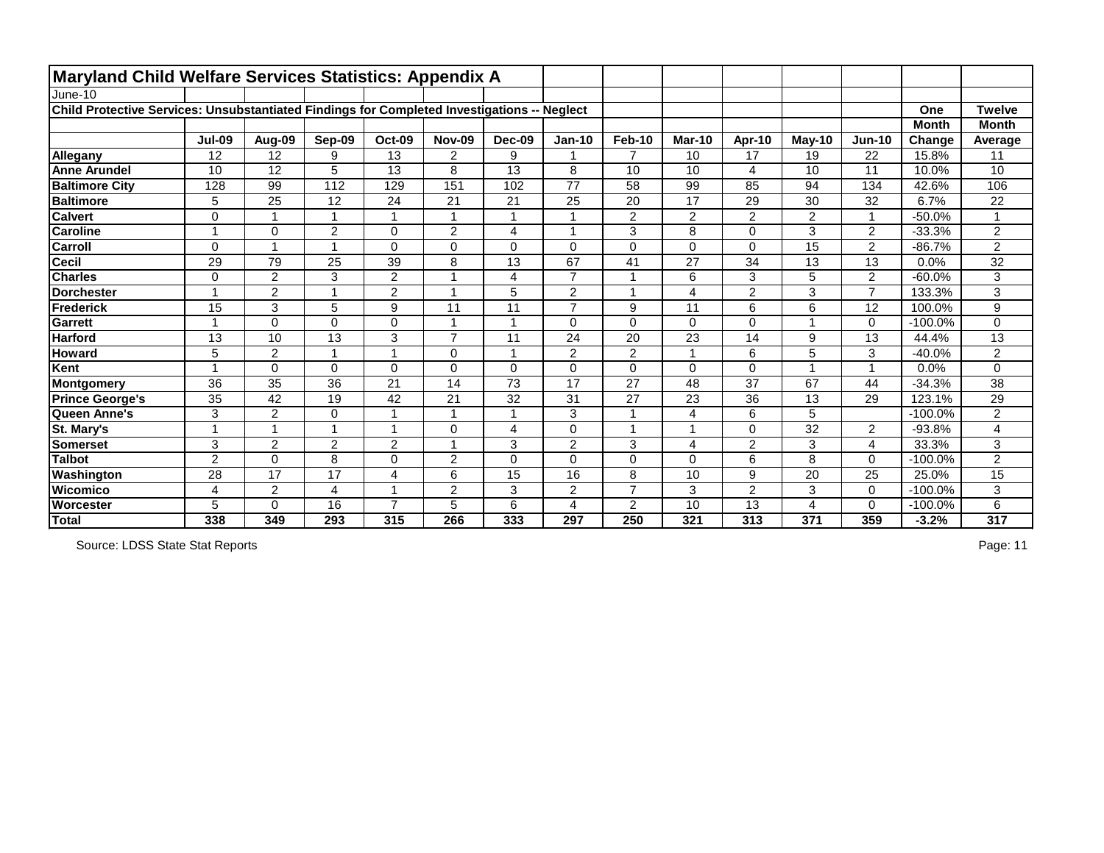| <b>Maryland Child Welfare Services Statistics: Appendix A</b>                               |                          |                |                         |                         |                |                      |                |                |                |                |                |                |              |                |
|---------------------------------------------------------------------------------------------|--------------------------|----------------|-------------------------|-------------------------|----------------|----------------------|----------------|----------------|----------------|----------------|----------------|----------------|--------------|----------------|
| June-10                                                                                     |                          |                |                         |                         |                |                      |                |                |                |                |                |                |              |                |
| Child Protective Services: Unsubstantiated Findings for Completed Investigations -- Neglect |                          |                |                         |                         |                |                      |                |                |                |                |                |                | One          | <b>Twelve</b>  |
|                                                                                             |                          |                |                         |                         |                |                      |                |                |                |                |                |                | <b>Month</b> | <b>Month</b>   |
|                                                                                             | <b>Jul-09</b>            | Aug-09         | Sep-09                  | <b>Oct-09</b>           | <b>Nov-09</b>  | <b>Dec-09</b>        | <b>Jan-10</b>  | <b>Feb-10</b>  | <b>Mar-10</b>  | Apr-10         | $May-10$       | <b>Jun-10</b>  | Change       | Average        |
| Allegany                                                                                    | 12                       | 12             | 9                       | 13                      | $\overline{2}$ | 9                    |                | $\overline{7}$ | 10             | 17             | 19             | 22             | 15.8%        | 11             |
| <b>Anne Arundel</b>                                                                         | 10                       | 12             | 5                       | 13                      | 8              | 13                   | 8              | 10             | 10             | 4              | 10             | 11             | 10.0%        | 10             |
| <b>Baltimore City</b>                                                                       | 128                      | 99             | 112                     | 129                     | 151            | 102                  | 77             | 58             | 99             | 85             | 94             | 134            | 42.6%        | 106            |
| <b>Baltimore</b>                                                                            | 5                        | 25             | 12                      | 24                      | 21             | 21                   | 25             | 20             | 17             | 29             | 30             | 32             | 6.7%         | 22             |
| <b>Calvert</b>                                                                              | $\Omega$                 | 1              |                         | -1                      |                | $\overline{ }$       |                | $\overline{2}$ | $\overline{2}$ | $\overline{2}$ | $\overline{2}$ | -1             | $-50.0%$     | 1              |
| <b>Caroline</b>                                                                             | $\overline{ }$           | $\overline{0}$ | $\overline{2}$          | $\mathbf 0$             | $\overline{2}$ | $\overline{4}$       |                | 3              | 8              | $\mathbf 0$    | 3              | $\overline{2}$ | $-33.3%$     | $\overline{2}$ |
| Carroll                                                                                     | $\Omega$                 | 1              |                         | 0                       | 0              | $\mathbf 0$          | 0              | $\pmb{0}$      | $\mathbf 0$    | 0              | 15             | $\overline{2}$ | $-86.7%$     | $\overline{2}$ |
| <b>Cecil</b>                                                                                | 29                       | 79             | 25                      | 39                      | 8              | 13                   | 67             | 41             | 27             | 34             | 13             | 13             | 0.0%         | 32             |
| <b>Charles</b>                                                                              | 0                        | $\overline{2}$ | 3                       | $\overline{2}$          |                | $\overline{4}$       | $\overline{7}$ | -1             | 6              | 3              | 5              | $\overline{2}$ | $-60.0%$     | 3              |
| <b>Dorchester</b>                                                                           |                          | $\overline{2}$ |                         | $\overline{2}$          |                | 5                    | $\overline{2}$ | $\overline{1}$ | 4              | $\overline{2}$ | 3              | $\overline{7}$ | 133.3%       | 3              |
| Frederick                                                                                   | 15                       | 3              | 5                       | $9\,$                   | 11             | 11                   | $\overline{7}$ | $9\,$          | 11             | 6              | 6              | 12             | 100.0%       | 9              |
| Garrett                                                                                     | $\overline{\phantom{a}}$ | $\mathbf 0$    | $\Omega$                | 0                       |                | $\blacktriangleleft$ | 0              | $\mathbf 0$    | $\Omega$       | $\mathbf 0$    |                | $\mathbf 0$    | $-100.0%$    | 0              |
| <b>Harford</b>                                                                              | 13                       | 10             | 13                      | 3                       | $\overline{z}$ | 11                   | 24             | 20             | 23             | 14             | 9              | 13             | 44.4%        | 13             |
| <b>Howard</b>                                                                               | 5                        | $\overline{2}$ | $\overline{ }$          | $\overline{1}$          | 0              | $\blacktriangleleft$ | $\overline{2}$ | $\overline{2}$ |                | 6              | 5              | 3              | $-40.0%$     | 2              |
| Kent                                                                                        |                          | $\overline{0}$ | $\Omega$                | 0                       | $\mathbf 0$    | $\overline{0}$       | $\overline{0}$ | $\mathbf 0$    | $\mathbf 0$    | $\mathbf 0$    |                | $\overline{1}$ | 0.0%         | 0              |
| Montgomery                                                                                  | 36                       | 35             | 36                      | 21                      | 14             | 73                   | 17             | 27             | 48             | 37             | 67             | 44             | $-34.3%$     | 38             |
| <b>Prince George's</b>                                                                      | 35                       | 42             | 19                      | 42                      | 21             | 32                   | 31             | 27             | 23             | 36             | 13             | 29             | 123.1%       | 29             |
| Queen Anne's                                                                                | 3                        | $\overline{2}$ | 0                       | $\overline{\mathbf{1}}$ |                |                      | 3              | $\overline{1}$ | 4              | 6              | 5              |                | $-100.0%$    | $\overline{2}$ |
| St. Mary's                                                                                  | $\overline{\phantom{a}}$ | 1              | $\overline{\mathbf{A}}$ | $\overline{1}$          | $\Omega$       | 4                    | 0              | $\mathbf{1}$   |                | $\mathbf 0$    | 32             | $\overline{2}$ | $-93.8%$     | 4              |
| <b>Somerset</b>                                                                             | 3                        | $\overline{2}$ | $\overline{2}$          | $\overline{2}$          |                | 3                    | $\overline{2}$ | 3              | 4              | $\overline{2}$ | 3              | 4              | 33.3%        | 3              |
| <b>Talbot</b>                                                                               | $\overline{2}$           | $\Omega$       | 8                       | 0                       | $\overline{2}$ | $\Omega$             | $\Omega$       | $\mathbf 0$    | $\Omega$       | 6              | 8              | $\Omega$       | $-100.0%$    | $\overline{2}$ |
| Washington                                                                                  | 28                       | 17             | 17                      | 4                       | 6              | 15                   | 16             | 8              | 10             | 9              | 20             | 25             | 25.0%        | 15             |
| <b>Wicomico</b>                                                                             | 4                        | $\overline{2}$ | $\overline{4}$          | $\overline{ }$          | $\overline{2}$ | 3                    | $\overline{2}$ | $\overline{7}$ | 3              | $\overline{2}$ | 3              | $\mathbf{0}$   | $-100.0%$    | 3              |
| <b>Worcester</b>                                                                            | 5                        | 0              | 16                      | $\overline{7}$          | 5              | 6                    | 4              | $\overline{2}$ | 10             | 13             | 4              | 0              | $-100.0%$    | 6              |
| Total                                                                                       | 338                      | 349            | 293                     | 315                     | 266            | 333                  | 297            | 250            | 321            | 313            | 371            | 359            | $-3.2%$      | 317            |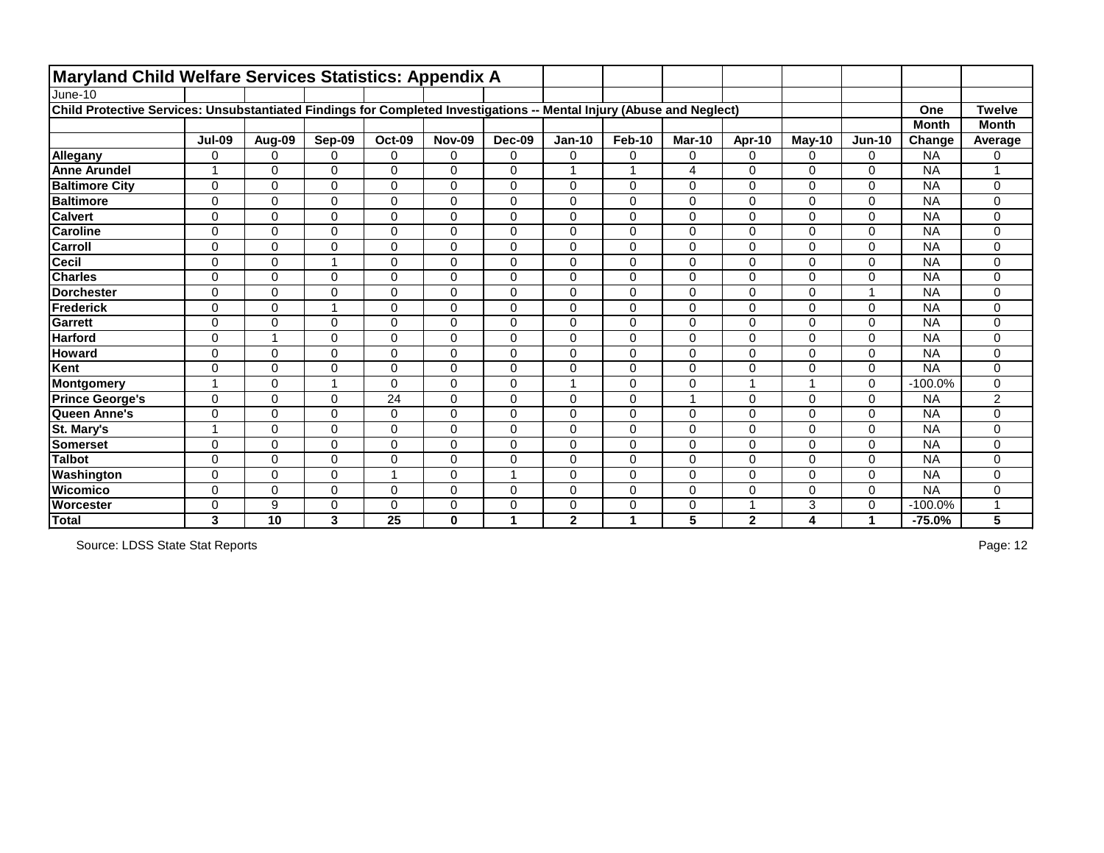| <b>Maryland Child Welfare Services Statistics: Appendix A</b>                                                         |                          |                |                |               |                |                |                         |                         |               |                          |          |                |              |                |
|-----------------------------------------------------------------------------------------------------------------------|--------------------------|----------------|----------------|---------------|----------------|----------------|-------------------------|-------------------------|---------------|--------------------------|----------|----------------|--------------|----------------|
| June-10                                                                                                               |                          |                |                |               |                |                |                         |                         |               |                          |          |                |              |                |
| Child Protective Services: Unsubstantiated Findings for Completed Investigations -- Mental Injury (Abuse and Neglect) |                          |                |                |               |                |                |                         |                         |               |                          |          |                | One          | <b>Twelve</b>  |
|                                                                                                                       |                          |                |                |               |                |                |                         |                         |               |                          |          |                | <b>Month</b> | <b>Month</b>   |
|                                                                                                                       | <b>Jul-09</b>            | Aug-09         | Sep-09         | <b>Oct-09</b> | <b>Nov-09</b>  | <b>Dec-09</b>  | <b>Jan-10</b>           | <b>Feb-10</b>           | <b>Mar-10</b> | <b>Apr-10</b>            | $May-10$ | $Jun-10$       | Change       | Average        |
| Allegany                                                                                                              | $\Omega$                 | 0              | $\Omega$       | $\mathbf 0$   | 0              | $\mathbf 0$    | 0                       | $\mathbf 0$             | 0             | $\Omega$                 | 0        | 0              | <b>NA</b>    | 0              |
| <b>Anne Arundel</b>                                                                                                   |                          | $\Omega$       | $\Omega$       | $\mathbf 0$   | $\Omega$       | $\mathbf 0$    |                         | -1                      | 4             | $\Omega$                 | 0        | 0              | <b>NA</b>    | 1              |
| <b>Baltimore City</b>                                                                                                 | $\Omega$                 | 0              | 0              | $\mathbf 0$   | 0              | 0              | $\overline{0}$          | $\mathbf 0$             | 0             | $\overline{0}$           | 0        | 0              | <b>NA</b>    | 0              |
| <b>Baltimore</b>                                                                                                      | $\mathbf 0$              | 0              | 0              | $\pmb{0}$     | $\mathbf 0$    | $\mathbf 0$    | $\mathbf 0$             | $\mathbf 0$             | 0             | $\mathbf 0$              | 0        | 0              | <b>NA</b>    | 0              |
| <b>Calvert</b>                                                                                                        | $\mathbf 0$              | 0              | $\overline{0}$ | $\pmb{0}$     | $\overline{0}$ | $\mathbf 0$    | $\mathbf 0$             | $\mathbf 0$             | 0             | $\mathbf 0$              | 0        | $\mathbf 0$    | <b>NA</b>    | 0              |
| <b>Caroline</b>                                                                                                       | $\Omega$                 | 0              | 0              | $\pmb{0}$     | 0              | $\mathbf 0$    | $\mathbf 0$             | $\mathbf 0$             | 0             | $\mathbf 0$              | 0        | 0              | <b>NA</b>    | 0              |
| <b>Carroll</b>                                                                                                        | $\Omega$                 | 0              | 0              | $\mathbf 0$   | $\mathbf 0$    | $\mathbf 0$    | $\mathbf 0$             | $\mathbf 0$             | 0             | $\overline{0}$           | 0        | 0              | <b>NA</b>    | 0              |
| <b>Cecil</b>                                                                                                          | $\mathbf 0$              | $\mathbf 0$    |                | $\pmb{0}$     | $\mathbf 0$    | $\mathbf 0$    | $\mathbf 0$             | $\mathsf 0$             | 0             | $\mathbf 0$              | 0        | 0              | <b>NA</b>    | 0              |
| <b>Charles</b>                                                                                                        | $\mathbf 0$              | 0              | $\Omega$       | 0             | $\mathbf 0$    | $\mathbf 0$    | $\mathbf 0$             | $\mathbf 0$             | 0             | $\overline{0}$           | 0        | 0              | <b>NA</b>    | 0              |
| <b>IDorchester</b>                                                                                                    | $\Omega$                 | $\Omega$       | $\Omega$       | 0             | $\Omega$       | $\Omega$       | $\Omega$                | $\mathbf 0$             | 0             | $\Omega$                 | 0        | 1              | <b>NA</b>    | 0              |
| Frederick                                                                                                             | $\overline{0}$           | 0              |                | $\mathbf 0$   | $\mathbf 0$    | $\mathbf 0$    | $\mathbf 0$             | $\mathbf 0$             | 0             | $\overline{0}$           | 0        | 0              | <b>NA</b>    | 0              |
| <b>Garrett</b>                                                                                                        | $\mathbf 0$              | 0              | 0              | $\mathbf 0$   | $\overline{0}$ | $\overline{0}$ | $\overline{0}$          | $\mathbf 0$             | 0             | $\overline{0}$           | 0        | $\mathbf 0$    | <b>NA</b>    | 0              |
| <b>Harford</b>                                                                                                        | $\mathbf 0$              | $\overline{1}$ | 0              | $\mathsf 0$   | $\Omega$       | $\mathbf 0$    | $\mathbf 0$             | $\mathbf 0$             | 0             | $\mathbf 0$              | 0        | 0              | <b>NA</b>    | 0              |
| <b>Howard</b>                                                                                                         | $\overline{0}$           | $\mathbf 0$    | 0              | $\mathbf 0$   | 0              | $\mathbf 0$    | $\overline{0}$          | $\mathbf 0$             | 0             | $\overline{0}$           | 0        | 0              | <b>NA</b>    | 0              |
| Kent                                                                                                                  | $\Omega$                 | $\Omega$       | 0              | $\mathbf 0$   | $\Omega$       | $\Omega$       | $\Omega$                | $\mathbf 0$             | 0             | $\overline{0}$           | 0        | 0              | <b>NA</b>    | 0              |
| Montgomery                                                                                                            | $\overline{\phantom{a}}$ | $\overline{0}$ |                | $\mathbf 0$   | 0              | $\mathbf 0$    |                         | $\mathbf 0$             | 0             | $\overline{ }$           | 1        | $\mathbf 0$    | $-100.0%$    | 0              |
| <b>Prince George's</b>                                                                                                | $\overline{0}$           | 0              | 0              | 24            | 0              | $\mathbf 0$    | $\mathbf 0$             | $\mathbf 0$             |               | $\mathbf 0$              | 0        | 0              | <b>NA</b>    | $\overline{2}$ |
| Queen Anne's                                                                                                          | $\Omega$                 | $\Omega$       | 0              | $\mathsf 0$   | $\mathbf 0$    | $\mathbf 0$    | $\mathbf 0$             | $\mathbf 0$             | 0             | $\mathbf 0$              | 0        | 0              | <b>NA</b>    | 0              |
| St. Mary's                                                                                                            | -1                       | 0              | 0              | $\mathbf 0$   | $\mathbf 0$    | $\mathbf 0$    | $\mathbf 0$             | $\mathbf 0$             | 0             | $\overline{0}$           | 0        | $\overline{0}$ | <b>NA</b>    | 0              |
| <b>Somerset</b>                                                                                                       | 0                        | $\Omega$       | 0              | $\mathbf 0$   | $\mathbf 0$    | $\Omega$       | $\mathbf 0$             | $\mathbf 0$             | 0             | 0                        | 0        | 0              | <b>NA</b>    | 0              |
| <b>Talbot</b>                                                                                                         | $\overline{0}$           | 0              | $\overline{0}$ | $\pmb{0}$     | $\mathbf 0$    | $\mathbf 0$    | $\mathbf 0$             | $\mathbf 0$             | 0             | $\overline{0}$           | 0        | 0              | <b>NA</b>    | 0              |
| Washington                                                                                                            | 0                        | $\Omega$       | $\Omega$       |               | $\Omega$       |                | $\Omega$                | $\mathbf 0$             | 0             | $\Omega$                 | 0        | 0              | <b>NA</b>    | 0              |
| <b>Wicomico</b>                                                                                                       | $\overline{0}$           | $\mathbf 0$    | 0              | $\mathbf 0$   | 0              | $\mathbf 0$    | $\mathbf 0$             | $\mathbf 0$             | 0             | $\overline{0}$           | 0        | $\overline{0}$ | <b>NA</b>    | 0              |
| Worcester                                                                                                             | 0                        | 9              | 0              | $\mathbf 0$   | 0              | 0              | 0                       | $\mathbf 0$             | 0             | $\overline{\phantom{a}}$ | 3        | 0              | $-100.0%$    | 1              |
| Total                                                                                                                 | 3                        | 10             | $\overline{3}$ | 25            | 0              | 1              | $\overline{\mathbf{2}}$ | $\overline{\mathbf{A}}$ | 5             | $\mathbf{2}$             | 4        | $\mathbf 1$    | $-75.0%$     | 5              |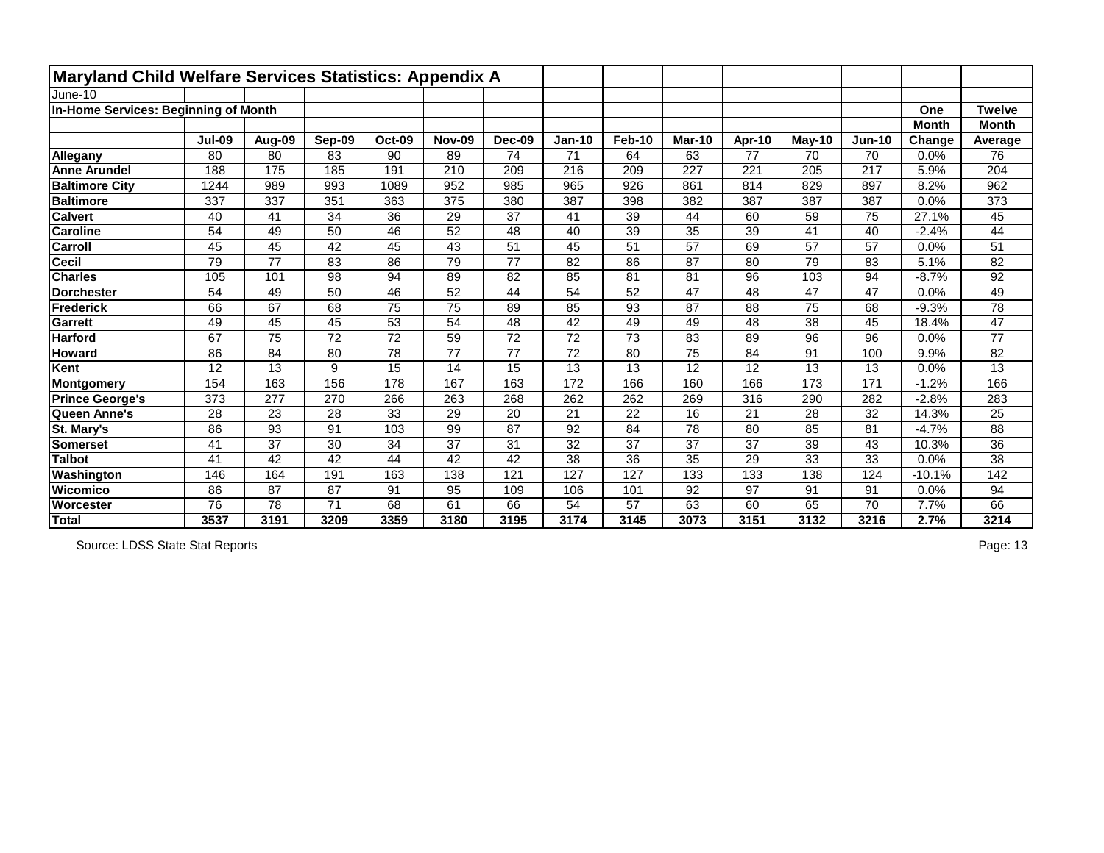| Maryland Child Welfare Services Statistics: Appendix A |               |        |        |               |               |                 |                 |               |               |                 |        |               |              |                 |
|--------------------------------------------------------|---------------|--------|--------|---------------|---------------|-----------------|-----------------|---------------|---------------|-----------------|--------|---------------|--------------|-----------------|
| June-10                                                |               |        |        |               |               |                 |                 |               |               |                 |        |               |              |                 |
| In-Home Services: Beginning of Month                   |               |        |        |               |               |                 |                 |               |               |                 |        |               | One          | <b>Twelve</b>   |
|                                                        |               |        |        |               |               |                 |                 |               |               |                 |        |               | <b>Month</b> | <b>Month</b>    |
|                                                        | <b>Jul-09</b> | Aug-09 | Sep-09 | <b>Oct-09</b> | <b>Nov-09</b> | <b>Dec-09</b>   | <b>Jan-10</b>   | <b>Feb-10</b> | <b>Mar-10</b> | Apr-10          | May-10 | <b>Jun-10</b> | Change       | Average         |
| Allegany                                               | 80            | 80     | 83     | 90            | 89            | 74              | 71              | 64            | 63            | 77              | 70     | 70            | 0.0%         | 76              |
| <b>Anne Arundel</b>                                    | 188           | 175    | 185    | 191           | 210           | 209             | 216             | 209           | 227           | 221             | 205    | 217           | 5.9%         | 204             |
| <b>Baltimore City</b>                                  | 1244          | 989    | 993    | 1089          | 952           | 985             | 965             | 926           | 861           | 814             | 829    | 897           | 8.2%         | 962             |
| <b>Baltimore</b>                                       | 337           | 337    | 351    | 363           | 375           | 380             | 387             | 398           | 382           | 387             | 387    | 387           | 0.0%         | 373             |
| <b>Calvert</b>                                         | 40            | 41     | 34     | 36            | 29            | 37              | 41              | 39            | 44            | 60              | 59     | 75            | 27.1%        | 45              |
| <b>Caroline</b>                                        | 54            | 49     | 50     | 46            | 52            | 48              | 40              | 39            | 35            | 39              | 41     | 40            | $-2.4%$      | 44              |
| <b>Carroll</b>                                         | 45            | 45     | 42     | 45            | 43            | 51              | 45              | 51            | 57            | 69              | 57     | 57            | 0.0%         | 51              |
| <b>Cecil</b>                                           | 79            | 77     | 83     | 86            | 79            | $\overline{77}$ | 82              | 86            | 87            | 80              | 79     | 83            | 5.1%         | 82              |
| <b>Charles</b>                                         | 105           | 101    | 98     | 94            | 89            | 82              | 85              | 81            | 81            | 96              | 103    | 94            | $-8.7%$      | 92              |
| <b>Dorchester</b>                                      | 54            | 49     | 50     | 46            | 52            | 44              | 54              | 52            | 47            | 48              | 47     | 47            | 0.0%         | 49              |
| Frederick                                              | 66            | 67     | 68     | 75            | 75            | 89              | 85              | 93            | 87            | 88              | 75     | 68            | $-9.3%$      | 78              |
| Garrett                                                | 49            | 45     | 45     | 53            | 54            | 48              | 42              | 49            | 49            | 48              | 38     | 45            | 18.4%        | 47              |
| <b>Harford</b>                                         | 67            | 75     | 72     | 72            | 59            | $\overline{72}$ | 72              | 73            | 83            | 89              | 96     | 96            | 0.0%         | 77              |
| <b>Howard</b>                                          | 86            | 84     | 80     | 78            | 77            | 77              | 72              | 80            | 75            | 84              | 91     | 100           | 9.9%         | 82              |
| Kent                                                   | 12            | 13     | 9      | 15            | 14            | 15              | 13              | 13            | 12            | 12              | 13     | 13            | 0.0%         | 13              |
| <b>Montgomery</b>                                      | 154           | 163    | 156    | 178           | 167           | 163             | 172             | 166           | 160           | 166             | 173    | 171           | $-1.2%$      | 166             |
| <b>Prince George's</b>                                 | 373           | 277    | 270    | 266           | 263           | 268             | 262             | 262           | 269           | 316             | 290    | 282           | $-2.8%$      | 283             |
| Queen Anne's                                           | 28            | 23     | 28     | 33            | 29            | 20              | 21              | 22            | 16            | 21              | 28     | 32            | 14.3%        | 25              |
| St. Mary's                                             | 86            | 93     | 91     | 103           | 99            | 87              | 92              | 84            | 78            | 80              | 85     | 81            | $-4.7%$      | 88              |
| Somerset                                               | 41            | 37     | 30     | 34            | 37            | 31              | 32              | 37            | 37            | 37              | 39     | 43            | 10.3%        | 36              |
| <b>Talbot</b>                                          | 41            | 42     | 42     | 44            | 42            | $\overline{42}$ | $\overline{38}$ | 36            | 35            | 29              | 33     | 33            | 0.0%         | $\overline{38}$ |
| Washington                                             | 146           | 164    | 191    | 163           | 138           | 121             | 127             | 127           | 133           | 133             | 138    | 124           | $-10.1%$     | 142             |
| <b>Wicomico</b>                                        | 86            | 87     | 87     | 91            | 95            | 109             | 106             | 101           | 92            | $\overline{97}$ | 91     | 91            | 0.0%         | 94              |
| Worcester                                              | 76            | 78     | 71     | 68            | 61            | 66              | 54              | 57            | 63            | 60              | 65     | 70            | 7.7%         | 66              |
| Total                                                  | 3537          | 3191   | 3209   | 3359          | 3180          | 3195            | 3174            | 3145          | 3073          | 3151            | 3132   | 3216          | 2.7%         | 3214            |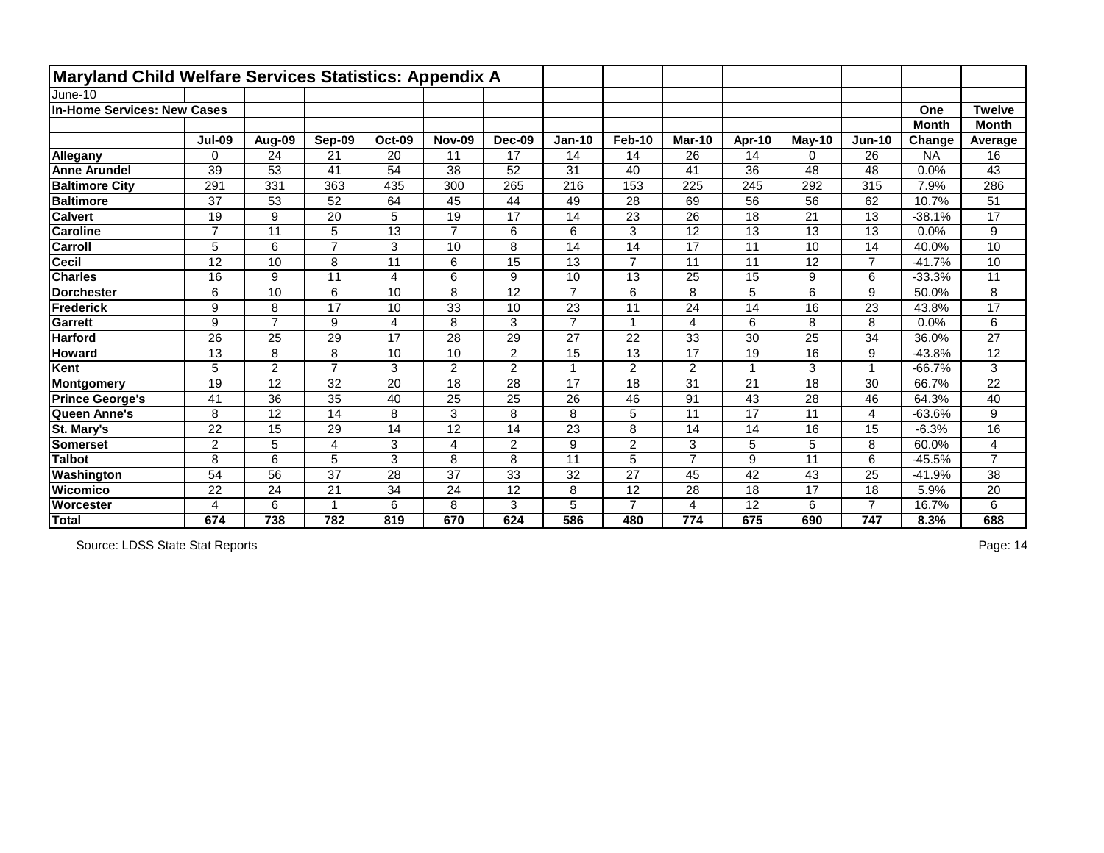| Maryland Child Welfare Services Statistics: Appendix A |                |                 |                |                 |                |                 |                |                |                |                 |          |                         |              |                |
|--------------------------------------------------------|----------------|-----------------|----------------|-----------------|----------------|-----------------|----------------|----------------|----------------|-----------------|----------|-------------------------|--------------|----------------|
| June-10                                                |                |                 |                |                 |                |                 |                |                |                |                 |          |                         |              |                |
| In-Home Services: New Cases                            |                |                 |                |                 |                |                 |                |                |                |                 |          |                         | One          | <b>Twelve</b>  |
|                                                        |                |                 |                |                 |                |                 |                |                |                |                 |          |                         | <b>Month</b> | <b>Month</b>   |
|                                                        | <b>Jul-09</b>  | Aug-09          | Sep-09         | <b>Oct-09</b>   | <b>Nov-09</b>  | <b>Dec-09</b>   | <b>Jan-10</b>  | Feb-10         | <b>Mar-10</b>  | Apr-10          | $May-10$ | <b>Jun-10</b>           | Change       | Average        |
| Allegany                                               | 0              | 24              | 21             | 20              | 11             | 17              | 14             | 14             | 26             | 14              | 0        | 26                      | <b>NA</b>    | 16             |
| <b>Anne Arundel</b>                                    | 39             | 53              | 41             | 54              | 38             | 52              | 31             | 40             | 41             | 36              | 48       | 48                      | 0.0%         | 43             |
| <b>Baltimore City</b>                                  | 291            | 331             | 363            | 435             | 300            | 265             | 216            | 153            | 225            | 245             | 292      | 315                     | 7.9%         | 286            |
| <b>Baltimore</b>                                       | 37             | 53              | 52             | 64              | 45             | 44              | 49             | 28             | 69             | $\overline{56}$ | 56       | 62                      | 10.7%        | 51             |
| <b>Calvert</b>                                         | 19             | 9               | 20             | 5               | 19             | 17              | 14             | 23             | 26             | 18              | 21       | 13                      | $-38.1%$     | 17             |
| <b>Caroline</b>                                        | $\overline{7}$ | 11              | 5              | $\overline{13}$ | $\overline{7}$ | 6               | 6              | 3              | 12             | 13              | 13       | 13                      | 0.0%         | 9              |
| <b>Carroll</b>                                         | 5              | $6\phantom{1}6$ | $\overline{7}$ | 3               | 10             | 8               | 14             | 14             | 17             | 11              | 10       | 14                      | 40.0%        | 10             |
| Cecil                                                  | 12             | 10              | 8              | 11              | 6              | 15              | 13             | $\overline{7}$ | 11             | 11              | 12       | $\overline{7}$          | $-41.7%$     | 10             |
| <b>Charles</b>                                         | 16             | 9               | 11             | 4               | 6              | 9               | 10             | 13             | 25             | 15              | 9        | 6                       | $-33.3%$     | 11             |
| Dorchester                                             | 6              | 10              | 6              | 10              | 8              | $\overline{12}$ | $\overline{7}$ | 6              | 8              | 5               | 6        | 9                       | 50.0%        | 8              |
| Frederick                                              | 9              | 8               | 17             | 10              | 33             | 10              | 23             | 11             | 24             | 14              | 16       | 23                      | 43.8%        | 17             |
| Garrett                                                | 9              | $\overline{7}$  | 9              | $\overline{4}$  | 8              | 3               | $\overline{7}$ | 1              | $\overline{4}$ | $6\phantom{1}6$ | 8        | 8                       | 0.0%         | 6              |
| <b>Harford</b>                                         | 26             | 25              | 29             | 17              | 28             | 29              | 27             | 22             | 33             | 30              | 25       | 34                      | 36.0%        | 27             |
| <b>Howard</b>                                          | 13             | 8               | 8              | 10              | 10             | $\overline{2}$  | 15             | 13             | 17             | 19              | 16       | 9                       | $-43.8%$     | 12             |
| Kent                                                   | 5              | $\overline{2}$  | $\overline{7}$ | 3               | $\overline{2}$ | $\overline{2}$  |                | $\overline{2}$ | $\overline{2}$ |                 | 3        | $\overline{\mathbf{A}}$ | $-66.7%$     | 3              |
| <b>Montgomery</b>                                      | 19             | 12              | 32             | 20              | 18             | 28              | 17             | 18             | 31             | 21              | 18       | 30                      | 66.7%        | 22             |
| <b>Prince George's</b>                                 | 41             | 36              | 35             | 40              | 25             | 25              | 26             | 46             | 91             | 43              | 28       | 46                      | 64.3%        | 40             |
| Queen Anne's                                           | 8              | 12              | 14             | 8               | 3              | 8               | 8              | 5              | 11             | 17              | 11       | 4                       | $-63.6%$     | 9              |
| St. Mary's                                             | 22             | 15              | 29             | 14              | 12             | 14              | 23             | 8              | 14             | 14              | 16       | 15                      | $-6.3%$      | 16             |
| Somerset                                               | $\overline{2}$ | 5               | 4              | 3               | 4              | $\overline{2}$  | 9              | $\overline{2}$ | 3              | 5               | 5        | 8                       | 60.0%        | $\overline{4}$ |
| <b>Talbot</b>                                          | 8              | 6               | 5              | 3               | 8              | 8               | 11             | 5              | $\overline{7}$ | 9               | 11       | 6                       | $-45.5%$     | $\overline{7}$ |
| Washington                                             | 54             | 56              | 37             | 28              | 37             | 33              | 32             | 27             | 45             | 42              | 43       | 25                      | $-41.9%$     | 38             |
| <b>Wicomico</b>                                        | 22             | 24              | 21             | 34              | 24             | 12              | 8              | 12             | 28             | 18              | 17       | 18                      | 5.9%         | 20             |
| <b>Worcester</b>                                       |                | $6\phantom{1}6$ |                | 6               | 8              | 3               | 5              | $\overline{7}$ | $\overline{4}$ | 12              | 6        | $\overline{7}$          | 16.7%        | 6              |
| Total                                                  | 674            | 738             | 782            | 819             | 670            | 624             | 586            | 480            | 774            | 675             | 690      | 747                     | 8.3%         | 688            |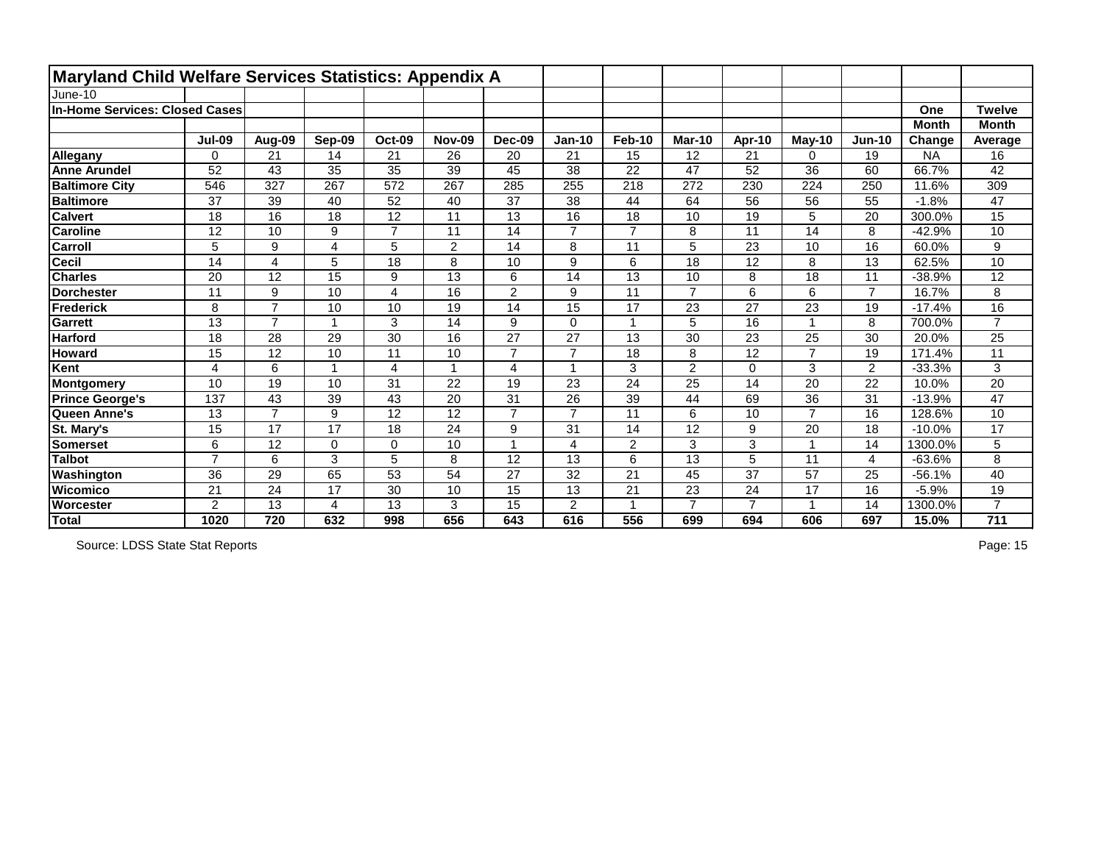| Maryland Child Welfare Services Statistics: Appendix A |                |                |                 |                |                |                |                |                |                 |                |                |                |              |                |
|--------------------------------------------------------|----------------|----------------|-----------------|----------------|----------------|----------------|----------------|----------------|-----------------|----------------|----------------|----------------|--------------|----------------|
| June-10                                                |                |                |                 |                |                |                |                |                |                 |                |                |                |              |                |
| In-Home Services: Closed Cases                         |                |                |                 |                |                |                |                |                |                 |                |                |                | One          | <b>Twelve</b>  |
|                                                        |                |                |                 |                |                |                |                |                |                 |                |                |                | <b>Month</b> | <b>Month</b>   |
|                                                        | <b>Jul-09</b>  | Aug-09         | Sep-09          | <b>Oct-09</b>  | <b>Nov-09</b>  | <b>Dec-09</b>  | <b>Jan-10</b>  | <b>Feb-10</b>  | <b>Mar-10</b>   | Apr-10         | $May-10$       | $Jun-10$       | Change       | Average        |
| Allegany                                               | 0              | 21             | 14              | 21             | 26             | 20             | 21             | 15             | 12              | 21             | 0              | 19             | <b>NA</b>    | 16             |
| <b>Anne Arundel</b>                                    | 52             | 43             | 35              | 35             | 39             | 45             | 38             | 22             | 47              | 52             | 36             | 60             | 66.7%        | 42             |
| <b>Baltimore City</b>                                  | 546            | 327            | 267             | 572            | 267            | 285            | 255            | 218            | 272             | 230            | 224            | 250            | 11.6%        | 309            |
| <b>Baltimore</b>                                       | 37             | 39             | 40              | 52             | 40             | 37             | 38             | 44             | 64              | 56             | 56             | 55             | $-1.8%$      | 47             |
| <b>Calvert</b>                                         | 18             | 16             | 18              | 12             | 11             | 13             | 16             | 18             | 10              | 19             | 5              | 20             | 300.0%       | 15             |
| <b>Caroline</b>                                        | 12             | 10             | 9               | $\overline{7}$ | 11             | 14             | $\overline{7}$ | $\overline{7}$ | 8               | 11             | 14             | 8              | $-42.9%$     | 10             |
| <b>Carroll</b>                                         | 5              | 9              | 4               | 5              | $\overline{2}$ | 14             | 8              | 11             | 5               | 23             | 10             | 16             | 60.0%        | 9              |
| <b>Cecil</b>                                           | 14             | 4              | 5               | 18             | 8              | 10             | 9              | 6              | 18              | 12             | 8              | 13             | 62.5%        | 10             |
| <b>Charles</b>                                         | 20             | 12             | 15              | 9              | 13             | 6              | 14             | 13             | 10              | 8              | 18             | 11             | $-38.9%$     | 12             |
| Dorchester                                             | 11             | 9              | 10              | $\overline{4}$ | 16             | $\overline{2}$ | 9              | 11             | $\overline{7}$  | 6              | 6              | $\overline{7}$ | 16.7%        | 8              |
| Frederick                                              | 8              | $\overline{7}$ | 10              | 10             | 19             | 14             | 15             | 17             | 23              | 27             | 23             | 19             | $-17.4%$     | 16             |
| Garrett                                                | 13             | $\overline{7}$ |                 | 3              | 14             | 9              | $\overline{0}$ | $\mathbf{1}$   | 5               | 16             |                | 8              | 700.0%       | $\overline{7}$ |
| <b>Harford</b>                                         | 18             | 28             | 29              | 30             | 16             | 27             | 27             | 13             | 30              | 23             | 25             | 30             | 20.0%        | 25             |
| <b>Howard</b>                                          | 15             | 12             | 10              | 11             | 10             | $\overline{7}$ | $\overline{7}$ | 18             | 8               | 12             | $\overline{7}$ | 19             | 171.4%       | 11             |
| Kent                                                   | 4              | 6              |                 | 4              |                | $\overline{4}$ |                | 3              | $\overline{2}$  | $\mathbf 0$    | 3              | $\overline{2}$ | $-33.3%$     | 3              |
| <b>Montgomery</b>                                      | 10             | 19             | 10              | 31             | 22             | 19             | 23             | 24             | 25              | 14             | 20             | 22             | 10.0%        | 20             |
| <b>Prince George's</b>                                 | 137            | 43             | 39              | 43             | 20             | 31             | 26             | 39             | 44              | 69             | 36             | 31             | $-13.9%$     | 47             |
| Queen Anne's                                           | 13             | $\overline{7}$ | 9               | 12             | 12             | $\overline{7}$ | $\overline{ }$ | 11             | 6               | 10             | $\overline{7}$ | 16             | 128.6%       | 10             |
| St. Mary's                                             | 15             | 17             | 17              | 18             | 24             | 9              | 31             | 14             | 12              | 9              | 20             | 18             | $-10.0%$     | 17             |
| Somerset                                               | 6              | 12             | $\Omega$        | 0              | 10             |                | 4              | $\overline{2}$ | 3               | 3              |                | 14             | 1300.0%      | 5              |
| <b>Talbot</b>                                          | $\overline{7}$ | 6              | 3               | 5              | 8              | 12             | 13             | $6\phantom{a}$ | $\overline{13}$ | 5              | 11             | $\overline{4}$ | $-63.6%$     | 8              |
| Washington                                             | 36             | 29             | 65              | 53             | 54             | 27             | 32             | 21             | 45              | 37             | 57             | 25             | $-56.1%$     | 40             |
| <b>Wicomico</b>                                        | 21             | 24             | $\overline{17}$ | 30             | 10             | 15             | 13             | 21             | 23              | 24             | 17             | 16             | $-5.9%$      | 19             |
| Worcester                                              | $\overline{2}$ | 13             | 4               | 13             | 3              | 15             | 2              |                | $\overline{7}$  | $\overline{7}$ |                | 14             | 1300.0%      | $\overline{7}$ |
| Total                                                  | 1020           | 720            | 632             | 998            | 656            | 643            | 616            | 556            | 699             | 694            | 606            | 697            | 15.0%        | 711            |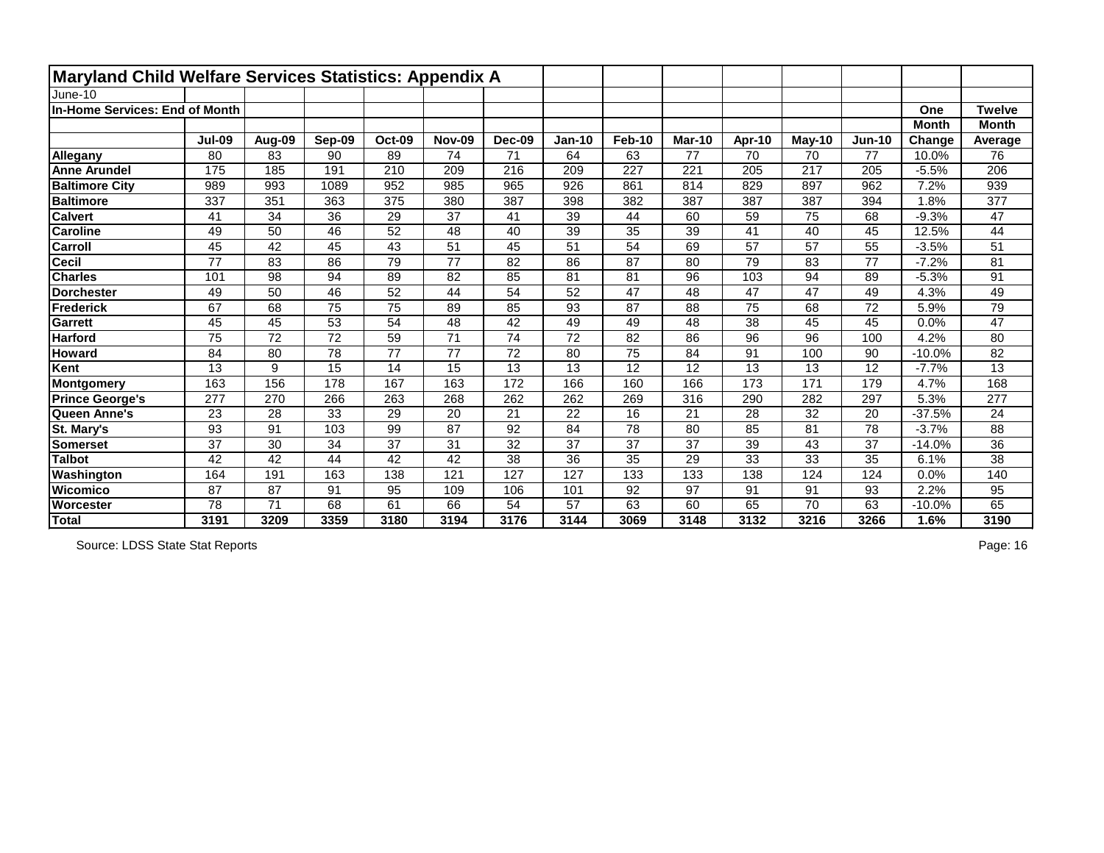| Maryland Child Welfare Services Statistics: Appendix A |               |        |                 |               |               |                 |                 |               |               |                 |          |          |              |                  |
|--------------------------------------------------------|---------------|--------|-----------------|---------------|---------------|-----------------|-----------------|---------------|---------------|-----------------|----------|----------|--------------|------------------|
| June-10                                                |               |        |                 |               |               |                 |                 |               |               |                 |          |          |              |                  |
| In-Home Services: End of Month                         |               |        |                 |               |               |                 |                 |               |               |                 |          |          | One          | <b>Twelve</b>    |
|                                                        |               |        |                 |               |               |                 |                 |               |               |                 |          |          | <b>Month</b> | <b>Month</b>     |
|                                                        | <b>Jul-09</b> | Aug-09 | Sep-09          | <b>Oct-09</b> | <b>Nov-09</b> | <b>Dec-09</b>   | <b>Jan-10</b>   | <b>Feb-10</b> | <b>Mar-10</b> | Apr-10          | $May-10$ | $Jun-10$ | Change       | Average          |
| Allegany                                               | 80            | 83     | 90              | 89            | 74            | 71              | 64              | 63            | 77            | 70              | 70       | 77       | 10.0%        | 76               |
| <b>Anne Arundel</b>                                    | 175           | 185    | 191             | 210           | 209           | 216             | 209             | 227           | 221           | 205             | 217      | 205      | $-5.5%$      | 206              |
| <b>Baltimore City</b>                                  | 989           | 993    | 1089            | 952           | 985           | 965             | 926             | 861           | 814           | 829             | 897      | 962      | 7.2%         | 939              |
| <b>Baltimore</b>                                       | 337           | 351    | 363             | 375           | 380           | 387             | 398             | 382           | 387           | 387             | 387      | 394      | 1.8%         | $\overline{377}$ |
| <b>Calvert</b>                                         | 41            | 34     | 36              | 29            | 37            | 41              | 39              | 44            | 60            | 59              | 75       | 68       | $-9.3%$      | 47               |
| <b>Caroline</b>                                        | 49            | 50     | 46              | 52            | 48            | 40              | 39              | 35            | 39            | 41              | 40       | 45       | 12.5%        | 44               |
| <b>Carroll</b>                                         | 45            | 42     | 45              | 43            | 51            | 45              | 51              | 54            | 69            | 57              | 57       | 55       | $-3.5%$      | 51               |
| <b>Cecil</b>                                           | 77            | 83     | 86              | 79            | 77            | 82              | 86              | 87            | 80            | 79              | 83       | 77       | $-7.2%$      | 81               |
| <b>Charles</b>                                         | 101           | 98     | 94              | 89            | 82            | 85              | 81              | 81            | 96            | 103             | 94       | 89       | $-5.3%$      | 91               |
| <b>Dorchester</b>                                      | 49            | 50     | 46              | 52            | 44            | 54              | 52              | 47            | 48            | 47              | 47       | 49       | 4.3%         | 49               |
| Frederick                                              | 67            | 68     | 75              | 75            | 89            | 85              | 93              | 87            | 88            | 75              | 68       | 72       | 5.9%         | 79               |
| Garrett                                                | 45            | 45     | 53              | 54            | 48            | 42              | 49              | 49            | 48            | 38              | 45       | 45       | 0.0%         | 47               |
| <b>Harford</b>                                         | 75            | 72     | $\overline{72}$ | 59            | 71            | $\overline{74}$ | 72              | 82            | 86            | 96              | 96       | 100      | 4.2%         | 80               |
| <b>Howard</b>                                          | 84            | 80     | 78              | 77            | 77            | 72              | 80              | 75            | 84            | 91              | 100      | 90       | $-10.0%$     | 82               |
| Kent                                                   | 13            | 9      | 15              | 14            | 15            | 13              | 13              | 12            | 12            | 13              | 13       | 12       | $-7.7%$      | 13               |
| Montgomery                                             | 163           | 156    | 178             | 167           | 163           | 172             | 166             | 160           | 166           | 173             | 171      | 179      | 4.7%         | 168              |
| <b>Prince George's</b>                                 | 277           | 270    | 266             | 263           | 268           | 262             | 262             | 269           | 316           | 290             | 282      | 297      | 5.3%         | 277              |
| Queen Anne's                                           | 23            | 28     | 33              | 29            | 20            | 21              | 22              | 16            | 21            | 28              | 32       | 20       | $-37.5%$     | 24               |
| St. Mary's                                             | 93            | 91     | 103             | 99            | 87            | 92              | 84              | 78            | 80            | 85              | 81       | 78       | $-3.7%$      | 88               |
| Somerset                                               | 37            | 30     | 34              | 37            | 31            | 32              | 37              | 37            | 37            | 39              | 43       | 37       | $-14.0%$     | 36               |
| <b>Talbot</b>                                          | 42            | 42     | 44              | 42            | 42            | 38              | $\overline{36}$ | 35            | 29            | $\overline{33}$ | 33       | 35       | 6.1%         | $\overline{38}$  |
| Washington                                             | 164           | 191    | 163             | 138           | 121           | 127             | 127             | 133           | 133           | 138             | 124      | 124      | 0.0%         | 140              |
| <b>Wicomico</b>                                        | 87            | 87     | 91              | 95            | 109           | 106             | 101             | 92            | 97            | 91              | 91       | 93       | 2.2%         | 95               |
| Worcester                                              | 78            | 71     | 68              | 61            | 66            | 54              | 57              | 63            | 60            | 65              | 70       | 63       | $-10.0%$     | 65               |
| Total                                                  | 3191          | 3209   | 3359            | 3180          | 3194          | 3176            | 3144            | 3069          | 3148          | 3132            | 3216     | 3266     | 1.6%         | 3190             |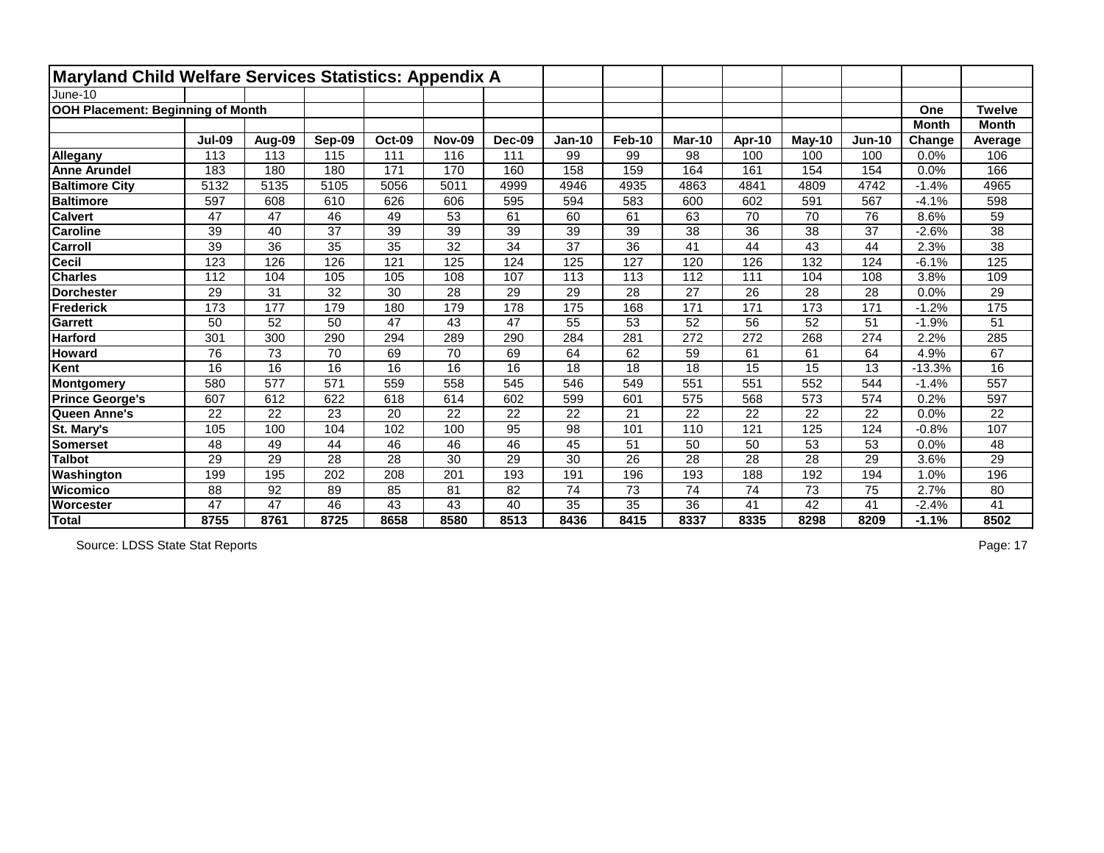| <b>Maryland Child Welfare Services Statistics: Appendix A</b> |               |        |                 |               |               |               |                 |                 |                 |                 |                 |          |              |                 |
|---------------------------------------------------------------|---------------|--------|-----------------|---------------|---------------|---------------|-----------------|-----------------|-----------------|-----------------|-----------------|----------|--------------|-----------------|
| June-10                                                       |               |        |                 |               |               |               |                 |                 |                 |                 |                 |          |              |                 |
| <b>OOH Placement: Beginning of Month</b>                      |               |        |                 |               |               |               |                 |                 |                 |                 |                 |          | One          | <b>Twelve</b>   |
|                                                               |               |        |                 |               |               |               |                 |                 |                 |                 |                 |          | <b>Month</b> | <b>Month</b>    |
|                                                               | <b>Jul-09</b> | Aug-09 | Sep-09          | <b>Oct-09</b> | <b>Nov-09</b> | <b>Dec-09</b> | <b>Jan-10</b>   | <b>Feb-10</b>   | <b>Mar-10</b>   | Apr-10          | May-10          | $Jun-10$ | Change       | Average         |
| Allegany                                                      | 113           | 113    | 115             | 111           | 116           | 111           | 99              | 99              | 98              | 100             | 100             | 100      | 0.0%         | 106             |
| <b>Anne Arundel</b>                                           | 183           | 180    | 180             | 171           | 170           | 160           | 158             | 159             | 164             | 161             | 154             | 154      | 0.0%         | 166             |
| <b>Baltimore City</b>                                         | 5132          | 5135   | 5105            | 5056          | 5011          | 4999          | 4946            | 4935            | 4863            | 4841            | 4809            | 4742     | $-1.4%$      | 4965            |
| <b>Baltimore</b>                                              | 597           | 608    | 610             | 626           | 606           | 595           | 594             | 583             | 600             | 602             | 591             | 567      | $-4.1%$      | 598             |
| <b>Calvert</b>                                                | 47            | 47     | 46              | 49            | 53            | 61            | 60              | 61              | 63              | 70              | 70              | 76       | 8.6%         | 59              |
| <b>Caroline</b>                                               | 39            | 40     | 37              | 39            | 39            | 39            | 39              | 39              | 38              | 36              | 38              | 37       | $-2.6%$      | 38              |
| <b>Carroll</b>                                                | 39            | 36     | 35              | 35            | 32            | 34            | 37              | 36              | 41              | 44              | 43              | 44       | 2.3%         | 38              |
| <b>Cecil</b>                                                  | 123           | 126    | 126             | 121           | 125           | 124           | 125             | 127             | 120             | 126             | 132             | 124      | $-6.1%$      | 125             |
| <b>Charles</b>                                                | 112           | 104    | 105             | 105           | 108           | 107           | 113             | 113             | 112             | 111             | 104             | 108      | 3.8%         | 109             |
| <b>Dorchester</b>                                             | 29            | 31     | 32              | 30            | 28            | 29            | 29              | 28              | 27              | 26              | 28              | 28       | 0.0%         | 29              |
| Frederick                                                     | 173           | 177    | 179             | 180           | 179           | 178           | 175             | 168             | 171             | 171             | 173             | 171      | $-1.2%$      | 175             |
| Garrett                                                       | 50            | 52     | 50              | 47            | 43            | 47            | 55              | 53              | 52              | 56              | 52              | 51       | $-1.9%$      | 51              |
| <b>Harford</b>                                                | 301           | 300    | 290             | 294           | 289           | 290           | 284             | 281             | 272             | 272             | 268             | 274      | 2.2%         | 285             |
| <b>Howard</b>                                                 | 76            | 73     | 70              | 69            | 70            | 69            | 64              | 62              | 59              | 61              | 61              | 64       | 4.9%         | 67              |
| Kent                                                          | 16            | 16     | 16              | 16            | 16            | 16            | 18              | 18              | 18              | 15              | 15              | 13       | $-13.3%$     | 16              |
| <b>Montgomery</b>                                             | 580           | 577    | 571             | 559           | 558           | 545           | 546             | 549             | 551             | 551             | 552             | 544      | $-1.4%$      | 557             |
| <b>Prince George's</b>                                        | 607           | 612    | 622             | 618           | 614           | 602           | 599             | 601             | 575             | 568             | 573             | 574      | 0.2%         | 597             |
| Queen Anne's                                                  | 22            | 22     | 23              | 20            | 22            | 22            | 22              | 21              | 22              | 22              | 22              | 22       | 0.0%         | 22              |
| St. Mary's                                                    | 105           | 100    | 104             | 102           | 100           | 95            | 98              | 101             | 110             | 121             | 125             | 124      | $-0.8%$      | 107             |
| Somerset                                                      | 48            | 49     | 44              | 46            | 46            | 46            | 45              | 51              | 50              | 50              | 53              | 53       | 0.0%         | 48              |
| <b>Talbot</b>                                                 | 29            | 29     | $\overline{28}$ | 28            | 30            | 29            | $\overline{30}$ | $\overline{26}$ | 28              | $\overline{28}$ | $\overline{28}$ | 29       | 3.6%         | $\overline{29}$ |
| Washington                                                    | 199           | 195    | 202             | 208           | 201           | 193           | 191             | 196             | 193             | 188             | 192             | 194      | 1.0%         | 196             |
| <b>Wicomico</b>                                               | 88            | 92     | 89              | 85            | 81            | 82            | $\overline{74}$ | $\overline{73}$ | $\overline{74}$ | $\overline{74}$ | 73              | 75       | 2.7%         | 80              |
| Worcester                                                     | 47            | 47     | 46              | 43            | 43            | 40            | 35              | 35              | 36              | 41              | 42              | 41       | $-2.4%$      | 41              |
| Total                                                         | 8755          | 8761   | 8725            | 8658          | 8580          | 8513          | 8436            | 8415            | 8337            | 8335            | 8298            | 8209     | $-1.1%$      | 8502            |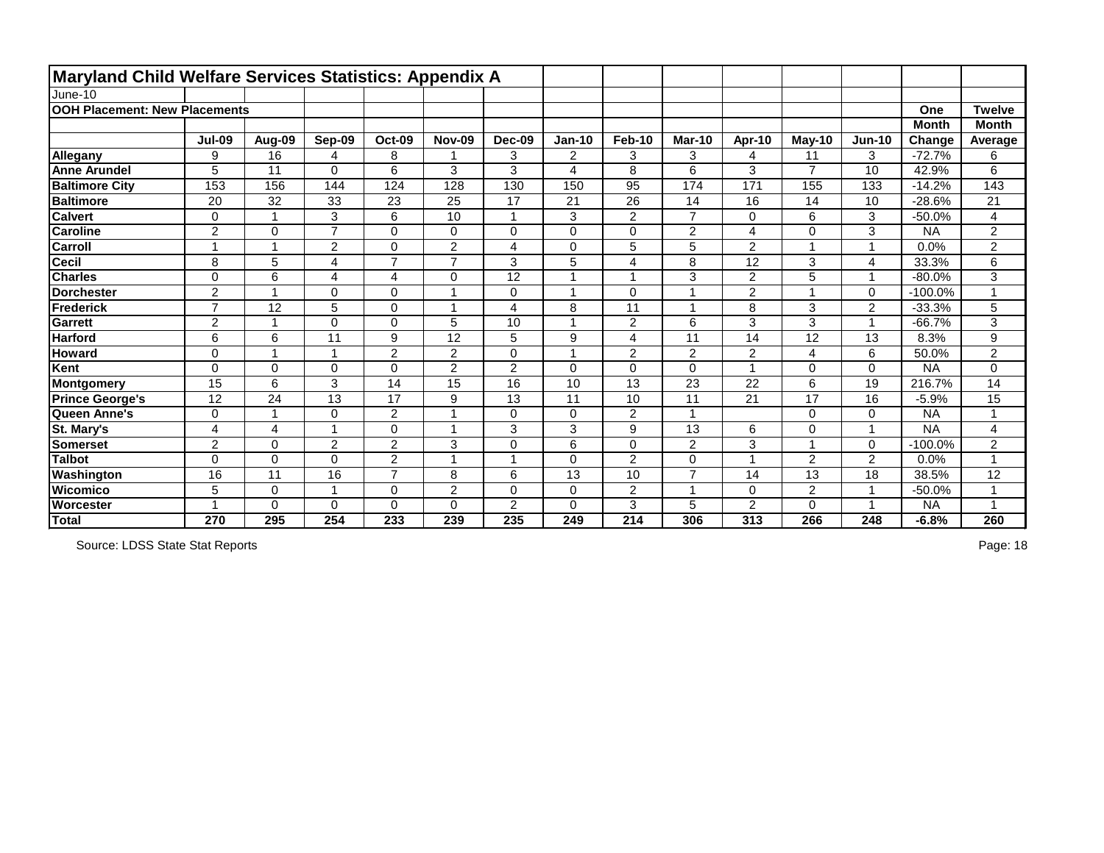| Maryland Child Welfare Services Statistics: Appendix A |                |                |                |                |                |                |                |                 |                         |                |                |                         |              |                      |
|--------------------------------------------------------|----------------|----------------|----------------|----------------|----------------|----------------|----------------|-----------------|-------------------------|----------------|----------------|-------------------------|--------------|----------------------|
| June-10                                                |                |                |                |                |                |                |                |                 |                         |                |                |                         |              |                      |
| <b>OOH Placement: New Placements</b>                   |                |                |                |                |                |                |                |                 |                         |                |                |                         | One          | <b>Twelve</b>        |
|                                                        |                |                |                |                |                |                |                |                 |                         |                |                |                         | <b>Month</b> | <b>Month</b>         |
|                                                        | <b>Jul-09</b>  | Aug-09         | Sep-09         | <b>Oct-09</b>  | <b>Nov-09</b>  | <b>Dec-09</b>  | <b>Jan-10</b>  | Feb-10          | <b>Mar-10</b>           | Apr-10         | $Mav-10$       | $Jun-10$                | Change       | Average              |
| Allegany                                               | 9              | 16             | 4              | 8              |                | 3              | $\overline{2}$ | 3               | 3                       | 4              | 11             | 3                       | $-72.7%$     | 6                    |
| <b>Anne Arundel</b>                                    | 5              | 11             | $\Omega$       | 6              | 3              | 3              | $\overline{4}$ | 8               | 6                       | 3              | $\overline{7}$ | 10                      | 42.9%        | 6                    |
| <b>Baltimore City</b>                                  | 153            | 156            | 144            | 124            | 128            | 130            | 150            | 95              | 174                     | 171            | 155            | 133                     | $-14.2%$     | 143                  |
| <b>Baltimore</b>                                       | 20             | 32             | 33             | 23             | 25             | 17             | 21             | $\overline{26}$ | 14                      | 16             | 14             | 10                      | $-28.6%$     | 21                   |
| <b>Calvert</b>                                         | 0              |                | 3              | 6              | 10             | $\mathbf 1$    | 3              | $\overline{2}$  | $\overline{7}$          | 0              | 6              | 3                       | $-50.0%$     | 4                    |
| <b>Caroline</b>                                        | $\overline{2}$ | $\mathbf 0$    | $\overline{7}$ | $\mathbf 0$    | 0              | $\overline{0}$ | $\overline{0}$ | $\mathbf 0$     | $\overline{2}$          | 4              | 0              | 3                       | <b>NA</b>    | $\overline{2}$       |
| <b>Carroll</b>                                         |                |                | $\overline{2}$ | $\mathsf 0$    | $\overline{2}$ | 4              | $\mathbf 0$    | 5               | 5                       | $\overline{2}$ | 1              | -1                      | 0.0%         | $\overline{2}$       |
| <b>Cecil</b>                                           | 8              | 5              | 4              | $\overline{7}$ | $\overline{7}$ | 3              | 5              | $\overline{4}$  | 8                       | 12             | 3              | 4                       | 33.3%        | 6                    |
| <b>Charles</b>                                         | $\Omega$       | 6              | 4              | 4              | 0              | 12             | $\overline{ }$ | -1              | 3                       | $\overline{2}$ | 5              | -1                      | $-80.0%$     | 3                    |
| <b>Dorchester</b>                                      | $\overline{2}$ | $\overline{1}$ | $\Omega$       | $\mathbf 0$    | 1              | $\mathbf 0$    | $\overline{ }$ | $\overline{0}$  | $\overline{\mathbf{1}}$ | $\overline{2}$ | $\mathbf{1}$   | $\Omega$                | $-100.0%$    | $\blacktriangleleft$ |
| Frederick                                              | $\overline{z}$ | 12             | 5              | $\mathbf 0$    | 1              | 4              | 8              | 11              | $\overline{1}$          | 8              | 3              | $\overline{2}$          | $-33.3%$     | 5                    |
| Garrett                                                | $\overline{2}$ | $\overline{A}$ | 0              | $\mathbf 0$    | 5              | 10             | $\overline{A}$ | $\overline{2}$  | 6                       | 3              | 3              | 1                       | $-66.7%$     | 3                    |
| <b>Harford</b>                                         | 6              | 6              | 11             | 9              | 12             | 5              | 9              | $\overline{4}$  | 11                      | 14             | 12             | 13                      | 8.3%         | 9                    |
| <b>Howard</b>                                          | $\mathbf 0$    | $\overline{A}$ | 1              | $\overline{2}$ | $\overline{2}$ | $\mathbf 0$    | $\overline{A}$ | $\overline{2}$  | 2                       | $\overline{2}$ | 4              | 6                       | 50.0%        | $\overline{2}$       |
| Kent                                                   | $\mathbf 0$    | $\mathbf 0$    | 0              | $\mathbf 0$    | $\overline{2}$ | $\overline{2}$ | $\mathbf 0$    | $\mathbf 0$     | $\mathbf 0$             | <b>A</b>       | 0              | $\Omega$                | <b>NA</b>    | 0                    |
| Montgomery                                             | 15             | 6              | 3              | 14             | 15             | 16             | 10             | 13              | 23                      | 22             | 6              | 19                      | 216.7%       | 14                   |
| <b>Prince George's</b>                                 | 12             | 24             | 13             | 17             | 9              | 13             | 11             | 10              | 11                      | 21             | 17             | 16                      | $-5.9%$      | 15                   |
| Queen Anne's                                           | $\mathbf 0$    |                | 0              | $\overline{2}$ | 1              | $\mathbf 0$    | $\mathbf 0$    | $\overline{2}$  | 1                       |                | 0              | $\mathbf 0$             | <b>NA</b>    | $\overline{A}$       |
| St. Mary's                                             | $\overline{4}$ | $\overline{4}$ |                | $\mathbf 0$    | 1              | 3              | 3              | 9               | 13                      | 6              | 0              | $\overline{\mathbf{A}}$ | <b>NA</b>    | 4                    |
| Somerset                                               | $\overline{2}$ | $\mathbf 0$    | 2              | $\overline{2}$ | 3              | $\mathbf 0$    | 6              | $\mathbf 0$     | 2                       | 3              | $\mathbf{1}$   | $\Omega$                | $-100.0%$    | $\overline{2}$       |
| <b>Talbot</b>                                          | $\mathbf 0$    | $\Omega$       | 0              | $\overline{2}$ | 1              | 1              | $\mathbf 0$    | $\overline{2}$  | $\Omega$                |                | $\overline{2}$ | $\overline{2}$          | 0.0%         | $\overline{1}$       |
| Washington                                             | 16             | 11             | 16             | $\overline{7}$ | 8              | 6              | 13             | 10              | $\overline{7}$          | 14             | 13             | 18                      | 38.5%        | 12                   |
| <b>Wicomico</b>                                        | 5              | $\mathbf 0$    | 4              | $\mathbf 0$    | $\overline{2}$ | $\overline{0}$ | $\mathbf 0$    | $\overline{2}$  | 1                       | 0              | $\overline{2}$ | 1                       | $-50.0%$     | $\blacktriangleleft$ |
| Worcester                                              |                | $\mathbf 0$    | 0              | $\mathbf 0$    | 0              | $\overline{2}$ | $\mathbf 0$    | 3               | 5                       | $\overline{2}$ | 0              |                         | <b>NA</b>    | $\overline{A}$       |
| Total                                                  | 270            | 295            | 254            | 233            | 239            | 235            | 249            | 214             | 306                     | 313            | 266            | 248                     | $-6.8%$      | 260                  |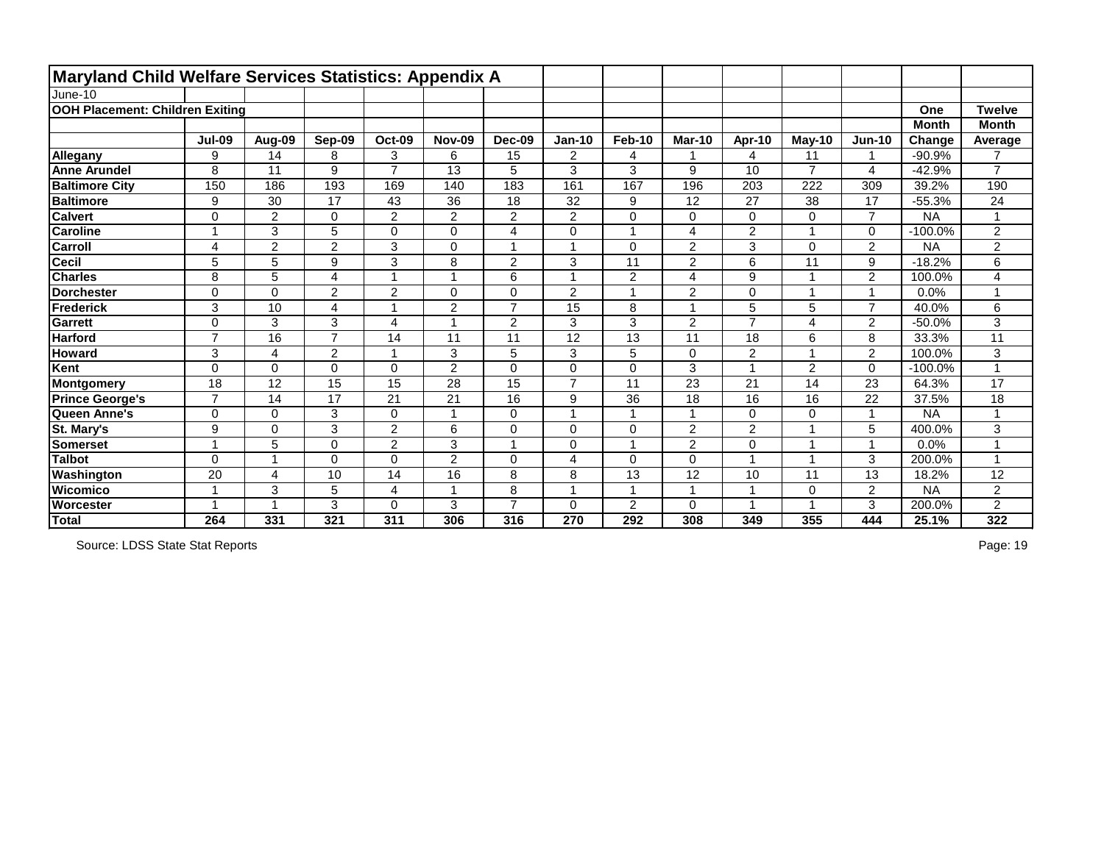| <b>Maryland Child Welfare Services Statistics: Appendix A</b> |                          |                 |                |                         |                 |                |                |                 |                |                 |                |                  |              |                 |
|---------------------------------------------------------------|--------------------------|-----------------|----------------|-------------------------|-----------------|----------------|----------------|-----------------|----------------|-----------------|----------------|------------------|--------------|-----------------|
| June-10                                                       |                          |                 |                |                         |                 |                |                |                 |                |                 |                |                  |              |                 |
| OOH Placement: Children Exiting                               |                          |                 |                |                         |                 |                |                |                 |                |                 |                |                  | One          | <b>Twelve</b>   |
|                                                               |                          |                 |                |                         |                 |                |                |                 |                |                 |                |                  | <b>Month</b> | <b>Month</b>    |
|                                                               | <b>Jul-09</b>            | Aug-09          | Sep-09         | <b>Oct-09</b>           | <b>Nov-09</b>   | Dec-09         | <b>Jan-10</b>  | <b>Feb-10</b>   | <b>Mar-10</b>  | Apr-10          | $May-10$       | <b>Jun-10</b>    | Change       | Average         |
| Allegany                                                      | 9                        | 14              | 8              | 3                       | 6               | 15             | $\overline{2}$ | 4               |                | $\overline{4}$  | 11             | 1                | $-90.9%$     | $\overline{7}$  |
| <b>Anne Arundel</b>                                           | 8                        | 11              | 9              | $\overline{7}$          | $\overline{13}$ | 5              | 3              | 3               | 9              | 10              | $\overline{7}$ | 4                | $-42.9%$     | $\overline{7}$  |
| <b>Baltimore City</b>                                         | 150                      | 186             | 193            | 169                     | 140             | 183            | 161            | 167             | 196            | 203             | 222            | 309              | 39.2%        | 190             |
| <b>Baltimore</b>                                              | 9                        | 30              | 17             | 43                      | $\overline{36}$ | 18             | 32             | 9               | 12             | $\overline{27}$ | 38             | 17               | $-55.3%$     | $\overline{24}$ |
| <b>Calvert</b>                                                | 0                        | $\overline{2}$  | 0              | $\overline{2}$          | $\overline{2}$  | $\overline{2}$ | $\overline{2}$ | $\pmb{0}$       | 0              | $\mathbf 0$     | 0              | $\overline{7}$   | <b>NA</b>    | 1               |
| <b>Caroline</b>                                               |                          | 3               | 5              | 0                       | 0               | 4              | 0              | 1               | 4              | $\overline{2}$  |                | $\mathbf 0$      | $-100.0%$    | $\overline{2}$  |
| <b>Carroll</b>                                                | 4                        | $\overline{2}$  | $\overline{2}$ | 3                       | 0               |                |                | $\mathbf 0$     | $\overline{2}$ | 3               | 0              | $\overline{2}$   | <b>NA</b>    | $\overline{2}$  |
| Cecil                                                         | 5                        | 5               | 9              | 3                       | 8               | $\overline{2}$ | 3              | $\overline{11}$ | $\overline{2}$ | $6\phantom{a}$  | 11             | $\boldsymbol{9}$ | $-18.2%$     | 6               |
| <b>Charles</b>                                                | 8                        | 5               | 4              | $\overline{ }$          |                 | 6              |                | $\overline{2}$  | $\overline{4}$ | 9               |                | $\overline{2}$   | 100.0%       | 4               |
| <b>Dorchester</b>                                             | 0                        | $\mathbf 0$     | $\overline{2}$ | $\overline{2}$          | 0               | $\overline{0}$ | $\overline{2}$ | $\mathbf{1}$    | $\overline{2}$ | $\mathbf 0$     |                | $\overline{1}$   | 0.0%         | 1               |
| <b>Frederick</b>                                              | 3                        | 10              | $\overline{4}$ |                         | $\overline{2}$  | $\overline{7}$ | 15             | 8               |                | 5               | 5              | $\overline{7}$   | 40.0%        | 6               |
| <b>Garrett</b>                                                | 0                        | 3               | 3              | $\overline{4}$          |                 | $\overline{2}$ | 3              | $\mathbf{3}$    | $\overline{2}$ | $\overline{7}$  | 4              | $\overline{2}$   | $-50.0%$     | 3               |
| <b>Harford</b>                                                | $\overline{7}$           | $\overline{16}$ | $\overline{7}$ | 14                      | 11              | 11             | 12             | $\overline{13}$ | 11             | 18              | 6              | 8                | 33.3%        | 11              |
| <b>Howard</b>                                                 | 3                        | 4               | $\overline{2}$ | 1                       | 3               | 5              | 3              | 5               | $\mathbf 0$    | $\overline{2}$  | 4              | $\overline{2}$   | 100.0%       | 3               |
| Kent                                                          | $\Omega$                 | $\mathbf 0$     | $\overline{0}$ | $\pmb{0}$               | $\overline{2}$  | $\overline{0}$ | 0              | $\pmb{0}$       | 3              | $\overline{1}$  | $\overline{2}$ | $\mathbf 0$      | $-100.0%$    | 1               |
| Montgomery                                                    | 18                       | 12              | 15             | 15                      | 28              | 15             | $\overline{7}$ | 11              | 23             | 21              | 14             | 23               | 64.3%        | 17              |
| <b>Prince George's</b>                                        | $\overline{7}$           | 14              | 17             | 21                      | 21              | 16             | 9              | 36              | 18             | 16              | 16             | 22               | 37.5%        | 18              |
| Queen Anne's                                                  | $\mathbf 0$              | $\mathbf 0$     | 3              | $\mathbf 0$             |                 | $\overline{0}$ |                | $\overline{1}$  |                | $\mathbf 0$     | 0              | $\overline{ }$   | <b>NA</b>    | 1               |
| St. Mary's                                                    | 9                        | $\mathbf 0$     | 3              | $\overline{2}$          | 6               | $\mathbf 0$    | 0              | $\mathbf 0$     | $\overline{2}$ | $\overline{2}$  |                | 5                | 400.0%       | 3               |
| <b>Somerset</b>                                               |                          | 5               | $\Omega$       | $\overline{2}$          | 3               |                | 0              | -1              | $\overline{2}$ | $\mathbf 0$     |                |                  | 0.0%         |                 |
| <b>Talbot</b>                                                 | 0                        | 1               | $\Omega$       | 0                       | $\overline{2}$  | $\overline{0}$ | 4              | $\mathbf 0$     | $\Omega$       | $\overline{1}$  |                | 3                | 200.0%       | 1               |
| Washington                                                    | 20                       | 4               | 10             | 14                      | 16              | 8              | 8              | 13              | 12             | 10              | 11             | 13               | 18.2%        | 12              |
| <b>Wicomico</b>                                               | $\overline{\phantom{a}}$ | 3               | 5              | $\overline{\mathbf{4}}$ |                 | 8              |                | $\overline{1}$  |                | $\overline{1}$  | 0              | $\overline{2}$   | <b>NA</b>    | $\overline{2}$  |
| <b>Worcester</b>                                              |                          |                 | 3              | $\mathbf 0$             | 3               | $\overline{7}$ | 0              | $\overline{2}$  | 0              | -1              |                | 3                | 200.0%       | $\overline{2}$  |
| Total                                                         | 264                      | 331             | 321            | 311                     | 306             | 316            | 270            | 292             | 308            | 349             | 355            | 444              | 25.1%        | 322             |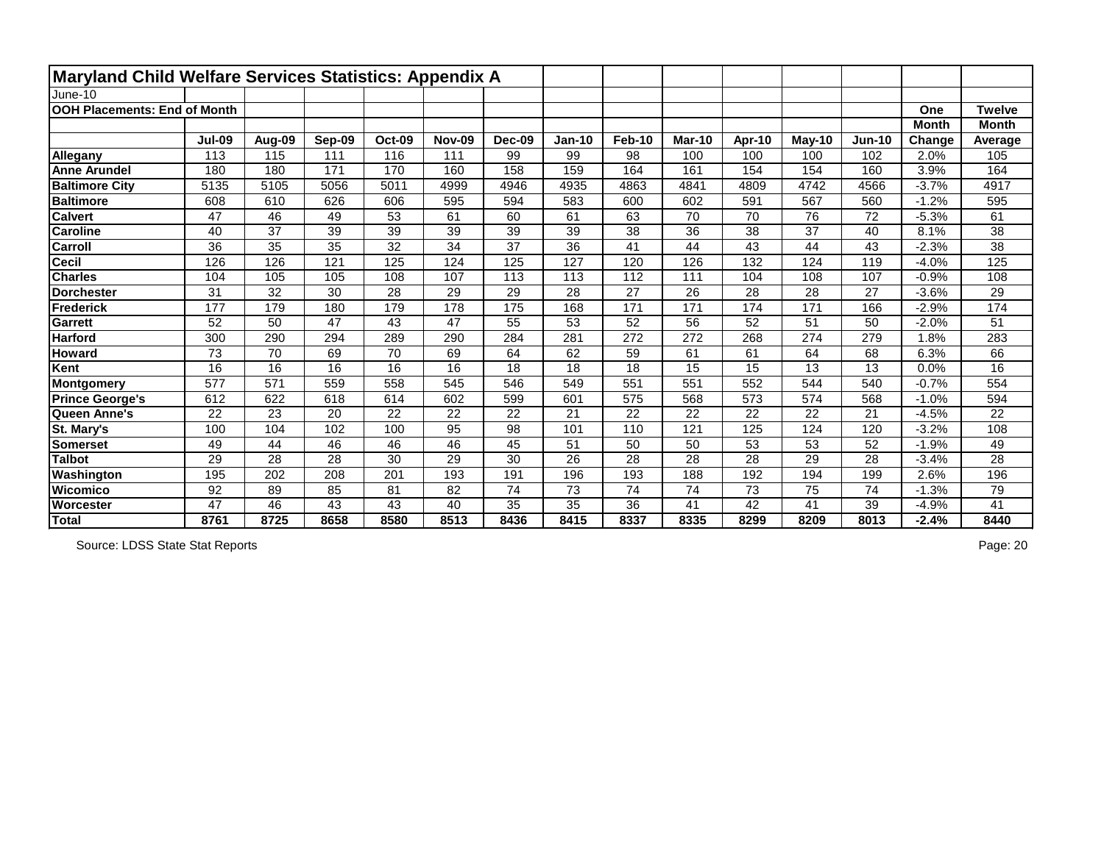| Maryland Child Welfare Services Statistics: Appendix A |               |                 |                 |               |               |                   |                 |                 |                 |                 |                 |          |              |                 |
|--------------------------------------------------------|---------------|-----------------|-----------------|---------------|---------------|-------------------|-----------------|-----------------|-----------------|-----------------|-----------------|----------|--------------|-----------------|
| June-10                                                |               |                 |                 |               |               |                   |                 |                 |                 |                 |                 |          |              |                 |
| <b>OOH Placements: End of Month</b>                    |               |                 |                 |               |               |                   |                 |                 |                 |                 |                 |          | One          | <b>Twelve</b>   |
|                                                        |               |                 |                 |               |               |                   |                 |                 |                 |                 |                 |          | <b>Month</b> | <b>Month</b>    |
|                                                        | <b>Jul-09</b> | Aug-09          | Sep-09          | <b>Oct-09</b> | <b>Nov-09</b> | Dec-09            | <b>Jan-10</b>   | <b>Feb-10</b>   | <b>Mar-10</b>   | Apr-10          | $May-10$        | $Jun-10$ | Change       | Average         |
| Allegany                                               | 113           | 115             | 111             | 116           | 111           | 99                | 99              | 98              | 100             | 100             | 100             | 102      | 2.0%         | 105             |
| <b>Anne Arundel</b>                                    | 180           | 180             | 171             | 170           | 160           | 158               | 159             | 164             | 161             | 154             | 154             | 160      | 3.9%         | 164             |
| <b>Baltimore City</b>                                  | 5135          | 5105            | 5056            | 5011          | 4999          | 4946              | 4935            | 4863            | 4841            | 4809            | 4742            | 4566     | $-3.7%$      | 4917            |
| <b>Baltimore</b>                                       | 608           | 610             | 626             | 606           | 595           | 594               | 583             | 600             | 602             | 591             | 567             | 560      | $-1.2%$      | 595             |
| <b>Calvert</b>                                         | 47            | 46              | 49              | 53            | 61            | 60                | 61              | 63              | 70              | 70              | 76              | 72       | $-5.3%$      | 61              |
| <b>Caroline</b>                                        | 40            | $\overline{37}$ | 39              | 39            | 39            | 39                | 39              | $\overline{38}$ | 36              | 38              | 37              | 40       | 8.1%         | 38              |
| Carroll                                                | 36            | 35              | 35              | 32            | 34            | 37                | 36              | 41              | 44              | 43              | 44              | 43       | $-2.3%$      | 38              |
| <b>Cecil</b>                                           | 126           | 126             | 121             | 125           | 124           | 125               | 127             | 120             | 126             | 132             | 124             | 119      | $-4.0%$      | 125             |
| <b>Charles</b>                                         | 104           | 105             | 105             | 108           | 107           | 113               | 113             | 112             | 111             | 104             | 108             | 107      | $-0.9%$      | 108             |
| <b>Dorchester</b>                                      | 31            | 32              | 30              | 28            | 29            | 29                | 28              | $\overline{27}$ | 26              | 28              | 28              | 27       | $-3.6%$      | 29              |
| <b>Frederick</b>                                       | 177           | 179             | 180             | 179           | 178           | $\frac{175}{175}$ | 168             | 171             | 171             | 174             | 171             | 166      | $-2.9%$      | 174             |
| <b>Garrett</b>                                         | 52            | 50              | 47              | 43            | 47            | 55                | 53              | 52              | 56              | 52              | 51              | 50       | $-2.0%$      | 51              |
| <b>Harford</b>                                         | 300           | 290             | 294             | 289           | 290           | 284               | 281             | 272             | 272             | 268             | 274             | 279      | 1.8%         | 283             |
| <b>Howard</b>                                          | 73            | 70              | 69              | 70            | 69            | 64                | 62              | 59              | 61              | 61              | 64              | 68       | 6.3%         | 66              |
| Kent                                                   | 16            | 16              | 16              | 16            | 16            | 18                | 18              | 18              | 15              | $\overline{15}$ | 13              | 13       | 0.0%         | 16              |
| Montgomery                                             | 577           | 571             | 559             | 558           | 545           | 546               | 549             | 551             | 551             | 552             | 544             | 540      | $-0.7%$      | 554             |
| <b>Prince George's</b>                                 | 612           | 622             | 618             | 614           | 602           | 599               | 601             | 575             | 568             | 573             | 574             | 568      | $-1.0%$      | 594             |
| Queen Anne's                                           | 22            | 23              | 20              | 22            | 22            | 22                | 21              | 22              | 22              | 22              | 22              | 21       | $-4.5%$      | 22              |
| St. Mary's                                             | 100           | 104             | 102             | 100           | 95            | 98                | 101             | 110             | 121             | 125             | 124             | 120      | $-3.2%$      | 108             |
| <b>Somerset</b>                                        | 49            | 44              | 46              | 46            | 46            | 45                | 51              | 50              | 50              | 53              | 53              | 52       | $-1.9%$      | 49              |
| <b>Talbot</b>                                          | 29            | 28              | $\overline{28}$ | 30            | 29            | 30                | $\overline{26}$ | $\overline{28}$ | $\overline{28}$ | $\overline{28}$ | $\overline{29}$ | 28       | $-3.4%$      | $\overline{28}$ |
| Washington                                             | 195           | 202             | 208             | 201           | 193           | 191               | 196             | 193             | 188             | 192             | 194             | 199      | 2.6%         | 196             |
| Wicomico                                               | 92            | 89              | 85              | 81            | 82            | 74                | 73              | 74              | 74              | 73              | 75              | 74       | $-1.3%$      | 79              |
| Worcester                                              | 47            | 46              | 43              | 43            | 40            | 35                | 35              | 36              | 41              | 42              | 41              | 39       | $-4.9%$      | 41              |
| Total                                                  | 8761          | 8725            | 8658            | 8580          | 8513          | 8436              | 8415            | 8337            | 8335            | 8299            | 8209            | 8013     | $-2.4%$      | 8440            |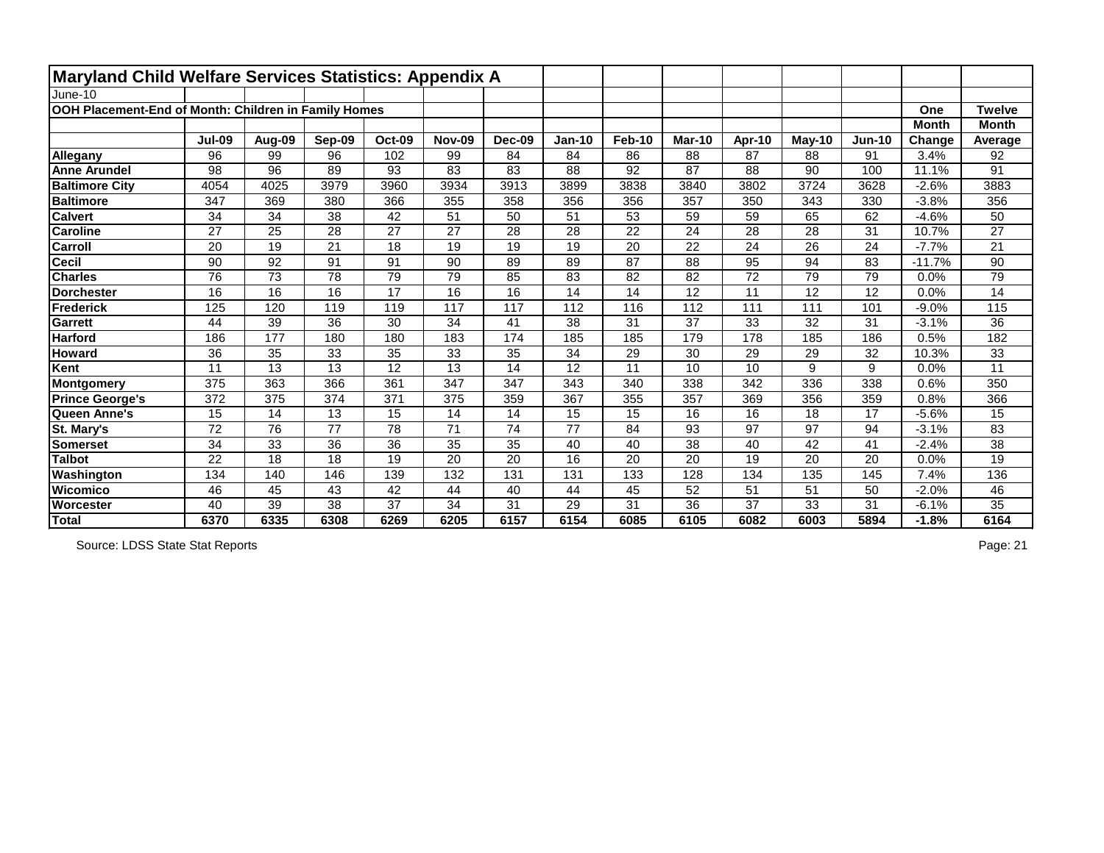| <b>Maryland Child Welfare Services Statistics: Appendix A</b> |                 |        |                 |               |               |                 |               |               |               |                 |          |               |              |                 |
|---------------------------------------------------------------|-----------------|--------|-----------------|---------------|---------------|-----------------|---------------|---------------|---------------|-----------------|----------|---------------|--------------|-----------------|
| June-10                                                       |                 |        |                 |               |               |                 |               |               |               |                 |          |               |              |                 |
| OOH Placement-End of Month: Children in Family Homes          |                 |        |                 |               |               |                 |               |               |               |                 |          |               | One          | <b>Twelve</b>   |
|                                                               |                 |        |                 |               |               |                 |               |               |               |                 |          |               | <b>Month</b> | <b>Month</b>    |
|                                                               | <b>Jul-09</b>   | Aug-09 | Sep-09          | <b>Oct-09</b> | <b>Nov-09</b> | Dec-09          | <b>Jan-10</b> | <b>Feb-10</b> | <b>Mar-10</b> | Apr-10          | $May-10$ | <b>Jun-10</b> | Change       | Average         |
| Allegany                                                      | 96              | 99     | 96              | 102           | 99            | 84              | 84            | 86            | 88            | 87              | 88       | 91            | 3.4%         | 92              |
| <b>Anne Arundel</b>                                           | 98              | 96     | 89              | 93            | 83            | 83              | 88            | 92            | 87            | 88              | 90       | 100           | 11.1%        | 91              |
| <b>Baltimore City</b>                                         | 4054            | 4025   | 3979            | 3960          | 3934          | 3913            | 3899          | 3838          | 3840          | 3802            | 3724     | 3628          | $-2.6%$      | 3883            |
| <b>Baltimore</b>                                              | 347             | 369    | 380             | 366           | 355           | 358             | 356           | 356           | 357           | 350             | 343      | 330           | $-3.8%$      | 356             |
| <b>Calvert</b>                                                | 34              | 34     | 38              | 42            | 51            | 50              | 51            | 53            | 59            | 59              | 65       | 62            | $-4.6%$      | 50              |
| <b>Caroline</b>                                               | 27              | 25     | 28              | 27            | 27            | 28              | 28            | 22            | 24            | 28              | 28       | 31            | 10.7%        | 27              |
| Carroll                                                       | 20              | 19     | 21              | 18            | 19            | 19              | 19            | 20            | 22            | 24              | 26       | 24            | $-7.7%$      | 21              |
| <b>Cecil</b>                                                  | 90              | 92     | $\overline{91}$ | 91            | 90            | 89              | 89            | 87            | 88            | 95              | 94       | 83            | $-11.7%$     | 90              |
| <b>Charles</b>                                                | 76              | 73     | 78              | 79            | 79            | 85              | 83            | 82            | 82            | $\overline{72}$ | 79       | 79            | 0.0%         | 79              |
| <b>Dorchester</b>                                             | 16              | 16     | 16              | 17            | 16            | 16              | 14            | 14            | 12            | 11              | 12       | 12            | 0.0%         | 14              |
| Frederick                                                     | 125             | 120    | 119             | 119           | 117           | 117             | 112           | 116           | 112           | 111             | 111      | 101           | $-9.0%$      | 115             |
| <b>Garrett</b>                                                | 44              | 39     | 36              | 30            | 34            | 41              | 38            | 31            | 37            | 33              | 32       | 31            | $-3.1%$      | 36              |
| <b>Harford</b>                                                | 186             | 177    | 180             | 180           | 183           | 174             | 185           | 185           | 179           | 178             | 185      | 186           | 0.5%         | 182             |
| <b>Howard</b>                                                 | 36              | 35     | 33              | 35            | 33            | 35              | 34            | 29            | 30            | 29              | 29       | 32            | 10.3%        | 33              |
| Kent                                                          | 11              | 13     | 13              | 12            | 13            | 14              | 12            | 11            | 10            | 10              | 9        | 9             | 0.0%         | 11              |
| Montgomery                                                    | 375             | 363    | 366             | 361           | 347           | 347             | 343           | 340           | 338           | 342             | 336      | 338           | 0.6%         | 350             |
| <b>Prince George's</b>                                        | 372             | 375    | 374             | 371           | 375           | 359             | 367           | 355           | 357           | 369             | 356      | 359           | 0.8%         | 366             |
| Queen Anne's                                                  | 15              | 14     | 13              | 15            | 14            | 14              | 15            | 15            | 16            | 16              | 18       | 17            | $-5.6%$      | 15              |
| St. Mary's                                                    | 72              | 76     | 77              | 78            | 71            | 74              | 77            | 84            | 93            | 97              | 97       | 94            | $-3.1%$      | 83              |
| <b>Somerset</b>                                               | 34              | 33     | 36              | 36            | 35            | 35              | 40            | 40            | 38            | 40              | 42       | 41            | $-2.4%$      | 38              |
| <b>Talbot</b>                                                 | $\overline{22}$ | 18     | $\overline{18}$ | 19            | 20            | $\overline{20}$ | 16            | 20            | 20            | $\overline{19}$ | 20       | 20            | 0.0%         | $\overline{19}$ |
| Washington                                                    | 134             | 140    | 146             | 139           | 132           | 131             | 131           | 133           | 128           | 134             | 135      | 145           | 7.4%         | 136             |
| <b>Wicomico</b>                                               | 46              | 45     | 43              | 42            | 44            | 40              | 44            | 45            | 52            | 51              | 51       | 50            | $-2.0%$      | 46              |
| Worcester                                                     | 40              | 39     | 38              | 37            | 34            | 31              | 29            | 31            | 36            | 37              | 33       | 31            | $-6.1%$      | 35              |
| Total                                                         | 6370            | 6335   | 6308            | 6269          | 6205          | 6157            | 6154          | 6085          | 6105          | 6082            | 6003     | 5894          | $-1.8%$      | 6164            |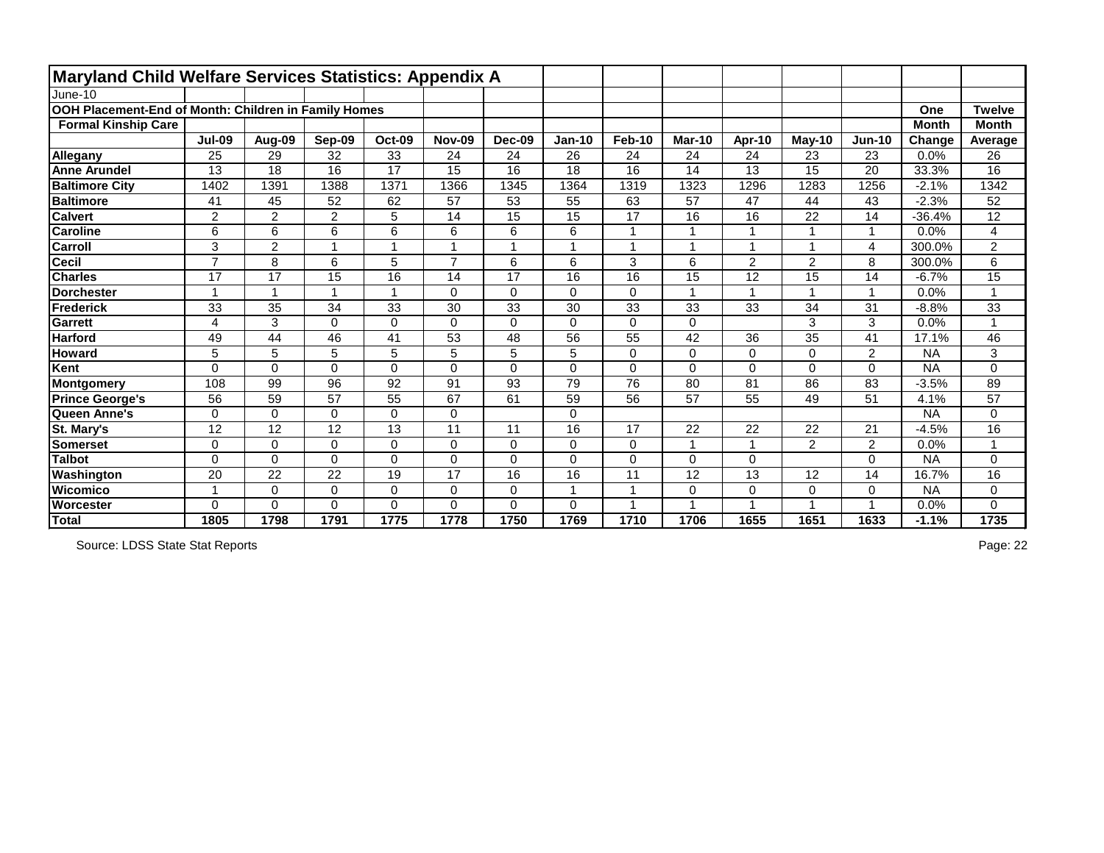| <b>Maryland Child Welfare Services Statistics: Appendix A</b> |                |                      |                |                 |                |                |               |                |                      |                         |                          |                         |              |                |
|---------------------------------------------------------------|----------------|----------------------|----------------|-----------------|----------------|----------------|---------------|----------------|----------------------|-------------------------|--------------------------|-------------------------|--------------|----------------|
| June-10                                                       |                |                      |                |                 |                |                |               |                |                      |                         |                          |                         |              |                |
| OOH Placement-End of Month: Children in Family Homes          |                |                      |                |                 |                |                |               |                |                      |                         |                          |                         | One          | Twelve         |
| <b>Formal Kinship Care</b>                                    |                |                      |                |                 |                |                |               |                |                      |                         |                          |                         | <b>Month</b> | <b>Month</b>   |
|                                                               | <b>Jul-09</b>  | Aug-09               | <b>Sep-09</b>  | <b>Oct-09</b>   | <b>Nov-09</b>  | <b>Dec-09</b>  | <b>Jan-10</b> | <b>Feb-10</b>  | <b>Mar-10</b>        | Apr-10                  | $May-10$                 | <b>Jun-10</b>           | Change       | Average        |
| <b>Allegany</b>                                               | 25             | 29                   | 32             | 33              | 24             | 24             | 26            | 24             | 24                   | 24                      | 23                       | 23                      | 0.0%         | 26             |
| <b>Anne Arundel</b>                                           | 13             | 18                   | 16             | $\overline{17}$ | 15             | 16             | 18            | 16             | 14                   | 13                      | 15                       | 20                      | 33.3%        | 16             |
| <b>Baltimore City</b>                                         | 1402           | 1391                 | 1388           | 1371            | 1366           | 1345           | 1364          | 1319           | 1323                 | 1296                    | 1283                     | 1256                    | $-2.1%$      | 1342           |
| <b>Baltimore</b>                                              | 41             | 45                   | 52             | 62              | 57             | 53             | 55            | 63             | 57                   | 47                      | 44                       | 43                      | $-2.3%$      | 52             |
| <b>Calvert</b>                                                | $\overline{2}$ | $\overline{2}$       | $\overline{2}$ | 5               | 14             | 15             | 15            | 17             | 16                   | 16                      | 22                       | 14                      | $-36.4%$     | 12             |
| <b>Caroline</b>                                               | 6              | 6                    | 6              | 6               | 6              | 6              | 6             |                | 1                    |                         | 1                        | 1                       | 0.0%         | 4              |
| <b>Carroll</b>                                                | 3              | $\overline{2}$       |                |                 |                |                | $\mathbf{1}$  |                | $\overline{ }$       |                         | $\overline{\mathbf{A}}$  | 4                       | 300.0%       | $\overline{2}$ |
| <b>Cecil</b>                                                  | $\overline{7}$ | 8                    | 6              | 5               | $\overline{7}$ | 6              | 6             | 3              | $6\phantom{1}$       | $\overline{2}$          | $\overline{2}$           | 8                       | 300.0%       | 6              |
| <b>Charles</b>                                                | 17             | 17                   | 15             | 16              | 14             | 17             | 16            | 16             | 15                   | 12                      | 15                       | 14                      | $-6.7%$      | 15             |
| <b>Dorchester</b>                                             |                | $\blacktriangleleft$ |                | $\overline{1}$  | 0              | $\mathbf 0$    | $\mathbf 0$   | $\mathbf 0$    | $\blacktriangleleft$ | $\overline{\mathbf{A}}$ | $\overline{1}$           | $\overline{\mathbf{1}}$ | 0.0%         | $\mathbf{1}$   |
| Frederick                                                     | 33             | 35                   | 34             | 33              | 30             | 33             | 30            | 33             | 33                   | 33                      | 34                       | 31                      | $-8.8%$      | 33             |
| <b>Garrett</b>                                                | 4              | 3                    | $\Omega$       | $\mathbf 0$     | 0              | $\Omega$       | 0             | $\mathbf 0$    | $\mathbf{0}$         |                         | 3                        | 3                       | 0.0%         | $\mathbf{1}$   |
| <b>Harford</b>                                                | 49             | 44                   | 46             | 41              | 53             | 48             | 56            | 55             | $\overline{42}$      | 36                      | $\overline{35}$          | 41                      | 17.1%        | 46             |
| <b>Howard</b>                                                 | 5              | 5                    | 5              | 5               | 5              | 5              | 5             | 0              | $\mathbf 0$          | $\mathbf 0$             | $\mathbf 0$              | $\overline{2}$          | <b>NA</b>    | 3              |
| Kent                                                          | $\overline{0}$ | $\overline{0}$       | $\overline{0}$ | $\mathbf 0$     | 0              | $\overline{0}$ | 0             | $\mathbf 0$    | $\overline{0}$       | $\overline{0}$          | $\mathbf 0$              | 0                       | <b>NA</b>    | 0              |
| Montgomery                                                    | 108            | 99                   | 96             | 92              | 91             | 93             | 79            | 76             | 80                   | 81                      | 86                       | 83                      | $-3.5%$      | 89             |
| <b>Prince George's</b>                                        | 56             | 59                   | 57             | 55              | 67             | 61             | 59            | 56             | 57                   | 55                      | 49                       | 51                      | 4.1%         | 57             |
| Queen Anne's                                                  | 0              | $\mathbf 0$          | $\Omega$       | 0               | 0              |                | 0             |                |                      |                         |                          |                         | <b>NA</b>    | 0              |
| St. Mary's                                                    | 12             | 12                   | 12             | 13              | 11             | 11             | 16            | 17             | 22                   | 22                      | 22                       | 21                      | $-4.5%$      | 16             |
| <b>Somerset</b>                                               | $\mathbf 0$    | $\mathbf 0$          | $\mathbf 0$    | $\pmb{0}$       | 0              | 0              | $\mathbf 0$   | $\mathbf 0$    | $\overline{1}$       | -1                      | $\overline{2}$           | $\overline{2}$          | 0.0%         | 1              |
| <b>Talbot</b>                                                 | $\mathbf 0$    | $\overline{0}$       | $\Omega$       | $\mathbf 0$     | $\Omega$       | $\overline{0}$ | 0             | $\overline{0}$ | $\Omega$             | $\overline{0}$          |                          | 0                       | <b>NA</b>    | 0              |
| Washington                                                    | 20             | 22                   | 22             | 19              | 17             | 16             | 16            | 11             | 12                   | 13                      | 12                       | 14                      | 16.7%        | 16             |
| <b>Wicomico</b>                                               |                | $\overline{0}$       | $\mathbf 0$    | $\mathbf 0$     | 0              | $\overline{0}$ | $\mathbf{1}$  | $\overline{1}$ | $\mathbf 0$          | $\mathbf 0$             | 0                        | 0                       | <b>NA</b>    | 0              |
| Worcester                                                     | $\Omega$       | 0                    | $\mathbf 0$    | 0               | 0              | $\overline{0}$ | 0             |                | 4                    |                         | $\overline{\phantom{a}}$ |                         | 0.0%         | 0              |
| Total                                                         | 1805           | 1798                 | 1791           | 1775            | 1778           | 1750           | 1769          | 1710           | 1706                 | 1655                    | 1651                     | 1633                    | $-1.1%$      | 1735           |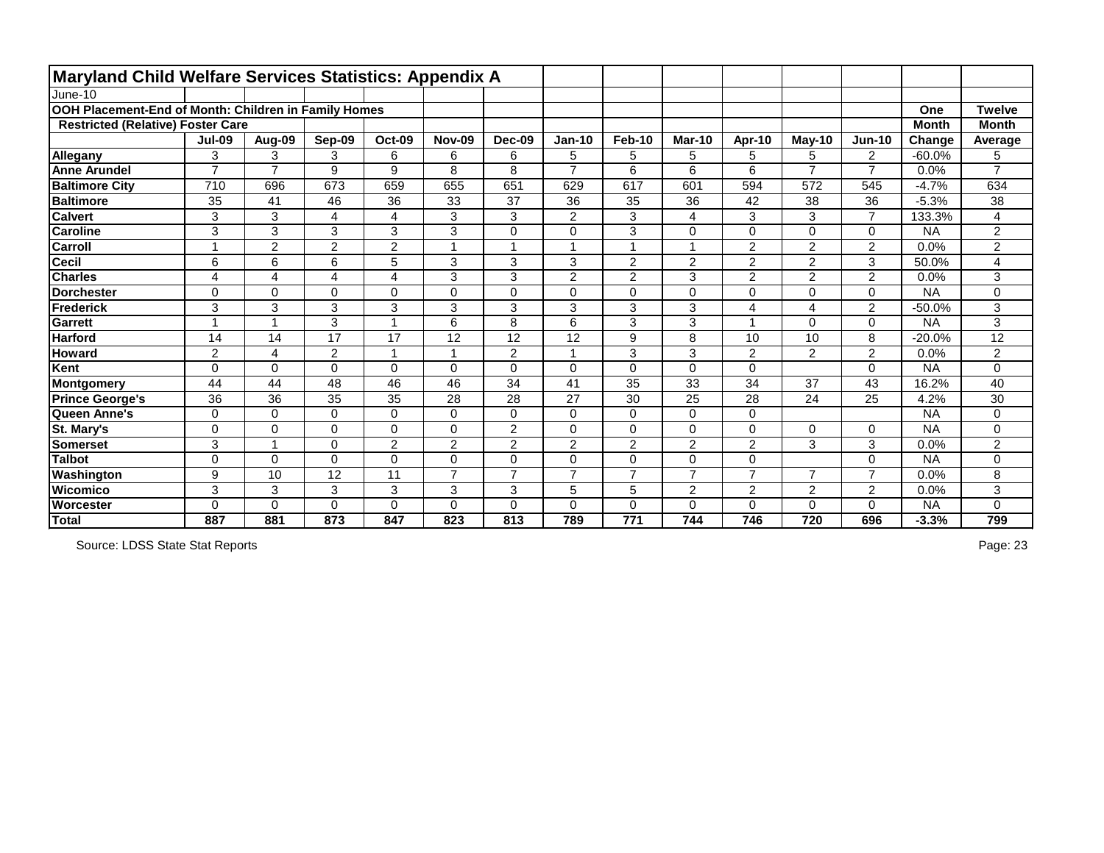| <b>Maryland Child Welfare Services Statistics: Appendix A</b> |                          |                      |                |                |                |                |                |                         |                |                         |                |                |              |                |
|---------------------------------------------------------------|--------------------------|----------------------|----------------|----------------|----------------|----------------|----------------|-------------------------|----------------|-------------------------|----------------|----------------|--------------|----------------|
| June-10                                                       |                          |                      |                |                |                |                |                |                         |                |                         |                |                |              |                |
| OOH Placement-End of Month: Children in Family Homes          |                          |                      |                |                |                |                |                |                         |                |                         |                |                | One          | <b>Twelve</b>  |
| <b>Restricted (Relative) Foster Care</b>                      |                          |                      |                |                |                |                |                |                         |                |                         |                |                | <b>Month</b> | <b>Month</b>   |
|                                                               | <b>Jul-09</b>            | Aug-09               | Sep-09         | <b>Oct-09</b>  | <b>Nov-09</b>  | <b>Dec-09</b>  | <b>Jan-10</b>  | <b>Feb-10</b>           | <b>Mar-10</b>  | Apr-10                  | $May-10$       | <b>Jun-10</b>  | Change       | Average        |
| <b>Allegany</b>                                               | 3                        | 3                    | 3              | 6              | 6              | 6              | 5              | 5                       | 5              | 5                       | 5              | $\overline{2}$ | $-60.0%$     | 5              |
| <b>Anne Arundel</b>                                           | $\overline{7}$           | $\overline{7}$       | 9              | 9              | 8              | 8              | $\overline{7}$ | 6                       | 6              | 6                       | $\overline{7}$ | $\overline{7}$ | 0.0%         | $\overline{7}$ |
| <b>Baltimore City</b>                                         | 710                      | 696                  | 673            | 659            | 655            | 651            | 629            | 617                     | 601            | 594                     | 572            | 545            | $-4.7%$      | 634            |
| <b>Baltimore</b>                                              | 35                       | 41                   | 46             | 36             | 33             | 37             | 36             | 35                      | 36             | 42                      | 38             | 36             | $-5.3%$      | 38             |
| <b>Calvert</b>                                                | 3                        | 3                    | 4              | 4              | 3              | 3              | $\overline{2}$ | 3                       | 4              | 3                       | 3              | $\overline{7}$ | 133.3%       | 4              |
| <b>Caroline</b>                                               | 3                        | 3                    | 3              | 3              | 3              | $\overline{0}$ | $\overline{0}$ | 3                       | $\overline{0}$ | $\mathbf 0$             | 0              | $\mathbf 0$    | <b>NA</b>    | $\overline{2}$ |
| <b>Carroll</b>                                                |                          | $\overline{2}$       | $\overline{2}$ | $\overline{2}$ |                |                |                | $\overline{\mathbf{A}}$ |                | $\overline{2}$          | 2              | $\overline{2}$ | 0.0%         | 2              |
| <b>Cecil</b>                                                  | 6                        | 6                    | 6              | 5              | 3              | 3              | 3              | 2                       | $\overline{2}$ | $\overline{2}$          | $\overline{2}$ | 3              | 50.0%        | 4              |
| <b>Charles</b>                                                | 4                        | $\overline{4}$       | 4              | $\overline{4}$ | 3              | 3              | $\overline{2}$ | $\overline{2}$          | 3              | $\overline{2}$          | $\overline{2}$ | $\overline{2}$ | 0.0%         | 3              |
| <b>Dorchester</b>                                             | 0                        | $\mathbf 0$          | 0              | $\overline{0}$ | $\mathbf 0$    | $\overline{0}$ | 0              | $\mathbf 0$             | $\Omega$       | $\mathbf 0$             | 0              | $\mathbf 0$    | <b>NA</b>    | 0              |
| Frederick                                                     | 3                        | 3                    | 3              | 3              | 3              | 3              | 3              | 3                       | 3              | $\overline{\mathbf{4}}$ | 4              | $\overline{2}$ | $-50.0%$     | 3              |
| <b>Garrett</b>                                                | $\overline{\phantom{a}}$ | $\blacktriangleleft$ | 3              | 1              | 6              | 8              | 6              | 3                       | 3              | $\overline{1}$          | 0              | 0              | <b>NA</b>    | 3              |
| <b>Harford</b>                                                | 14                       | 14                   | 17             | 17             | 12             | 12             | 12             | 9                       | 8              | 10                      | 10             | 8              | $-20.0%$     | 12             |
| <b>Howard</b>                                                 | $\overline{2}$           | 4                    | $\overline{2}$ | $\overline{1}$ |                | $\overline{2}$ | $\overline{A}$ | 3                       | 3              | $\overline{2}$          | $\overline{2}$ | $\overline{2}$ | 0.0%         | 2              |
| Kent                                                          | $\Omega$                 | $\overline{0}$       | $\Omega$       | 0              | 0              | $\overline{0}$ | $\overline{0}$ | $\mathbf 0$             | $\mathbf 0$    | $\mathbf 0$             |                | $\overline{0}$ | <b>NA</b>    | 0              |
| Montgomery                                                    | 44                       | 44                   | 48             | 46             | 46             | 34             | 41             | 35                      | 33             | 34                      | 37             | 43             | 16.2%        | 40             |
| <b>Prince George's</b>                                        | 36                       | 36                   | 35             | 35             | 28             | 28             | 27             | 30                      | 25             | 28                      | 24             | 25             | 4.2%         | 30             |
| Queen Anne's                                                  | $\mathbf 0$              | $\overline{0}$       | $\overline{0}$ | $\mathbf 0$    | 0              | $\mathbf 0$    | 0              | $\mathbf 0$             | $\mathbf 0$    | $\mathbf 0$             |                |                | <b>NA</b>    | 0              |
| St. Mary's                                                    | $\Omega$                 | $\mathbf 0$          | $\Omega$       | 0              | 0              | $\overline{2}$ | 0              | $\mathbf 0$             | $\mathbf 0$    | $\mathbf 0$             | 0              | $\mathbf 0$    | <b>NA</b>    | 0              |
| <b>Somerset</b>                                               | 3                        | $\overline{1}$       | $\Omega$       | $\overline{2}$ | $\overline{2}$ | $\overline{2}$ | $\overline{2}$ | $\overline{2}$          | $\overline{2}$ | $\overline{2}$          | 3              | 3              | 0.0%         | 2              |
| <b>Talbot</b>                                                 | 0                        | $\Omega$             | $\Omega$       | 0              | $\Omega$       | $\overline{0}$ | $\overline{0}$ | $\mathbf 0$             | $\Omega$       | $\mathbf 0$             |                | $\mathbf 0$    | <b>NA</b>    | 0              |
| Washington                                                    | 9                        | 10                   | 12             | 11             | $\overline{ }$ | $\overline{7}$ | $\overline{ }$ | $\overline{7}$          | $\overline{ }$ | $\overline{7}$          | 7              | $\overline{7}$ | 0.0%         | 8              |
| <b>Wicomico</b>                                               | 3                        | 3                    | 3              | 3              | 3              | 3              | 5              | 5                       | $\overline{2}$ | $\overline{2}$          | $\overline{2}$ | $\overline{2}$ | 0.0%         | 3              |
| Worcester                                                     | $\Omega$                 | 0                    | $\Omega$       | $\mathbf 0$    | $\Omega$       | $\overline{0}$ | 0              | $\mathbf 0$             | 0              | $\mathbf 0$             | 0              | 0              | <b>NA</b>    | 0              |
| Total                                                         | 887                      | 881                  | 873            | 847            | 823            | 813            | 789            | 771                     | 744            | 746                     | 720            | 696            | $-3.3%$      | 799            |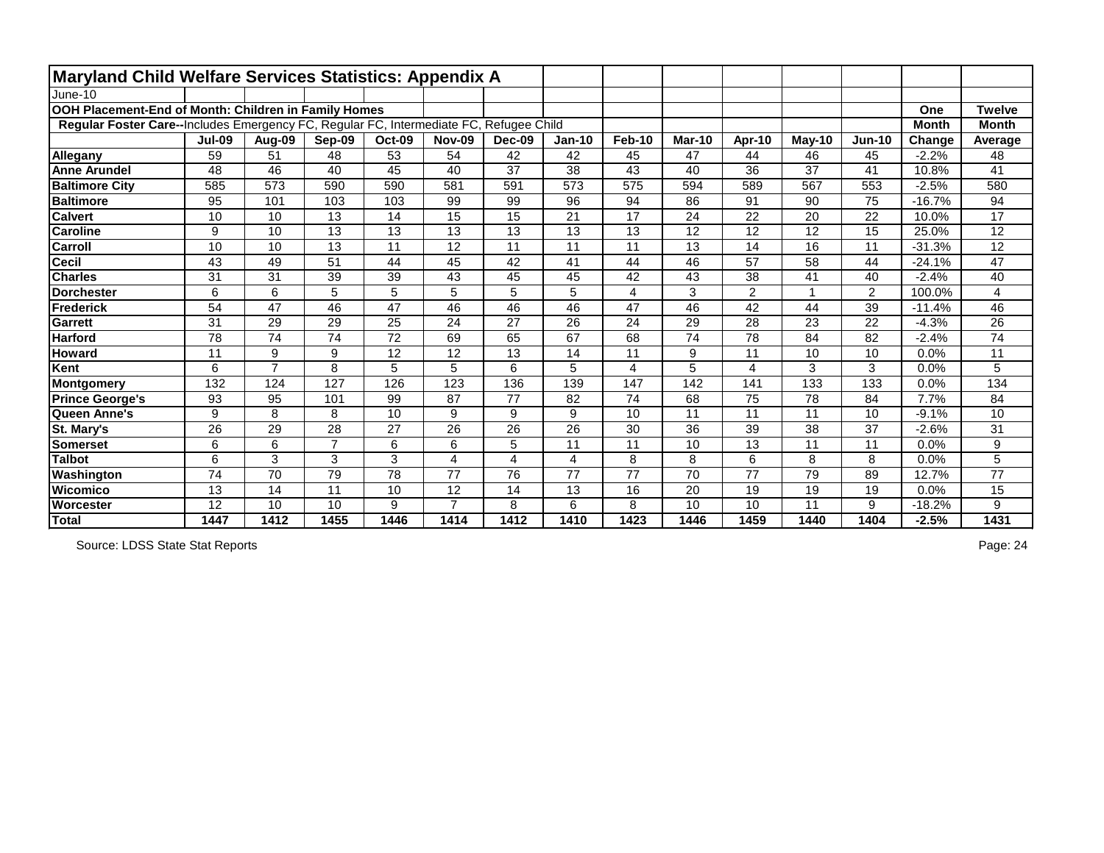| <b>Maryland Child Welfare Services Statistics: Appendix A</b>                          |               |                 |                 |               |                 |                 |               |                         |               |                 |                 |                |              |                 |
|----------------------------------------------------------------------------------------|---------------|-----------------|-----------------|---------------|-----------------|-----------------|---------------|-------------------------|---------------|-----------------|-----------------|----------------|--------------|-----------------|
| June-10                                                                                |               |                 |                 |               |                 |                 |               |                         |               |                 |                 |                |              |                 |
| OOH Placement-End of Month: Children in Family Homes                                   |               |                 |                 |               |                 |                 |               |                         |               |                 |                 |                | One          | <b>Twelve</b>   |
| Regular Foster Care--Includes Emergency FC, Regular FC, Intermediate FC, Refugee Child |               |                 |                 |               |                 |                 |               |                         |               |                 |                 |                | <b>Month</b> | <b>Month</b>    |
|                                                                                        | <b>Jul-09</b> | Aug-09          | Sep-09          | <b>Oct-09</b> | <b>Nov-09</b>   | Dec-09          | <b>Jan-10</b> | <b>Feb-10</b>           | <b>Mar-10</b> | Apr-10          | $May-10$        | <b>Jun-10</b>  | Change       | Average         |
| <b>Allegany</b>                                                                        | 59            | 51              | 48              | 53            | 54              | 42              | 42            | 45                      | 47            | 44              | 46              | 45             | $-2.2%$      | 48              |
| <b>Anne Arundel</b>                                                                    | 48            | 46              | 40              | 45            | 40              | $\overline{37}$ | 38            | 43                      | 40            | 36              | 37              | 41             | 10.8%        | 41              |
| <b>Baltimore City</b>                                                                  | 585           | 573             | 590             | 590           | 581             | 591             | 573           | 575                     | 594           | 589             | 567             | 553            | $-2.5%$      | 580             |
| <b>Baltimore</b>                                                                       | 95            | 101             | 103             | 103           | 99              | 99              | 96            | 94                      | 86            | $\overline{91}$ | 90              | 75             | $-16.7%$     | 94              |
| <b>Calvert</b>                                                                         | 10            | 10              | 13              | 14            | 15              | 15              | 21            | 17                      | 24            | 22              | 20              | 22             | 10.0%        | 17              |
| <b>Caroline</b>                                                                        | 9             | 10              | 13              | 13            | 13              | 13              | 13            | 13                      | 12            | 12              | 12              | 15             | 25.0%        | 12              |
| <b>Carroll</b>                                                                         | 10            | 10              | 13              | 11            | 12              | 11              | 11            | 11                      | 13            | 14              | 16              | 11             | $-31.3%$     | 12              |
| <b>Cecil</b>                                                                           | 43            | 49              | 51              | 44            | 45              | 42              | 41            | 44                      | 46            | $\overline{57}$ | 58              | 44             | $-24.1%$     | $\overline{47}$ |
| <b>Charles</b>                                                                         | 31            | 31              | 39              | 39            | 43              | 45              | 45            | 42                      | 43            | 38              | 41              | 40             | $-2.4%$      | 40              |
| <b>Dorchester</b>                                                                      | 6             | 6               | 5               | 5             | 5               | 5               | 5             | $\overline{4}$          | 3             | $\overline{2}$  |                 | $\overline{2}$ | 100.0%       | 4               |
| <b>Frederick</b>                                                                       | 54            | 47              | 46              | 47            | 46              | 46              | 46            | 47                      | 46            | 42              | 44              | 39             | $-11.4%$     | 46              |
| <b>Garrett</b>                                                                         | 31            | 29              | 29              | 25            | 24              | 27              | 26            | 24                      | 29            | 28              | 23              | 22             | $-4.3%$      | 26              |
| <b>Harford</b>                                                                         | 78            | $\overline{74}$ | $\overline{74}$ | 72            | 69              | 65              | 67            | 68                      | 74            | 78              | 84              | 82             | $-2.4%$      | $\overline{74}$ |
| <b>Howard</b>                                                                          | 11            | 9               | 9               | 12            | 12              | 13              | 14            | 11                      | 9             | 11              | 10              | 10             | 0.0%         | 11              |
| Kent                                                                                   | 6             | $\overline{7}$  | 8               | 5             | 5               | 6               | 5             | $\overline{\mathbf{4}}$ | 5             | $\overline{4}$  | 3               | 3              | 0.0%         | 5               |
| Montgomery                                                                             | 132           | 124             | 127             | 126           | 123             | 136             | 139           | 147                     | 142           | 141             | 133             | 133            | 0.0%         | 134             |
| <b>Prince George's</b>                                                                 | 93            | 95              | 101             | 99            | 87              | 77              | 82            | 74                      | 68            | 75              | 78              | 84             | 7.7%         | 84              |
| Queen Anne's                                                                           | 9             | 8               | 8               | 10            | 9               | 9               | 9             | 10                      | 11            | 11              | 11              | 10             | $-9.1%$      | 10              |
| St. Mary's                                                                             | 26            | 29              | 28              | 27            | 26              | 26              | 26            | 30                      | 36            | 39              | 38              | 37             | $-2.6%$      | 31              |
| <b>Somerset</b>                                                                        | 6             | 6               | 7               | 6             | 6               | 5               | 11            | 11                      | 10            | 13              | 11              | 11             | 0.0%         | 9               |
| <b>Talbot</b>                                                                          | 6             | 3               | 3               | 3             | $\overline{4}$  | $\overline{4}$  | 4             | 8                       | 8             | 6               | 8               | 8              | 0.0%         | 5               |
| Washington                                                                             | 74            | 70              | 79              | 78            | 77              | 76              | 77            | 77                      | 70            | 77              | 79              | 89             | 12.7%        | 77              |
| <b>Wicomico</b>                                                                        | 13            | 14              | 11              | 10            | $\overline{12}$ | 14              | 13            | 16                      | 20            | $\overline{19}$ | $\overline{19}$ | 19             | 0.0%         | $\overline{15}$ |
| Worcester                                                                              | 12            | 10              | 10              | 9             | 7               | 8               | 6             | 8                       | 10            | 10              | 11              | 9              | $-18.2%$     | 9               |
| Total                                                                                  | 1447          | 1412            | 1455            | 1446          | 1414            | 1412            | 1410          | 1423                    | 1446          | 1459            | 1440            | 1404           | $-2.5%$      | 1431            |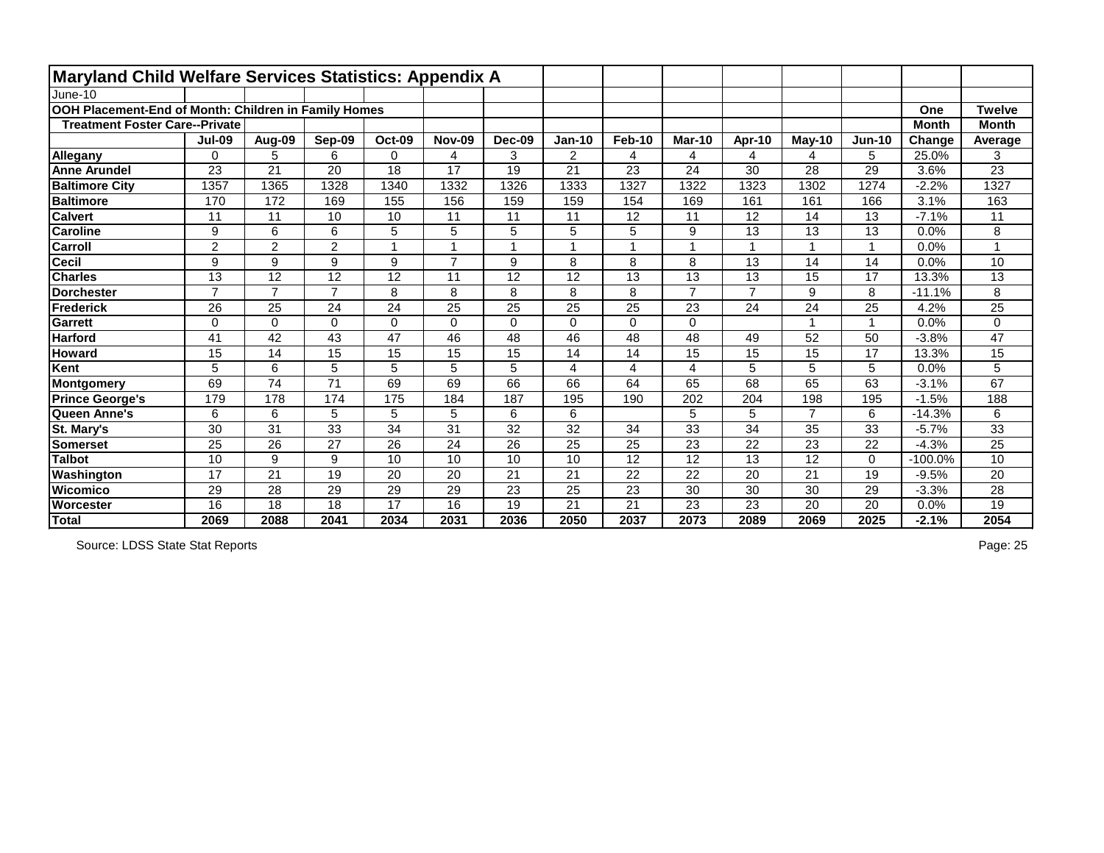| <b>Maryland Child Welfare Services Statistics: Appendix A</b> |                |                 |                |                 |                |                 |                 |                         |                 |                 |                |                |              |                 |
|---------------------------------------------------------------|----------------|-----------------|----------------|-----------------|----------------|-----------------|-----------------|-------------------------|-----------------|-----------------|----------------|----------------|--------------|-----------------|
| June-10                                                       |                |                 |                |                 |                |                 |                 |                         |                 |                 |                |                |              |                 |
| OOH Placement-End of Month: Children in Family Homes          |                |                 |                |                 |                |                 |                 |                         |                 |                 |                |                | One          | <b>Twelve</b>   |
| <b>Treatment Foster Care--Private</b>                         |                |                 |                |                 |                |                 |                 |                         |                 |                 |                |                | <b>Month</b> | <b>Month</b>    |
|                                                               | <b>Jul-09</b>  | Aug-09          | Sep-09         | <b>Oct-09</b>   | <b>Nov-09</b>  | Dec-09          | <b>Jan-10</b>   | <b>Feb-10</b>           | <b>Mar-10</b>   | Apr-10          | $May-10$       | $Jun-10$       | Change       | Average         |
| <b>Allegany</b>                                               | $\Omega$       | 5               | 6              | 0               | 4              | 3               | $\overline{2}$  | 4                       | 4               | 4               | 4              | 5              | 25.0%        | 3               |
| <b>Anne Arundel</b>                                           | 23             | $\overline{21}$ | 20             | $\overline{18}$ | 17             | 19              | 21              | 23                      | 24              | 30              | 28             | 29             | 3.6%         | $\overline{23}$ |
| <b>Baltimore City</b>                                         | 1357           | 1365            | 1328           | 1340            | 1332           | 1326            | 1333            | 1327                    | 1322            | 1323            | 1302           | 1274           | $-2.2%$      | 1327            |
| <b>Baltimore</b>                                              | 170            | 172             | 169            | 155             | 156            | 159             | 159             | 154                     | 169             | 161             | 161            | 166            | 3.1%         | 163             |
| <b>Calvert</b>                                                | 11             | 11              | 10             | 10              | 11             | 11              | 11              | 12                      | 11              | 12              | 14             | 13             | $-7.1%$      | 11              |
| <b>Caroline</b>                                               | 9              | 6               | 6              | 5               | 5              | 5               | 5               | 5                       | 9               | 13              | 13             | 13             | 0.0%         | 8               |
| Carroll                                                       | $\overline{2}$ | $\overline{2}$  | $\overline{2}$ |                 |                |                 |                 |                         |                 |                 |                |                | 0.0%         |                 |
| <b>Cecil</b>                                                  | 9              | 9               | 9              | 9               | $\overline{7}$ | 9               | 8               | 8                       | 8               | 13              | 14             | 14             | 0.0%         | 10              |
| <b>Charles</b>                                                | 13             | 12              | 12             | 12              | 11             | 12              | 12              | 13                      | 13              | 13              | 15             | 17             | 13.3%        | 13              |
| <b>Dorchester</b>                                             | $\overline{7}$ | $\overline{7}$  | $\overline{7}$ | 8               | 8              | 8               | 8               | 8                       | $\overline{7}$  | $\overline{7}$  | 9              | 8              | $-11.1%$     | 8               |
| Frederick                                                     | 26             | 25              | 24             | 24              | 25             | 25              | 25              | $\overline{25}$         | 23              | 24              | 24             | 25             | 4.2%         | 25              |
| <b>Garrett</b>                                                | $\mathbf 0$    | $\Omega$        | $\Omega$       | 0               | $\Omega$       | $\Omega$        | $\Omega$        | $\mathbf 0$             | $\Omega$        |                 |                | $\overline{1}$ | 0.0%         | 0               |
| <b>Harford</b>                                                | 41             | $\overline{42}$ | 43             | $\overline{47}$ | 46             | 48              | 46              | 48                      | 48              | 49              | 52             | 50             | $-3.8%$      | $\overline{47}$ |
| <b>Howard</b>                                                 | 15             | 14              | 15             | 15              | 15             | 15              | 14              | 14                      | 15              | 15              | 15             | 17             | 13.3%        | 15              |
| Kent                                                          | 5              | 6               | 5              | 5               | 5              | 5               | 4               | $\overline{\mathbf{4}}$ | 4               | 5               | 5              | 5              | 0.0%         | 5               |
| Montgomery                                                    | 69             | 74              | 71             | 69              | 69             | 66              | 66              | 64                      | 65              | 68              | 65             | 63             | $-3.1%$      | 67              |
| <b>Prince George's</b>                                        | 179            | 178             | 174            | 175             | 184            | 187             | 195             | 190                     | 202             | 204             | 198            | 195            | $-1.5%$      | 188             |
| Queen Anne's                                                  | 6              | 6               | 5              | 5               | 5              | 6               | 6               |                         | 5               | 5               | $\overline{7}$ | 6              | $-14.3%$     | 6               |
| St. Mary's                                                    | 30             | 31              | 33             | 34              | 31             | 32              | 32              | 34                      | 33              | 34              | 35             | 33             | $-5.7%$      | 33              |
| <b>Somerset</b>                                               | 25             | 26              | 27             | 26              | 24             | 26              | 25              | 25                      | 23              | 22              | 23             | 22             | $-4.3%$      | 25              |
| <b>Talbot</b>                                                 | 10             | 9               | 9              | 10              | 10             | 10              | 10              | 12                      | 12              | $\overline{13}$ | 12             | $\mathbf{0}$   | $-100.0%$    | $\overline{10}$ |
| Washington                                                    | 17             | 21              | 19             | 20              | 20             | 21              | 21              | 22                      | 22              | 20              | 21             | 19             | $-9.5%$      | 20              |
| <b>Wicomico</b>                                               | 29             | 28              | 29             | 29              | 29             | $\overline{23}$ | $\overline{25}$ | $\overline{23}$         | $\overline{30}$ | 30              | 30             | 29             | $-3.3%$      | $\overline{28}$ |
| Worcester                                                     | 16             | 18              | 18             | 17              | 16             | 19              | 21              | 21                      | 23              | 23              | 20             | 20             | 0.0%         | 19              |
| Total                                                         | 2069           | 2088            | 2041           | 2034            | 2031           | 2036            | 2050            | 2037                    | 2073            | 2089            | 2069           | 2025           | $-2.1%$      | 2054            |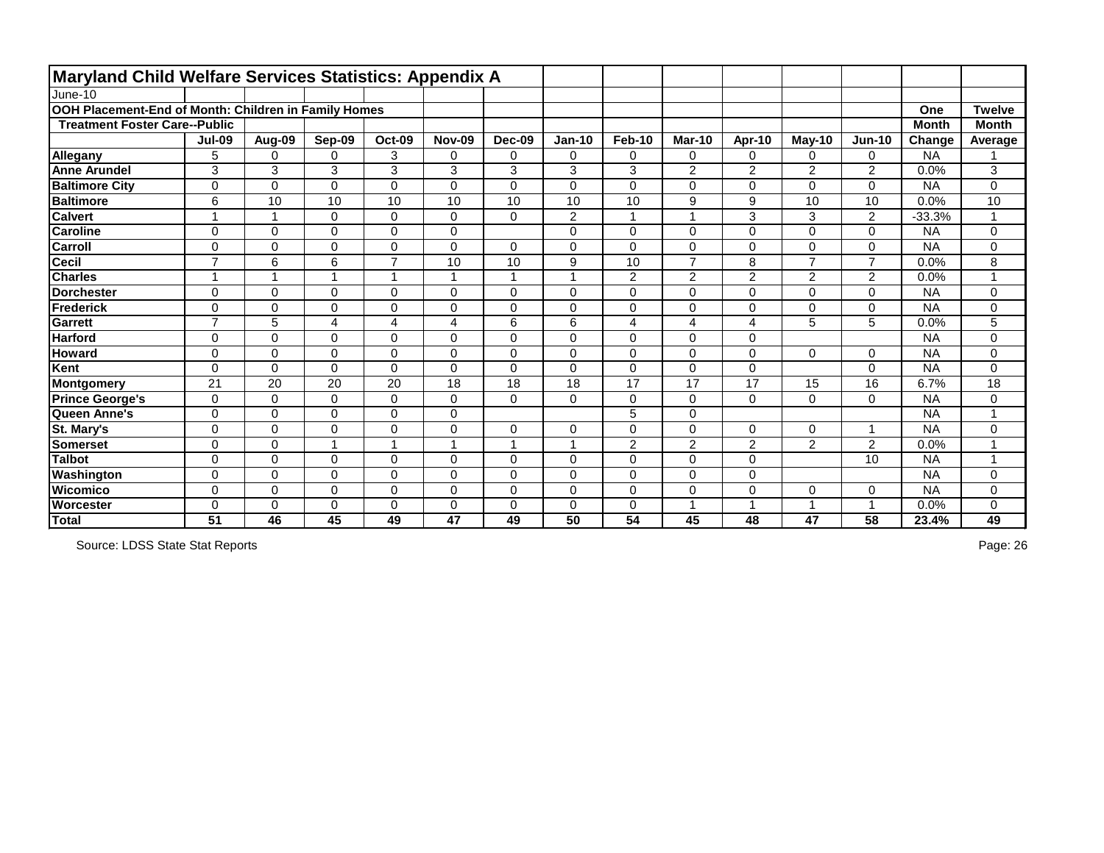| Maryland Child Welfare Services Statistics: Appendix A |                         |                         |                |                         |               |                |                |                |                |                |                |                |              |                |
|--------------------------------------------------------|-------------------------|-------------------------|----------------|-------------------------|---------------|----------------|----------------|----------------|----------------|----------------|----------------|----------------|--------------|----------------|
| June-10                                                |                         |                         |                |                         |               |                |                |                |                |                |                |                |              |                |
| OOH Placement-End of Month: Children in Family Homes   |                         |                         |                |                         |               |                |                |                |                |                |                |                | One          | <b>Twelve</b>  |
| <b>Treatment Foster Care--Public</b>                   |                         |                         |                |                         |               |                |                |                |                |                |                |                | <b>Month</b> | <b>Month</b>   |
|                                                        | <b>Jul-09</b>           | Aug-09                  | Sep-09         | <b>Oct-09</b>           | <b>Nov-09</b> | Dec-09         | <b>Jan-10</b>  | Feb-10         | <b>Mar-10</b>  | Apr-10         | $May-10$       | $Jun-10$       | Change       | Average        |
| <b>Allegany</b>                                        | 5                       | $\Omega$                | $\Omega$       | 3                       | 0             | $\mathbf 0$    | 0              | $\mathbf 0$    | $\mathbf 0$    | $\Omega$       | 0              | $\mathbf 0$    | <b>NA</b>    |                |
| <b>Anne Arundel</b>                                    | 3                       | 3                       | 3              | 3                       | 3             | 3              | 3              | 3              | $\overline{2}$ | $\overline{2}$ | $\overline{2}$ | $\overline{2}$ | 0.0%         | 3              |
| <b>Baltimore City</b>                                  | $\Omega$                | $\Omega$                | $\mathbf 0$    | 0                       | 0             | $\overline{0}$ | 0              | $\mathbf 0$    | $\mathbf 0$    | 0              | 0              | $\Omega$       | <b>NA</b>    | 0              |
| <b>Baltimore</b>                                       | 6                       | 10                      | 10             | 10                      | 10            | 10             | 10             | 10             | 9              | 9              | 10             | 10             | 0.0%         | 10             |
| <b>Calvert</b>                                         | $\overline{\mathbf{A}}$ | $\mathbf 1$             | 0              | $\mathbf 0$             | 0             | $\mathbf 0$    | $\overline{2}$ | $\overline{1}$ | -1             | 3              | 3              | $\overline{2}$ | $-33.3%$     | $\mathbf{1}$   |
| <b>Caroline</b>                                        | 0                       | $\mathbf 0$             | $\mathbf 0$    | $\mathbf 0$             | 0             |                | 0              | $\mathbf 0$    | $\mathbf 0$    | 0              | 0              | $\mathbf{0}$   | <b>NA</b>    | 0              |
| <b>Carroll</b>                                         | 0                       | $\Omega$                | $\Omega$       | $\mathbf 0$             | 0             | $\mathbf{0}$   | 0              | $\mathbf 0$    | $\mathbf{0}$   | $\Omega$       | 0              | $\Omega$       | <b>NA</b>    | 0              |
| Cecil                                                  | $\overline{7}$          | $6\phantom{1}$          | 6              | $\overline{7}$          | 10            | 10             | 9              | 10             | $\overline{7}$ | 8              | $\overline{7}$ | $\overline{7}$ | 0.0%         | 8              |
| <b>Charles</b>                                         | -4                      | $\overline{\mathbf{A}}$ |                | $\overline{\mathbf{1}}$ | 1             | 1              | $\overline{A}$ | $\overline{2}$ | $\overline{2}$ | $\overline{2}$ | $\overline{2}$ | $\overline{2}$ | 0.0%         | $\overline{1}$ |
| Dorchester                                             | $\mathbf 0$             | $\overline{0}$          | $\overline{0}$ | $\mathbf 0$             | 0             | $\overline{0}$ | 0              | $\mathbf 0$    | $\mathbf 0$    | $\overline{0}$ | 0              | $\mathbf 0$    | <b>NA</b>    | 0              |
| Frederick                                              | $\Omega$                | $\mathbf 0$             | $\Omega$       | $\mathbf 0$             | 0             | $\mathbf 0$    | 0              | $\mathbf 0$    | $\mathbf 0$    | 0              | 0              | $\mathbf 0$    | <b>NA</b>    | 0              |
| Garrett                                                | $\overline{7}$          | 5                       | 4              | $\overline{\mathbf{4}}$ | 4             | 6              | 6              | $\overline{4}$ | $\overline{4}$ | 4              | 5              | 5              | 0.0%         | 5              |
| <b>Harford</b>                                         | $\Omega$                | $\mathbf 0$             | $\Omega$       | $\mathbf 0$             | 0             | $\mathbf 0$    | 0              | $\mathbf 0$    | $\mathbf 0$    | $\mathbf 0$    |                |                | <b>NA</b>    | 0              |
| <b>Howard</b>                                          | 0                       | $\mathbf 0$             | $\mathbf 0$    | $\mathbf 0$             | 0             | $\mathbf 0$    | 0              | $\mathbf 0$    | $\mathbf 0$    | 0              | 0              | $\Omega$       | <b>NA</b>    | 0              |
| Kent                                                   | 0                       | $\mathbf 0$             | $\mathbf 0$    | $\mathbf 0$             | 0             | $\mathbf 0$    | 0              | $\mathbf 0$    | $\mathbf 0$    | $\mathbf 0$    |                | $\Omega$       | <b>NA</b>    | 0              |
| Montgomery                                             | 21                      | 20                      | 20             | 20                      | 18            | 18             | 18             | 17             | 17             | 17             | 15             | 16             | 6.7%         | 18             |
| <b>Prince George's</b>                                 | 0                       | $\mathbf 0$             | 0              | $\pmb{0}$               | 0             | $\overline{0}$ | 0              | $\pmb{0}$      | 0              | $\Omega$       | 0              | $\Omega$       | <b>NA</b>    | 0              |
| Queen Anne's                                           | 0                       | $\overline{0}$          | $\mathbf 0$    | $\mathbf 0$             | 0             |                |                | 5              | $\mathbf 0$    |                |                |                | <b>NA</b>    | $\overline{A}$ |
| St. Mary's                                             | 0                       | $\mathbf 0$             | $\mathbf 0$    | $\mathbf 0$             | 0             | $\mathbf 0$    | 0              | $\mathbf 0$    | $\mathbf 0$    | 0              | 0              | 1              | <b>NA</b>    | 0              |
| Somerset                                               | $\Omega$                | $\Omega$                |                | $\overline{\mathbf{1}}$ | 1             | 1              | $\overline{A}$ | $\overline{2}$ | 2              | $\overline{2}$ | $\overline{2}$ | $\overline{2}$ | 0.0%         | $\overline{A}$ |
| <b>Talbot</b>                                          | 0                       | $\mathbf 0$             | $\Omega$       | $\mathbf 0$             | 0             | $\mathbf 0$    | 0              | $\mathbf 0$    | $\Omega$       | 0              |                | 10             | <b>NA</b>    | $\overline{1}$ |
| Washington                                             | $\Omega$                | $\mathbf 0$             | $\Omega$       | $\mathbf 0$             | 0             | $\Omega$       | 0              | $\mathbf 0$    | $\mathbf{0}$   | $\Omega$       |                |                | <b>NA</b>    | 0              |
| <b>Wicomico</b>                                        | 0                       | $\overline{0}$          | $\mathbf 0$    | $\mathbf 0$             | 0             | $\mathbf 0$    | $\overline{0}$ | $\overline{0}$ | $\mathbf 0$    | 0              | 0              | $\mathbf 0$    | <b>NA</b>    | 0              |
| <b>Worcester</b>                                       | $\Omega$                | $\mathbf 0$             | $\mathbf 0$    | $\mathbf 0$             | 0             | $\mathbf 0$    | 0              | $\mathbf 0$    | $\overline{A}$ |                | $\mathbf 1$    |                | 0.0%         | 0              |
| Total                                                  | 51                      | 46                      | 45             | 49                      | 47            | 49             | 50             | 54             | 45             | 48             | 47             | 58             | 23.4%        | 49             |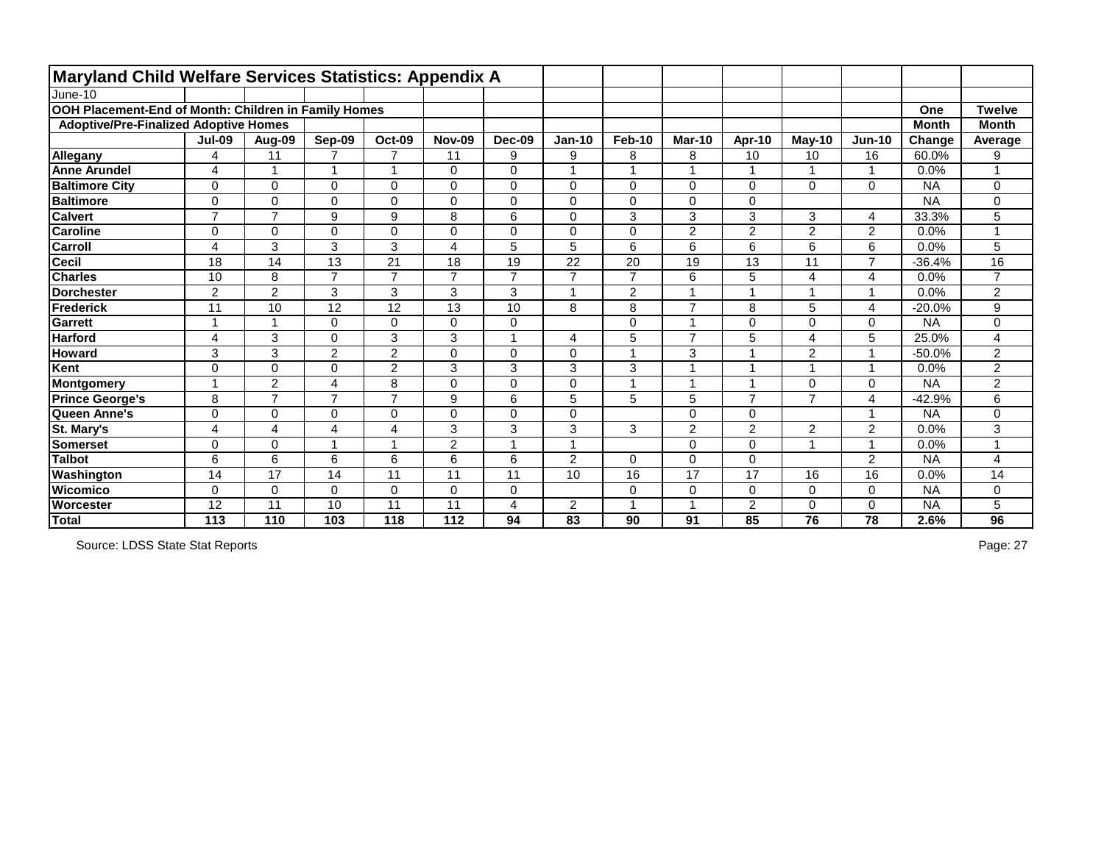| <b>Maryland Child Welfare Services Statistics: Appendix A</b> |                          |                |                |                |                |                |                |                         |                |                         |                |                |              |                |
|---------------------------------------------------------------|--------------------------|----------------|----------------|----------------|----------------|----------------|----------------|-------------------------|----------------|-------------------------|----------------|----------------|--------------|----------------|
| June-10                                                       |                          |                |                |                |                |                |                |                         |                |                         |                |                |              |                |
| OOH Placement-End of Month: Children in Family Homes          |                          |                |                |                |                |                |                |                         |                |                         |                |                | One          | <b>Twelve</b>  |
| <b>Adoptive/Pre-Finalized Adoptive Homes</b>                  |                          |                |                |                |                |                |                |                         |                |                         |                |                | <b>Month</b> | <b>Month</b>   |
|                                                               | <b>Jul-09</b>            | Aug-09         | Sep-09         | <b>Oct-09</b>  | <b>Nov-09</b>  | Dec-09         | $Jan-10$       | <b>Feb-10</b>           | <b>Mar-10</b>  | Apr-10                  | May-10         | <b>Jun-10</b>  | Change       | Average        |
| Allegany                                                      | 4                        | 11             | $\overline{7}$ | $\overline{7}$ | 11             | 9              | 9              | 8                       | 8              | 10                      | 10             | 16             | 60.0%        | 9              |
| <b>Anne Arundel</b>                                           | 4                        | 1              | $\overline{ }$ | 1              | 0              | $\mathbf 0$    | 4              | 1                       |                | $\overline{1}$          |                | $\overline{1}$ | 0.0%         |                |
| <b>Baltimore City</b>                                         | $\Omega$                 | $\mathbf 0$    | $\Omega$       | 0              | 0              | $\mathbf 0$    | 0              | $\mathbf 0$             | $\Omega$       | $\mathbf 0$             | 0              | $\mathbf 0$    | <b>NA</b>    | 0              |
| <b>Baltimore</b>                                              | $\Omega$                 | $\mathbf 0$    | $\Omega$       | $\pmb{0}$      | 0              | $\mathbf 0$    | $\Omega$       | $\pmb{0}$               | $\mathbf 0$    | $\mathbf 0$             |                |                | <b>NA</b>    | 0              |
| <b>Calvert</b>                                                | $\overline{7}$           | $\overline{7}$ | 9              | 9              | 8              | 6              | $\overline{0}$ | 3                       | 3              | 3                       | 3              | 4              | 33.3%        | 5              |
| <b>Caroline</b>                                               | 0                        | $\overline{0}$ | $\Omega$       | $\mathbf 0$    | 0              | $\overline{0}$ | 0              | $\mathbf 0$             | $\overline{2}$ | $\overline{2}$          | $\overline{2}$ | $\overline{2}$ | 0.0%         |                |
| <b>Carroll</b>                                                | 4                        | 3              | 3              | 3              | 4              | 5              | 5              | $\,6$                   | 6              | 6                       | 6              | 6              | 0.0%         | 5              |
| <b>Cecil</b>                                                  | 18                       | 14             | 13             | 21             | 18             | 19             | 22             | 20                      | 19             | 13                      | 11             | $\overline{7}$ | $-36.4%$     | 16             |
| <b>Charles</b>                                                | 10                       | 8              | $\overline{7}$ | $\overline{7}$ | $\overline{ }$ | $\overline{7}$ | $\overline{7}$ | $\overline{7}$          | 6              | 5                       | 4              | 4              | 0.0%         | $\overline{7}$ |
| <b>Dorchester</b>                                             | $\overline{2}$           | $\overline{2}$ | 3              | 3              | 3              | 3              |                | 2                       |                | 1                       |                | 1              | 0.0%         | $\overline{2}$ |
| Frederick                                                     | 11                       | 10             | 12             | 12             | 13             | 10             | 8              | 8                       | $\overline{7}$ | 8                       | 5              | 4              | $-20.0%$     | 9              |
| <b>Garrett</b>                                                | 1                        | $\overline{1}$ | $\Omega$       | $\mathbf 0$    | 0              | $\mathbf 0$    |                | $\mathbf 0$             |                | $\mathbf 0$             | 0              | 0              | <b>NA</b>    | 0              |
| <b>Harford</b>                                                | 4                        | 3              | $\Omega$       | 3              | 3              | $\overline{A}$ | 4              | $\overline{5}$          | $\overline{7}$ | 5                       | 4              | 5              | 25.0%        | 4              |
| <b>Howard</b>                                                 | 3                        | 3              | $\overline{2}$ | $\overline{2}$ | 0              | $\mathbf 0$    | $\mathbf 0$    | $\mathbf{1}$            | 3              | 1                       | $\overline{2}$ | $\overline{1}$ | $-50.0%$     | 2              |
| Kent                                                          | 0                        | $\overline{0}$ | $\overline{0}$ | $\overline{2}$ | 3              | 3              | 3              | $\mathbf{3}$            |                | $\overline{1}$          |                | $\overline{ }$ | 0.0%         | $\overline{2}$ |
| Montgomery                                                    | $\overline{\phantom{a}}$ | $\overline{2}$ | 4              | 8              | $\Omega$       | $\overline{0}$ | 0              | $\overline{1}$          |                | $\overline{\mathbf{A}}$ | 0              | $\Omega$       | <b>NA</b>    | $\overline{2}$ |
| <b>Prince George's</b>                                        | 8                        | $\overline{7}$ | $\overline{7}$ | $\overline{7}$ | 9              | 6              | 5              | 5                       | 5              | $\overline{7}$          | $\overline{7}$ | 4              | $-42.9%$     | 6              |
| Queen Anne's                                                  | $\mathbf 0$              | $\mathbf 0$    | $\overline{0}$ | $\mathbf 0$    | $\mathbf 0$    | $\mathbf 0$    | 0              |                         | $\mathbf 0$    | $\mathbf 0$             |                |                | <b>NA</b>    | 0              |
| St. Mary's                                                    | 4                        | 4              | 4              | $\overline{4}$ | 3              | 3              | 3              | 3                       | 2              | 2                       | $\overline{2}$ | $\overline{2}$ | 0.0%         | 3              |
| <b>Somerset</b>                                               | 0                        | $\mathbf 0$    |                | $\overline{A}$ | $\overline{2}$ |                |                |                         | $\Omega$       | $\mathbf 0$             |                | $\overline{ }$ | 0.0%         | 1              |
| <b>Talbot</b>                                                 | 6                        | 6              | 6              | 6              | 6              | 6              | $\overline{2}$ | $\mathbf 0$             | $\Omega$       | $\mathbf{0}$            |                | $\overline{2}$ | <b>NA</b>    | 4              |
| Washington                                                    | 14                       | 17             | 14             | 11             | 11             | 11             | 10             | 16                      | 17             | 17                      | 16             | 16             | 0.0%         | 14             |
| <b>Wicomico</b>                                               | 0                        | $\overline{0}$ | $\Omega$       | $\mathbf 0$    | $\mathbf 0$    | $\overline{0}$ |                | $\mathbf 0$             | $\mathbf 0$    | $\mathbf 0$             | 0              | $\mathbf{0}$   | <b>NA</b>    | 0              |
| <b>Worcester</b>                                              | 12                       | 11             | 10             | 11             | 11             | 4              | $\overline{2}$ | $\overline{\mathbf{A}}$ |                | $\overline{2}$          | 0              | 0              | <b>NA</b>    | 5              |
| Total                                                         | 113                      | 110            | 103            | 118            | 112            | 94             | 83             | 90                      | 91             | 85                      | 76             | 78             | 2.6%         | 96             |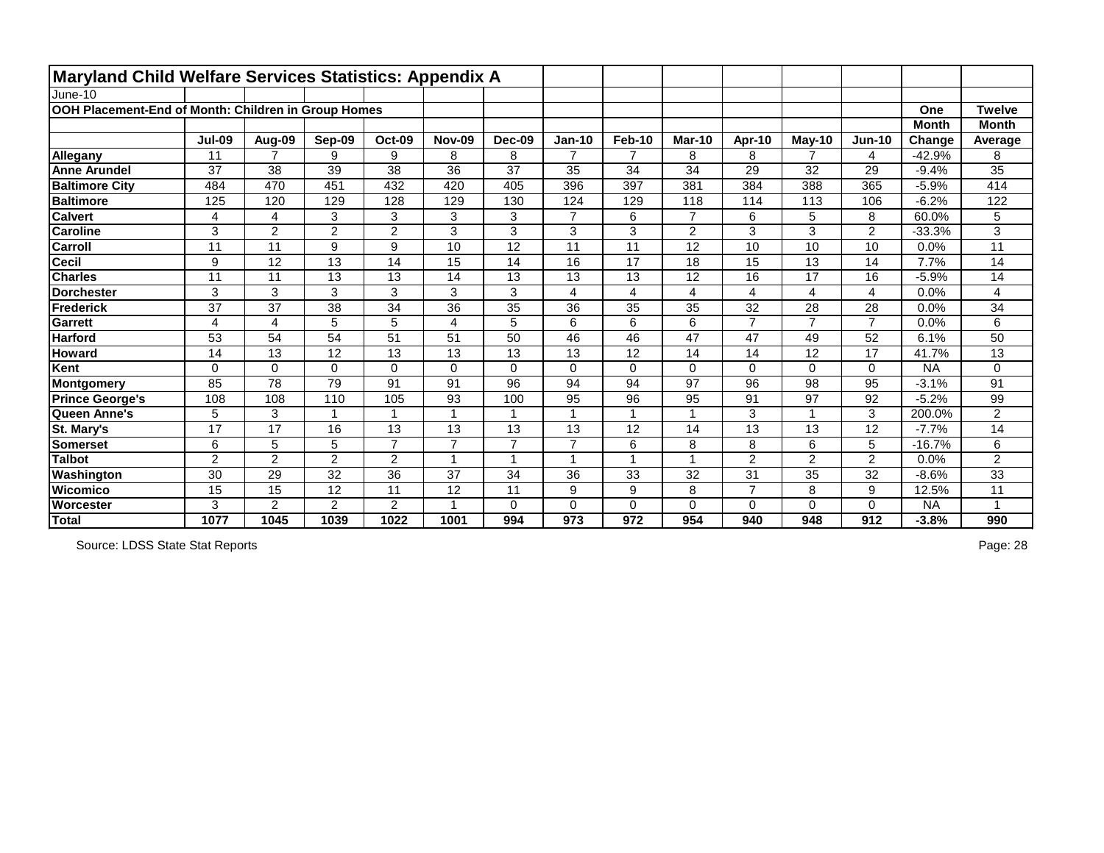| <b>Maryland Child Welfare Services Statistics: Appendix A</b> |                |                 |                 |                |               |                      |                |                |                |                |                |                |              |                |
|---------------------------------------------------------------|----------------|-----------------|-----------------|----------------|---------------|----------------------|----------------|----------------|----------------|----------------|----------------|----------------|--------------|----------------|
| June-10                                                       |                |                 |                 |                |               |                      |                |                |                |                |                |                |              |                |
| OOH Placement-End of Month: Children in Group Homes           |                |                 |                 |                |               |                      |                |                |                |                |                |                | One          | <b>Twelve</b>  |
|                                                               |                |                 |                 |                |               |                      |                |                |                |                |                |                | <b>Month</b> | <b>Month</b>   |
|                                                               | <b>Jul-09</b>  | Aug-09          | Sep-09          | <b>Oct-09</b>  | <b>Nov-09</b> | Dec-09               | <b>Jan-10</b>  | <b>Feb-10</b>  | <b>Mar-10</b>  | Apr-10         | $May-10$       | $Jun-10$       | Change       | Average        |
| Allegany                                                      | 11             | $\overline{7}$  | 9               | 9              | 8             | 8                    | $\overline{7}$ | $\overline{7}$ | 8              | 8              | $\overline{7}$ | 4              | $-42.9%$     | 8              |
| <b>Anne Arundel</b>                                           | 37             | 38              | 39              | 38             | 36            | 37                   | 35             | 34             | 34             | 29             | 32             | 29             | $-9.4%$      | 35             |
| <b>Baltimore City</b>                                         | 484            | 470             | 451             | 432            | 420           | 405                  | 396            | 397            | 381            | 384            | 388            | 365            | $-5.9%$      | 414            |
| <b>Baltimore</b>                                              | 125            | 120             | 129             | 128            | 129           | 130                  | 124            | 129            | 118            | 114            | 113            | 106            | $-6.2%$      | 122            |
| <b>Calvert</b>                                                | 4              | 4               | 3               | 3              | 3             | 3                    | $\overline{7}$ | 6              | $\overline{7}$ | 6              | 5              | 8              | 60.0%        | 5              |
| <b>Caroline</b>                                               | 3              | $\overline{2}$  | $\overline{2}$  | $\overline{2}$ | 3             | 3                    | 3              | 3              | $\overline{2}$ | 3              | 3              | $\overline{2}$ | $-33.3%$     | 3              |
| Carroll                                                       | 11             | 11              | 9               | 9              | 10            | 12                   | 11             | 11             | 12             | 10             | 10             | 10             | 0.0%         | 11             |
| <b>Cecil</b>                                                  | 9              | 12              | 13              | 14             | 15            | 14                   | 16             | 17             | 18             | 15             | 13             | 14             | 7.7%         | 14             |
| <b>Charles</b>                                                | 11             | 11              | 13              | 13             | 14            | 13                   | 13             | 13             | 12             | 16             | 17             | 16             | $-5.9%$      | 14             |
| <b>Dorchester</b>                                             | 3              | 3               | 3               | 3              | 3             | 3                    | 4              | $\overline{4}$ | 4              | $\overline{4}$ | 4              | 4              | 0.0%         | 4              |
| Frederick                                                     | 37             | $\overline{37}$ | 38              | 34             | 36            | 35                   | 36             | 35             | 35             | 32             | 28             | 28             | 0.0%         | 34             |
| <b>Garrett</b>                                                | 4              | 4               | 5               | 5              | 4             | 5                    | 6              | $6\phantom{1}$ | 6              | $\overline{7}$ | $\overline{7}$ | $\overline{7}$ | 0.0%         | 6              |
| <b>Harford</b>                                                | 53             | 54              | 54              | 51             | 51            | 50                   | 46             | 46             | 47             | 47             | 49             | 52             | 6.1%         | 50             |
| <b>Howard</b>                                                 | 14             | 13              | 12              | 13             | 13            | 13                   | 13             | 12             | 14             | 14             | 12             | 17             | 41.7%        | 13             |
| Kent                                                          | $\Omega$       | $\mathbf 0$     | $\Omega$        | 0              | 0             | $\overline{0}$       | $\overline{0}$ | $\mathbf 0$    | $\Omega$       | $\mathbf 0$    | 0              | $\mathbf 0$    | <b>NA</b>    | 0              |
| Montgomery                                                    | 85             | 78              | 79              | 91             | 91            | 96                   | 94             | 94             | 97             | 96             | 98             | 95             | $-3.1%$      | 91             |
| <b>Prince George's</b>                                        | 108            | 108             | 110             | 105            | 93            | 100                  | 95             | 96             | 95             | 91             | 97             | 92             | $-5.2%$      | 99             |
| Queen Anne's                                                  | 5              | 3               |                 | 1              |               |                      |                | 1              |                | 3              |                | 3              | 200.0%       | $\overline{2}$ |
| St. Mary's                                                    | 17             | 17              | 16              | 13             | 13            | 13                   | 13             | 12             | 14             | 13             | 13             | 12             | $-7.7%$      | 14             |
| <b>Somerset</b>                                               | 6              | 5               | 5               | $\overline{7}$ | 7             | $\overline{7}$       | $\overline{7}$ | $\,6$          | 8              | 8              | 6              | 5              | $-16.7%$     | 6              |
| <b>Talbot</b>                                                 | $\overline{2}$ | $\overline{2}$  | $\overline{2}$  | $\overline{2}$ |               | $\blacktriangleleft$ |                | $\mathbf{1}$   |                | $\overline{2}$ | $\overline{2}$ | $\overline{2}$ | 0.0%         | $\overline{2}$ |
| Washington                                                    | 30             | 29              | 32              | 36             | 37            | 34                   | 36             | 33             | 32             | 31             | 35             | 32             | $-8.6%$      | 33             |
| <b>Wicomico</b>                                               | 15             | 15              | $\overline{12}$ | 11             | 12            | 11                   | 9              | 9              | 8              | $\overline{7}$ | 8              | 9              | 12.5%        | 11             |
| Worcester                                                     | 3              | $\overline{2}$  | $\overline{2}$  | $\overline{2}$ |               | $\Omega$             | 0              | $\mathbf 0$    | 0              | $\mathbf{0}$   | 0              | 0              | <b>NA</b>    |                |
| Total                                                         | 1077           | 1045            | 1039            | 1022           | 1001          | 994                  | 973            | 972            | 954            | 940            | 948            | 912            | $-3.8%$      | 990            |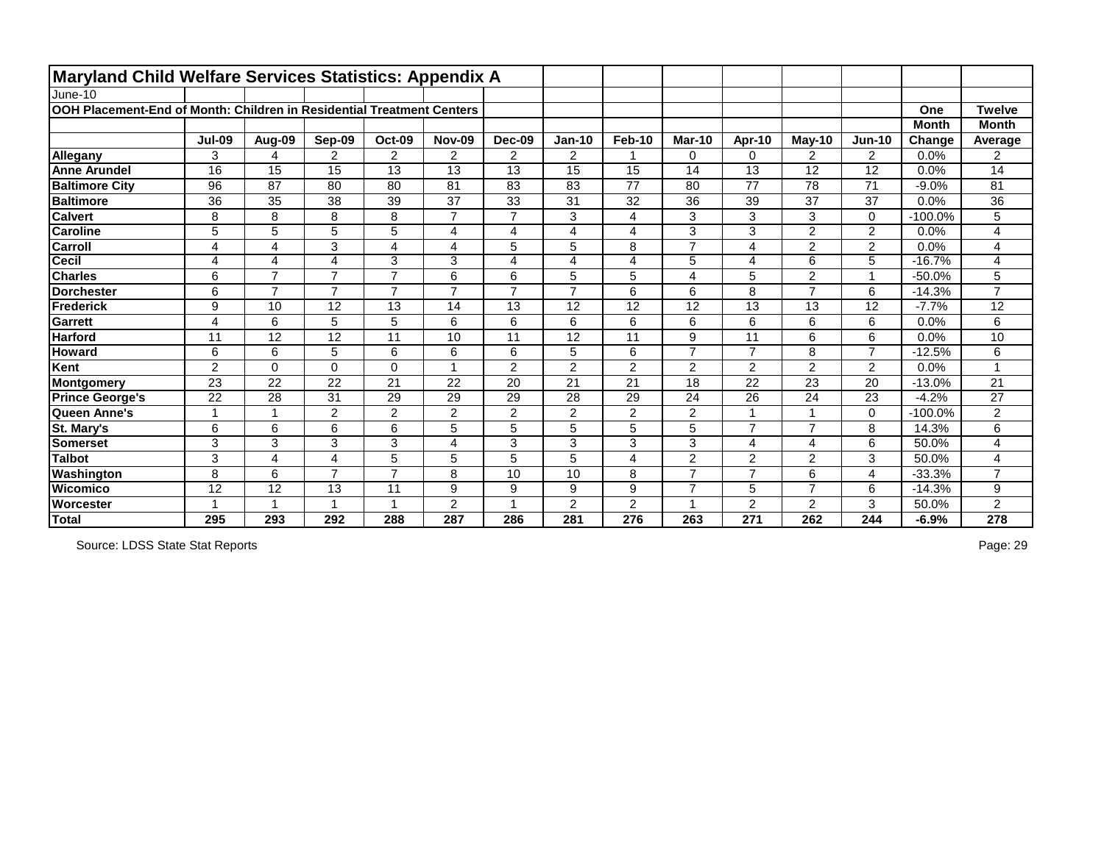| <b>Maryland Child Welfare Services Statistics: Appendix A</b>         |                          |                 |                |                |                |                         |                |                         |                |                         |                |                |              |                |
|-----------------------------------------------------------------------|--------------------------|-----------------|----------------|----------------|----------------|-------------------------|----------------|-------------------------|----------------|-------------------------|----------------|----------------|--------------|----------------|
| June-10                                                               |                          |                 |                |                |                |                         |                |                         |                |                         |                |                |              |                |
| OOH Placement-End of Month: Children in Residential Treatment Centers |                          |                 |                |                |                |                         |                |                         |                |                         |                |                | One          | <b>Twelve</b>  |
|                                                                       |                          |                 |                |                |                |                         |                |                         |                |                         |                |                | <b>Month</b> | <b>Month</b>   |
|                                                                       | <b>Jul-09</b>            | Aug-09          | Sep-09         | Oct-09         | <b>Nov-09</b>  | Dec-09                  | $Jan-10$       | <b>Feb-10</b>           | Mar-10         | Apr-10                  | $May-10$       | $Jun-10$       | Change       | Average        |
| Allegany                                                              | 3                        | 4               | $\overline{2}$ | $\overline{2}$ | $\overline{2}$ | 2                       | $\overline{2}$ |                         | $\Omega$       | $\Omega$                | $\overline{2}$ | 2              | 0.0%         | $\overline{2}$ |
| <b>Anne Arundel</b>                                                   | 16                       | 15              | 15             | 13             | 13             | 13                      | 15             | 15                      | 14             | 13                      | 12             | 12             | 0.0%         | 14             |
| <b>Baltimore City</b>                                                 | 96                       | 87              | 80             | 80             | 81             | 83                      | 83             | 77                      | 80             | 77                      | 78             | 71             | $-9.0%$      | 81             |
| <b>Baltimore</b>                                                      | 36                       | 35              | 38             | 39             | 37             | 33                      | 31             | 32                      | 36             | 39                      | 37             | 37             | 0.0%         | 36             |
| <b>Calvert</b>                                                        | 8                        | 8               | 8              | 8              | $\overline{7}$ | $\overline{7}$          | 3              | $\overline{\mathbf{4}}$ | 3              | 3                       | 3              | $\mathbf 0$    | $-100.0%$    | 5              |
| <b>Caroline</b>                                                       | 5                        | 5               | 5              | 5              | 4              | $\overline{\mathbf{4}}$ | 4              | $\overline{4}$          | 3              | 3                       | $\overline{2}$ | $\overline{2}$ | 0.0%         | 4              |
| <b>Carroll</b>                                                        | 4                        | 4               | 3              | 4              | 4              | 5                       | 5              | 8                       | $\overline{ }$ | 4                       | 2              | $\overline{2}$ | 0.0%         | 4              |
| Cecil                                                                 | 4                        | 4               | $\overline{4}$ | 3              | 3              | $\overline{4}$          | 4              | $\overline{4}$          | $\overline{5}$ | $\overline{4}$          | 6              | $\overline{5}$ | $-16.7%$     | 4              |
| <b>Charles</b>                                                        | 6                        | $\overline{7}$  | $\overline{7}$ | $\overline{7}$ | 6              | 6                       | 5              | 5                       | 4              | 5                       | $\overline{2}$ | $\overline{1}$ | $-50.0%$     | 5              |
| <b>Dorchester</b>                                                     | 6                        | $\overline{7}$  | $\overline{7}$ | $\overline{7}$ | $\overline{7}$ | $\overline{7}$          | $\overline{7}$ | $6\phantom{1}$          | 6              | 8                       | $\overline{7}$ | 6              | $-14.3%$     | $\overline{7}$ |
| Frederick                                                             | 9                        | 10              | 12             | 13             | 14             | 13                      | 12             | 12                      | 12             | 13                      | 13             | 12             | $-7.7%$      | 12             |
| Garrett                                                               | 4                        | 6               | 5              | 5              | 6              | 6                       | 6              | 6                       | 6              | 6                       | 6              | 6              | 0.0%         | 6              |
| <b>Harford</b>                                                        | 11                       | $\overline{12}$ | 12             | 11             | 10             | 11                      | 12             | 11                      | 9              | $\overline{11}$         | 6              | $6\phantom{1}$ | 0.0%         | 10             |
| <b>Howard</b>                                                         | 6                        | 6               | 5              | 6              | 6              | 6                       | 5              | $\,6$                   | $\overline{7}$ | $\overline{7}$          | 8              | $\overline{7}$ | $-12.5%$     | 6              |
| Kent                                                                  | $\overline{2}$           | $\mathbf 0$     | $\Omega$       | 0              |                | $\overline{2}$          | $\overline{2}$ | $\overline{2}$          | $\overline{2}$ | $\overline{2}$          | $\overline{2}$ | $\overline{2}$ | 0.0%         |                |
| Montgomery                                                            | 23                       | 22              | 22             | 21             | 22             | 20                      | 21             | 21                      | 18             | 22                      | 23             | 20             | $-13.0%$     | 21             |
| <b>Prince George's</b>                                                | 22                       | 28              | 31             | 29             | 29             | 29                      | 28             | 29                      | 24             | 26                      | 24             | 23             | $-4.2%$      | 27             |
| Queen Anne's                                                          | $\overline{\phantom{a}}$ | 1               | $\overline{2}$ | $\overline{2}$ | $\overline{2}$ | $\overline{2}$          | $\overline{2}$ | $\overline{2}$          | 2              |                         |                | 0              | $-100.0%$    | $\overline{2}$ |
| St. Mary's                                                            | 6                        | 6               | 6              | 6              | 5              | 5                       | 5              | 5                       | 5              | $\overline{7}$          | $\overline{7}$ | 8              | 14.3%        | 6              |
| <b>Somerset</b>                                                       | 3                        | 3               | 3              | 3              | 4              | 3                       | 3              | $\mathbf{3}$            | 3              | $\overline{\mathbf{4}}$ | 4              | $6\phantom{1}$ | 50.0%        | 4              |
| <b>Talbot</b>                                                         | 3                        | 4               | 4              | 5              | 5              | 5                       | 5              | $\overline{4}$          | $\overline{2}$ | $\overline{2}$          | $\overline{2}$ | 3              | 50.0%        | 4              |
| Washington                                                            | 8                        | $6\phantom{1}$  | $\overline{7}$ | $\overline{7}$ | 8              | 10                      | 10             | $\, 8$                  | $\overline{7}$ | $\overline{7}$          | 6              | 4              | $-33.3%$     | $\overline{7}$ |
| Wicomico                                                              | 12                       | 12              | 13             | 11             | 9              | 9                       | 9              | 9                       | $\overline{7}$ | 5                       | $\overline{7}$ | 6              | $-14.3%$     | 9              |
| <b>Worcester</b>                                                      |                          | $\mathbf 1$     |                | $\overline{1}$ | $\overline{2}$ | $\overline{\mathbf{A}}$ | $\overline{2}$ | $\overline{2}$          |                | $\overline{2}$          | 2              | 3              | 50.0%        | 2              |
| Total                                                                 | 295                      | 293             | 292            | 288            | 287            | 286                     | 281            | 276                     | 263            | 271                     | 262            | 244            | $-6.9%$      | 278            |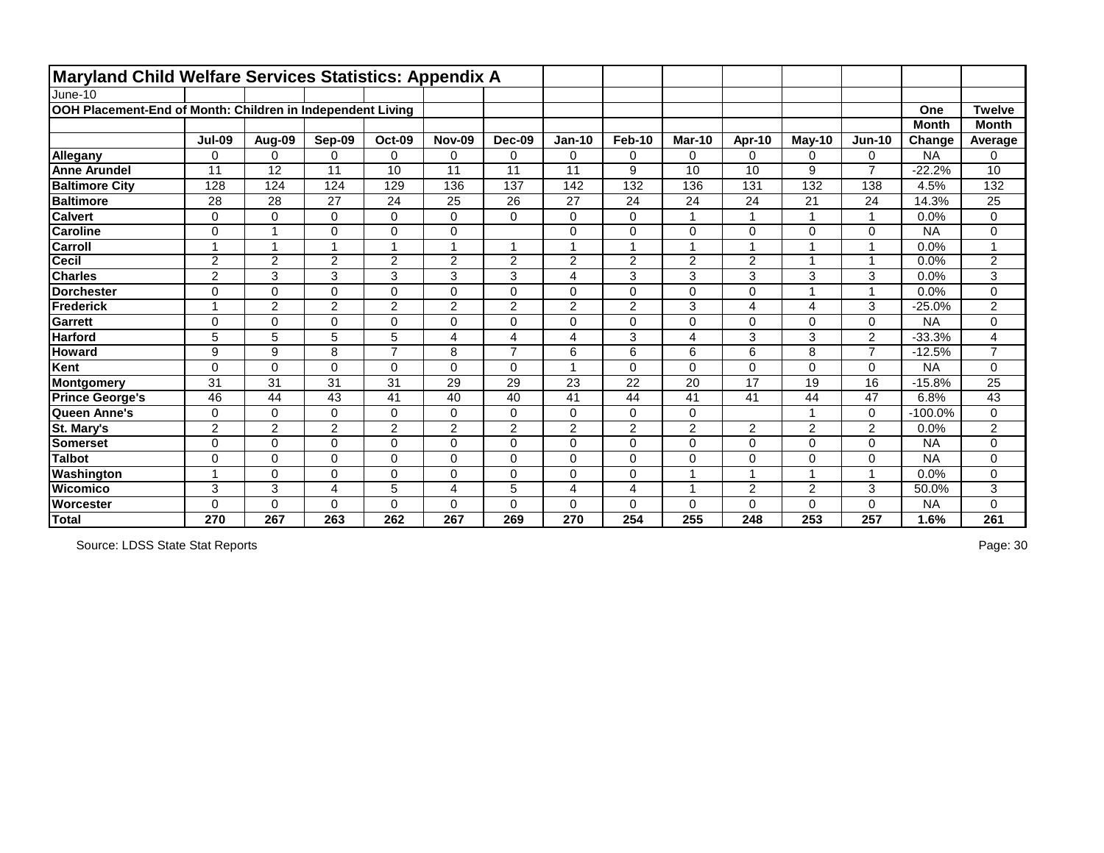| Maryland Child Welfare Services Statistics: Appendix A     |                |                |                |                          |                |                |                         |                |                |                          |                |                |              |                |
|------------------------------------------------------------|----------------|----------------|----------------|--------------------------|----------------|----------------|-------------------------|----------------|----------------|--------------------------|----------------|----------------|--------------|----------------|
| June-10                                                    |                |                |                |                          |                |                |                         |                |                |                          |                |                |              |                |
| OOH Placement-End of Month: Children in Independent Living |                |                |                |                          |                |                |                         |                |                |                          |                |                | One          | <b>Twelve</b>  |
|                                                            |                |                |                |                          |                |                |                         |                |                |                          |                |                | <b>Month</b> | <b>Month</b>   |
|                                                            | <b>Jul-09</b>  | Aug-09         | Sep-09         | Oct-09                   | <b>Nov-09</b>  | <b>Dec-09</b>  | <b>Jan-10</b>           | Feb-10         | <b>Mar-10</b>  | Apr-10                   | $M$ ay-10      | $Jun-10$       | Change       | Average        |
| Allegany                                                   | 0              | $\Omega$       | 0              | $\mathbf 0$              | 0              | $\Omega$       | $\mathbf 0$             | $\mathbf 0$    | $\mathbf 0$    | $\Omega$                 | 0              | $\Omega$       | <b>NA</b>    | 0              |
| <b>Anne Arundel</b>                                        | 11             | 12             | 11             | 10                       | 11             | 11             | 11                      | 9              | 10             | 10                       | 9              | $\overline{7}$ | $-22.2%$     | 10             |
| <b>Baltimore City</b>                                      | 128            | 124            | 124            | 129                      | 136            | 137            | 142                     | 132            | 136            | 131                      | 132            | 138            | 4.5%         | 132            |
| <b>Baltimore</b>                                           | 28             | 28             | 27             | 24                       | 25             | 26             | 27                      | 24             | 24             | 24                       | 21             | 24             | 14.3%        | 25             |
| <b>Calvert</b>                                             | $\mathbf 0$    | $\mathbf 0$    | 0              | $\mathbf 0$              | 0              | $\mathbf 0$    | $\mathbf 0$             | $\mathbf 0$    | $\mathbf 1$    | $\overline{\phantom{a}}$ | 1              | 1              | 0.0%         | 0              |
| <b>Caroline</b>                                            | $\mathbf 0$    |                | 0              | $\boldsymbol{0}$         | 0              |                | 0                       | $\mathbf 0$    | $\mathbf 0$    | 0                        | 0              | $\Omega$       | <b>NA</b>    | 0              |
| <b>Carroll</b>                                             |                |                |                | $\overline{\phantom{a}}$ | 1              | 1              |                         | -1             |                |                          | 1              |                | 0.0%         |                |
| <b>Cecil</b>                                               | $\overline{2}$ | $\overline{2}$ | $\overline{2}$ | $\overline{2}$           | $\overline{2}$ | $\overline{2}$ | $\overline{2}$          | $\overline{2}$ | $\overline{2}$ | $\overline{2}$           | $\mathbf{1}$   | -1             | 0.0%         | $\overline{2}$ |
| <b>Charles</b>                                             | $\overline{2}$ | 3              | 3              | 3                        | 3              | 3              | $\overline{\mathbf{4}}$ | 3              | 3              | 3                        | $\mathbf{3}$   | 3              | 0.0%         | 3              |
| <b>Dorchester</b>                                          | $\mathbf 0$    | $\mathbf 0$    | 0              | $\mathbf 0$              | 0              | $\overline{0}$ | $\mathbf 0$             | $\mathbf 0$    | $\mathbf 0$    | $\overline{0}$           | 1              | 1              | 0.0%         | $\mathbf 0$    |
| Frederick                                                  |                | $\overline{2}$ | $\overline{2}$ | $\overline{2}$           | $\overline{2}$ | $\overline{2}$ | $\overline{2}$          | $\overline{2}$ | 3              | 4                        | 4              | 3              | $-25.0%$     | $\overline{2}$ |
| Garrett                                                    | $\mathbf 0$    | $\mathbf 0$    | 0              | $\mathbf 0$              | 0              | $\mathbf 0$    | $\pmb{0}$               | $\mathbf 0$    | $\mathbf 0$    | 0                        | 0              | $\Omega$       | <b>NA</b>    | 0              |
| <b>Harford</b>                                             | 5              | 5              | 5              | 5                        | 4              | 4              | $\overline{\mathbf{4}}$ | 3              | 4              | 3                        | 3              | $\overline{c}$ | $-33.3%$     | 4              |
| <b>Howard</b>                                              | 9              | 9              | 8              | $\overline{7}$           | 8              | $\overline{7}$ | 6                       | 6              | 6              | 6                        | 8              | $\overline{7}$ | $-12.5%$     | $\overline{7}$ |
| Kent                                                       | 0              | $\mathbf 0$    | 0              | $\boldsymbol{0}$         | 0              | $\mathbf 0$    |                         | $\mathbf 0$    | $\mathbf{0}$   | 0                        | 0              | $\Omega$       | <b>NA</b>    | 0              |
| Montgomery                                                 | 31             | 31             | 31             | 31                       | 29             | 29             | 23                      | 22             | 20             | 17                       | 19             | 16             | $-15.8%$     | 25             |
| <b>Prince George's</b>                                     | 46             | 44             | 43             | 41                       | 40             | 40             | 41                      | 44             | 41             | 41                       | 44             | 47             | 6.8%         | 43             |
| Queen Anne's                                               | 0              | 0              | 0              | 0                        | 0              | 0              | 0                       | $\mathbf 0$    | 0              |                          | 1              | $\Omega$       | $-100.0%$    | 0              |
| <b>St. Mary's</b>                                          | $\overline{2}$ | $\overline{2}$ | $\overline{2}$ | $\overline{2}$           | $\overline{2}$ | $\overline{2}$ | $\overline{2}$          | $\overline{2}$ | $\overline{2}$ | $\overline{2}$           | $\overline{2}$ | $\overline{2}$ | 0.0%         | $\overline{2}$ |
| <b>Somerset</b>                                            | $\overline{0}$ | $\overline{0}$ | $\overline{0}$ | $\mathbf 0$              | $\overline{0}$ | $\overline{0}$ | $\mathbf 0$             | $\mathbf 0$    | $\mathbf 0$    | $\overline{0}$           | $\mathbf 0$    | $\mathbf 0$    | <b>NA</b>    | $\mathbf 0$    |
| <b>Talbot</b>                                              | $\mathbf 0$    | $\mathbf 0$    | 0              | $\mathbf 0$              | 0              | $\mathbf 0$    | $\mathbf 0$             | $\mathbf 0$    | $\mathbf 0$    | 0                        | 0              | $\Omega$       | <b>NA</b>    | 0              |
| Washington                                                 |                | $\overline{0}$ | 0              | $\mathbf 0$              | 0              | $\overline{0}$ | $\pmb{0}$               | $\mathbf 0$    |                |                          | 1              |                | 0.0%         | 0              |
| <b>Wicomico</b>                                            | 3              | $\mathbf{3}$   | 4              | 5                        | 4              | 5              | $\overline{\mathbf{4}}$ | $\overline{4}$ | 1              | $\overline{2}$           | $\overline{2}$ | 3              | 50.0%        | 3              |
| Worcester                                                  | $\Omega$       | $\mathbf 0$    | 0              | $\mathbf 0$              | 0              | $\mathbf 0$    | $\mathbf 0$             | $\overline{0}$ | $\mathbf 0$    | $\Omega$                 | 0              | $\Omega$       | <b>NA</b>    | 0              |
| Total                                                      | 270            | 267            | 263            | 262                      | 267            | 269            | 270                     | 254            | 255            | 248                      | 253            | 257            | 1.6%         | 261            |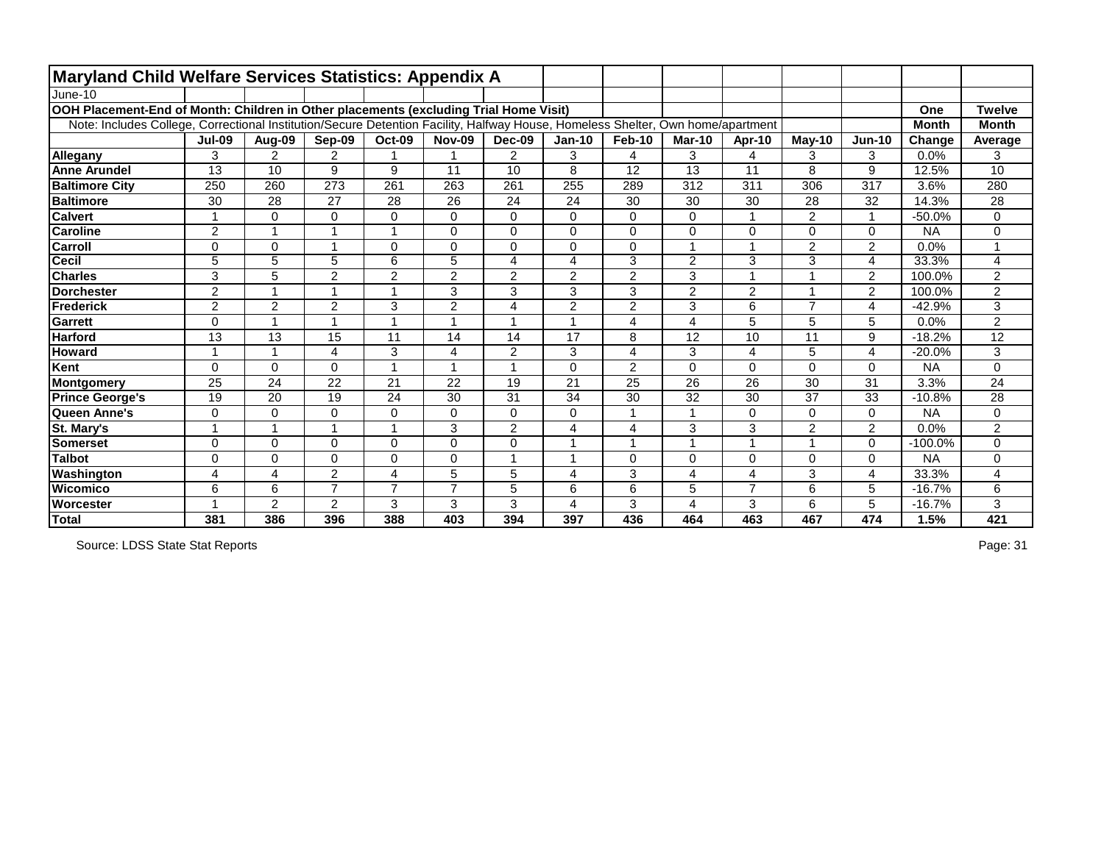| <b>Maryland Child Welfare Services Statistics: Appendix A</b>                                                                   |                          |                         |                |                         |                |                         |                |                         |                |                         |                |                         |              |                |
|---------------------------------------------------------------------------------------------------------------------------------|--------------------------|-------------------------|----------------|-------------------------|----------------|-------------------------|----------------|-------------------------|----------------|-------------------------|----------------|-------------------------|--------------|----------------|
| June-10                                                                                                                         |                          |                         |                |                         |                |                         |                |                         |                |                         |                |                         |              |                |
| OOH Placement-End of Month: Children in Other placements (excluding Trial Home Visit)                                           |                          |                         |                |                         |                |                         |                |                         |                |                         |                |                         | One          | <b>Twelve</b>  |
| Note: Includes College, Correctional Institution/Secure Detention Facility, Halfway House, Homeless Shelter, Own home/apartment |                          |                         |                |                         |                |                         |                |                         |                |                         |                |                         | <b>Month</b> | <b>Month</b>   |
|                                                                                                                                 | <b>Jul-09</b>            | Aug-09                  | Sep-09         | <b>Oct-09</b>           | <b>Nov-09</b>  | Dec-09                  | <b>Jan-10</b>  | Feb-10                  | <b>Mar-10</b>  | Apr-10                  | $May-10$       | <b>Jun-10</b>           | Change       | Average        |
| Allegany                                                                                                                        | 3                        | $\overline{2}$          | $\overline{2}$ |                         |                | 2                       | 3              | 4                       | 3              | 4                       | 3              | 3                       | 0.0%         | 3              |
| <b>Anne Arundel</b>                                                                                                             | 13                       | 10                      | 9              | 9                       | 11             | 10                      | 8              | 12                      | 13             | 11                      | 8              | 9                       | 12.5%        | 10             |
| <b>Baltimore City</b>                                                                                                           | 250                      | 260                     | 273            | 261                     | 263            | 261                     | 255            | 289                     | 312            | 311                     | 306            | 317                     | 3.6%         | 280            |
| <b>Baltimore</b>                                                                                                                | 30                       | 28                      | 27             | 28                      | 26             | 24                      | 24             | 30                      | 30             | 30                      | 28             | 32                      | 14.3%        | 28             |
| <b>Calvert</b>                                                                                                                  | $\overline{\phantom{a}}$ | $\Omega$                | 0              | $\mathsf 0$             | $\mathbf 0$    | $\mathbf 0$             | 0              | $\mathbf 0$             | 0              | 1                       | 2              | 1                       | $-50.0%$     | 0              |
| <b>Caroline</b>                                                                                                                 | $\overline{2}$           | $\overline{\mathbf{1}}$ |                |                         | $\mathbf 0$    | $\overline{0}$          | 0              | $\mathbf 0$             | $\mathbf{0}$   | $\overline{0}$          | 0              | $\mathbf 0$             | <b>NA</b>    | 0              |
| <b>Carroll</b>                                                                                                                  | $\Omega$                 | 0                       |                | 0                       | $\Omega$       | $\Omega$                | 0              | $\mathbf 0$             |                | $\overline{\mathbf{A}}$ | 2              | $\overline{2}$          | 0.0%         |                |
| <b>Cecil</b>                                                                                                                    | $\overline{5}$           | $\overline{5}$          | 5              | $\overline{6}$          | $\overline{5}$ | $\overline{4}$          | 4              | $\overline{3}$          | $\overline{2}$ | 3                       | 3              | 4                       | 33.3%        | 4              |
| <b>Charles</b>                                                                                                                  | 3                        | 5                       | $\overline{2}$ | $\mathbf 2$             | $\overline{2}$ | $\overline{2}$          | $\overline{2}$ | $\overline{2}$          | 3              |                         |                | $\overline{2}$          | 100.0%       | 2              |
| <b>Dorchester</b>                                                                                                               | $\overline{2}$           | $\blacktriangleleft$    |                |                         | 3              | 3                       | 3              | 3                       | $\overline{2}$ | $\overline{2}$          |                | $\overline{2}$          | 100.0%       | $\overline{2}$ |
| <b>IFrederick</b>                                                                                                               | $\overline{2}$           | $\overline{2}$          | $\overline{2}$ | 3                       | $\overline{2}$ | $\overline{\mathbf{4}}$ | $\overline{2}$ | $\overline{2}$          | 3              | 6                       | $\overline{7}$ | 4                       | $-42.9%$     | $\overline{3}$ |
| <b>Garrett</b>                                                                                                                  | $\Omega$                 | 1                       |                | $\overline{\mathbf{A}}$ |                | $\blacktriangleleft$    |                | 4                       | 4              | 5                       | 5              | 5                       | 0.0%         | $\overline{2}$ |
| <b>Harford</b>                                                                                                                  | 13                       | 13                      | 15             | 11                      | 14             | 14                      | 17             | 8                       | 12             | 10                      | 11             | 9                       | $-18.2%$     | 12             |
| <b>Howard</b>                                                                                                                   | $\overline{\phantom{a}}$ | $\mathbf{1}$            | 4              | 3                       | 4              | $\overline{2}$          | 3              | $\overline{\mathbf{4}}$ | 3              | 4                       | 5              | 4                       | $-20.0%$     | 3              |
| Kent                                                                                                                            | $\overline{0}$           | $\mathbf 0$             | 0              |                         |                | 1                       | 0              | $\overline{2}$          | 0              | $\mathbf 0$             | 0              | $\mathbf 0$             | <b>NA</b>    | 0              |
| Montgomery                                                                                                                      | 25                       | 24                      | 22             | 21                      | 22             | 19                      | 21             | 25                      | 26             | 26                      | 30             | 31                      | 3.3%         | 24             |
| <b>Prince George's</b>                                                                                                          | 19                       | 20                      | 19             | 24                      | 30             | 31                      | 34             | 30                      | 32             | 30                      | 37             | 33                      | $-10.8%$     | 28             |
| Queen Anne's                                                                                                                    | $\mathbf 0$              | 0                       | 0              | 0                       | $\mathbf 0$    | $\mathbf 0$             | 0              |                         |                | 0                       | 0              | $\mathbf 0$             | <b>NA</b>    | 0              |
| St. Mary's                                                                                                                      | -1                       | 1                       |                | $\overline{ }$          | 3              | 2                       | 4              | $\overline{4}$          | 3              | 3                       | $\overline{2}$ | 2                       | 0.0%         | $\overline{2}$ |
| <b>Somerset</b>                                                                                                                 | $\Omega$                 | $\Omega$                | $\Omega$       | 0                       | $\Omega$       | $\mathbf 0$             |                |                         |                |                         |                | $\mathbf 0$             | $-100.0%$    | 0              |
| <b>Talbot</b>                                                                                                                   | $\overline{0}$           | $\overline{0}$          | $\Omega$       | $\overline{0}$          | $\mathbf 0$    | $\overline{ }$          |                | $\mathbf 0$             | $\Omega$       | 0                       | 0              | 0                       | <b>NA</b>    | 0              |
| Washington                                                                                                                      | 4                        | 4                       | $\overline{2}$ | $\overline{4}$          | 5              | 5                       | 4              | 3                       | $\overline{4}$ | 4                       | 3              | $\overline{\mathbf{4}}$ | 33.3%        | 4              |
| Wicomico                                                                                                                        | 6                        | 6                       | $\overline{7}$ | $\overline{7}$          | $\overline{z}$ | 5                       | 6              | 6                       | 5              | $\overline{7}$          | 6              | 5                       | $-16.7%$     | 6              |
| <b>Worcester</b>                                                                                                                |                          | $\overline{2}$          | $\overline{2}$ | 3                       | 3              | 3                       | 4              | 3                       | 4              | 3                       | 6              | 5                       | $-16.7%$     | 3              |
| Total                                                                                                                           | 381                      | 386                     | 396            | 388                     | 403            | 394                     | 397            | 436                     | 464            | 463                     | 467            | 474                     | 1.5%         | 421            |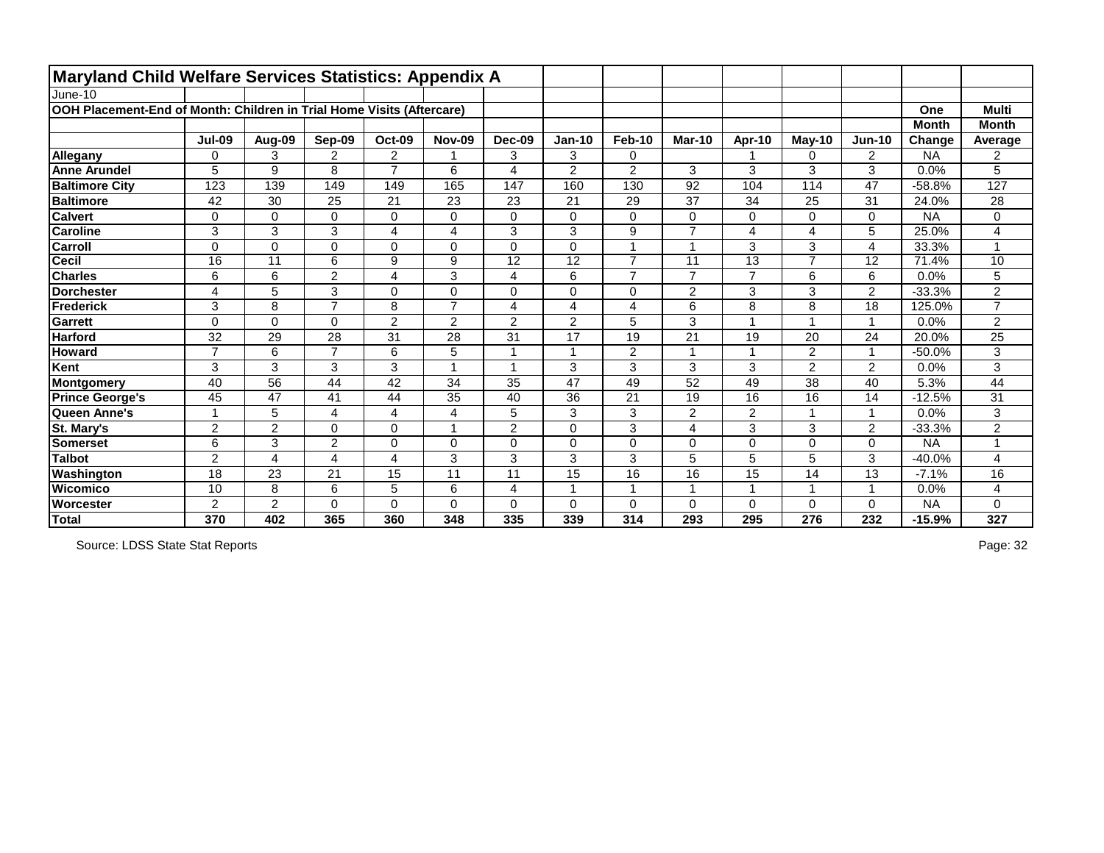| <b>Maryland Child Welfare Services Statistics: Appendix A</b>         |                 |                 |                |                         |                |                         |                 |                         |                 |                 |                         |                 |              |                 |
|-----------------------------------------------------------------------|-----------------|-----------------|----------------|-------------------------|----------------|-------------------------|-----------------|-------------------------|-----------------|-----------------|-------------------------|-----------------|--------------|-----------------|
| June-10                                                               |                 |                 |                |                         |                |                         |                 |                         |                 |                 |                         |                 |              |                 |
| OOH Placement-End of Month: Children in Trial Home Visits (Aftercare) |                 |                 |                |                         |                |                         |                 |                         |                 |                 |                         |                 | One          | <b>Multi</b>    |
|                                                                       |                 |                 |                |                         |                |                         |                 |                         |                 |                 |                         |                 | <b>Month</b> | <b>Month</b>    |
|                                                                       | <b>Jul-09</b>   | Aug-09          | Sep-09         | Oct-09                  | <b>Nov-09</b>  | Dec-09                  | $Jan-10$        | <b>Feb-10</b>           | Mar-10          | Apr-10          | $May-10$                | $Jun-10$        | Change       | Average         |
| Allegany                                                              | $\Omega$        | 3               | $\overline{2}$ | $\overline{2}$          |                | 3                       | 3               | 0                       |                 |                 | 0                       | $\overline{2}$  | <b>NA</b>    | $\overline{2}$  |
| <b>Anne Arundel</b>                                                   | 5               | 9               | 8              | $\overline{7}$          | 6              | $\overline{4}$          | $\overline{2}$  | $\overline{2}$          | 3               | 3               | 3                       | 3               | 0.0%         | 5               |
| <b>Baltimore City</b>                                                 | 123             | 139             | 149            | 149                     | 165            | 147                     | 160             | 130                     | 92              | 104             | 114                     | 47              | $-58.8%$     | 127             |
| <b>Baltimore</b>                                                      | 42              | 30              | 25             | 21                      | 23             | 23                      | 21              | 29                      | 37              | 34              | 25                      | 31              | 24.0%        | 28              |
| <b>Calvert</b>                                                        | 0               | $\mathbf 0$     | 0              | $\mathbf 0$             | 0              | $\mathbf 0$             | 0               | $\mathbf 0$             | $\mathbf 0$     | $\mathbf 0$     | 0                       | $\mathbf 0$     | <b>NA</b>    | 0               |
| <b>Caroline</b>                                                       | 3               | 3               | 3              | $\overline{4}$          | 4              | 3                       | 3               | $\boldsymbol{9}$        | $\overline{7}$  | $\overline{4}$  | 4                       | 5               | 25.0%        | 4               |
| <b>Carroll</b>                                                        | 0               | $\mathbf 0$     | $\Omega$       | 0                       | 0              | $\mathbf 0$             | 0               | $\overline{ }$          |                 | 3               | 3                       | 4               | 33.3%        |                 |
| <b>Cecil</b>                                                          | $\overline{16}$ | $\overline{11}$ | $\overline{6}$ | $\overline{9}$          | $\overline{9}$ | $\overline{12}$         | $\overline{12}$ | $\overline{7}$          | $\overline{11}$ | $\overline{13}$ | $\overline{\mathbf{z}}$ | $\overline{12}$ | 71.4%        | $\overline{10}$ |
| <b>Charles</b>                                                        | 6               | $6\phantom{1}6$ | $\overline{2}$ | $\overline{\mathbf{4}}$ | 3              | $\overline{\mathbf{4}}$ | 6               | $\overline{7}$          | $\overline{7}$  | $\overline{7}$  | 6                       | $6\phantom{1}$  | 0.0%         | 5               |
| <b>Dorchester</b>                                                     | 4               | 5               | 3              | $\mathbf 0$             | 0              | $\mathbf 0$             | 0               | $\mathbf 0$             | $\overline{2}$  | 3               | 3                       | $\overline{2}$  | $-33.3%$     | $\overline{2}$  |
| Frederick                                                             | 3               | 8               | $\overline{7}$ | 8                       | $\overline{7}$ | $\overline{4}$          | 4               | $\overline{\mathbf{4}}$ | 6               | 8               | 8                       | 18              | 125.0%       | $\overline{7}$  |
| Garrett                                                               | $\Omega$        | $\mathbf 0$     | $\Omega$       | $\overline{2}$          | $\overline{2}$ | $\overline{2}$          | $\overline{2}$  | $\overline{5}$          | 3               | $\overline{1}$  |                         | -1              | 0.0%         | $\overline{2}$  |
| <b>Harford</b>                                                        | 32              | 29              | 28             | 31                      | 28             | 31                      | 17              | 19                      | 21              | 19              | 20                      | 24              | 20.0%        | $\overline{25}$ |
| <b>Howard</b>                                                         | $\overline{7}$  | 6               | $\overline{7}$ | 6                       | 5              | $\overline{ }$          | $\overline{A}$  | $\overline{2}$          |                 | $\overline{1}$  | $\overline{2}$          | $\overline{1}$  | $-50.0%$     | 3               |
| Kent                                                                  | 3               | 3               | 3              | 3                       |                | $\overline{A}$          | 3               | $\mathbf{3}$            | 3               | 3               | $\overline{2}$          | $\overline{2}$  | 0.0%         | 3               |
| Montgomery                                                            | 40              | 56              | 44             | 42                      | 34             | 35                      | 47              | 49                      | 52              | 49              | 38                      | 40              | 5.3%         | 44              |
| <b>Prince George's</b>                                                | 45              | 47              | 41             | 44                      | 35             | 40                      | 36              | 21                      | 19              | 16              | 16                      | 14              | $-12.5%$     | 31              |
| Queen Anne's                                                          |                 | 5               | 4              | 4                       | 4              | 5                       | 3               | 3                       | $\overline{2}$  | $\overline{2}$  |                         | -1              | 0.0%         | 3               |
| St. Mary's                                                            | $\overline{2}$  | $\overline{2}$  | $\Omega$       | 0                       |                | $\overline{2}$          | 0               | 3                       | 4               | 3               | 3                       | $\overline{2}$  | $-33.3%$     | $\overline{2}$  |
| <b>Somerset</b>                                                       | 6               | 3               | $\overline{2}$ | 0                       | $\Omega$       | $\overline{0}$          | 0               | $\mathbf 0$             | $\Omega$        | $\mathbf 0$     | 0                       | $\mathbf 0$     | <b>NA</b>    | 1               |
| <b>Talbot</b>                                                         | $\overline{2}$  | $\overline{4}$  | 4              | $\overline{\mathbf{4}}$ | 3              | 3                       | 3               | 3                       | 5               | 5               | 5                       | 3               | $-40.0%$     | 4               |
| Washington                                                            | 18              | 23              | 21             | 15                      | 11             | 11                      | 15              | 16                      | 16              | 15              | 14                      | 13              | $-7.1%$      | 16              |
| Wicomico                                                              | 10              | 8               | 6              | 5                       | 6              | $\overline{\mathbf{4}}$ |                 | 1                       |                 | $\overline{1}$  |                         | $\overline{1}$  | 0.0%         | 4               |
| <b>Worcester</b>                                                      | $\overline{2}$  | $\overline{2}$  | $\Omega$       | 0                       | $\Omega$       | $\mathbf 0$             | 0               | $\mathbf 0$             | $\Omega$        | $\mathbf 0$     | 0                       | 0               | <b>NA</b>    | 0               |
| <b>Total</b>                                                          | 370             | 402             | 365            | 360                     | 348            | 335                     | 339             | 314                     | 293             | 295             | 276                     | 232             | $-15.9%$     | 327             |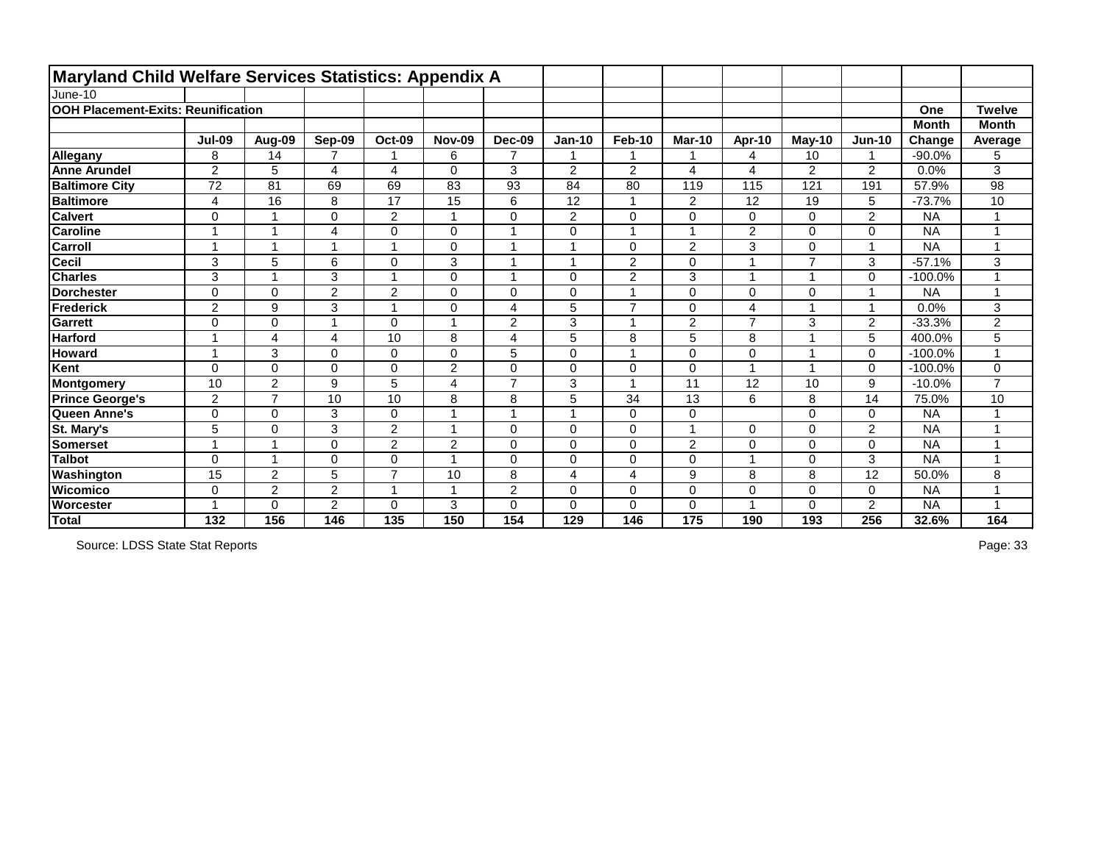| Maryland Child Welfare Services Statistics: Appendix A |                |                  |                |                         |                |                         |                |                          |                |                |                |                         |              |                         |
|--------------------------------------------------------|----------------|------------------|----------------|-------------------------|----------------|-------------------------|----------------|--------------------------|----------------|----------------|----------------|-------------------------|--------------|-------------------------|
| June-10                                                |                |                  |                |                         |                |                         |                |                          |                |                |                |                         |              |                         |
| <b>OOH Placement-Exits: Reunification</b>              |                |                  |                |                         |                |                         |                |                          |                |                |                |                         | One          | <b>Twelve</b>           |
|                                                        |                |                  |                |                         |                |                         |                |                          |                |                |                |                         | <b>Month</b> | <b>Month</b>            |
|                                                        | <b>Jul-09</b>  | Aug-09           | Sep-09         | <b>Oct-09</b>           | <b>Nov-09</b>  | Dec-09                  | <b>Jan-10</b>  | <b>Feb-10</b>            | <b>Mar-10</b>  | Apr-10         | <b>May-10</b>  | <b>Jun-10</b>           | Change       | Average                 |
| Allegany                                               | 8              | 14               | 7              |                         | 6              | $\overline{7}$          |                |                          |                | 4              | 10             | 1                       | $-90.0%$     | 5                       |
| <b>Anne Arundel</b>                                    | $\overline{2}$ | 5                | 4              | $\overline{\mathbf{4}}$ | $\mathbf 0$    | 3                       | $\overline{2}$ | $\overline{2}$           | 4              | 4              | $\overline{2}$ | $\overline{2}$          | 0.0%         | 3                       |
| <b>Baltimore City</b>                                  | 72             | 81               | 69             | 69                      | 83             | 93                      | 84             | 80                       | 119            | 115            | 121            | 191                     | 57.9%        | 98                      |
| <b>Baltimore</b>                                       | 4              | 16               | 8              | 17                      | 15             | $6\phantom{1}$          | 12             | $\overline{1}$           | $\overline{2}$ | 12             | 19             | 5                       | $-73.7%$     | 10                      |
| <b>Calvert</b>                                         | 0              | 1                | $\Omega$       | $\overline{c}$          |                | $\mathbf 0$             | $\overline{2}$ | 0                        | $\Omega$       | 0              | 0              | $\overline{2}$          | <b>NA</b>    |                         |
| <b>Caroline</b>                                        | 1              | $\overline{1}$   | 4              | $\mathbf 0$             | 0              |                         | $\overline{0}$ | $\overline{1}$           |                | $\overline{2}$ | 0              | $\overline{0}$          | <b>NA</b>    |                         |
| <b>Carroll</b>                                         | 1              | 4                | -1             | $\overline{1}$          | $\Omega$       |                         |                | $\mathbf 0$              | $\overline{2}$ | 3              | 0              | -1                      | <b>NA</b>    |                         |
| <b>Cecil</b>                                           | 3              | 5                | 6              | $\mathbf 0$             | 3              | $\overline{\mathbf{A}}$ |                | $\overline{2}$           | $\mathbf 0$    | 1              | $\overline{7}$ | 3                       | $-57.1%$     | 3                       |
| <b>Charles</b>                                         | 3              |                  | 3              | $\overline{1}$          | 0              |                         | 0              | $\overline{2}$           | 3              | $\overline{1}$ |                | $\mathbf 0$             | $-100.0%$    |                         |
| Dorchester                                             | 0              | $\mathbf 0$      | $\overline{2}$ | $\overline{2}$          | $\Omega$       | $\mathbf 0$             | $\overline{0}$ | $\overline{1}$           | $\Omega$       | $\mathbf 0$    | 0              | 1                       | <b>NA</b>    | $\overline{\mathbf{A}}$ |
| Frederick                                              | $\overline{2}$ | 9                | 3              | $\mathbf{1}$            | $\Omega$       | $\overline{4}$          | 5              | $\overline{7}$           | $\Omega$       | $\overline{4}$ |                | $\overline{\mathbf{1}}$ | 0.0%         | 3                       |
| Garrett                                                | 0              | $\Omega$         | 1              | $\mathbf 0$             |                | $\overline{2}$          | 3              | 1                        | $\overline{2}$ | $\overline{7}$ | 3              | $\overline{2}$          | $-33.3%$     | $\overline{2}$          |
| <b>Harford</b>                                         | 1              | 4                | 4              | 10                      | 8              | $\overline{4}$          | 5              | 8                        | 5              | 8              |                | 5                       | 400.0%       | 5                       |
| <b>Howard</b>                                          | 1              | 3                | $\overline{0}$ | $\mathbf 0$             | $\mathbf 0$    | 5                       | $\overline{0}$ | $\overline{1}$           | $\overline{0}$ | $\overline{0}$ |                | $\mathbf 0$             | $-100.0%$    | 4                       |
| Kent                                                   | 0              | $\mathbf 0$      | 0              | $\pmb{0}$               | $\overline{2}$ | $\mathbf 0$             | 0              | $\pmb{0}$                | $\mathbf 0$    | $\overline{1}$ |                | $\mathbf 0$             | $-100.0%$    | 0                       |
| Montgomery                                             | 10             | $\overline{2}$   | 9              | 5                       | 4              | $\overline{7}$          | 3              | $\overline{\mathbf{A}}$  | 11             | 12             | 10             | 9                       | $-10.0%$     | $\overline{7}$          |
| <b>Prince George's</b>                                 | $\overline{2}$ | $\overline{7}$   | 10             | 10                      | 8              | 8                       | 5              | 34                       | 13             | 6              | 8              | 14                      | 75.0%        | 10                      |
| Queen Anne's                                           | 0              | $\mathbf 0$      | 3              | $\pmb{0}$               |                |                         |                | $\pmb{0}$                | $\mathbf 0$    |                | 0              | $\mathbf 0$             | <b>NA</b>    |                         |
| St. Mary's                                             | 5              | $\Omega$         | 3              | $\overline{2}$          |                | $\Omega$                | $\Omega$       | $\mathbf 0$              |                | $\Omega$       | 0              | $\overline{2}$          | <b>NA</b>    |                         |
| <b>Somerset</b>                                        | 4              |                  | $\Omega$       | $\overline{2}$          | $\overline{2}$ | $\Omega$                | 0              | $\mathbf 0$              | $\overline{2}$ | $\Omega$       | 0              | 0                       | <b>NA</b>    |                         |
| <b>Talbot</b>                                          | $\overline{0}$ | 1                | $\overline{0}$ | $\mathbf 0$             |                | $\overline{0}$          | $\overline{0}$ | $\mathbf 0$              | $\overline{0}$ | $\overline{1}$ | 0              | 3                       | <b>NA</b>    |                         |
| Washington                                             | 15             | $\boldsymbol{2}$ | 5              | $\overline{7}$          | 10             | 8                       | 4              | $\overline{\mathcal{A}}$ | 9              | 8              | 8              | 12                      | 50.0%        | 8                       |
| <b>Wicomico</b>                                        | 0              | $\overline{2}$   | $\overline{2}$ | $\mathbf 1$             |                | $\overline{2}$          | 0              | $\mathbf 0$              | $\overline{0}$ | $\overline{0}$ | 0              | $\mathbf 0$             | <b>NA</b>    |                         |
| <b>Worcester</b>                                       |                | 0                | $\overline{2}$ | $\mathbf 0$             | 3              | $\mathbf 0$             | 0              | 0                        | 0              | 4              | 0              | $\overline{2}$          | <b>NA</b>    |                         |
| Total                                                  | 132            | 156              | 146            | 135                     | 150            | 154                     | 129            | 146                      | 175            | 190            | 193            | 256                     | 32.6%        | 164                     |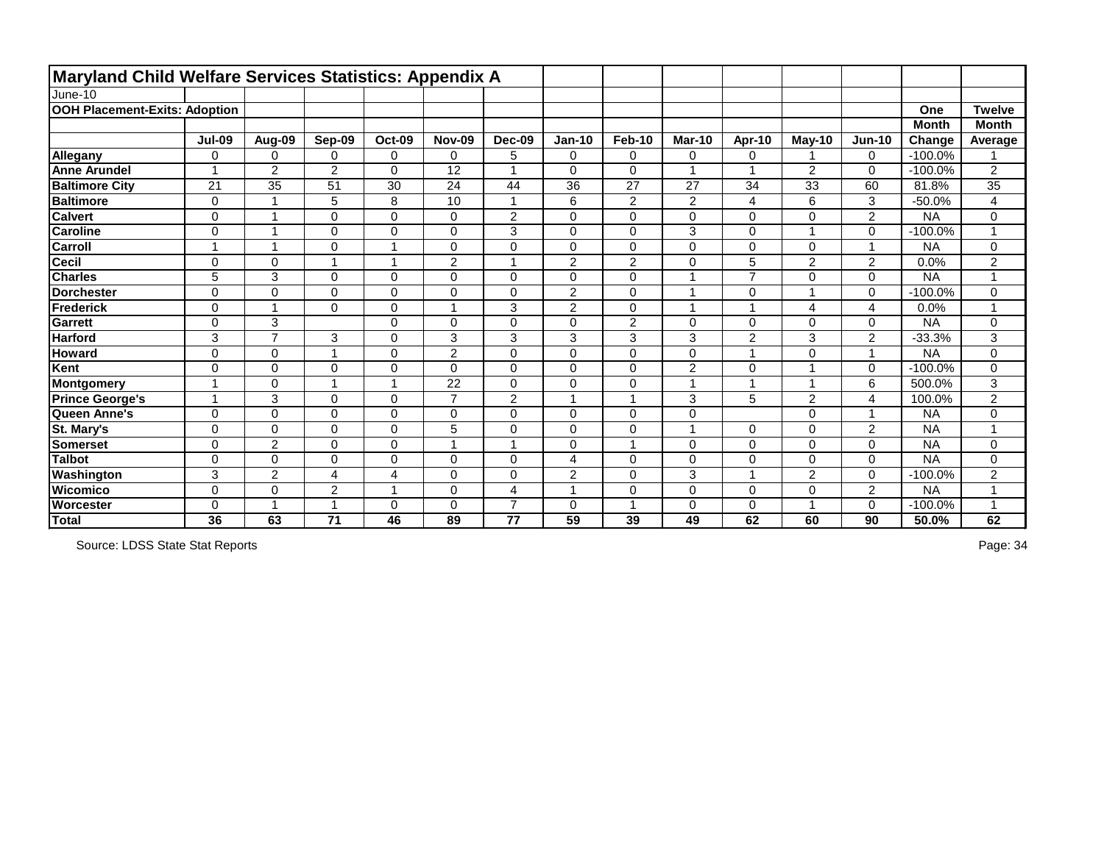| Maryland Child Welfare Services Statistics: Appendix A |                |                         |                |                |                |                         |                         |                |                |                          |                |                         |              |                         |
|--------------------------------------------------------|----------------|-------------------------|----------------|----------------|----------------|-------------------------|-------------------------|----------------|----------------|--------------------------|----------------|-------------------------|--------------|-------------------------|
| June-10                                                |                |                         |                |                |                |                         |                         |                |                |                          |                |                         |              |                         |
| <b>OOH Placement-Exits: Adoption</b>                   |                |                         |                |                |                |                         |                         |                |                |                          |                |                         | One          | <b>Twelve</b>           |
|                                                        |                |                         |                |                |                |                         |                         |                |                |                          |                |                         | <b>Month</b> | <b>Month</b>            |
|                                                        | <b>Jul-09</b>  | Aug-09                  | Sep-09         | <b>Oct-09</b>  | <b>Nov-09</b>  | <b>Dec-09</b>           | <b>Jan-10</b>           | Feb-10         | <b>Mar-10</b>  | Apr-10                   | $M$ ay-10      | $Jun-10$                | Change       | Average                 |
| Allegany                                               | $\mathbf 0$    | $\mathbf 0$             | 0              | $\mathbf 0$    | 0              | 5                       | 0                       | $\mathbf 0$    | $\mathbf 0$    | $\mathbf 0$              | 1              | $\mathbf 0$             | $-100.0%$    |                         |
| <b>Anne Arundel</b>                                    | $\overline{ }$ | $\overline{2}$          | 2              | $\overline{0}$ | 12             | $\mathbf{1}$            | $\mathbf 0$             | $\overline{0}$ | $\overline{1}$ | $\overline{\phantom{a}}$ | $\overline{2}$ | $\Omega$                | $-100.0%$    | $\overline{2}$          |
| <b>Baltimore City</b>                                  | 21             | 35                      | 51             | 30             | 24             | 44                      | 36                      | 27             | 27             | 34                       | 33             | 60                      | 81.8%        | 35                      |
| <b>Baltimore</b>                                       | $\mathbf 0$    | $\overline{1}$          | 5              | 8              | 10             | $\mathbf{1}$            | 6                       | $\overline{2}$ | $\overline{2}$ | 4                        | 6              | 3                       | $-50.0%$     | $\overline{\mathbf{4}}$ |
| <b>Calvert</b>                                         | $\mathbf 0$    |                         | $\Omega$       | $\mathbf 0$    | 0              | $\overline{2}$          | $\mathbf 0$             | $\mathbf 0$    | $\mathbf 0$    | $\Omega$                 | 0              | $\overline{2}$          | <b>NA</b>    | 0                       |
| <b>Caroline</b>                                        | $\mathbf 0$    | $\overline{A}$          | 0              | $\mathbf 0$    | 0              | 3                       | $\overline{0}$          | $\mathbf 0$    | 3              | 0                        | $\mathbf{1}$   | $\mathbf 0$             | $-100.0%$    | $\overline{1}$          |
| <b>Carroll</b>                                         |                |                         | 0              | $\overline{ }$ | $\mathbf 0$    | $\overline{0}$          | $\pmb{0}$               | $\mathbf 0$    | $\mathbf 0$    | 0                        | 0              | $\overline{\mathbf{A}}$ | <b>NA</b>    | 0                       |
| <b>Cecil</b>                                           | $\mathbf 0$    | $\mathbf 0$             |                | $\overline{1}$ | 2              | $\mathbf{1}$            | $\overline{2}$          | $\overline{2}$ | $\mathbf 0$    | 5                        | $\overline{2}$ | $\overline{2}$          | 0.0%         | $\overline{2}$          |
| <b>Charles</b>                                         | 5              | 3                       | $\Omega$       | 0              | 0              | $\Omega$                | $\mathbf 0$             | $\mathbf 0$    | -1             | $\overline{7}$           | 0              | $\Omega$                | <b>NA</b>    | $\overline{1}$          |
| <b>Dorchester</b>                                      | $\overline{0}$ | $\mathbf 0$             | 0              | $\overline{0}$ | 0              | $\mathbf 0$             | $\overline{2}$          | $\overline{0}$ | $\overline{1}$ | 0                        | $\mathbf{1}$   | $\mathbf 0$             | $-100.0%$    | 0                       |
| Frederick                                              | $\mathbf 0$    | $\overline{A}$          | 0              | $\mathbf 0$    | 1              | 3                       | $\overline{2}$          | $\mathbf 0$    | $\overline{1}$ | <b>A</b>                 | 4              | 4                       | 0.0%         | $\blacktriangleleft$    |
| <b>Garrett</b>                                         | $\mathbf 0$    | 3                       |                | $\mathbf 0$    | $\overline{0}$ | $\overline{0}$          | $\mathbf 0$             | $\overline{2}$ | $\mathbf 0$    | $\overline{0}$           | $\mathbf 0$    | $\mathbf 0$             | <b>NA</b>    | 0                       |
| <b>Harford</b>                                         | 3              | $\overline{7}$          | 3              | $\mathsf 0$    | 3              | 3                       | 3                       | 3              | 3              | $\overline{2}$           | 3              | $\overline{2}$          | $-33.3%$     | 3                       |
| <b>Howard</b>                                          | $\mathbf 0$    | $\mathbf 0$             | 1              | $\mathbf 0$    | $\overline{2}$ | $\mathbf 0$             | $\mathbf 0$             | $\mathbf 0$    | $\mathbf 0$    | $\overline{\phantom{a}}$ | 0              | 1                       | <b>NA</b>    | 0                       |
| Kent                                                   | $\mathbf 0$    | $\mathbf 0$             | 0              | $\mathbf 0$    | 0              | $\overline{0}$          | $\pmb{0}$               | $\mathbf 0$    | $\overline{2}$ | 0                        | 1              | $\Omega$                | $-100.0%$    | 0                       |
| Montgomery                                             | $\overline{ }$ | $\Omega$                | 4              | $\overline{1}$ | 22             | $\mathbf 0$             | $\mathbf 0$             | $\mathbf 0$    | $\overline{1}$ | <b>A</b>                 | 1              | 6                       | 500.0%       | 3                       |
| <b>Prince George's</b>                                 |                | 3                       | 0              | $\mathbf 0$    | $\overline{7}$ | $\overline{2}$          | $\overline{ }$          | 1              | 3              | 5                        | $\overline{2}$ | 4                       | 100.0%       | $\overline{2}$          |
| Queen Anne's                                           | $\mathbf 0$    | $\mathbf 0$             | 0              | $\mathbf 0$    | 0              | $\mathbf 0$             | $\mathbf 0$             | $\mathbf 0$    | $\mathbf 0$    |                          | 0              | 1                       | <b>NA</b>    | 0                       |
| St. Mary's                                             | $\mathbf 0$    | $\mathbf 0$             | 0              | $\mathbf 0$    | 5              | $\mathbf 0$             | 0                       | $\mathbf 0$    | $\overline{1}$ | 0                        | 0              | $\overline{2}$          | <b>NA</b>    | $\overline{ }$          |
| <b>Somerset</b>                                        | $\Omega$       | 2                       | 0              | $\mathbf 0$    | 1              | $\mathbf{1}$            | 0                       | $\overline{1}$ | $\mathbf 0$    | 0                        | 0              | $\mathbf 0$             | <b>NA</b>    | 0                       |
| <b>Talbot</b>                                          | $\mathbf 0$    | $\mathbf 0$             | 0              | $\mathbf 0$    | 0              | $\overline{0}$          | $\overline{\mathbf{4}}$ | $\overline{0}$ | $\Omega$       | 0                        | 0              | $\mathbf 0$             | <b>NA</b>    | 0                       |
| Washington                                             | 3              | $\overline{2}$          | 4              | 4              | 0              | $\Omega$                | $\overline{c}$          | $\mathbf 0$    | 3              | <b>A</b>                 | $\overline{2}$ | $\Omega$                | $-100.0%$    | $\overline{2}$          |
| <b>Wicomico</b>                                        | $\mathbf 0$    | $\mathbf 0$             | $\overline{2}$ | $\overline{1}$ | 0              | $\overline{\mathbf{4}}$ | $\overline{A}$          | $\mathbf 0$    | $\mathbf 0$    | 0                        | 0              | $\overline{2}$          | <b>NA</b>    | $\overline{ }$          |
| <b>Worcester</b>                                       | 0              | $\overline{\mathbf{A}}$ |                | $\mathbf 0$    | 0              | $\overline{7}$          | $\mathbf 0$             | -1             | $\mathbf 0$    | 0                        | 1              | 0                       | $-100.0%$    | $\overline{ }$          |
| Total                                                  | 36             | 63                      | 71             | 46             | 89             | 77                      | 59                      | 39             | 49             | 62                       | 60             | 90                      | 50.0%        | 62                      |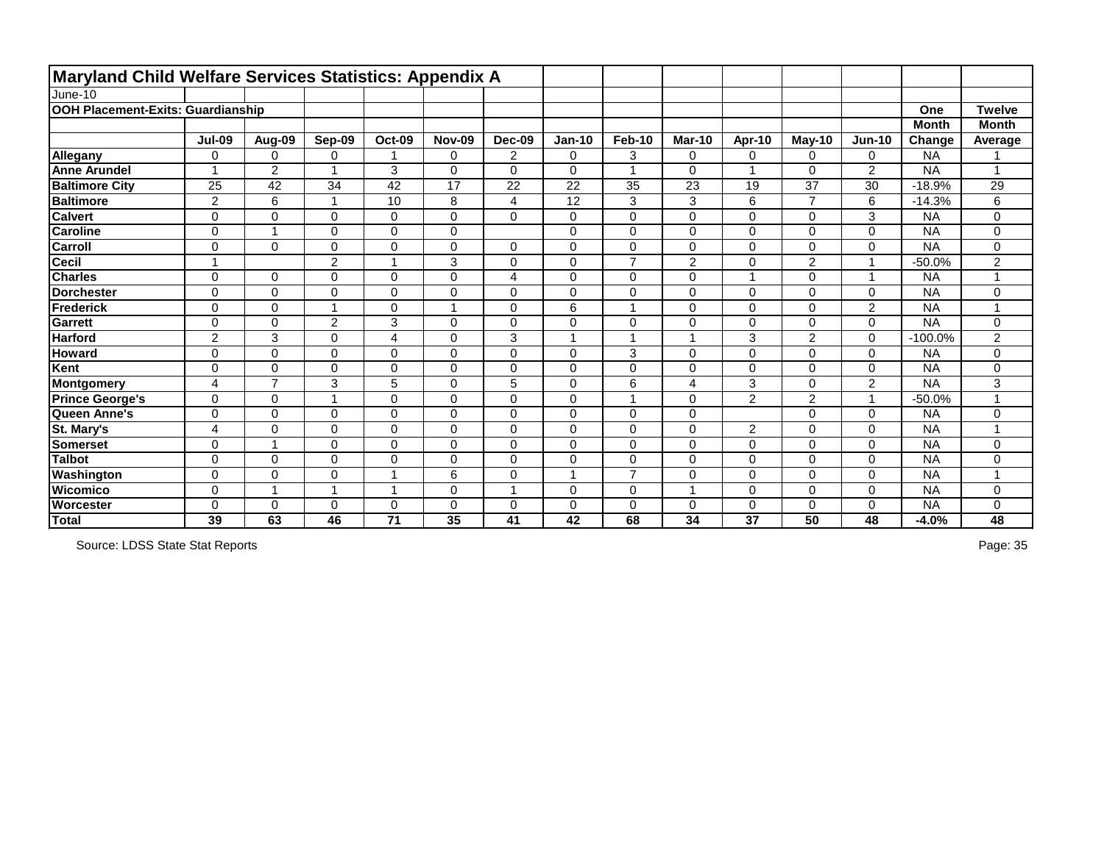| <b>Maryland Child Welfare Services Statistics: Appendix A</b> |                |                         |                         |                         |               |                         |                 |                |                |                         |                |                          |              |                |
|---------------------------------------------------------------|----------------|-------------------------|-------------------------|-------------------------|---------------|-------------------------|-----------------|----------------|----------------|-------------------------|----------------|--------------------------|--------------|----------------|
| June-10                                                       |                |                         |                         |                         |               |                         |                 |                |                |                         |                |                          |              |                |
| OOH Placement-Exits: Guardianship                             |                |                         |                         |                         |               |                         |                 |                |                |                         |                |                          | One          | <b>Twelve</b>  |
|                                                               |                |                         |                         |                         |               |                         |                 |                |                |                         |                |                          | <b>Month</b> | <b>Month</b>   |
|                                                               | <b>Jul-09</b>  | Aug-09                  | Sep-09                  | <b>Oct-09</b>           | <b>Nov-09</b> | Dec-09                  | <b>Jan-10</b>   | <b>Feb-10</b>  | <b>Mar-10</b>  | Apr-10                  | $May-10$       | <b>Jun-10</b>            | Change       | Average        |
| Allegany                                                      | 0              | $\mathbf 0$             | 0                       |                         | 0             | $\overline{2}$          | $\mathbf 0$     | 3              | $\mathbf 0$    | $\mathbf 0$             | 0              | 0                        | <b>NA</b>    |                |
| <b>Anne Arundel</b>                                           |                | $\overline{2}$          |                         | 3                       | $\Omega$      | $\Omega$                | $\Omega$        | 1              | $\Omega$       | $\overline{\mathbf{1}}$ | 0              | $\overline{2}$           | <b>NA</b>    |                |
| <b>Baltimore City</b>                                         | 25             | 42                      | 34                      | 42                      | 17            | 22                      | 22              | 35             | 23             | 19                      | 37             | 30                       | $-18.9%$     | 29             |
| <b>Baltimore</b>                                              | $\overline{2}$ | $6\phantom{1}$          | $\overline{\mathbf{1}}$ | $\overline{10}$         | 8             | $\overline{\mathbf{4}}$ | $\overline{12}$ | 3              | 3              | $6\phantom{1}$          | $\overline{7}$ | $6\phantom{1}$           | $-14.3%$     | 6              |
| <b>Calvert</b>                                                | 0              | 0                       | $\Omega$                | $\mathbf 0$             | 0             | $\mathbf 0$             | 0               | $\pmb{0}$      | $\mathbf 0$    | $\mathbf 0$             | 0              | 3                        | <b>NA</b>    | 0              |
| <b>Caroline</b>                                               | 0              | $\overline{1}$          | $\overline{0}$          | 0                       | 0             |                         | $\mathbf 0$     | $\pmb{0}$      | $\mathbf 0$    | $\mathbf 0$             | 0              | $\mathbf 0$              | <b>NA</b>    | 0              |
| <b>Carroll</b>                                                | 0              | $\mathbf 0$             | $\Omega$                | 0                       | 0             | 0                       | 0               | $\pmb{0}$      | $\mathbf 0$    | $\mathbf 0$             | 0              | $\mathbf 0$              | <b>NA</b>    | 0              |
| Cecil                                                         | 1              |                         | $\overline{2}$          | $\overline{ }$          | 3             | $\overline{0}$          | 0               | $\overline{7}$ | $\overline{2}$ | $\mathbf 0$             | $\overline{2}$ | $\overline{1}$           | $-50.0%$     | $\overline{2}$ |
| <b>Charles</b>                                                | $\mathbf 0$    | 0                       | $\Omega$                | $\mathbf 0$             | 0             | $\overline{\mathbf{4}}$ | $\mathbf 0$     | $\mathbf 0$    | $\mathbf 0$    | $\overline{ }$          | 0              | $\overline{1}$           | <b>NA</b>    | 1              |
| <b>Dorchester</b>                                             | $\mathbf 0$    | $\mathbf 0$             | 0                       | 0                       | 0             | $\mathbf 0$             | 0               | $\pmb{0}$      | $\mathbf 0$    | $\mathbf 0$             | 0              | $\mathbf 0$              | <b>NA</b>    | 0              |
| Frederick                                                     | 0              | $\mathbf 0$             |                         | $\mathbf 0$             |               | $\mathbf 0$             | 6               | 1              | $\Omega$       | $\Omega$                | 0              | $\overline{2}$           | <b>NA</b>    |                |
| Garrett                                                       | $\mathbf 0$    | $\Omega$                | $\overline{2}$          | 3                       | $\Omega$      | $\Omega$                | 0               | $\mathbf 0$    | $\mathbf 0$    | $\Omega$                | 0              | 0                        | <b>NA</b>    | 0              |
| <b>Harford</b>                                                | $\overline{2}$ | 3                       | $\overline{0}$          | $\overline{\mathbf{4}}$ | 0             | 3                       |                 | 1              |                | 3                       | $\overline{2}$ | $\overline{0}$           | $-100.0%$    | $\overline{2}$ |
| <b>Howard</b>                                                 | 0              | $\mathbf 0$             | 0                       | $\mathbf 0$             | 0             | $\mathbf 0$             | $\mathbf 0$     | 3              | $\mathbf 0$    | $\mathbf 0$             | 0              | 0                        | <b>NA</b>    | 0              |
| Kent                                                          | 0              | $\mathbf 0$             | $\overline{0}$          | $\pmb{0}$               | 0             | $\mathbf 0$             | $\mathbf 0$     | $\pmb{0}$      | $\mathbf 0$    | $\mathbf 0$             | 0              | $\mathbf 0$              | <b>NA</b>    | 0              |
| Montgomery                                                    | 4              | $\overline{7}$          | 3                       | 5                       | 0             | 5                       | $\overline{0}$  | 6              | 4              | $\overline{3}$          | 0              | $\overline{2}$           | <b>NA</b>    | 3              |
| <b>Prince George's</b>                                        | $\mathbf 0$    | $\mathbf 0$             | -1                      | 0                       | 0             | $\mathbf 0$             | $\mathbf 0$     | $\mathbf{1}$   | $\mathbf 0$    | $\overline{2}$          | $\overline{2}$ | $\overline{\phantom{a}}$ | $-50.0%$     | 1              |
| Queen Anne's                                                  | 0              | $\overline{0}$          | $\overline{0}$          | $\mathbf 0$             | $\mathbf 0$   | $\overline{0}$          | $\overline{0}$  | $\mathbf 0$    | $\overline{0}$ |                         | 0              | $\mathbf 0$              | <b>NA</b>    | 0              |
| St. Mary's                                                    | 4              | $\mathbf 0$             | $\Omega$                | 0                       | 0             | $\mathbf 0$             | 0               | $\mathbf 0$    | $\mathbf 0$    | $\overline{2}$          | 0              | $\mathbf 0$              | <b>NA</b>    | 1              |
| <b>Somerset</b>                                               | 0              | $\overline{\mathbf{1}}$ | $\Omega$                | 0                       | 0             | $\mathbf 0$             | 0               | $\pmb{0}$      | $\mathbf 0$    | $\mathbf 0$             | 0              | $\mathbf 0$              | <b>NA</b>    | 0              |
| <b>Talbot</b>                                                 | 0              | $\overline{0}$          | $\Omega$                | $\mathbf 0$             | $\mathbf 0$   | $\overline{0}$          | $\overline{0}$  | $\mathbf 0$    | $\Omega$       | $\mathbf{0}$            | 0              | $\mathbf 0$              | <b>NA</b>    | 0              |
| Washington                                                    | 0              | 0                       | $\Omega$                | $\overline{\mathbf{A}}$ | 6             | $\mathbf 0$             |                 | $\overline{7}$ | $\Omega$       | $\mathbf{0}$            | 0              | 0                        | <b>NA</b>    |                |
| <b>Wicomico</b>                                               | 0              | $\mathbf{1}$            | 1                       | $\overline{\mathbf{1}}$ | $\mathbf 0$   | $\overline{1}$          | 0               | $\mathbf 0$    |                | $\mathbf 0$             | 0              | $\overline{0}$           | <b>NA</b>    | 0              |
| <b>Worcester</b>                                              | $\Omega$       | 0                       | $\Omega$                | $\mathbf 0$             | $\Omega$      | $\mathbf 0$             | 0               | $\mathbf 0$    | $\Omega$       | 0                       | 0              | 0                        | <b>NA</b>    | 0              |
| Total                                                         | 39             | 63                      | 46                      | 71                      | 35            | 41                      | 42              | 68             | 34             | 37                      | 50             | 48                       | $-4.0%$      | 48             |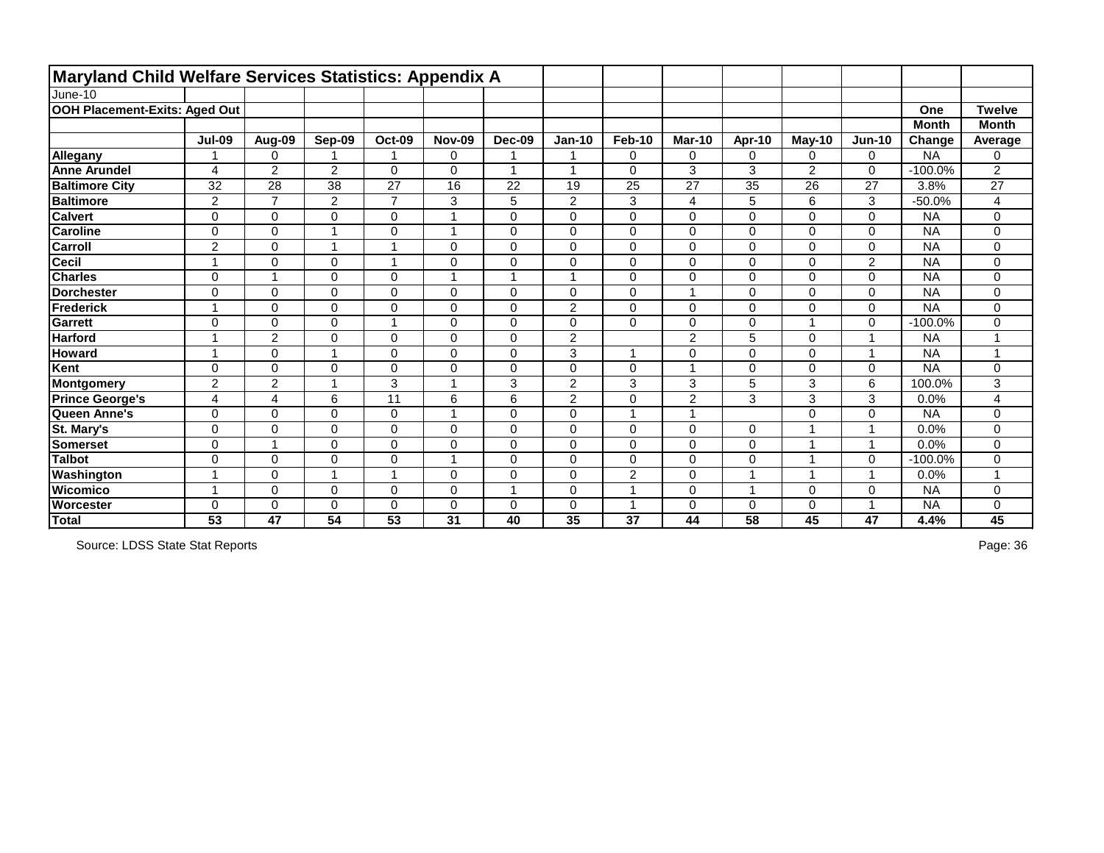| <b>Maryland Child Welfare Services Statistics: Appendix A</b> |                          |                         |                |                         |                |                      |                |                |                |                |                |                |              |                |
|---------------------------------------------------------------|--------------------------|-------------------------|----------------|-------------------------|----------------|----------------------|----------------|----------------|----------------|----------------|----------------|----------------|--------------|----------------|
| June-10                                                       |                          |                         |                |                         |                |                      |                |                |                |                |                |                |              |                |
| OOH Placement-Exits: Aged Out                                 |                          |                         |                |                         |                |                      |                |                |                |                |                |                | One          | <b>Twelve</b>  |
|                                                               |                          |                         |                |                         |                |                      |                |                |                |                |                |                | <b>Month</b> | <b>Month</b>   |
|                                                               | <b>Jul-09</b>            | Aug-09                  | Sep-09         | Oct-09                  | <b>Nov-09</b>  | <b>Dec-09</b>        | <b>Jan-10</b>  | Feb-10         | <b>Mar-10</b>  | Apr-10         | <b>May-10</b>  | <b>Jun-10</b>  | Change       | Average        |
| Allegany                                                      |                          | $\mathbf 0$             |                |                         | $\mathbf 0$    | 1                    |                | $\mathbf 0$    | $\mathbf 0$    | $\Omega$       | 0              | 0              | <b>NA</b>    | 0              |
| <b>Anne Arundel</b>                                           | 4                        | $\overline{2}$          | $\overline{2}$ | $\mathbf 0$             | $\Omega$       | $\overline{1}$       |                | $\mathbf 0$    | 3              | 3              | $\overline{2}$ | $\mathbf 0$    | $-100.0%$    | $\overline{2}$ |
| <b>Baltimore City</b>                                         | 32                       | 28                      | 38             | 27                      | 16             | 22                   | 19             | 25             | 27             | 35             | 26             | 27             | 3.8%         | 27             |
| <b>Baltimore</b>                                              | $\overline{2}$           | $\overline{7}$          | $\overline{2}$ | $\overline{7}$          | 3              | $\overline{5}$       | $\overline{2}$ | 3              | $\overline{4}$ | $\overline{5}$ | 6              | 3              | $-50.0%$     | 4              |
| <b>Calvert</b>                                                | 0                        | $\mathbf 0$             | 0              | $\mathsf 0$             |                | $\mathbf 0$          | 0              | $\mathbf 0$    | $\mathbf 0$    | 0              | 0              | $\mathbf 0$    | <b>NA</b>    | 0              |
| <b>Caroline</b>                                               | $\overline{0}$           | $\mathbf 0$             |                | $\mathbf 0$             |                | $\mathbf 0$          | 0              | $\mathbf 0$    | $\mathbf 0$    | 0              | 0              | $\mathbf 0$    | <b>NA</b>    | 0              |
| <b>Carroll</b>                                                | $\overline{2}$           | $\mathbf 0$             |                | $\overline{\mathbf{A}}$ | $\mathbf 0$    | $\mathbf 0$          | 0              | $\mathbf 0$    | $\mathbf 0$    | $\Omega$       | 0              | $\mathbf 0$    | <b>NA</b>    | 0              |
| Cecil                                                         | $\overline{1}$           | $\overline{0}$          | 0              | $\overline{ }$          | $\mathbf 0$    | $\overline{0}$       | 0              | $\pmb{0}$      | $\mathbf 0$    | $\mathbf 0$    | 0              | $\overline{2}$ | <b>NA</b>    | 0              |
| <b>Charles</b>                                                | $\mathbf 0$              | $\overline{\mathbf{1}}$ | $\Omega$       | $\mathbf 0$             |                | $\overline{ }$       |                | $\mathbf 0$    | $\Omega$       | $\mathbf 0$    | 0              | $\mathbf 0$    | <b>NA</b>    | 0              |
| <b>Dorchester</b>                                             | $\mathbf 0$              | $\mathbf 0$             | 0              | $\pmb{0}$               | $\mathbf 0$    | $\mathbf 0$          | 0              | $\mathbf 0$    |                | $\mathbf 0$    | 0              | $\mathbf 0$    | <b>NA</b>    | 0              |
| Frederick                                                     |                          | $\Omega$                | $\Omega$       | $\mathbf 0$             | $\Omega$       | $\mathbf 0$          | $\overline{2}$ | $\mathbf 0$    | $\Omega$       | $\Omega$       | 0              | $\mathbf 0$    | <b>NA</b>    | 0              |
| Garrett                                                       | $\Omega$                 | $\mathbf 0$             | $\Omega$       | $\overline{ }$          | $\mathbf 0$    | $\Omega$             | 0              | $\mathbf 0$    | $\Omega$       | 0              |                | 0              | $-100.0%$    | 0              |
| <b>Harford</b>                                                | $\overline{\phantom{a}}$ | $\overline{2}$          | 0              | $\mathbf 0$             | $\mathbf 0$    | $\overline{0}$       | $\overline{2}$ |                | $\overline{2}$ | 5              | 0              | 1              | <b>NA</b>    |                |
| <b>Howard</b>                                                 | $\overline{\mathbf{A}}$  | $\mathbf 0$             | -1             | $\mathbf 0$             | $\mathbf 0$    | $\mathbf 0$          | 3              | $\mathbf 1$    | 0              | 0              | 0              | 1              | <b>NA</b>    | 4              |
| Kent                                                          | $\mathbf 0$              | $\mathbf 0$             | 0              | $\mathbf 0$             | $\mathbf 0$    | $\mathbf 0$          | 0              | $\mathbf 0$    | 4              | $\mathbf 0$    | 0              | $\mathbf 0$    | <b>NA</b>    | 0              |
| Montgomery                                                    | $\overline{2}$           | $\overline{2}$          |                | 3                       |                | 3                    | $\overline{2}$ | 3              | 3              | 5              | 3              | 6              | 100.0%       | 3              |
| <b>Prince George's</b>                                        | 4                        | 4                       | 6              | 11                      | 6              | $6\phantom{1}6$      | $\overline{2}$ | $\pmb{0}$      | $\overline{2}$ | 3              | 3              | 3              | 0.0%         | 4              |
| Queen Anne's                                                  | $\overline{0}$           | $\overline{0}$          | $\overline{0}$ | $\mathbf 0$             |                | $\overline{0}$       | $\overline{0}$ | $\overline{1}$ |                |                | 0              | $\mathbf 0$    | <b>NA</b>    | 0              |
| St. Mary's                                                    | $\overline{0}$           | $\mathbf 0$             | 0              | $\mathbf 0$             | $\mathbf 0$    | $\mathbf 0$          | 0              | $\mathbf 0$    | $\mathbf 0$    | $\mathbf 0$    |                | 1              | 0.0%         | 0              |
| <b>Somerset</b>                                               | $\mathbf 0$              | $\overline{\mathbf{1}}$ | $\Omega$       | $\boldsymbol{0}$        | $\mathbf 0$    | $\mathbf 0$          | 0              | $\mathbf 0$    | $\mathbf 0$    | 0              |                | 1              | 0.0%         | 0              |
| <b>Talbot</b>                                                 | $\mathbf 0$              | $\overline{0}$          | $\overline{0}$ | $\pmb{0}$               |                | $\overline{0}$       | $\overline{0}$ | $\mathbf 0$    | $\Omega$       | $\overline{0}$ |                | $\mathbf 0$    | $-100.0%$    | 0              |
| Washington                                                    |                          | 0                       |                | $\overline{\mathbf{A}}$ | $\Omega$       | $\mathbf 0$          | 0              | $\overline{c}$ | $\Omega$       |                |                | 1              | 0.0%         |                |
| <b>Wicomico</b>                                               | $\overline{\phantom{a}}$ | $\overline{0}$          | 0              | $\mathbf 0$             | $\overline{0}$ | $\blacktriangleleft$ | 0              | $\overline{1}$ | $\mathbf 0$    | $\overline{1}$ | 0              | 0              | <b>NA</b>    | 0              |
| <b>Worcester</b>                                              | $\Omega$                 | 0                       | $\Omega$       | $\mathbf 0$             | $\Omega$       | $\mathbf 0$          | 0              | $\overline{A}$ | $\Omega$       | 0              | 0              | 1              | <b>NA</b>    | 0              |
| Total                                                         | 53                       | 47                      | 54             | 53                      | 31             | 40                   | 35             | 37             | 44             | 58             | 45             | 47             | 4.4%         | 45             |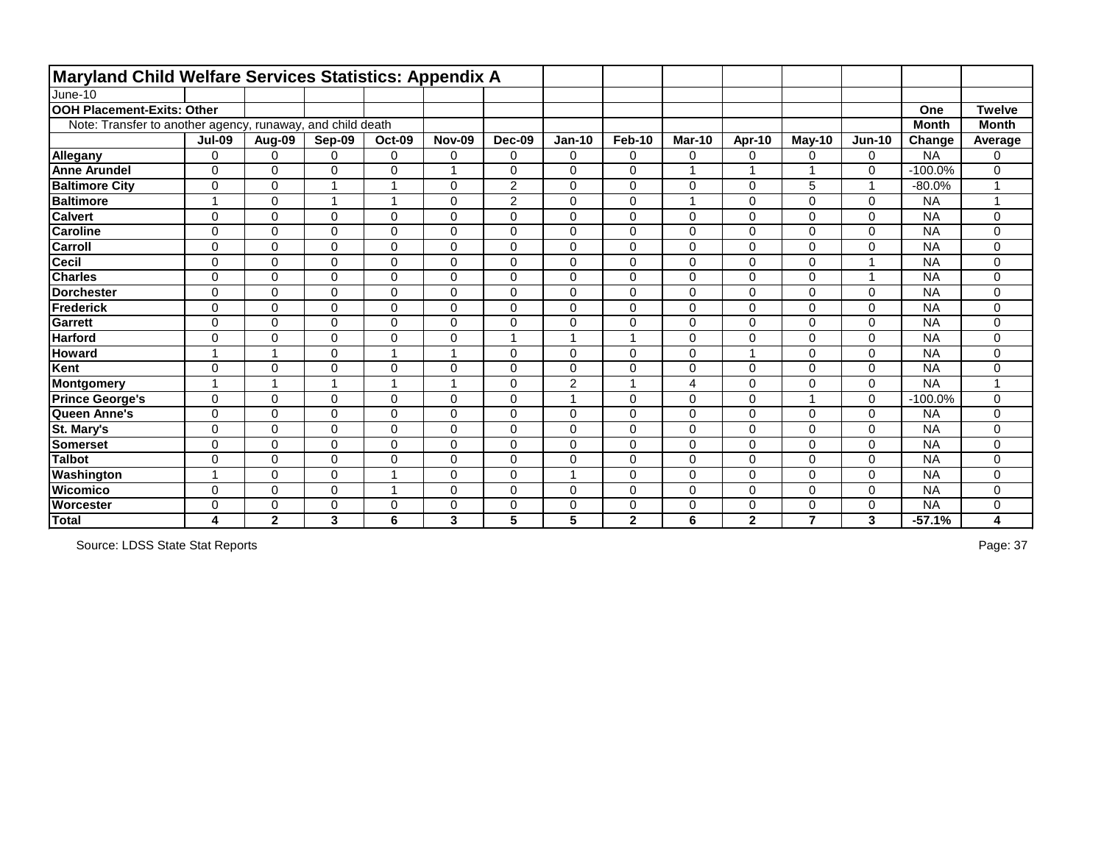| <b>Maryland Child Welfare Services Statistics: Appendix A</b> |                         |                |                |                 |                |                |                |                |                |                |                |                |              |               |
|---------------------------------------------------------------|-------------------------|----------------|----------------|-----------------|----------------|----------------|----------------|----------------|----------------|----------------|----------------|----------------|--------------|---------------|
| June-10                                                       |                         |                |                |                 |                |                |                |                |                |                |                |                |              |               |
| <b>OOH Placement-Exits: Other</b>                             |                         |                |                |                 |                |                |                |                |                |                |                |                | One          | <b>Twelve</b> |
| Note: Transfer to another agency, runaway, and child death    |                         |                |                |                 |                |                |                |                |                |                |                |                | <b>Month</b> | <b>Month</b>  |
|                                                               | <b>Jul-09</b>           | Aug-09         | Sep-09         | <b>Oct-09</b>   | <b>Nov-09</b>  | <b>Dec-09</b>  | <b>Jan-10</b>  | Feb-10         | <b>Mar-10</b>  | Apr-10         | <b>May-10</b>  | <b>Jun-10</b>  | Change       | Average       |
| Allegany                                                      | $\overline{0}$          | $\mathbf 0$    | $\Omega$       | $\mathbf 0$     | 0              | $\mathbf 0$    | $\overline{0}$ | $\mathbf 0$    | 0              | $\mathbf 0$    | 0              | 0              | <b>NA</b>    | 0             |
| <b>Anne Arundel</b>                                           | $\Omega$                | $\Omega$       | $\Omega$       | $\mathbf 0$     |                | $\Omega$       | $\Omega$       | $\mathbf 0$    |                | $\overline{ }$ | 4              | 0              | $-100.0%$    | 0             |
| <b>Baltimore City</b>                                         | 0                       | $\Omega$       |                |                 | $\Omega$       | $\overline{2}$ | $\Omega$       | $\mathbf 0$    | 0              | $\Omega$       | 5              | 1              | $-80.0%$     | 1             |
| <b>Baltimore</b>                                              | $\overline{\mathbf{A}}$ | $\mathbf 0$    |                | $\overline{ }$  | $\mathbf 0$    | $\overline{2}$ | $\mathbf 0$    | $\mathbf 0$    | $\overline{A}$ | $\mathbf 0$    | 0              | 0              | <b>NA</b>    | 1             |
| <b>Calvert</b>                                                | 0                       | 0              | 0              | $\mathbf 0$     | $\mathbf 0$    | $\mathbf 0$    | 0              | $\mathbf 0$    | 0              | $\mathbf 0$    | 0              | 0              | <b>NA</b>    | 0             |
| <b>Caroline</b>                                               | $\overline{0}$          | 0              | 0              | $\pmb{0}$       | 0              | $\mathbf 0$    | $\mathbf 0$    | $\mathbf 0$    | 0              | $\mathbf 0$    | 0              | $\mathbf 0$    | <b>NA</b>    | 0             |
| <b>Carroll</b>                                                | $\overline{0}$          | $\Omega$       | 0              | 0               | $\mathbf 0$    | 0              | $\mathbf 0$    | $\mathbf 0$    | 0              | $\overline{0}$ | 0              | 0              | <b>NA</b>    | 0             |
| <b>Cecil</b>                                                  | $\mathbf 0$             | 0              | 0              | $\pmb{0}$       | $\mathbf 0$    | $\overline{0}$ | $\mathbf 0$    | $\mathbf 0$    | 0              | $\mathbf 0$    | 0              | $\overline{1}$ | <b>NA</b>    | 0             |
| <b>Charles</b>                                                | $\mathbf 0$             | $\mathbf 0$    | $\Omega$       | $\mathbf 0$     | $\Omega$       | $\mathbf 0$    | $\mathbf 0$    | $\mathbf 0$    | 0              | $\mathbf 0$    | 0              | $\mathbf{1}$   | <b>NA</b>    | 0             |
| <b>Dorchester</b>                                             | $\mathbf 0$             | 0              | 0              | $\pmb{0}$       | $\mathbf 0$    | $\mathbf 0$    | $\mathbf 0$    | $\mathbf 0$    | 0              | $\mathbf 0$    | 0              | 0              | <b>NA</b>    | 0             |
| Frederick                                                     | $\overline{0}$          | $\Omega$       | $\Omega$       | $\mathbf 0$     | $\Omega$       | $\Omega$       | $\Omega$       | $\mathbf 0$    | $\Omega$       | $\Omega$       | 0              | 0              | <b>NA</b>    | 0             |
| Garrett                                                       | $\mathbf 0$             | $\Omega$       | $\Omega$       | $\mathbf 0$     | $\Omega$       | $\mathbf 0$    | $\mathbf 0$    | $\mathbf 0$    | $\Omega$       | $\Omega$       | 0              | 0              | <b>NA</b>    | 0             |
| <b>Harford</b>                                                | $\mathbf 0$             | $\overline{0}$ | 0              | $\mathbf 0$     | $\mathbf 0$    | $\overline{A}$ |                | $\overline{1}$ | 0              | $\overline{0}$ | 0              | $\mathbf 0$    | <b>NA</b>    | 0             |
| <b>Howard</b>                                                 | 1                       | 1              | 0              | $\overline{1}$  | $\overline{ }$ | $\mathbf 0$    | $\mathbf 0$    | $\mathbf 0$    | 0              | 1              | 0              | 0              | <b>NA</b>    | 0             |
| Kent                                                          | $\overline{0}$          | 0              | 0              | $\mathsf 0$     | 0              | $\mathbf 0$    | $\mathbf 0$    | $\mathbf 0$    | 0              | $\mathbf 0$    | 0              | 0              | <b>NA</b>    | 0             |
| Montgomery                                                    | $\overline{ }$          | 1              |                | $\overline{ }$  | $\overline{A}$ | $\overline{0}$ | $\overline{2}$ | $\overline{1}$ | 4              | $\overline{0}$ | 0              | 0              | <b>NA</b>    | 1             |
| <b>Prince George's</b>                                        | 0                       | $\mathbf 0$    | 0              | $\mathsf 0$     | $\mathbf 0$    | $\mathbf 0$    |                | $\mathbf 0$    | 0              | $\mathbf 0$    | 4              | 0              | $-100.0%$    | 0             |
| Queen Anne's                                                  | $\overline{0}$          | $\overline{0}$ | $\overline{0}$ | $\mathbf 0$     | $\overline{0}$ | $\overline{0}$ | $\overline{0}$ | $\mathbf 0$    | 0              | $\overline{0}$ | 0              | $\mathbf 0$    | <b>NA</b>    | 0             |
| St. Mary's                                                    | $\overline{0}$          | 0              | 0              | $\mathbf 0$     | $\mathbf 0$    | $\mathbf 0$    | $\mathbf 0$    | $\mathbf 0$    | 0              | $\mathbf 0$    | 0              | 0              | <b>NA</b>    | 0             |
| <b>Somerset</b>                                               | $\overline{0}$          | 0              | 0              | 0               | $\mathbf 0$    | $\mathbf 0$    | $\mathbf 0$    | $\mathbf 0$    | 0              | $\overline{0}$ | 0              | 0              | <b>NA</b>    | 0             |
| <b>Talbot</b>                                                 | $\overline{0}$          | 0              | $\overline{0}$ | $\mathbf 0$     | $\mathbf 0$    | $\overline{0}$ | $\overline{0}$ | $\mathbf 0$    | $\Omega$       | $\overline{0}$ | 0              | $\mathbf 0$    | <b>NA</b>    | 0             |
| Washington                                                    |                         | $\Omega$       | $\Omega$       |                 | $\Omega$       | $\Omega$       |                | $\mathbf 0$    | 0              | $\Omega$       | 0              | 0              | <b>NA</b>    | 0             |
| <b>Wicomico</b>                                               | $\overline{0}$          | $\overline{0}$ | $\overline{0}$ |                 | 0              | $\overline{0}$ | $\mathbf 0$    | $\mathbf 0$    | 0              | $\overline{0}$ | 0              | $\overline{0}$ | <b>NA</b>    | 0             |
| <b>Worcester</b>                                              | 0                       | 0              | 0              | $\mathbf 0$     | 0              | 0              | 0              | $\mathbf 0$    | 0              | 0              | 0              | 0              | <b>NA</b>    | 0             |
| Total                                                         | 4                       | $\mathbf{2}$   | 3              | $6\phantom{1}6$ | 3              | 5              | 5              | $\mathbf{2}$   | 6              | $\mathbf{2}$   | $\overline{7}$ | 3              | $-57.1%$     | 4             |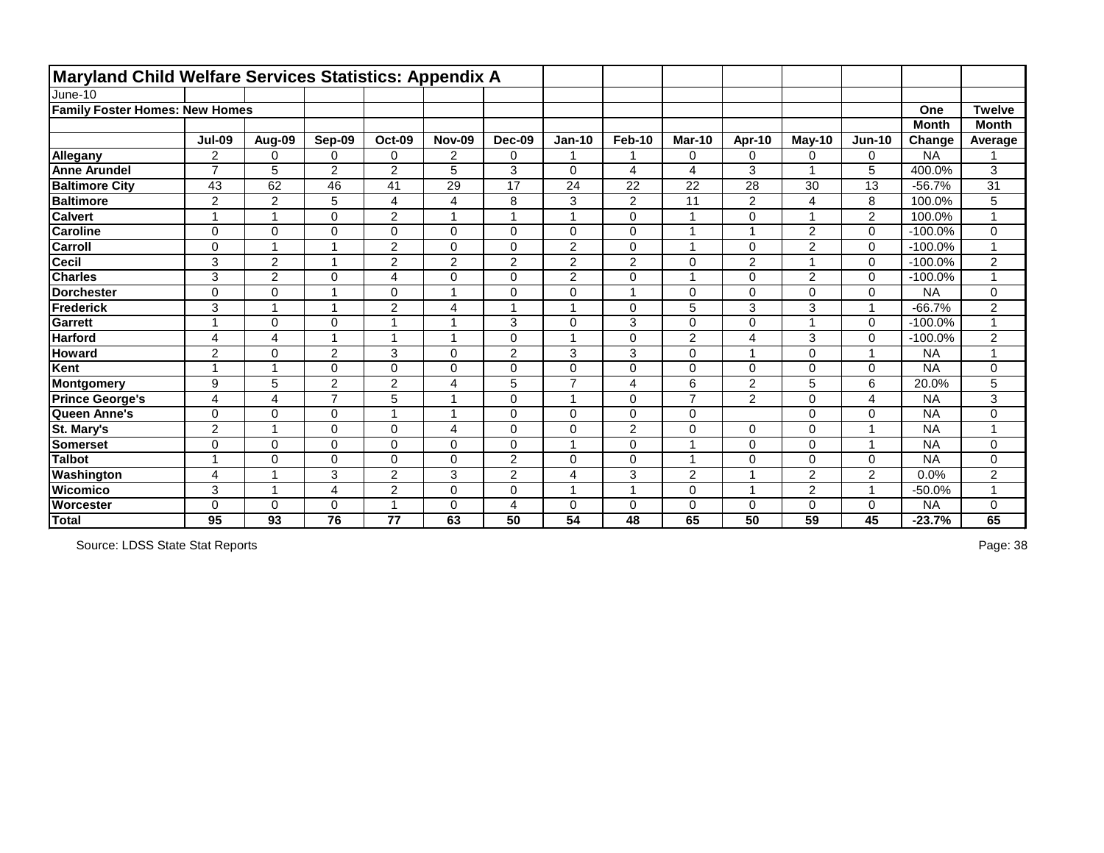| <b>Maryland Child Welfare Services Statistics: Appendix A</b> |                  |                |                |                |                |                |                |                |                         |                          |                |                         |              |                      |
|---------------------------------------------------------------|------------------|----------------|----------------|----------------|----------------|----------------|----------------|----------------|-------------------------|--------------------------|----------------|-------------------------|--------------|----------------------|
| June-10                                                       |                  |                |                |                |                |                |                |                |                         |                          |                |                         |              |                      |
| <b>Family Foster Homes: New Homes</b>                         |                  |                |                |                |                |                |                |                |                         |                          |                |                         | One          | <b>Twelve</b>        |
|                                                               |                  |                |                |                |                |                |                |                |                         |                          |                |                         | <b>Month</b> | <b>Month</b>         |
|                                                               | <b>Jul-09</b>    | Aug-09         | Sep-09         | <b>Oct-09</b>  | <b>Nov-09</b>  | <b>Dec-09</b>  | <b>Jan-10</b>  | <b>Feb-10</b>  | <b>Mar-10</b>           | Apr-10                   | $May-10$       | $Jun-10$                | Change       | Average              |
| Allegany                                                      | $\overline{2}$   | $\Omega$       | $\Omega$       | $\mathbf 0$    | $\overline{2}$ | $\mathbf 0$    |                | -1             | $\mathbf 0$             | $\mathbf 0$              | 0              | $\Omega$                | <b>NA</b>    |                      |
| <b>Anne Arundel</b>                                           | $\overline{z}$   | 5              | $\overline{2}$ | $\overline{2}$ | 5              | 3              | $\mathbf 0$    | $\overline{4}$ | $\overline{4}$          | 3                        | 1              | 5                       | 400.0%       | 3                    |
| <b>Baltimore City</b>                                         | 43               | 62             | 46             | 41             | 29             | 17             | 24             | 22             | 22                      | 28                       | 30             | 13                      | $-56.7%$     | 31                   |
| <b>Baltimore</b>                                              | $\overline{2}$   | $\overline{2}$ | 5              | 4              | 4              | 8              | 3              | $\overline{2}$ | 11                      | $\overline{2}$           | 4              | 8                       | 100.0%       | 5                    |
| <b>Calvert</b>                                                | $\overline{ }$   | $\overline{A}$ | 0              | $\overline{2}$ | 1              | $\mathbf{1}$   | $\overline{1}$ | $\mathbf 0$    | 1                       | 0                        | $\mathbf 1$    | $\overline{2}$          | 100.0%       | $\blacktriangleleft$ |
| <b>Caroline</b>                                               | $\mathbf 0$      | $\mathbf 0$    | 0              | $\mathbf 0$    | 0              | $\mathbf 0$    | $\pmb{0}$      | $\mathbf 0$    |                         | ×                        | $\overline{2}$ | $\mathbf 0$             | $-100.0\%$   | 0                    |
| <b>Carroll</b>                                                | $\mathbf 0$      |                |                | $\overline{2}$ | 0              | $\Omega$       | $\overline{2}$ | $\mathbf 0$    |                         | 0                        | $\overline{2}$ | $\Omega$                | $-100.0%$    |                      |
| <b>Cecil</b>                                                  | 3                | $\overline{2}$ |                | $\overline{2}$ | $\overline{2}$ | $\overline{2}$ | $\overline{2}$ | $\overline{2}$ | $\mathbf 0$             | $\overline{2}$           | $\mathbf{1}$   | $\mathbf 0$             | $-100.0%$    | $\overline{2}$       |
| <b>Charles</b>                                                | 3                | $\overline{2}$ | $\Omega$       | 4              | 0              | $\mathbf 0$    | $\overline{2}$ | $\mathbf 0$    | $\overline{ }$          | 0                        | $\overline{2}$ | 0                       | $-100.0%$    | $\blacktriangleleft$ |
| <b>Dorchester</b>                                             | $\overline{0}$   | $\mathbf 0$    |                | $\mathbf 0$    | 1              | $\overline{0}$ | $\mathbf 0$    | $\overline{1}$ | $\mathbf 0$             | $\overline{0}$           | 0              | $\overline{0}$          | <b>NA</b>    | 0                    |
| Frederick                                                     | 3                |                |                | $\overline{2}$ | $\overline{4}$ | 1              | $\overline{ }$ | $\mathbf 0$    | 5                       | 3                        | 3              |                         | $-66.7%$     | $\overline{2}$       |
| Garrett                                                       |                  | $\mathbf 0$    | 0              | 1              | 1              | 3              | $\mathbf 0$    | 3              | $\mathbf 0$             | $\overline{0}$           | $\mathbf{1}$   | $\mathbf 0$             | $-100.0%$    | $\mathbf{1}$         |
| <b>Harford</b>                                                | 4                | $\overline{4}$ | 4              | -1             | 1              | $\mathbf 0$    | $\overline{1}$ | $\mathbf 0$    | $\overline{2}$          | 4                        | 3              | $\Omega$                | $-100.0%$    | $\overline{2}$       |
| <b>Howard</b>                                                 | $\overline{2}$   | $\mathbf 0$    | $\overline{2}$ | 3              | 0              | $\overline{2}$ | 3              | 3              | $\mathbf 0$             | и                        | 0              | $\blacktriangleleft$    | <b>NA</b>    | $\overline{1}$       |
| Kent                                                          | $\overline{A}$   | $\overline{A}$ | 0              | $\pmb{0}$      | 0              | $\mathbf 0$    | 0              | $\mathbf 0$    | $\mathbf 0$             | $\mathbf 0$              | 0              | $\Omega$                | <b>NA</b>    | 0                    |
| Montgomery                                                    | $\boldsymbol{9}$ | 5              | $\overline{2}$ | $\overline{2}$ | $\overline{4}$ | 5              | $\overline{7}$ | $\overline{4}$ | 6                       | $\overline{2}$           | 5              | 6                       | 20.0%        | 5                    |
| <b>Prince George's</b>                                        | 4                | $\overline{4}$ | $\overline{7}$ | 5              | 1              | $\mathbf 0$    | $\overline{ }$ | $\mathbf 0$    | $\overline{7}$          | $\overline{2}$           | 0              | 4                       | <b>NA</b>    | 3                    |
| Queen Anne's                                                  | $\overline{0}$   | $\overline{0}$ | 0              | $\overline{1}$ | 1              | $\overline{0}$ | $\mathbf 0$    | $\mathbf 0$    | $\mathbf 0$             |                          | $\mathbf 0$    | $\mathbf 0$             | <b>NA</b>    | $\mathbf 0$          |
| St. Mary's                                                    | $\overline{2}$   | $\overline{ }$ | 0              | $\mathbf 0$    | 4              | $\mathbf 0$    | $\mathbf 0$    | $\overline{2}$ | $\mathbf 0$             | 0                        | 0              | $\overline{\mathbf{A}}$ | <b>NA</b>    | $\overline{A}$       |
| <b>Somerset</b>                                               | $\overline{0}$   | $\mathbf 0$    | 0              | $\mathbf 0$    | 0              | $\mathbf 0$    | $\overline{A}$ | $\mathbf 0$    | $\overline{\mathbf{1}}$ | 0                        | 0              | 1                       | <b>NA</b>    | 0                    |
| <b>Talbot</b>                                                 |                  | $\mathbf 0$    | $\Omega$       | $\mathbf 0$    | 0              | $\overline{2}$ | 0              | $\mathbf 0$    | $\overline{\mathbf{A}}$ | 0                        | 0              | $\Omega$                | <b>NA</b>    | 0                    |
| Washington                                                    | 4                |                | 3              | $\mathbf 2$    | 3              | $\overline{2}$ | $\overline{4}$ | 3              | $\overline{2}$          | $\overline{\phantom{a}}$ | $\overline{2}$ | $\overline{2}$          | 0.0%         | $\overline{2}$       |
| <b>Wicomico</b>                                               | 3                | $\overline{A}$ | 4              | $\overline{2}$ | $\mathbf 0$    | $\overline{0}$ | $\overline{A}$ | $\overline{1}$ | $\mathbf 0$             | $\overline{ }$           | $\overline{2}$ | 1                       | $-50.0%$     | $\blacktriangleleft$ |
| <b>Worcester</b>                                              | 0                | $\mathbf 0$    | 0              | $\overline{ }$ | 0              | 4              | $\mathbf 0$    | $\mathbf 0$    | $\mathbf 0$             | $\mathbf 0$              | $\mathbf 0$    | $\Omega$                | <b>NA</b>    | 0                    |
| Total                                                         | 95               | 93             | 76             | 77             | 63             | 50             | 54             | 48             | 65                      | 50                       | 59             | 45                      | $-23.7%$     | 65                   |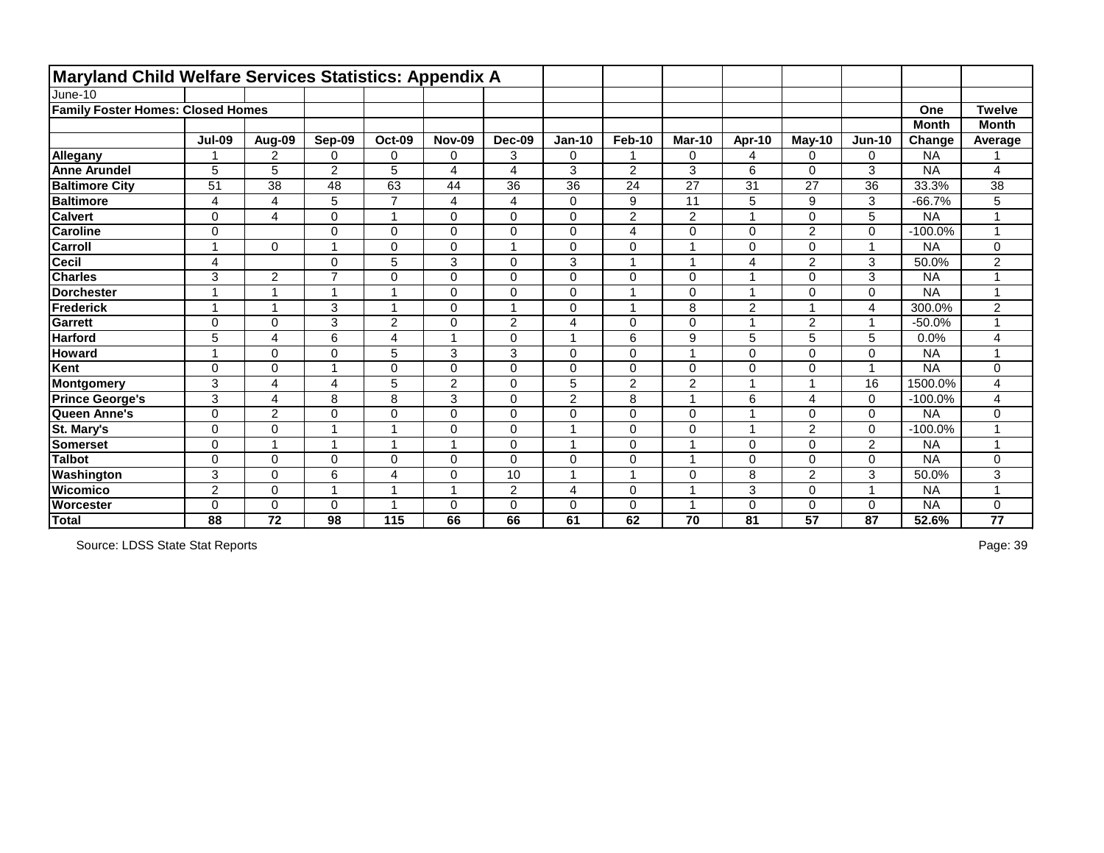| <b>Maryland Child Welfare Services Statistics: Appendix A</b> |                          |                         |                         |                         |                |                         |                |                |                |                |                |                          |              |                |
|---------------------------------------------------------------|--------------------------|-------------------------|-------------------------|-------------------------|----------------|-------------------------|----------------|----------------|----------------|----------------|----------------|--------------------------|--------------|----------------|
| June-10                                                       |                          |                         |                         |                         |                |                         |                |                |                |                |                |                          |              |                |
| <b>Family Foster Homes: Closed Homes</b>                      |                          |                         |                         |                         |                |                         |                |                |                |                |                |                          | One          | <b>Twelve</b>  |
|                                                               |                          |                         |                         |                         |                |                         |                |                |                |                |                |                          | <b>Month</b> | <b>Month</b>   |
|                                                               | <b>Jul-09</b>            | Aug-09                  | Sep-09                  | <b>Oct-09</b>           | <b>Nov-09</b>  | Dec-09                  | <b>Jan-10</b>  | <b>Feb-10</b>  | <b>Mar-10</b>  | Apr-10         | $May-10$       | <b>Jun-10</b>            | Change       | Average        |
| Allegany                                                      |                          | $\overline{2}$          | 0                       | $\mathbf 0$             | 0              | 3                       | $\mathbf 0$    |                | $\mathbf 0$    | $\overline{4}$ | 0              | 0                        | <b>NA</b>    |                |
| <b>Anne Arundel</b>                                           | 5                        | 5                       | $\overline{2}$          | 5                       | 4              | $\overline{4}$          | 3              | $\overline{2}$ | 3              | 6              | 0              | 3                        | <b>NA</b>    | 4              |
| <b>Baltimore City</b>                                         | 51                       | 38                      | 48                      | 63                      | 44             | 36                      | 36             | 24             | 27             | 31             | 27             | 36                       | 33.3%        | 38             |
| <b>Baltimore</b>                                              | 4                        | 4                       | 5                       | $\overline{7}$          | 4              | $\overline{\mathbf{4}}$ | 0              | 9              | 11             | $\overline{5}$ | 9              | 3                        | $-66.7%$     | 5              |
| <b>Calvert</b>                                                | 0                        | 4                       | $\Omega$                | 1                       | 0              | $\mathbf 0$             | 0              | $\overline{2}$ | $\overline{2}$ | $\overline{1}$ | 0              | 5                        | <b>NA</b>    | 1              |
| <b>Caroline</b>                                               | 0                        |                         | $\Omega$                | $\pmb{0}$               | $\mathbf 0$    | $\mathbf 0$             | 0              | $\overline{4}$ | 0              | $\mathbf 0$    | 2              | $\mathbf 0$              | $-100.0%$    | 4              |
| <b>Carroll</b>                                                |                          | $\Omega$                |                         | 0                       | 0              | $\overline{\mathbf{A}}$ | 0              | $\pmb{0}$      |                | $\mathbf 0$    | 0              | $\overline{\phantom{a}}$ | <b>NA</b>    | 0              |
| Cecil                                                         | 4                        |                         | 0                       | 5                       | 3              | $\overline{0}$          | 3              | $\mathbf{1}$   |                | $\overline{4}$ | 2              | $\mathbf{3}$             | 50.0%        | $\overline{2}$ |
| <b>Charles</b>                                                | 3                        | $\overline{2}$          | $\overline{ }$          | $\mathbf 0$             | $\Omega$       | $\mathbf 0$             | $\overline{0}$ | $\mathbf 0$    | $\mathbf 0$    |                | 0              | 3                        | <b>NA</b>    | 1              |
| <b>Dorchester</b>                                             | $\overline{\phantom{a}}$ | $\blacktriangleleft$    | 1                       | $\overline{\mathbf{1}}$ | 0              | $\overline{0}$          | 0              | $\mathbf{1}$   | $\mathbf 0$    | $\overline{1}$ | 0              | $\mathbf 0$              | <b>NA</b>    | 1              |
| Frederick                                                     |                          | $\overline{ }$          | 3                       | $\overline{\mathbf{A}}$ | $\Omega$       |                         | 0              | 1              | 8              | $\overline{2}$ |                | 4                        | 300.0%       | 2              |
| Garrett                                                       | $\Omega$                 | $\mathbf 0$             | 3                       | $\overline{2}$          | 0              | $\overline{2}$          | 4              | $\mathbf 0$    | $\Omega$       | $\overline{1}$ | $\overline{2}$ | $\overline{1}$           | $-50.0%$     | 1              |
| <b>Harford</b>                                                | 5                        | $\overline{\mathbf{4}}$ | 6                       | $\overline{\mathbf{4}}$ |                | $\overline{0}$          |                | 6              | 9              | 5              | 5              | 5                        | 0.0%         | 4              |
| <b>Howard</b>                                                 | $\overline{\mathbf{A}}$  | $\mathbf 0$             | 0                       | 5                       | 3              | 3                       | $\mathbf 0$    | $\mathbf 0$    | $\overline{A}$ | $\mathbf 0$    | 0              | 0                        | <b>NA</b>    | 1              |
| Kent                                                          | $\mathbf 0$              | $\mathbf 0$             | 1                       | $\pmb{0}$               | 0              | $\mathbf 0$             | 0              | $\pmb{0}$      | $\mathbf 0$    | $\mathbf 0$    | 0              | $\overline{1}$           | <b>NA</b>    | 0              |
| Montgomery                                                    | 3                        | 4                       | $\overline{\mathbf{4}}$ | 5                       | $\overline{2}$ | $\overline{0}$          | 5              | $\overline{2}$ | $\overline{2}$ | 1              |                | 16                       | 1500.0%      | 4              |
| <b>Prince George's</b>                                        | 3                        | $\overline{4}$          | 8                       | 8                       | 3              | $\mathbf 0$             | $\overline{2}$ | $\, 8$         |                | 6              | 4              | $\mathbf 0$              | $-100.0%$    | 4              |
| Queen Anne's                                                  | $\overline{0}$           | $\overline{2}$          | $\overline{0}$          | $\mathbf 0$             | $\mathbf 0$    | $\overline{0}$          | $\overline{0}$ | $\mathbf 0$    | $\overline{0}$ |                | 0              | $\mathbf 0$              | <b>NA</b>    | 0              |
| St. Mary's                                                    | 0                        | $\mathbf 0$             | $\overline{\mathbf{A}}$ | $\overline{\mathbf{1}}$ | 0              | $\mathbf 0$             |                | $\mathbf 0$    | $\mathbf 0$    | $\overline{1}$ | $\overline{2}$ | $\mathbf 0$              | $-100.0%$    | 1              |
| <b>Somerset</b>                                               | 0                        | 1                       | $\overline{\mathbf{A}}$ | $\overline{ }$          |                | $\mathbf 0$             |                | $\pmb{0}$      |                | $\mathbf 0$    | 0              | $\overline{2}$           | <b>NA</b>    | 1              |
| <b>Talbot</b>                                                 | 0                        | $\overline{0}$          | $\Omega$                | 0                       | $\mathbf 0$    | $\overline{0}$          | $\overline{0}$ | $\pmb{0}$      |                | $\mathbf 0$    | 0              | $\mathbf 0$              | <b>NA</b>    | 0              |
| Washington                                                    | 3                        | 0                       | 6                       | 4                       | 0              | 10                      |                | -1             | $\Omega$       | 8              | 2              | 3                        | 50.0%        | 3              |
| <b>Wicomico</b>                                               | $\overline{2}$           | $\overline{0}$          | 1                       | $\overline{\mathbf{1}}$ |                | $\overline{2}$          | 4              | $\mathbf 0$    |                | 3              | 0              | 1                        | <b>NA</b>    | 1              |
| <b>Worcester</b>                                              | $\Omega$                 | 0                       | $\Omega$                |                         | $\Omega$       | $\mathbf 0$             | 0              | $\mathbf 0$    |                | $\mathbf 0$    | 0              | 0                        | <b>NA</b>    | 0              |
| Total                                                         | 88                       | 72                      | 98                      | 115                     | 66             | 66                      | 61             | 62             | 70             | 81             | 57             | 87                       | 52.6%        | 77             |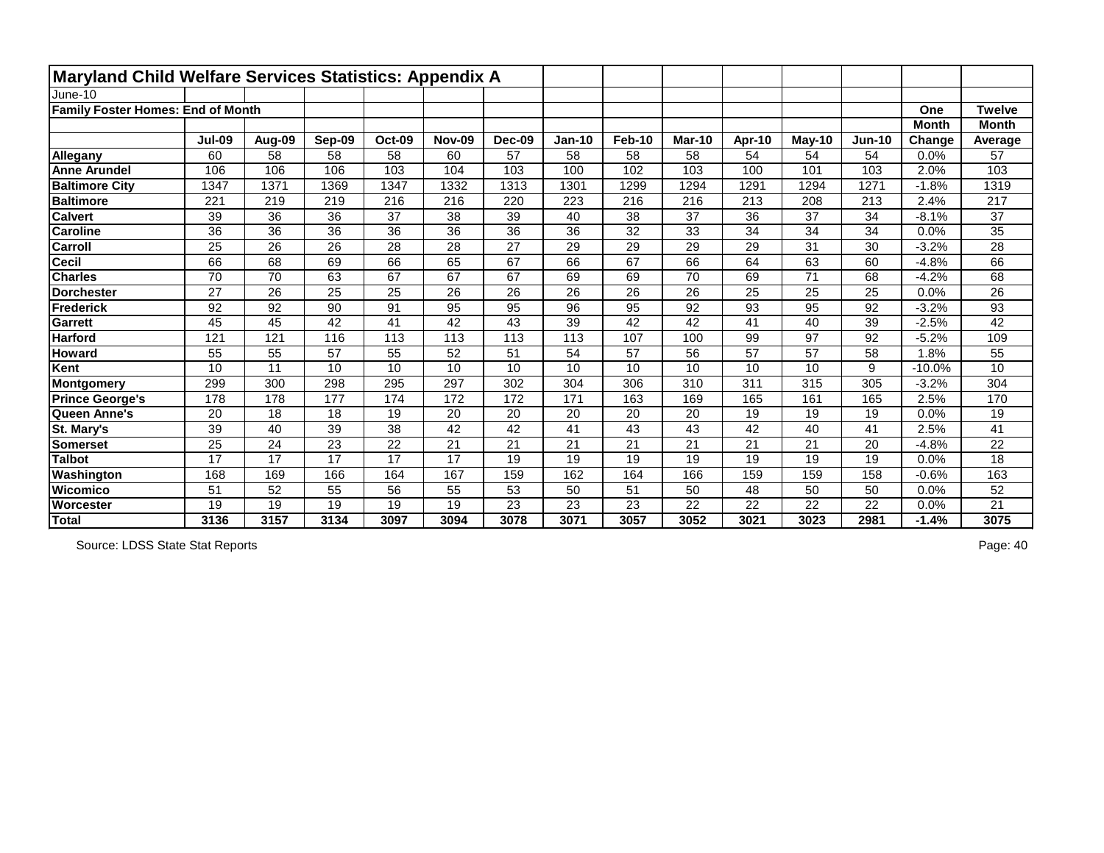| Maryland Child Welfare Services Statistics: Appendix A |                 |                 |        |               |                 |                 |               |                 |               |                 |        |                 |              |               |
|--------------------------------------------------------|-----------------|-----------------|--------|---------------|-----------------|-----------------|---------------|-----------------|---------------|-----------------|--------|-----------------|--------------|---------------|
| June-10                                                |                 |                 |        |               |                 |                 |               |                 |               |                 |        |                 |              |               |
| <b>Family Foster Homes: End of Month</b>               |                 |                 |        |               |                 |                 |               |                 |               |                 |        |                 | One          | <b>Twelve</b> |
|                                                        |                 |                 |        |               |                 |                 |               |                 |               |                 |        |                 | <b>Month</b> | <b>Month</b>  |
|                                                        | <b>Jul-09</b>   | Aug-09          | Sep-09 | <b>Oct-09</b> | <b>Nov-09</b>   | Dec-09          | <b>Jan-10</b> | <b>Feb-10</b>   | <b>Mar-10</b> | Apr-10          | May-10 | <b>Jun-10</b>   | Change       | Average       |
| Allegany                                               | 60              | 58              | 58     | 58            | 60              | 57              | 58            | 58              | 58            | 54              | 54     | 54              | 0.0%         | 57            |
| <b>Anne Arundel</b>                                    | 106             | 106             | 106    | 103           | 104             | 103             | 100           | 102             | 103           | 100             | 101    | 103             | 2.0%         | 103           |
| <b>Baltimore City</b>                                  | 1347            | 1371            | 1369   | 1347          | 1332            | 1313            | 1301          | 1299            | 1294          | 1291            | 1294   | 1271            | $-1.8%$      | 1319          |
| <b>Baltimore</b>                                       | 221             | 219             | 219    | 216           | 216             | 220             | 223           | 216             | 216           | 213             | 208    | 213             | 2.4%         | 217           |
| <b>Calvert</b>                                         | 39              | 36              | 36     | 37            | 38              | 39              | 40            | 38              | 37            | 36              | 37     | 34              | $-8.1%$      | 37            |
| <b>Caroline</b>                                        | $\overline{36}$ | $\overline{36}$ | 36     | 36            | $\overline{36}$ | $\overline{36}$ | 36            | $\overline{32}$ | 33            | $\overline{34}$ | 34     | $\overline{34}$ | 0.0%         | 35            |
| Carroll                                                | 25              | 26              | 26     | 28            | 28              | 27              | 29            | 29              | 29            | 29              | 31     | 30              | $-3.2%$      | 28            |
| <b>Cecil</b>                                           | 66              | 68              | 69     | 66            | 65              | 67              | 66            | 67              | 66            | 64              | 63     | 60              | $-4.8%$      | 66            |
| <b>Charles</b>                                         | 70              | 70              | 63     | 67            | 67              | 67              | 69            | 69              | 70            | 69              | 71     | 68              | $-4.2%$      | 68            |
| Dorchester                                             | 27              | 26              | 25     | 25            | 26              | 26              | 26            | 26              | 26            | 25              | 25     | 25              | 0.0%         | 26            |
| Frederick                                              | 92              | 92              | 90     | 91            | 95              | $\overline{95}$ | 96            | 95              | 92            | $\overline{93}$ | 95     | 92              | $-3.2%$      | 93            |
| <b>Garrett</b>                                         | 45              | 45              | 42     | 41            | 42              | 43              | 39            | 42              | 42            | 41              | 40     | 39              | $-2.5%$      | 42            |
| <b>Harford</b>                                         | 121             | 121             | 116    | 113           | 113             | 113             | 113           | 107             | 100           | 99              | 97     | 92              | $-5.2%$      | 109           |
| <b>Howard</b>                                          | 55              | 55              | 57     | 55            | 52              | 51              | 54            | 57              | 56            | 57              | 57     | 58              | 1.8%         | 55            |
| Kent                                                   | 10              | 11              | 10     | 10            | 10              | 10              | 10            | 10              | 10            | 10              | 10     | 9               | $-10.0%$     | 10            |
| Montgomery                                             | 299             | 300             | 298    | 295           | 297             | 302             | 304           | 306             | 310           | 311             | 315    | 305             | $-3.2%$      | 304           |
| <b>Prince George's</b>                                 | 178             | 178             | 177    | 174           | 172             | 172             | 171           | 163             | 169           | 165             | 161    | 165             | 2.5%         | 170           |
| Queen Anne's                                           | 20              | 18              | 18     | 19            | 20              | 20              | 20            | 20              | 20            | 19              | 19     | 19              | 0.0%         | 19            |
| St. Mary's                                             | 39              | 40              | 39     | 38            | 42              | 42              | 41            | 43              | 43            | 42              | 40     | 41              | 2.5%         | 41            |
| <b>Somerset</b>                                        | 25              | 24              | 23     | 22            | 21              | 21              | 21            | 21              | 21            | 21              | 21     | 20              | $-4.8%$      | 22            |
| <b>Talbot</b>                                          | 17              | 17              | 17     | 17            | 17              | 19              | 19            | 19              | 19            | 19              | 19     | 19              | 0.0%         | 18            |
| Washington                                             | 168             | 169             | 166    | 164           | 167             | 159             | 162           | 164             | 166           | 159             | 159    | 158             | $-0.6%$      | 163           |
| <b>Wicomico</b>                                        | 51              | 52              | 55     | 56            | 55              | 53              | 50            | 51              | 50            | 48              | 50     | 50              | 0.0%         | 52            |
| Worcester                                              | 19              | 19              | 19     | 19            | 19              | 23              | 23            | 23              | 22            | 22              | 22     | 22              | 0.0%         | 21            |
| Total                                                  | 3136            | 3157            | 3134   | 3097          | 3094            | 3078            | 3071          | 3057            | 3052          | 3021            | 3023   | 2981            | $-1.4%$      | 3075          |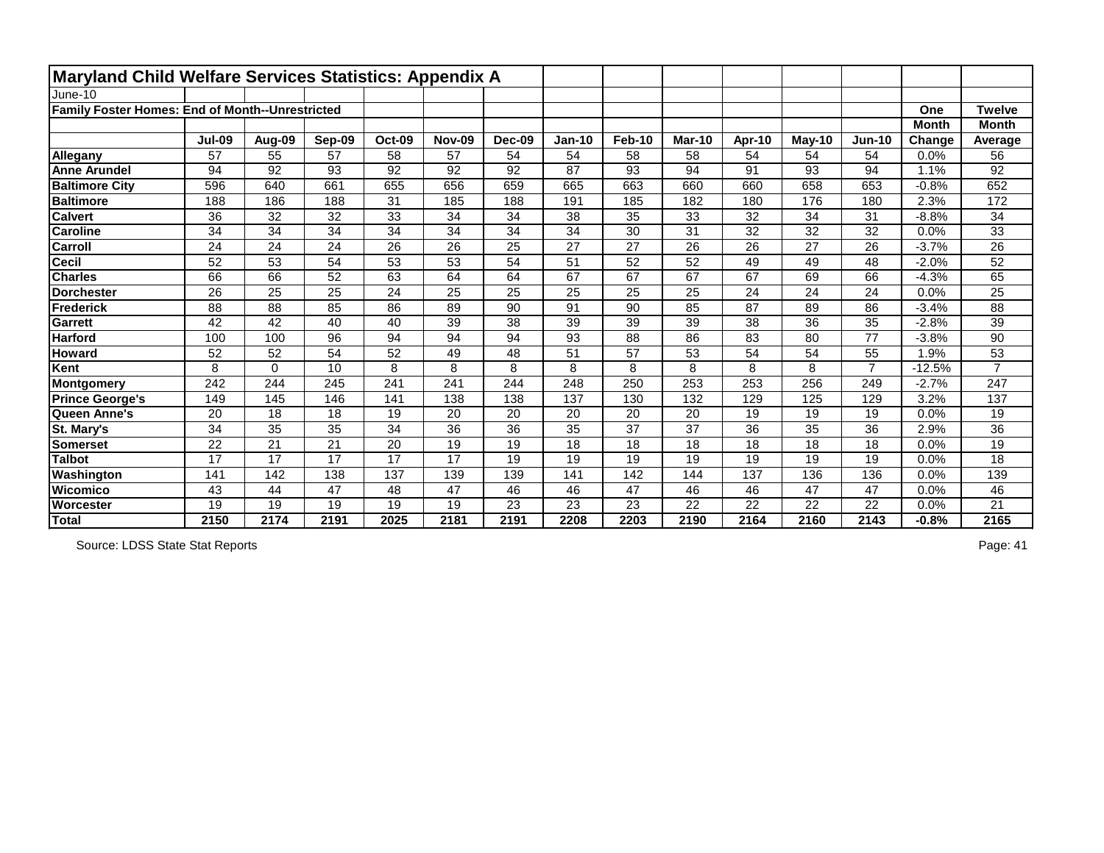| <b>Maryland Child Welfare Services Statistics: Appendix A</b> |               |                 |        |                 |                 |                 |               |               |               |                 |          |                |              |                  |
|---------------------------------------------------------------|---------------|-----------------|--------|-----------------|-----------------|-----------------|---------------|---------------|---------------|-----------------|----------|----------------|--------------|------------------|
| June-10                                                       |               |                 |        |                 |                 |                 |               |               |               |                 |          |                |              |                  |
| Family Foster Homes: End of Month--Unrestricted               |               |                 |        |                 |                 |                 |               |               |               |                 |          |                | One          | <b>Twelve</b>    |
|                                                               |               |                 |        |                 |                 |                 |               |               |               |                 |          |                | <b>Month</b> | <b>Month</b>     |
|                                                               | <b>Jul-09</b> | Aug-09          | Sep-09 | <b>Oct-09</b>   | <b>Nov-09</b>   | <b>Dec-09</b>   | <b>Jan-10</b> | <b>Feb-10</b> | <b>Mar-10</b> | Apr-10          | $May-10$ | <b>Jun-10</b>  | Change       | Average          |
| Allegany                                                      | 57            | 55              | 57     | 58              | 57              | 54              | 54            | 58            | 58            | 54              | 54       | 54             | 0.0%         | 56               |
| <b>Anne Arundel</b>                                           | 94            | 92              | 93     | 92              | 92              | 92              | 87            | 93            | 94            | 91              | 93       | 94             | 1.1%         | 92               |
| <b>Baltimore City</b>                                         | 596           | 640             | 661    | 655             | 656             | 659             | 665           | 663           | 660           | 660             | 658      | 653            | $-0.8%$      | 652              |
| <b>Baltimore</b>                                              | 188           | 186             | 188    | 31              | 185             | 188             | 191           | 185           | 182           | 180             | 176      | 180            | 2.3%         | $\overline{172}$ |
| <b>Calvert</b>                                                | 36            | 32              | 32     | 33              | 34              | 34              | 38            | 35            | 33            | 32              | 34       | 31             | $-8.8%$      | 34               |
| <b>Caroline</b>                                               | 34            | 34              | 34     | 34              | 34              | 34              | 34            | 30            | 31            | 32              | 32       | 32             | 0.0%         | 33               |
| Carroll                                                       | 24            | 24              | 24     | 26              | 26              | 25              | 27            | 27            | 26            | 26              | 27       | 26             | $-3.7%$      | 26               |
| <b>Cecil</b>                                                  | 52            | 53              | 54     | 53              | $\overline{53}$ | 54              | 51            | 52            | 52            | 49              | 49       | 48             | $-2.0%$      | 52               |
| <b>Charles</b>                                                | 66            | 66              | 52     | 63              | 64              | 64              | 67            | 67            | 67            | 67              | 69       | 66             | $-4.3%$      | 65               |
| <b>Dorchester</b>                                             | 26            | 25              | 25     | 24              | 25              | 25              | 25            | 25            | 25            | 24              | 24       | 24             | 0.0%         | 25               |
| Frederick                                                     | 88            | 88              | 85     | 86              | 89              | 90              | 91            | 90            | 85            | 87              | 89       | 86             | $-3.4%$      | 88               |
| <b>Garrett</b>                                                | 42            | 42              | 40     | 40              | 39              | 38              | 39            | 39            | 39            | 38              | 36       | 35             | $-2.8%$      | 39               |
| <b>Harford</b>                                                | 100           | 100             | 96     | 94              | 94              | $\overline{94}$ | 93            | 88            | 86            | $\overline{83}$ | 80       | 77             | $-3.8%$      | 90               |
| <b>Howard</b>                                                 | 52            | 52              | 54     | 52              | 49              | 48              | 51            | 57            | 53            | 54              | 54       | 55             | 1.9%         | 53               |
| Kent                                                          | 8             | $\mathbf 0$     | 10     | 8               | 8               | 8               | 8             | 8             | 8             | 8               | 8        | $\overline{7}$ | $-12.5%$     | $\overline{7}$   |
| Montgomery                                                    | 242           | 244             | 245    | 241             | 241             | 244             | 248           | 250           | 253           | 253             | 256      | 249            | $-2.7%$      | 247              |
| <b>Prince George's</b>                                        | 149           | 145             | 146    | 141             | 138             | 138             | 137           | 130           | 132           | 129             | 125      | 129            | 3.2%         | 137              |
| Queen Anne's                                                  | 20            | 18              | 18     | 19              | 20              | 20              | 20            | 20            | 20            | 19              | 19       | 19             | 0.0%         | 19               |
| St. Mary's                                                    | 34            | 35              | 35     | 34              | 36              | 36              | 35            | 37            | 37            | 36              | 35       | 36             | 2.9%         | 36               |
| <b>Somerset</b>                                               | 22            | 21              | 21     | 20              | 19              | 19              | 18            | 18            | 18            | 18              | 18       | 18             | 0.0%         | 19               |
| <b>Talbot</b>                                                 | 17            | $\overline{17}$ | 17     | $\overline{17}$ | 17              | 19              | 19            | 19            | 19            | $\overline{19}$ | 19       | 19             | 0.0%         | $\overline{18}$  |
| Washington                                                    | 141           | 142             | 138    | 137             | 139             | 139             | 141           | 142           | 144           | 137             | 136      | 136            | 0.0%         | 139              |
| <b>Wicomico</b>                                               | 43            | 44              | 47     | 48              | 47              | 46              | 46            | 47            | 46            | 46              | 47       | 47             | 0.0%         | 46               |
| Worcester                                                     | 19            | 19              | 19     | 19              | 19              | 23              | 23            | 23            | 22            | 22              | 22       | 22             | 0.0%         | 21               |
| Total                                                         | 2150          | 2174            | 2191   | 2025            | 2181            | 2191            | 2208          | 2203          | 2190          | 2164            | 2160     | 2143           | $-0.8%$      | 2165             |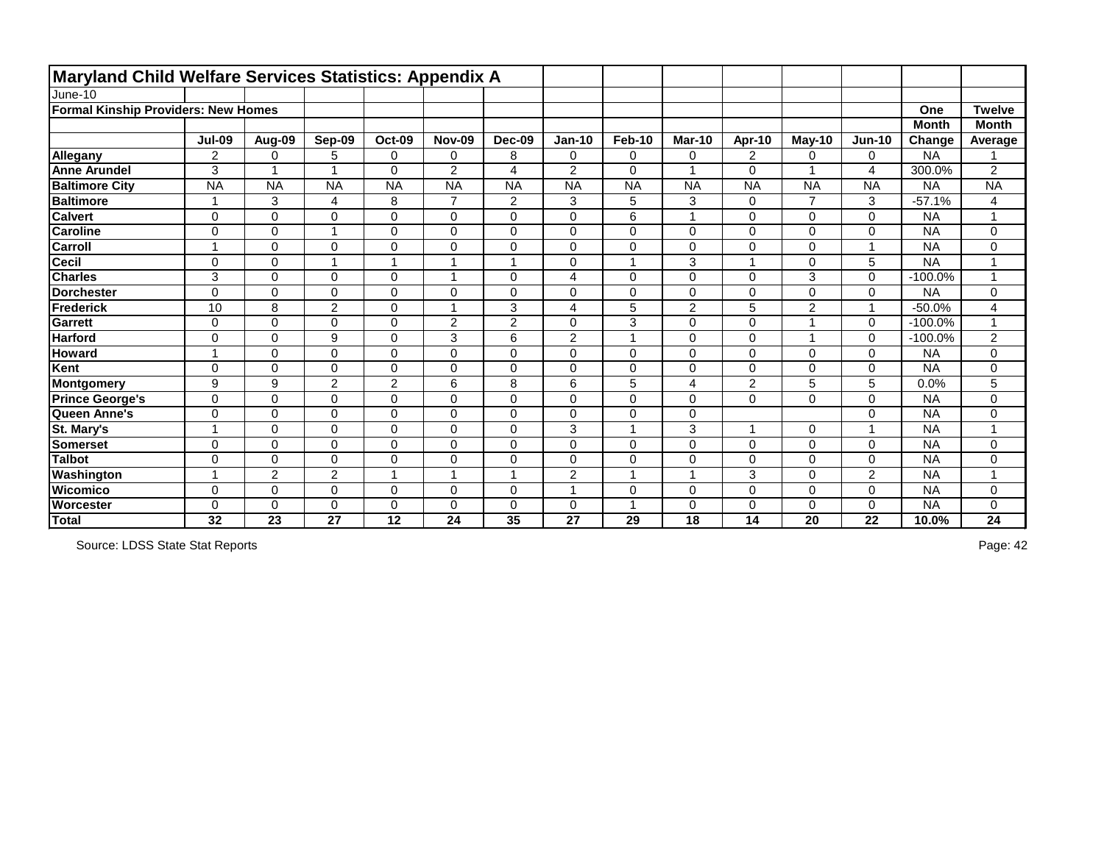| Maryland Child Welfare Services Statistics: Appendix A |                |                |                |                  |                |                |                |                         |                         |                          |                |                         |              |                         |
|--------------------------------------------------------|----------------|----------------|----------------|------------------|----------------|----------------|----------------|-------------------------|-------------------------|--------------------------|----------------|-------------------------|--------------|-------------------------|
| June-10                                                |                |                |                |                  |                |                |                |                         |                         |                          |                |                         |              |                         |
| <b>Formal Kinship Providers: New Homes</b>             |                |                |                |                  |                |                |                |                         |                         |                          |                |                         | One          | <b>Twelve</b>           |
|                                                        |                |                |                |                  |                |                |                |                         |                         |                          |                |                         | <b>Month</b> | <b>Month</b>            |
|                                                        | <b>Jul-09</b>  | Aug-09         | Sep-09         | <b>Oct-09</b>    | <b>Nov-09</b>  | <b>Dec-09</b>  | <b>Jan-10</b>  | Feb-10                  | <b>Mar-10</b>           | Apr-10                   | $M$ ay-10      | $Jun-10$                | Change       | Average                 |
| Allegany                                               | $\overline{2}$ | $\mathbf 0$    | 5              | $\mathbf 0$      | 0              | 8              | 0              | $\mathbf 0$             | $\mathbf 0$             | $\overline{2}$           | 0              | $\mathbf 0$             | <b>NA</b>    |                         |
| <b>Anne Arundel</b>                                    | 3              | $\overline{A}$ | 4              | $\overline{0}$   | $\overline{2}$ | 4              | $\overline{2}$ | $\overline{0}$          | $\overline{1}$          | $\Omega$                 | 1              | 4                       | 300.0%       | $\overline{2}$          |
| <b>Baltimore City</b>                                  | <b>NA</b>      | <b>NA</b>      | <b>NA</b>      | <b>NA</b>        | <b>NA</b>      | <b>NA</b>      | <b>NA</b>      | <b>NA</b>               | <b>NA</b>               | <b>NA</b>                | <b>NA</b>      | <b>NA</b>               | <b>NA</b>    | <b>NA</b>               |
| <b>Baltimore</b>                                       | 1              | 3              | 4              | 8                | $\overline{7}$ | $\overline{2}$ | 3              | 5                       | 3                       | 0                        | $\overline{7}$ | 3                       | $-57.1%$     | 4                       |
| <b>Calvert</b>                                         | $\mathbf 0$    | $\mathbf 0$    | $\Omega$       | $\mathbf 0$      | 0              | $\mathbf 0$    | $\mathbf 0$    | $6\phantom{1}6$         |                         | 0                        | 0              | $\Omega$                | <b>NA</b>    |                         |
| <b>Caroline</b>                                        | $\mathbf 0$    | $\mathbf 0$    |                | $\mathbf 0$      | 0              | $\mathbf 0$    | $\overline{0}$ | $\mathbf 0$             | $\mathbf 0$             | 0                        | 0              | $\mathbf 0$             | <b>NA</b>    | 0                       |
| <b>Carroll</b>                                         |                | $\mathbf 0$    | 0              | $\boldsymbol{0}$ | $\mathbf 0$    | $\mathbf 0$    | $\pmb{0}$      | $\mathbf 0$             | $\mathbf 0$             | 0                        | $\mathsf 0$    | -1                      | <b>NA</b>    | 0                       |
| <b>Cecil</b>                                           | $\mathbf 0$    | $\mathbf 0$    |                | $\overline{1}$   | 1              | $\mathbf 1$    | 0              | $\overline{1}$          | 3                       | $\overline{\phantom{a}}$ | 0              | 5                       | <b>NA</b>    | $\overline{1}$          |
| <b>Charles</b>                                         | 3              | $\Omega$       | $\Omega$       | 0                | 1              | $\Omega$       | $\overline{4}$ | $\mathbf 0$             | $\mathbf 0$             | $\mathbf 0$              | 3              | $\Omega$                | $-100.0%$    | $\overline{ }$          |
| <b>Dorchester</b>                                      | $\overline{0}$ | $\mathbf 0$    | 0              | $\mathbf 0$      | 0              | $\mathbf 0$    | $\mathbf 0$    | $\overline{0}$          | $\mathbf 0$             | 0                        | 0              | $\mathbf 0$             | <b>NA</b>    | 0                       |
| Frederick                                              | 10             | 8              | $\overline{2}$ | $\mathbf 0$      | 1              | 3              | $\overline{4}$ | 5                       | $\overline{2}$          | 5                        | $\overline{2}$ | 1                       | $-50.0%$     | $\overline{\mathbf{4}}$ |
| <b>Garrett</b>                                         | $\mathbf 0$    | $\overline{0}$ | 0              | $\mathbf 0$      | $\overline{2}$ | $\overline{2}$ | $\mathbf 0$    | 3                       | $\mathbf 0$             | $\overline{0}$           | $\mathbf{1}$   | $\mathbf 0$             | $-100.0%$    | $\blacktriangleleft$    |
| <b>Harford</b>                                         | $\mathbf 0$    | $\mathbf 0$    | 9              | $\mathsf 0$      | 3              | 6              | $\overline{2}$ | $\overline{1}$          | $\mathbf 0$             | 0                        | $\mathbf{1}$   | $\mathbf 0$             | $-100.0%$    | $\overline{2}$          |
| <b>Howard</b>                                          | $\overline{ }$ | $\mathbf 0$    | 0              | $\mathbf 0$      | 0              | $\mathbf 0$    | $\mathbf 0$    | $\mathbf 0$             | $\mathbf 0$             | 0                        | 0              | $\mathbf 0$             | <b>NA</b>    | 0                       |
| Kent                                                   | $\mathbf 0$    | $\mathbf 0$    | 0              | $\mathbf 0$      | 0              | $\overline{0}$ | $\pmb{0}$      | $\mathbf 0$             | $\mathbf 0$             | 0                        | 0              | $\Omega$                | <b>NA</b>    | 0                       |
| Montgomery                                             | 9              | 9              | $\overline{2}$ | $\overline{2}$   | 6              | 8              | 6              | 5                       | 4                       | $\overline{2}$           | 5              | 5                       | 0.0%         | 5                       |
| <b>Prince George's</b>                                 | $\mathbf 0$    | $\mathbf 0$    | 0              | $\mathbf 0$      | 0              | $\mathbf 0$    | $\pmb{0}$      | $\mathbf 0$             | $\mathbf 0$             | 0                        | 0              | $\mathbf 0$             | <b>NA</b>    | 0                       |
| Queen Anne's                                           | $\mathbf 0$    | $\mathbf 0$    | 0              | $\mathbf 0$      | 0              | $\mathbf 0$    | $\mathbf 0$    | $\mathbf 0$             | $\mathbf 0$             |                          |                | $\mathbf 0$             | <b>NA</b>    | 0                       |
| St. Mary's                                             |                | $\mathbf 0$    | 0              | $\mathbf 0$      | 0              | $\mathbf 0$    | 3              | $\overline{\mathbf{A}}$ | 3                       | $\overline{ }$           | 0              | $\overline{\mathbf{A}}$ | <b>NA</b>    | $\overline{ }$          |
| <b>Somerset</b>                                        | $\Omega$       | $\mathbf 0$    | 0              | $\mathbf 0$      | 0              | $\mathbf 0$    | $\mathbf 0$    | $\mathbf 0$             | $\mathbf 0$             | 0                        | 0              | $\mathbf 0$             | <b>NA</b>    | 0                       |
| <b>Talbot</b>                                          | $\mathbf 0$    | $\mathbf 0$    | 0              | $\mathbf 0$      | 0              | $\overline{0}$ | $\pmb{0}$      | $\mathbf 0$             | $\mathbf 0$             | 0                        | 0              | $\mathbf 0$             | <b>NA</b>    | 0                       |
| Washington                                             |                | $\overline{2}$ | $\overline{2}$ | 1                | 1              | 1              | $\overline{2}$ | -1                      | $\overline{\mathbf{1}}$ | 3                        | 0              | $\overline{2}$          | <b>NA</b>    | $\overline{ }$          |
| <b>Wicomico</b>                                        | $\mathbf 0$    | $\mathbf 0$    | 0              | $\mathbf 0$      | 0              | $\mathbf 0$    | $\overline{A}$ | $\mathbf 0$             | $\mathbf 0$             | $\mathbf 0$              | 0              | $\mathbf 0$             | <b>NA</b>    | 0                       |
| <b>Worcester</b>                                       | $\Omega$       | $\mathbf 0$    | 0              | $\mathbf 0$      | 0              | $\Omega$       | $\mathbf 0$    | -1                      | $\mathbf 0$             | 0                        | 0              | $\Omega$                | <b>NA</b>    | 0                       |
| Total                                                  | 32             | 23             | 27             | 12               | 24             | 35             | 27             | 29                      | 18                      | 14                       | 20             | 22                      | 10.0%        | 24                      |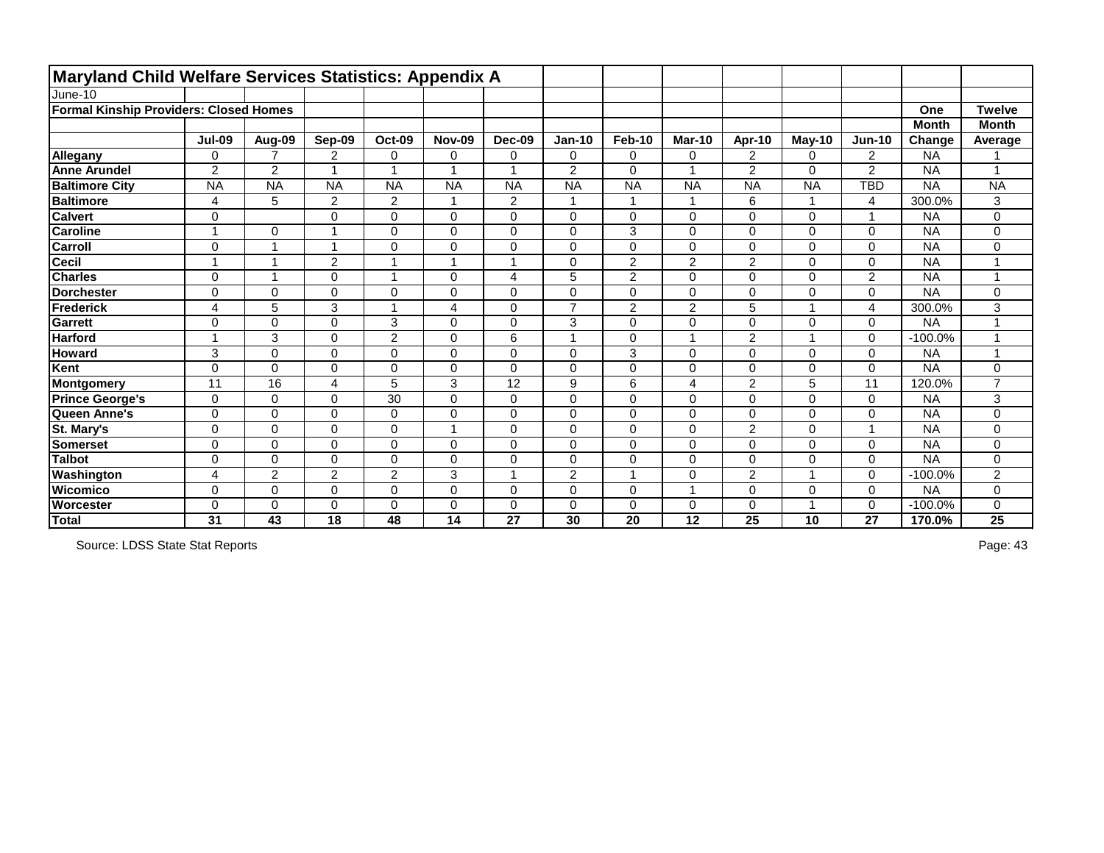| <b>Maryland Child Welfare Services Statistics: Appendix A</b> |                         |                |                         |                         |               |                |                         |                |                |                |           |                |              |                |
|---------------------------------------------------------------|-------------------------|----------------|-------------------------|-------------------------|---------------|----------------|-------------------------|----------------|----------------|----------------|-----------|----------------|--------------|----------------|
| June-10                                                       |                         |                |                         |                         |               |                |                         |                |                |                |           |                |              |                |
| <b>Formal Kinship Providers: Closed Homes</b>                 |                         |                |                         |                         |               |                |                         |                |                |                |           |                | One          | <b>Twelve</b>  |
|                                                               |                         |                |                         |                         |               |                |                         |                |                |                |           |                | <b>Month</b> | <b>Month</b>   |
|                                                               | <b>Jul-09</b>           | Aug-09         | Sep-09                  | <b>Oct-09</b>           | <b>Nov-09</b> | Dec-09         | <b>Jan-10</b>           | <b>Feb-10</b>  | <b>Mar-10</b>  | Apr-10         | May-10    | <b>Jun-10</b>  | Change       | Average        |
| <b>Allegany</b>                                               | 0                       | $\overline{7}$ | $\overline{2}$          | 0                       | 0             | $\mathbf 0$    | $\mathbf 0$             | 0              | $\mathbf 0$    | $\overline{2}$ | 0         | $\overline{2}$ | <b>NA</b>    |                |
| <b>Anne Arundel</b>                                           | $\overline{2}$          | $\overline{2}$ | $\overline{\mathbf{A}}$ | $\overline{\mathbf{1}}$ |               | $\overline{A}$ | $\overline{2}$          | $\mathbf 0$    |                | $\overline{2}$ | 0         | $\overline{2}$ | <b>NA</b>    | 4              |
| <b>Baltimore City</b>                                         | <b>NA</b>               | <b>NA</b>      | <b>NA</b>               | <b>NA</b>               | <b>NA</b>     | <b>NA</b>      | <b>NA</b>               | <b>NA</b>      | <b>NA</b>      | <b>NA</b>      | <b>NA</b> | <b>TBD</b>     | <b>NA</b>    | <b>NA</b>      |
| <b>Baltimore</b>                                              | 4                       | 5              | $\overline{2}$          | $\overline{2}$          |               | $\overline{2}$ | $\overline{\mathbf{A}}$ | $\mathbf 1$    |                | 6              | 1         | 4              | 300.0%       | 3              |
| <b>Calvert</b>                                                | 0                       |                | $\overline{0}$          | $\mathbf 0$             | $\mathbf 0$   | $\mathbf 0$    | 0                       | $\mathbf 0$    | $\mathbf 0$    | $\mathbf 0$    | 0         | -4             | <b>NA</b>    | 0              |
| <b>Caroline</b>                                               | $\overline{ }$          | $\overline{0}$ |                         | $\mathbf 0$             | $\mathbf 0$   | $\overline{0}$ | $\overline{0}$          | 3              | $\overline{0}$ | $\mathbf 0$    | 0         | $\mathbf 0$    | <b>NA</b>    | 0              |
| <b>Carroll</b>                                                | 0                       |                |                         | 0                       | 0             | $\mathbf 0$    | 0                       | $\pmb{0}$      | $\mathbf 0$    | $\mathbf 0$    | 0         | $\pmb{0}$      | <b>NA</b>    | 0              |
| <b>Cecil</b>                                                  | 1                       | $\overline{ }$ | $\overline{2}$          | $\overline{1}$          |               | $\overline{A}$ | 0                       | $\overline{2}$ | $\overline{2}$ | $\overline{2}$ | 0         | $\mathbf 0$    | <b>NA</b>    |                |
| <b>Charles</b>                                                | $\mathbf 0$             | 1              | $\Omega$                | $\overline{ }$          | $\Omega$      | 4              | 5                       | $\overline{2}$ | $\Omega$       | $\mathbf{0}$   | $\Omega$  | $\overline{2}$ | <b>NA</b>    | 1              |
| <b>Dorchester</b>                                             | 0                       | $\mathbf 0$    | $\overline{0}$          | $\mathbf 0$             | $\mathbf 0$   | $\overline{0}$ | $\overline{0}$          | $\mathbf 0$    | $\mathbf 0$    | $\mathbf 0$    | 0         | $\mathbf 0$    | <b>NA</b>    | 0              |
| Frederick                                                     | 4                       | 5              | 3                       | $\overline{\mathbf{1}}$ | 4             | $\overline{0}$ | $\overline{7}$          | $\overline{2}$ | $\overline{2}$ | 5              |           | 4              | 300.0%       | 3              |
| <b>Garrett</b>                                                | 0                       | $\mathbf 0$    | $\Omega$                | 3                       | 0             | $\mathbf 0$    | 3                       | $\mathbf 0$    | $\mathbf 0$    | $\mathbf 0$    | 0         | 0              | <b>NA</b>    | 4              |
| <b>Harford</b>                                                | $\overline{\mathbf{A}}$ | 3              | $\overline{0}$          | $\overline{c}$          | 0             | 6              | 4                       | $\pmb{0}$      |                | $\overline{2}$ |           | $\mathbf 0$    | $-100.0%$    | 4              |
| <b>Howard</b>                                                 | 3                       | $\mathbf 0$    | $\Omega$                | $\mathbf 0$             | 0             | $\mathbf 0$    | $\mathbf 0$             | 3              | $\mathbf 0$    | $\mathbf 0$    | 0         | $\mathbf 0$    | <b>NA</b>    | 1              |
| Kent                                                          | 0                       | $\overline{0}$ | $\overline{0}$          | 0                       | $\mathbf 0$   | $\mathbf 0$    | $\overline{0}$          | $\pmb{0}$      | $\mathbf 0$    | $\mathbf 0$    | 0         | $\mathbf 0$    | <b>NA</b>    | 0              |
| Montgomery                                                    | 11                      | 16             | 4                       | 5                       | 3             | 12             | 9                       | $\,6$          | 4              | $\overline{2}$ | 5         | 11             | 120.0%       | $\overline{7}$ |
| <b>Prince George's</b>                                        | $\mathbf 0$             | $\mathbf 0$    | $\overline{0}$          | 30                      | $\mathbf 0$   | $\mathbf 0$    | 0                       | $\pmb{0}$      | $\mathbf 0$    | $\mathbf 0$    | 0         | $\mathbf 0$    | <b>NA</b>    | 3              |
| Queen Anne's                                                  | $\mathbf 0$             | $\mathbf 0$    | $\overline{0}$          | $\mathbf 0$             | 0             | $\mathbf 0$    | 0                       | $\mathbf 0$    | $\mathbf 0$    | $\mathbf 0$    | 0         | $\mathbf 0$    | <b>NA</b>    | 0              |
| St. Mary's                                                    | $\mathbf 0$             | $\mathbf 0$    | $\Omega$                | 0                       |               | $\mathbf 0$    | 0                       | $\mathbf 0$    | $\mathbf 0$    | $\overline{2}$ | 0         | $\overline{1}$ | <b>NA</b>    | 0              |
| <b>Somerset</b>                                               | $\mathbf 0$             | $\mathbf 0$    | $\Omega$                | $\mathbf 0$             | 0             | $\Omega$       | 0                       | $\pmb{0}$      | $\mathbf 0$    | $\mathbf 0$    | 0         | $\mathbf 0$    | <b>NA</b>    | 0              |
| <b>Talbot</b>                                                 | 0                       | $\mathbf 0$    | $\Omega$                | $\mathbf 0$             | $\Omega$      | $\overline{0}$ | $\overline{0}$          | $\mathbf 0$    | $\Omega$       | $\mathbf{0}$   | 0         | $\mathbf 0$    | <b>NA</b>    | 0              |
| Washington                                                    | 4                       | $\overline{c}$ | $\overline{c}$          | $\overline{c}$          | 3             |                | $\overline{2}$          | -1             | $\Omega$       | $\overline{2}$ |           | $\Omega$       | $-100.0%$    | 2              |
| <b>Wicomico</b>                                               | 0                       | $\overline{0}$ | $\Omega$                | $\mathbf 0$             | $\mathbf 0$   | $\overline{0}$ | 0                       | $\mathbf 0$    |                | $\mathbf 0$    | 0         | $\mathbf 0$    | <b>NA</b>    | 0              |
| <b>Worcester</b>                                              | $\Omega$                | 0              | $\Omega$                | $\mathbf 0$             | $\Omega$      | 0              | $\mathbf 0$             | $\mathbf 0$    | 0              | 0              |           | 0              | $-100.0%$    | 0              |
| Total                                                         | 31                      | 43             | 18                      | 48                      | 14            | 27             | 30                      | 20             | 12             | 25             | 10        | 27             | 170.0%       | 25             |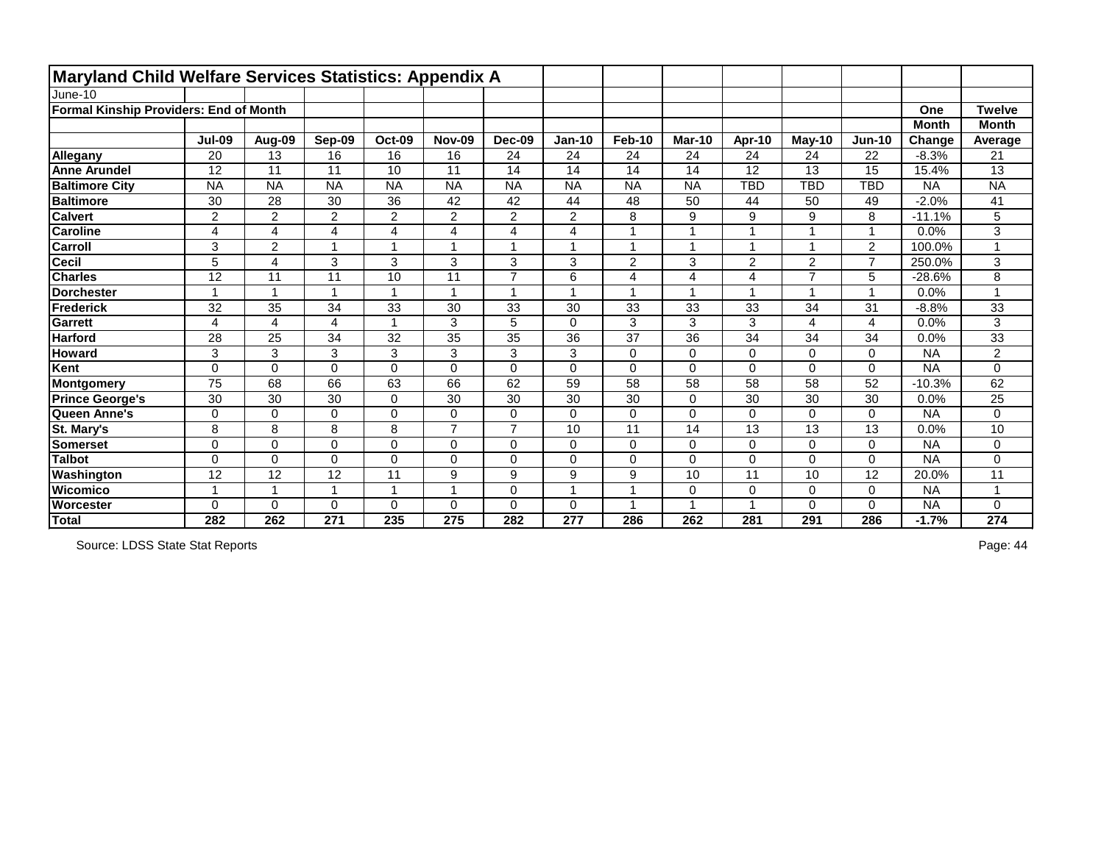| <b>Maryland Child Welfare Services Statistics: Appendix A</b> |                          |                         |                         |                         |                |                |                |                         |                |                         |                |                |              |               |
|---------------------------------------------------------------|--------------------------|-------------------------|-------------------------|-------------------------|----------------|----------------|----------------|-------------------------|----------------|-------------------------|----------------|----------------|--------------|---------------|
| June-10                                                       |                          |                         |                         |                         |                |                |                |                         |                |                         |                |                |              |               |
| <b>Formal Kinship Providers: End of Month</b>                 |                          |                         |                         |                         |                |                |                |                         |                |                         |                |                | One          | <b>Twelve</b> |
|                                                               |                          |                         |                         |                         |                |                |                |                         |                |                         |                |                | <b>Month</b> | <b>Month</b>  |
|                                                               | <b>Jul-09</b>            | Aug-09                  | Sep-09                  | <b>Oct-09</b>           | <b>Nov-09</b>  | <b>Dec-09</b>  | <b>Jan-10</b>  | <b>Feb-10</b>           | Mar-10         | Apr-10                  | $May-10$       | <b>Jun-10</b>  | Change       | Average       |
| Allegany                                                      | 20                       | 13                      | 16                      | 16                      | 16             | 24             | 24             | 24                      | 24             | 24                      | 24             | 22             | $-8.3%$      | 21            |
| <b>Anne Arundel</b>                                           | 12                       | 11                      | 11                      | 10                      | 11             | 14             | 14             | 14                      | 14             | 12                      | 13             | 15             | 15.4%        | 13            |
| <b>Baltimore City</b>                                         | <b>NA</b>                | <b>NA</b>               | <b>NA</b>               | <b>NA</b>               | <b>NA</b>      | <b>NA</b>      | <b>NA</b>      | <b>NA</b>               | <b>NA</b>      | <b>TBD</b>              | <b>TBD</b>     | <b>TBD</b>     | <b>NA</b>    | <b>NA</b>     |
| <b>Baltimore</b>                                              | 30                       | 28                      | 30                      | 36                      | 42             | 42             | 44             | 48                      | 50             | 44                      | 50             | 49             | $-2.0%$      | 41            |
| <b>Calvert</b>                                                | $\overline{c}$           | $\overline{2}$          | $\overline{2}$          | $\overline{2}$          | $\overline{2}$ | $\overline{2}$ | $\overline{2}$ | 8                       | 9              | 9                       | 9              | 8              | $-11.1%$     | 5             |
| <b>Caroline</b>                                               | 4                        | $\overline{\mathbf{4}}$ | 4                       | $\overline{\mathbf{4}}$ | 4              | $\overline{4}$ | 4              | 1                       |                |                         |                | $\overline{1}$ | 0.0%         | 3             |
| <b>Carroll</b>                                                | 3                        | $\overline{2}$          |                         | 1                       |                |                |                | $\overline{\mathbf{A}}$ |                |                         |                | $\overline{2}$ | 100.0%       | 1             |
| <b>Cecil</b>                                                  | 5                        | 4                       | 3                       | 3                       | 3              | 3              | 3              | $\overline{2}$          | 3              | $\overline{2}$          | 2              | $\overline{7}$ | 250.0%       | 3             |
| <b>Charles</b>                                                | 12                       | 11                      | 11                      | 10                      | 11             | $\overline{7}$ | 6              | $\overline{4}$          | 4              | $\overline{4}$          | $\overline{7}$ | 5              | $-28.6%$     | 8             |
| <b>Dorchester</b>                                             |                          | $\overline{1}$          |                         | $\overline{ }$          |                | $\overline{ }$ |                | $\overline{\mathbf{1}}$ |                | $\overline{\mathbf{1}}$ |                | 1              | 0.0%         |               |
| Frederick                                                     | 32                       | 35                      | 34                      | 33                      | 30             | 33             | 30             | 33                      | 33             | 33                      | 34             | 31             | $-8.8%$      | 33            |
| <b>Garrett</b>                                                | 4                        | 4                       | 4                       | 1                       | 3              | 5              | 0              | 3                       | 3              | 3                       | 4              | 4              | 0.0%         | 3             |
| <b>Harford</b>                                                | 28                       | 25                      | 34                      | 32                      | 35             | 35             | 36             | 37                      | 36             | 34                      | 34             | 34             | 0.0%         | 33            |
| <b>Howard</b>                                                 | 3                        | 3                       | 3                       | 3                       | 3              | 3              | 3              | $\mathbf 0$             | $\mathbf 0$    | $\mathbf 0$             | 0              | $\mathbf 0$    | <b>NA</b>    | 2             |
| Kent                                                          | $\Omega$                 | $\overline{0}$          | $\Omega$                | 0                       | $\mathbf 0$    | $\overline{0}$ | $\overline{0}$ | $\mathbf 0$             | $\mathbf 0$    | $\mathbf 0$             | 0              | $\overline{0}$ | <b>NA</b>    | 0             |
| Montgomery                                                    | 75                       | 68                      | 66                      | 63                      | 66             | 62             | 59             | 58                      | 58             | 58                      | 58             | 52             | $-10.3%$     | 62            |
| <b>Prince George's</b>                                        | 30                       | 30                      | 30                      | $\pmb{0}$               | 30             | 30             | 30             | 30                      | $\mathbf 0$    | 30                      | 30             | 30             | 0.0%         | 25            |
| Queen Anne's                                                  | $\mathbf 0$              | $\mathbf 0$             | 0                       | 0                       | 0              | $\mathbf 0$    | 0              | $\mathbf 0$             | $\overline{0}$ | $\mathbf 0$             | 0              | $\mathbf 0$    | <b>NA</b>    | 0             |
| St. Mary's                                                    | 8                        | 8                       | 8                       | 8                       | $\overline{7}$ | $\overline{7}$ | 10             | 11                      | 14             | 13                      | 13             | 13             | 0.0%         | 10            |
| <b>Somerset</b>                                               | $\mathbf 0$              | $\mathbf 0$             | $\Omega$                | 0                       | 0              | $\mathbf 0$    | 0              | $\pmb{0}$               | $\mathbf 0$    | $\mathbf 0$             | 0              | $\mathbf 0$    | <b>NA</b>    | $\mathbf 0$   |
| <b>Talbot</b>                                                 | 0                        | $\Omega$                | $\Omega$                | 0                       | $\Omega$       | $\Omega$       | 0              | $\mathbf 0$             | $\Omega$       | $\mathbf{0}$            | 0              | $\overline{0}$ | <b>NA</b>    | 0             |
| Washington                                                    | 12                       | 12                      | 12                      | 11                      | 9              | 9              | 9              | 9                       | 10             | 11                      | 10             | 12             | 20.0%        | 11            |
| <b>Wicomico</b>                                               | $\overline{\phantom{a}}$ | $\mathbf 1$             | $\overline{\mathbf{1}}$ | $\overline{1}$          |                | $\overline{0}$ |                | $\overline{1}$          | $\mathbf 0$    | $\mathbf 0$             | 0              | $\mathbf{0}$   | <b>NA</b>    | 1             |
| Worcester                                                     | $\Omega$                 | 0                       | $\Omega$                | $\mathbf 0$             | $\Omega$       | $\Omega$       | 0              |                         |                |                         | 0              | 0              | <b>NA</b>    | 0             |
| Total                                                         | 282                      | 262                     | 271                     | 235                     | 275            | 282            | 277            | 286                     | 262            | 281                     | 291            | 286            | $-1.7%$      | 274           |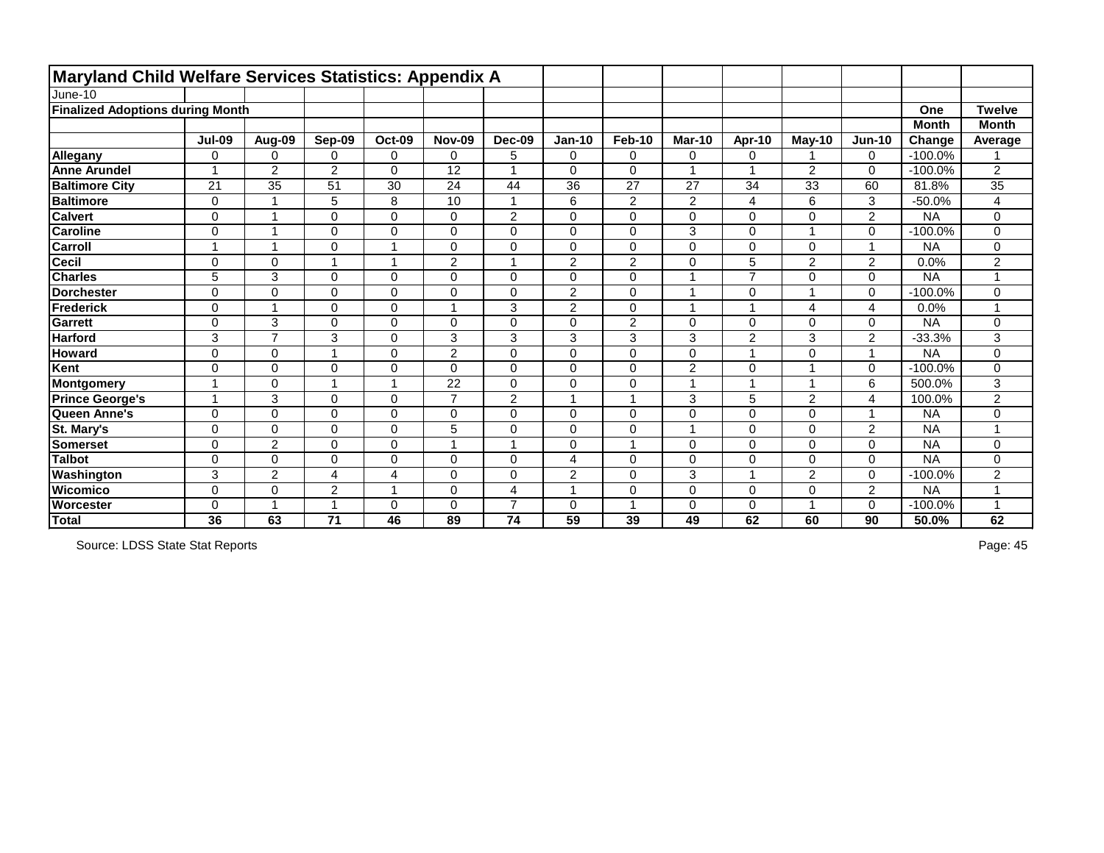|                                         | <b>Maryland Child Welfare Services Statistics: Appendix A</b> |                         |                |                         |                 |                |                |                |                |                |                |                |              |                |
|-----------------------------------------|---------------------------------------------------------------|-------------------------|----------------|-------------------------|-----------------|----------------|----------------|----------------|----------------|----------------|----------------|----------------|--------------|----------------|
| June-10                                 |                                                               |                         |                |                         |                 |                |                |                |                |                |                |                |              |                |
| <b>Finalized Adoptions during Month</b> |                                                               |                         |                |                         |                 |                |                |                |                |                |                |                | One          | <b>Twelve</b>  |
|                                         |                                                               |                         |                |                         |                 |                |                |                |                |                |                |                | <b>Month</b> | <b>Month</b>   |
|                                         | <b>Jul-09</b>                                                 | Aug-09                  | Sep-09         | <b>Oct-09</b>           | <b>Nov-09</b>   | <b>Dec-09</b>  | <b>Jan-10</b>  | Feb-10         | <b>Mar-10</b>  | Apr-10         | <b>May-10</b>  | <b>Jun-10</b>  | Change       | Average        |
| Allegany                                | $\overline{0}$                                                | $\mathbf 0$             | 0              | $\mathbf 0$             | $\mathbf 0$     | 5              | $\Omega$       | $\mathbf 0$    | 0              | $\Omega$       |                | 0              | $-100.0%$    |                |
| <b>Anne Arundel</b>                     |                                                               | $\overline{2}$          | $\overline{2}$ | $\mathbf 0$             | $\overline{12}$ | $\overline{ }$ | 0              | $\mathbf 0$    |                | -4             | $\overline{2}$ | $\mathbf 0$    | $-100.0%$    | $\overline{2}$ |
| <b>Baltimore City</b>                   | 21                                                            | 35                      | 51             | 30                      | 24              | 44             | 36             | 27             | 27             | 34             | 33             | 60             | 81.8%        | 35             |
| <b>Baltimore</b>                        | $\mathbf 0$                                                   | 1                       | 5              | 8                       | 10              | $\mathbf{1}$   | 6              | $\overline{2}$ | $\overline{2}$ | 4              | 6              | 3              | $-50.0%$     | 4              |
| <b>Calvert</b>                          | 0                                                             | $\blacktriangleleft$    | 0              | $\mathsf 0$             | $\mathbf 0$     | $\overline{2}$ | 0              | $\mathbf 0$    | $\mathbf 0$    | 0              | 0              | 2              | <b>NA</b>    | 0              |
| <b>Caroline</b>                         | $\overline{0}$                                                | $\overline{\mathbf{A}}$ | $\overline{0}$ | $\mathbf 0$             | $\mathbf 0$     | $\mathbf 0$    | 0              | $\mathbf 0$    | 3              | 0              |                | $\mathbf 0$    | $-100.0%$    | 0              |
| <b>Carroll</b>                          | $\overline{\phantom{a}}$                                      | $\overline{\mathbf{A}}$ | $\Omega$       |                         | $\mathbf 0$     | $\mathbf 0$    | 0              | $\mathbf 0$    | $\mathbf 0$    | $\Omega$       | 0              | 1              | <b>NA</b>    | 0              |
| Cecil                                   | $\mathbf 0$                                                   | $\overline{0}$          |                | $\overline{ }$          | $\overline{2}$  | $\overline{A}$ | $\overline{2}$ | $\sqrt{2}$     | $\mathbf 0$    | 5              | $\overline{2}$ | $\overline{2}$ | 0.0%         | $\overline{2}$ |
| <b>Charles</b>                          | 5                                                             | 3                       | $\Omega$       | $\mathbf 0$             | $\mathbf 0$     | $\mathbf 0$    | 0              | $\mathbf 0$    |                | $\overline{7}$ | 0              | $\mathbf 0$    | <b>NA</b>    | 4              |
| <b>Dorchester</b>                       | $\mathbf 0$                                                   | $\mathbf 0$             | $\Omega$       | $\pmb{0}$               | $\mathbf 0$     | $\mathbf 0$    | $\overline{2}$ | $\mathbf 0$    |                | 0              |                | $\mathbf 0$    | $-100.0%$    | 0              |
| Frederick                               | $\overline{0}$                                                | $\overline{1}$          | $\Omega$       | $\mathbf 0$             |                 | 3              | $\overline{2}$ | $\mathbf 0$    |                |                | 4              | 4              | 0.0%         |                |
| <b>Garrett</b>                          | $\overline{0}$                                                | 3                       | $\Omega$       | $\mathbf 0$             | $\mathbf 0$     | $\overline{0}$ | 0              | $\overline{2}$ | $\Omega$       | 0              | 0              | 0              | <b>NA</b>    | 0              |
| <b>Harford</b>                          | 3                                                             | $\overline{7}$          | 3              | $\mathbf 0$             | 3               | 3              | 3              | $\mathbf{3}$   | 3              | $\overline{2}$ | 3              | $\overline{2}$ | $-33.3%$     | 3              |
| <b>Howard</b>                           | $\mathbf 0$                                                   | $\mathbf 0$             | -1             | $\mathbf 0$             | $\overline{2}$  | $\mathbf 0$    | 0              | $\mathbf 0$    | $\mathbf 0$    | 1              | 0              | 1              | <b>NA</b>    | 0              |
| Kent                                    | $\mathbf 0$                                                   | $\mathbf 0$             | 0              | $\mathbf 0$             | $\mathbf 0$     | $\mathbf 0$    | 0              | $\pmb{0}$      | $\overline{2}$ | 0              | ◢              | $\mathbf 0$    | $-100.0%$    | 0              |
| Montgomery                              |                                                               | $\mathbf 0$             |                | $\overline{ }$          | 22              | $\overline{0}$ | 0              | $\mathbf 0$    |                |                |                | 6              | 500.0%       | 3              |
| <b>Prince George's</b>                  | $\overline{\phantom{a}}$                                      | 3                       | $\overline{0}$ | $\boldsymbol{0}$        | $\overline{z}$  | $\overline{2}$ |                | $\mathbf{1}$   | 3              | 5              | $\overline{2}$ | 4              | 100.0%       | $\overline{2}$ |
| Queen Anne's                            | $\overline{0}$                                                | $\overline{0}$          | $\overline{0}$ | $\mathbf 0$             | $\overline{0}$  | $\overline{0}$ | $\overline{0}$ | $\mathbf 0$    | $\overline{0}$ | $\overline{0}$ | 0              | 1              | <b>NA</b>    | 0              |
| St. Mary's                              | $\mathbf 0$                                                   | $\mathbf 0$             | 0              | $\mathbf 0$             | 5               | $\mathbf 0$    | 0              | $\mathbf 0$    | 1              | $\mathbf 0$    | 0              | $\overline{2}$ | <b>NA</b>    | 4              |
| <b>Somerset</b>                         | $\mathbf 0$                                                   | $\overline{2}$          | $\Omega$       | 0                       |                 | $\overline{A}$ | 0              | 1              | $\mathbf 0$    | 0              | 0              | $\mathbf 0$    | <b>NA</b>    | 0              |
| <b>Talbot</b>                           | $\mathbf 0$                                                   | $\mathbf 0$             | $\overline{0}$ | $\mathbf 0$             | $\mathbf 0$     | $\overline{0}$ | 4              | $\mathbf 0$    | $\Omega$       | $\overline{0}$ | 0              | $\mathbf 0$    | <b>NA</b>    | 0              |
| Washington                              | 3                                                             | $\overline{c}$          | 4              | 4                       | $\Omega$        | $\mathbf 0$    | $\overline{2}$ | $\mathbf 0$    | 3              |                | 2              | 0              | $-100.0%$    | 2              |
| <b>Wicomico</b>                         | $\overline{0}$                                                | $\overline{0}$          | $\overline{2}$ | $\overline{\mathbf{A}}$ | $\mathbf 0$     | $\overline{4}$ |                | $\mathbf 0$    | $\overline{0}$ | $\mathbf 0$    | 0              | $\overline{2}$ | <b>NA</b>    | $\overline{A}$ |
| <b>Worcester</b>                        | $\Omega$                                                      | 1                       |                | 0                       | $\Omega$        | $\overline{7}$ | 0              | $\overline{ }$ | 0              | 0              |                | 0              | $-100.0%$    |                |
| Total                                   | 36                                                            | 63                      | 71             | 46                      | 89              | 74             | 59             | 39             | 49             | 62             | 60             | 90             | 50.0%        | 62             |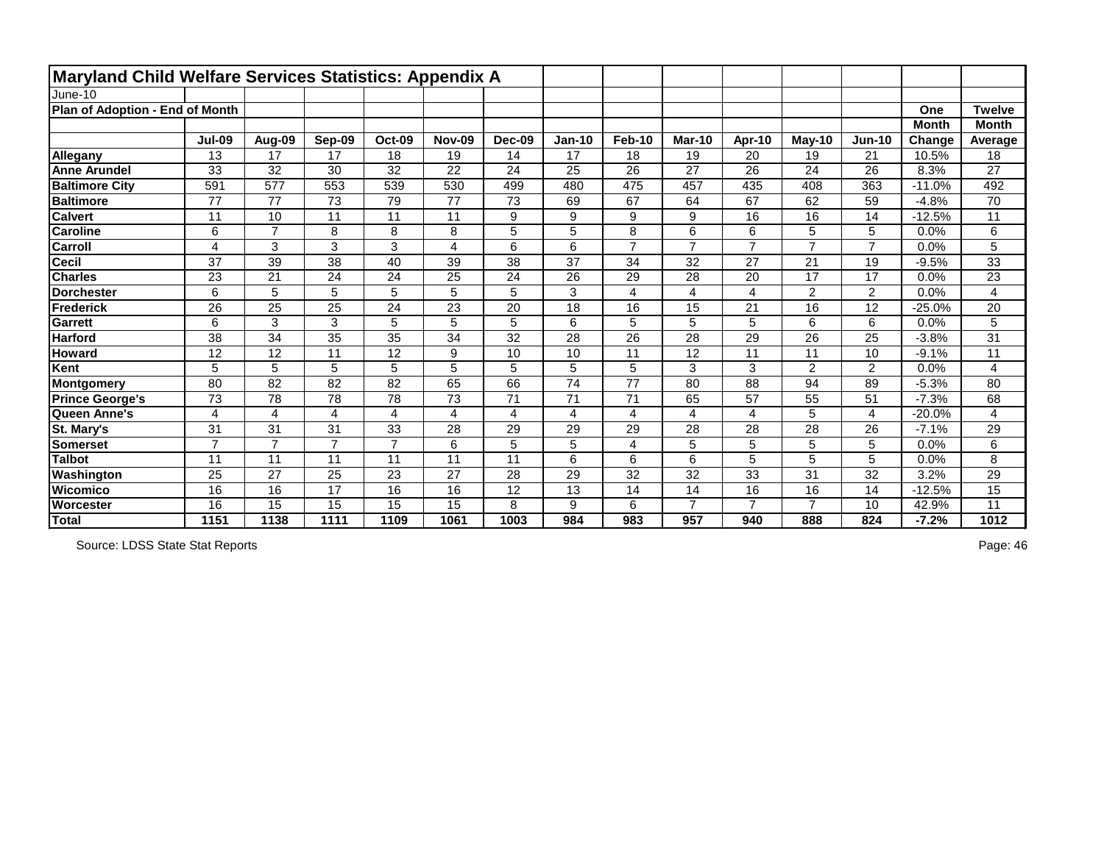| <b>Maryland Child Welfare Services Statistics: Appendix A</b> |               |                 |                 |                |               |                 |                |                 |                 |                 |                 |                 |              |                 |
|---------------------------------------------------------------|---------------|-----------------|-----------------|----------------|---------------|-----------------|----------------|-----------------|-----------------|-----------------|-----------------|-----------------|--------------|-----------------|
| June-10                                                       |               |                 |                 |                |               |                 |                |                 |                 |                 |                 |                 |              |                 |
| Plan of Adoption - End of Month                               |               |                 |                 |                |               |                 |                |                 |                 |                 |                 |                 | <b>One</b>   | <b>Twelve</b>   |
|                                                               |               |                 |                 |                |               |                 |                |                 |                 |                 |                 |                 | <b>Month</b> | <b>Month</b>    |
|                                                               | <b>Jul-09</b> | Aug-09          | Sep-09          | <b>Oct-09</b>  | <b>Nov-09</b> | <b>Dec-09</b>   | <b>Jan-10</b>  | <b>Feb-10</b>   | <b>Mar-10</b>   | Apr-10          | <b>May-10</b>   | <b>Jun-10</b>   | Change       | Average         |
| Allegany                                                      | 13            | 17              | 17              | 18             | 19            | 14              | 17             | 18              | 19              | 20              | 19              | 21              | 10.5%        | 18              |
| <b>Anne Arundel</b>                                           | 33            | 32              | 30              | 32             | 22            | 24              | 25             | 26              | 27              | 26              | 24              | 26              | 8.3%         | 27              |
| <b>Baltimore City</b>                                         | 591           | 577             | 553             | 539            | 530           | 499             | 480            | 475             | 457             | 435             | 408             | 363             | $-11.0%$     | 492             |
| <b>Baltimore</b>                                              | 77            | 77              | 73              | 79             | 77            | 73              | 69             | 67              | 64              | 67              | 62              | 59              | $-4.8%$      | 70              |
| <b>Calvert</b>                                                | 11            | 10              | 11              | 11             | 11            | 9               | 9              | 9               | 9               | 16              | 16              | 14              | $-12.5%$     | 11              |
| <b>Caroline</b>                                               | 6             | $\overline{7}$  | 8               | 8              | 8             | 5               | 5              | 8               | $6\phantom{1}6$ | 6               | 5               | 5               | 0.0%         | 6               |
| <b>Carroll</b>                                                | 4             | 3               | 3               | 3              | 4             | 6               | 6              | $\overline{7}$  | $\overline{7}$  | $\overline{7}$  | $\overline{7}$  | $\overline{7}$  | 0.0%         | 5               |
| <b>Cecil</b>                                                  | 37            | 39              | 38              | 40             | 39            | 38              | 37             | 34              | 32              | 27              | 21              | 19              | $-9.5%$      | 33              |
| <b>Charles</b>                                                | 23            | 21              | 24              | 24             | 25            | 24              | 26             | 29              | 28              | 20              | 17              | 17              | 0.0%         | 23              |
| <b>Dorchester</b>                                             | 6             | 5               | 5               | 5              | 5             | 5               | 3              | $\overline{4}$  | $\overline{4}$  | $\overline{4}$  | $\overline{2}$  | $\overline{2}$  | 0.0%         | 4               |
| Frederick                                                     | 26            | $\overline{25}$ | 25              | 24             | 23            | 20              | 18             | 16              | 15              | 21              | 16              | 12              | $-25.0%$     | 20              |
| <b>Garrett</b>                                                | 6             | 3               | 3               | 5              | 5             | 5               | 6              | 5               | 5               | 5               | $6\phantom{1}$  | 6               | 0.0%         | 5               |
| <b>Harford</b>                                                | 38            | $\overline{34}$ | 35              | 35             | 34            | $\overline{32}$ | 28             | $\overline{26}$ | $\overline{28}$ | 29              | $\overline{26}$ | $\overline{25}$ | $-3.8%$      | $\overline{31}$ |
| <b>Howard</b>                                                 | 12            | 12              | 11              | 12             | 9             | 10              | 10             | 11              | 12              | 11              | 11              | 10              | $-9.1%$      | 11              |
| Kent                                                          | 5             | 5               | 5               | 5              | 5             | 5               | 5              | 5               | 3               | 3               | $\overline{2}$  | $\overline{2}$  | 0.0%         | 4               |
| Montgomery                                                    | 80            | 82              | 82              | 82             | 65            | 66              | 74             | 77              | 80              | 88              | 94              | 89              | $-5.3%$      | 80              |
| <b>Prince George's</b>                                        | 73            | 78              | 78              | 78             | 73            | 71              | 71             | 71              | 65              | $\overline{57}$ | 55              | 51              | $-7.3%$      | 68              |
| Queen Anne's                                                  | 4             | 4               | 4               | 4              | 4             | 4               | $\overline{4}$ | $\overline{4}$  | 4               | $\overline{4}$  | 5               | 4               | $-20.0%$     | 4               |
| St. Mary's                                                    | 31            | 31              | 31              | 33             | 28            | 29              | 29             | 29              | 28              | 28              | 28              | 26              | $-7.1%$      | 29              |
| <b>Somerset</b>                                               | 7             | $\overline{7}$  | $\overline{7}$  | $\overline{7}$ | 6             | 5               | 5              | 4               | 5               | 5               | 5               | 5               | 0.0%         | 6               |
| <b>Talbot</b>                                                 | 11            | 11              | 11              | 11             | 11            | 11              | 6              | 6               | 6               | 5               | 5               | 5               | 0.0%         | 8               |
| Washington                                                    | 25            | 27              | 25              | 23             | 27            | 28              | 29             | 32              | 32              | 33              | 31              | 32              | 3.2%         | 29              |
| <b>Wicomico</b>                                               | 16            | 16              | $\overline{17}$ | 16             | 16            | 12              | 13             | 14              | 14              | 16              | 16              | 14              | $-12.5%$     | $\overline{15}$ |
| Worcester                                                     | 16            | 15              | 15              | 15             | 15            | 8               | 9              | 6               | $\overline{7}$  | $\overline{7}$  | $\overline{7}$  | 10              | 42.9%        | 11              |
| Total                                                         | 1151          | 1138            | 1111            | 1109           | 1061          | 1003            | 984            | 983             | 957             | 940             | 888             | 824             | $-7.2%$      | 1012            |